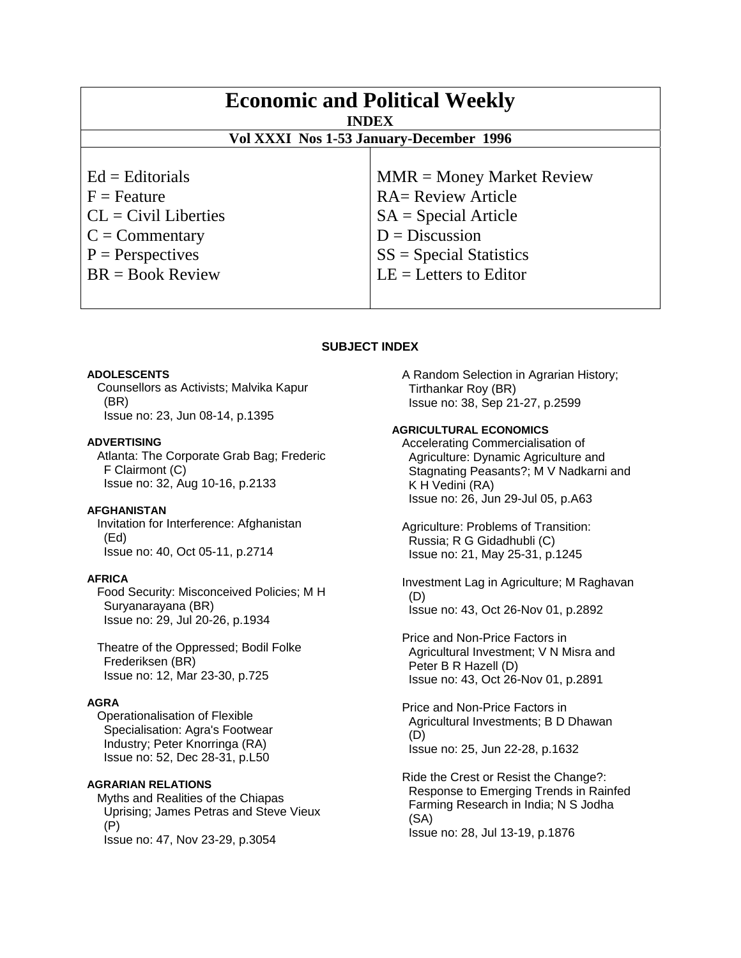| <b>Economic and Political Weekly</b><br><b>INDEX</b><br>Vol XXXI Nos 1-53 January-December 1996 |                             |
|-------------------------------------------------------------------------------------------------|-----------------------------|
| $Ed =$ Editorials                                                                               | $MMR = Money Market Review$ |
| $F =$ Feature                                                                                   | <b>RA= Review Article</b>   |
| $CL = Civil\:$                                                                                  | $SA = Special Article$      |
| $C = \text{Commentary}$                                                                         | $D = Discussion$            |
| $P =$ Perspectives                                                                              | $SS = Special Statistics$   |
| $BR = Book Review$                                                                              | $LE = Letters to Editor$    |

# **SUBJECT INDEX**

### **ADOLESCENTS**

 Counsellors as Activists; Malvika Kapur (BR) Issue no: 23, Jun 08-14, p.1395

### **ADVERTISING**

 Atlanta: The Corporate Grab Bag; Frederic F Clairmont (C) Issue no: 32, Aug 10-16, p.2133

#### **AFGHANISTAN**

 Invitation for Interference: Afghanistan (Ed) Issue no: 40, Oct 05-11, p.2714

# **AFRICA**

 Food Security: Misconceived Policies; M H Suryanarayana (BR) Issue no: 29, Jul 20-26, p.1934

 Theatre of the Oppressed; Bodil Folke Frederiksen (BR) Issue no: 12, Mar 23-30, p.725

### **AGRA**

 Operationalisation of Flexible Specialisation: Agra's Footwear Industry; Peter Knorringa (RA) Issue no: 52, Dec 28-31, p.L50

### **AGRARIAN RELATIONS**

 Myths and Realities of the Chiapas Uprising; James Petras and Steve Vieux (P) Issue no: 47, Nov 23-29, p.3054

 A Random Selection in Agrarian History; Tirthankar Roy (BR) Issue no: 38, Sep 21-27, p.2599

#### **AGRICULTURAL ECONOMICS**

 Accelerating Commercialisation of Agriculture: Dynamic Agriculture and Stagnating Peasants?; M V Nadkarni and K H Vedini (RA) Issue no: 26, Jun 29-Jul 05, p.A63

 Agriculture: Problems of Transition: Russia; R G Gidadhubli (C) Issue no: 21, May 25-31, p.1245

 Investment Lag in Agriculture; M Raghavan (D) Issue no: 43, Oct 26-Nov 01, p.2892

 Price and Non-Price Factors in Agricultural Investment; V N Misra and Peter B R Hazell (D) Issue no: 43, Oct 26-Nov 01, p.2891

 Price and Non-Price Factors in Agricultural Investments; B D Dhawan (D) Issue no: 25, Jun 22-28, p.1632

 Ride the Crest or Resist the Change?: Response to Emerging Trends in Rainfed Farming Research in India; N S Jodha (SA) Issue no: 28, Jul 13-19, p.1876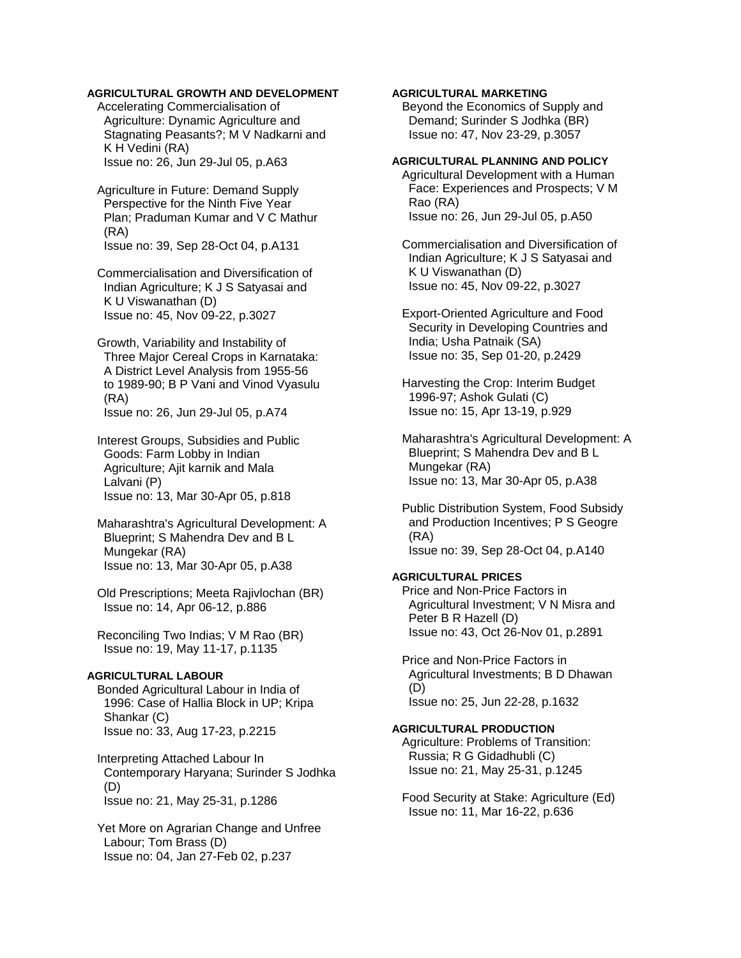# **AGRICULTURAL GROWTH AND DEVELOPMENT**

 Accelerating Commercialisation of Agriculture: Dynamic Agriculture and Stagnating Peasants?; M V Nadkarni and K H Vedini (RA) Issue no: 26, Jun 29-Jul 05, p.A63

 Agriculture in Future: Demand Supply Perspective for the Ninth Five Year Plan; Praduman Kumar and V C Mathur (RA) Issue no: 39, Sep 28-Oct 04, p.A131

 Commercialisation and Diversification of Indian Agriculture; K J S Satyasai and K U Viswanathan (D) Issue no: 45, Nov 09-22, p.3027

 Growth, Variability and Instability of Three Major Cereal Crops in Karnataka: A District Level Analysis from 1955-56 to 1989-90; B P Vani and Vinod Vyasulu (RA) Issue no: 26, Jun 29-Jul 05, p.A74

 Interest Groups, Subsidies and Public Goods: Farm Lobby in Indian Agriculture; Ajit karnik and Mala Lalvani (P) Issue no: 13, Mar 30-Apr 05, p.818

- Maharashtra's Agricultural Development: A Blueprint; S Mahendra Dev and B L Mungekar (RA) Issue no: 13, Mar 30-Apr 05, p.A38
- Old Prescriptions; Meeta Rajivlochan (BR) Issue no: 14, Apr 06-12, p.886

 Reconciling Two Indias; V M Rao (BR) Issue no: 19, May 11-17, p.1135

### **AGRICULTURAL LABOUR**

 Bonded Agricultural Labour in India of 1996: Case of Hallia Block in UP; Kripa Shankar (C) Issue no: 33, Aug 17-23, p.2215

 Interpreting Attached Labour In Contemporary Haryana; Surinder S Jodhka (D) Issue no: 21, May 25-31, p.1286

 Yet More on Agrarian Change and Unfree Labour; Tom Brass (D) Issue no: 04, Jan 27-Feb 02, p.237

# **AGRICULTURAL MARKETING**

 Beyond the Economics of Supply and Demand; Surinder S Jodhka (BR) Issue no: 47, Nov 23-29, p.3057

# **AGRICULTURAL PLANNING AND POLICY**

 Agricultural Development with a Human Face: Experiences and Prospects; V M Rao (RA) Issue no: 26, Jun 29-Jul 05, p.A50

 Commercialisation and Diversification of Indian Agriculture; K J S Satyasai and K U Viswanathan (D) Issue no: 45, Nov 09-22, p.3027

 Export-Oriented Agriculture and Food Security in Developing Countries and India; Usha Patnaik (SA) Issue no: 35, Sep 01-20, p.2429

 Harvesting the Crop: Interim Budget 1996-97; Ashok Gulati (C) Issue no: 15, Apr 13-19, p.929

 Maharashtra's Agricultural Development: A Blueprint; S Mahendra Dev and B L Mungekar (RA) Issue no: 13, Mar 30-Apr 05, p.A38

 Public Distribution System, Food Subsidy and Production Incentives; P S Geogre (RA) Issue no: 39, Sep 28-Oct 04, p.A140

### **AGRICULTURAL PRICES**

 Price and Non-Price Factors in Agricultural Investment; V N Misra and Peter B R Hazell (D) Issue no: 43, Oct 26-Nov 01, p.2891

 Price and Non-Price Factors in Agricultural Investments; B D Dhawan (D) Issue no: 25, Jun 22-28, p.1632

# **AGRICULTURAL PRODUCTION**

 Agriculture: Problems of Transition: Russia; R G Gidadhubli (C) Issue no: 21, May 25-31, p.1245

 Food Security at Stake: Agriculture (Ed) Issue no: 11, Mar 16-22, p.636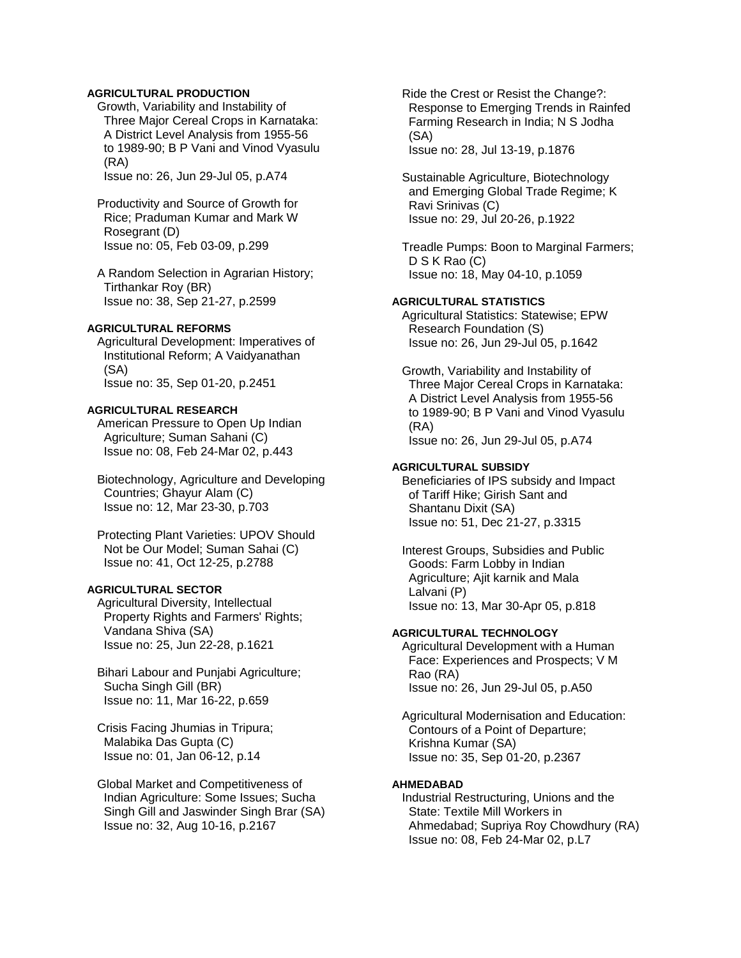# **AGRICULTURAL PRODUCTION**

 Growth, Variability and Instability of Three Major Cereal Crops in Karnataka: A District Level Analysis from 1955-56 to 1989-90; B P Vani and Vinod Vyasulu (RA)

Issue no: 26, Jun 29-Jul 05, p.A74

- Productivity and Source of Growth for Rice; Praduman Kumar and Mark W Rosegrant (D) Issue no: 05, Feb 03-09, p.299
- A Random Selection in Agrarian History; Tirthankar Roy (BR) Issue no: 38, Sep 21-27, p.2599

#### **AGRICULTURAL REFORMS**

 Agricultural Development: Imperatives of Institutional Reform; A Vaidyanathan (SA) Issue no: 35, Sep 01-20, p.2451

#### **AGRICULTURAL RESEARCH**

 American Pressure to Open Up Indian Agriculture; Suman Sahani (C) Issue no: 08, Feb 24-Mar 02, p.443

 Biotechnology, Agriculture and Developing Countries; Ghayur Alam (C) Issue no: 12, Mar 23-30, p.703

 Protecting Plant Varieties: UPOV Should Not be Our Model; Suman Sahai (C) Issue no: 41, Oct 12-25, p.2788

# **AGRICULTURAL SECTOR**

 Agricultural Diversity, Intellectual Property Rights and Farmers' Rights; Vandana Shiva (SA) Issue no: 25, Jun 22-28, p.1621

- Bihari Labour and Punjabi Agriculture; Sucha Singh Gill (BR) Issue no: 11, Mar 16-22, p.659
- Crisis Facing Jhumias in Tripura; Malabika Das Gupta (C) Issue no: 01, Jan 06-12, p.14
- Global Market and Competitiveness of Indian Agriculture: Some Issues; Sucha Singh Gill and Jaswinder Singh Brar (SA) Issue no: 32, Aug 10-16, p.2167

 Ride the Crest or Resist the Change?: Response to Emerging Trends in Rainfed Farming Research in India; N S Jodha (SA) Issue no: 28, Jul 13-19, p.1876

 Sustainable Agriculture, Biotechnology and Emerging Global Trade Regime; K Ravi Srinivas (C) Issue no: 29, Jul 20-26, p.1922

 Treadle Pumps: Boon to Marginal Farmers; D S K Rao (C) Issue no: 18, May 04-10, p.1059

### **AGRICULTURAL STATISTICS**

 Agricultural Statistics: Statewise; EPW Research Foundation (S) Issue no: 26, Jun 29-Jul 05, p.1642

 Growth, Variability and Instability of Three Major Cereal Crops in Karnataka: A District Level Analysis from 1955-56 to 1989-90; B P Vani and Vinod Vyasulu (RA) Issue no: 26, Jun 29-Jul 05, p.A74

### **AGRICULTURAL SUBSIDY**

 Beneficiaries of IPS subsidy and Impact of Tariff Hike; Girish Sant and Shantanu Dixit (SA) Issue no: 51, Dec 21-27, p.3315

 Interest Groups, Subsidies and Public Goods: Farm Lobby in Indian Agriculture; Ajit karnik and Mala Lalvani (P) Issue no: 13, Mar 30-Apr 05, p.818

# **AGRICULTURAL TECHNOLOGY**

 Agricultural Development with a Human Face: Experiences and Prospects; V M Rao (RA) Issue no: 26, Jun 29-Jul 05, p.A50

 Agricultural Modernisation and Education: Contours of a Point of Departure; Krishna Kumar (SA) Issue no: 35, Sep 01-20, p.2367

# **AHMEDABAD**

 Industrial Restructuring, Unions and the State: Textile Mill Workers in Ahmedabad; Supriya Roy Chowdhury (RA) Issue no: 08, Feb 24-Mar 02, p.L7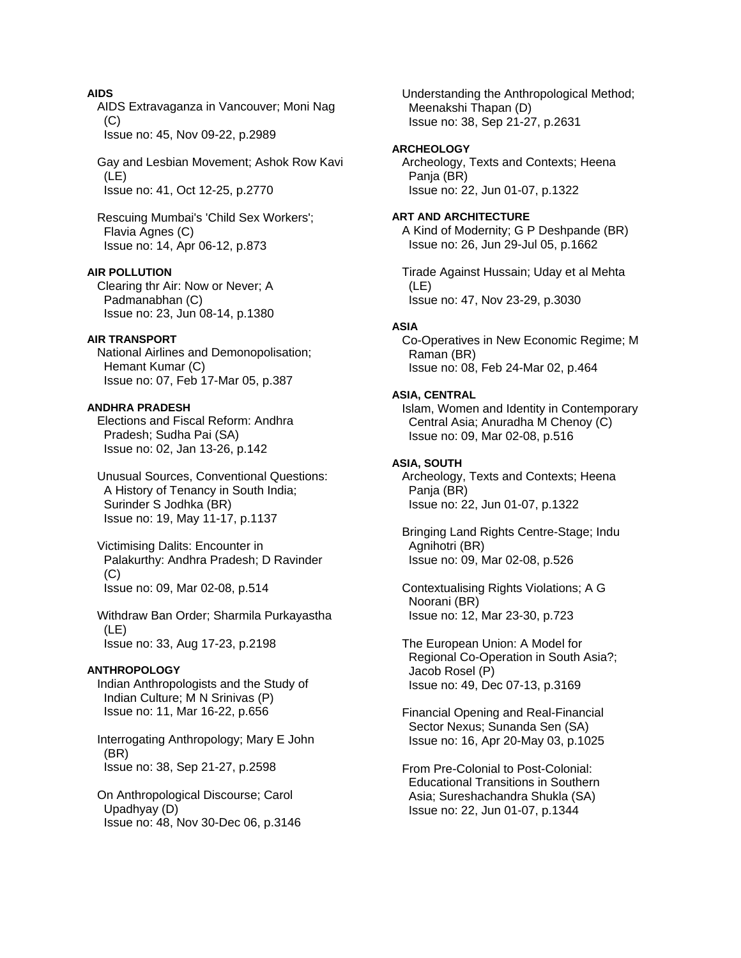# **AIDS**

 AIDS Extravaganza in Vancouver; Moni Nag  $(C)$ 

Issue no: 45, Nov 09-22, p.2989

 Gay and Lesbian Movement; Ashok Row Kavi (LE) Issue no: 41, Oct 12-25, p.2770

 Rescuing Mumbai's 'Child Sex Workers'; Flavia Agnes (C) Issue no: 14, Apr 06-12, p.873

# **AIR POLLUTION**

 Clearing thr Air: Now or Never; A Padmanabhan (C) Issue no: 23, Jun 08-14, p.1380

# **AIR TRANSPORT**

 National Airlines and Demonopolisation; Hemant Kumar (C) Issue no: 07, Feb 17-Mar 05, p.387

### **ANDHRA PRADESH**

 Elections and Fiscal Reform: Andhra Pradesh; Sudha Pai (SA) Issue no: 02, Jan 13-26, p.142

 Unusual Sources, Conventional Questions: A History of Tenancy in South India; Surinder S Jodhka (BR) Issue no: 19, May 11-17, p.1137

 Victimising Dalits: Encounter in Palakurthy: Andhra Pradesh; D Ravinder  $(C)$ Issue no: 09, Mar 02-08, p.514

 Withdraw Ban Order; Sharmila Purkayastha (LE) Issue no: 33, Aug 17-23, p.2198

#### **ANTHROPOLOGY**

 Indian Anthropologists and the Study of Indian Culture; M N Srinivas (P) Issue no: 11, Mar 16-22, p.656

 Interrogating Anthropology; Mary E John (BR) Issue no: 38, Sep 21-27, p.2598

 On Anthropological Discourse; Carol Upadhyay (D) Issue no: 48, Nov 30-Dec 06, p.3146  Understanding the Anthropological Method; Meenakshi Thapan (D) Issue no: 38, Sep 21-27, p.2631

### **ARCHEOLOGY**

 Archeology, Texts and Contexts; Heena Pania (BR) Issue no: 22, Jun 01-07, p.1322

#### **ART AND ARCHITECTURE**

 A Kind of Modernity; G P Deshpande (BR) Issue no: 26, Jun 29-Jul 05, p.1662

 Tirade Against Hussain; Uday et al Mehta (LE) Issue no: 47, Nov 23-29, p.3030

#### **ASIA**

 Co-Operatives in New Economic Regime; M Raman (BR) Issue no: 08, Feb 24-Mar 02, p.464

#### **ASIA, CENTRAL**

 Islam, Women and Identity in Contemporary Central Asia; Anuradha M Chenoy (C) Issue no: 09, Mar 02-08, p.516

#### **ASIA, SOUTH**

 Archeology, Texts and Contexts; Heena Panja (BR) Issue no: 22, Jun 01-07, p.1322

 Bringing Land Rights Centre-Stage; Indu Agnihotri (BR) Issue no: 09, Mar 02-08, p.526

 Contextualising Rights Violations; A G Noorani (BR) Issue no: 12, Mar 23-30, p.723

 The European Union: A Model for Regional Co-Operation in South Asia?; Jacob Rosel (P) Issue no: 49, Dec 07-13, p.3169

 Financial Opening and Real-Financial Sector Nexus; Sunanda Sen (SA) Issue no: 16, Apr 20-May 03, p.1025

 From Pre-Colonial to Post-Colonial: Educational Transitions in Southern Asia; Sureshachandra Shukla (SA) Issue no: 22, Jun 01-07, p.1344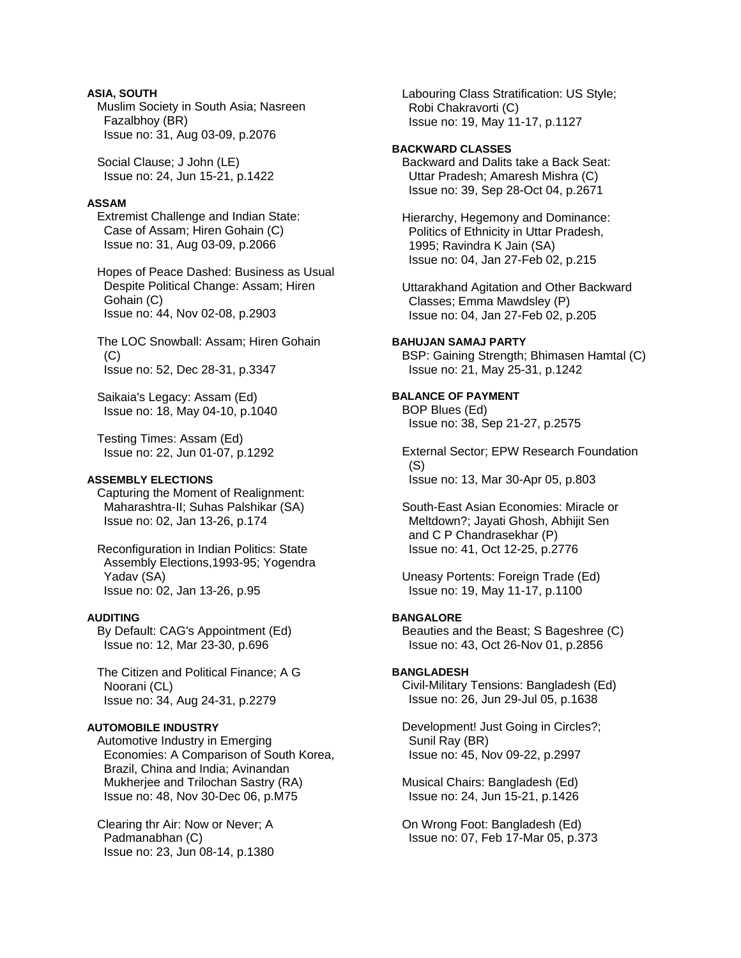# **ASIA, SOUTH**

 Muslim Society in South Asia; Nasreen Fazalbhoy (BR) Issue no: 31, Aug 03-09, p.2076

 Social Clause; J John (LE) Issue no: 24, Jun 15-21, p.1422

### **ASSAM**

 Extremist Challenge and Indian State: Case of Assam; Hiren Gohain (C) Issue no: 31, Aug 03-09, p.2066

 Hopes of Peace Dashed: Business as Usual Despite Political Change: Assam; Hiren Gohain (C) Issue no: 44, Nov 02-08, p.2903

 The LOC Snowball: Assam; Hiren Gohain  $(C)$ Issue no: 52, Dec 28-31, p.3347

 Saikaia's Legacy: Assam (Ed) Issue no: 18, May 04-10, p.1040

 Testing Times: Assam (Ed) Issue no: 22, Jun 01-07, p.1292

### **ASSEMBLY ELECTIONS**

 Capturing the Moment of Realignment: Maharashtra-II; Suhas Palshikar (SA) Issue no: 02, Jan 13-26, p.174

 Reconfiguration in Indian Politics: State Assembly Elections,1993-95; Yogendra Yadav (SA) Issue no: 02, Jan 13-26, p.95

### **AUDITING**

 By Default: CAG's Appointment (Ed) Issue no: 12, Mar 23-30, p.696

 The Citizen and Political Finance; A G Noorani (CL) Issue no: 34, Aug 24-31, p.2279

### **AUTOMOBILE INDUSTRY**

 Automotive Industry in Emerging Economies: A Comparison of South Korea, Brazil, China and India; Avinandan Mukherjee and Trilochan Sastry (RA) Issue no: 48, Nov 30-Dec 06, p.M75

 Clearing thr Air: Now or Never; A Padmanabhan (C) Issue no: 23, Jun 08-14, p.1380  Labouring Class Stratification: US Style; Robi Chakravorti (C) Issue no: 19, May 11-17, p.1127

# **BACKWARD CLASSES**

 Backward and Dalits take a Back Seat: Uttar Pradesh; Amaresh Mishra (C) Issue no: 39, Sep 28-Oct 04, p.2671

 Hierarchy, Hegemony and Dominance: Politics of Ethnicity in Uttar Pradesh, 1995; Ravindra K Jain (SA) Issue no: 04, Jan 27-Feb 02, p.215

 Uttarakhand Agitation and Other Backward Classes; Emma Mawdsley (P) Issue no: 04, Jan 27-Feb 02, p.205

#### **BAHUJAN SAMAJ PARTY**  BSP: Gaining Strength; Bhimasen Hamtal (C) Issue no: 21, May 25-31, p.1242

**BALANCE OF PAYMENT**  BOP Blues (Ed) Issue no: 38, Sep 21-27, p.2575

 External Sector; EPW Research Foundation (S) Issue no: 13, Mar 30-Apr 05, p.803

 South-East Asian Economies: Miracle or Meltdown?; Jayati Ghosh, Abhijit Sen and C P Chandrasekhar (P) Issue no: 41, Oct 12-25, p.2776

 Uneasy Portents: Foreign Trade (Ed) Issue no: 19, May 11-17, p.1100

### **BANGALORE**

 Beauties and the Beast; S Bageshree (C) Issue no: 43, Oct 26-Nov 01, p.2856

# **BANGLADESH**

 Civil-Military Tensions: Bangladesh (Ed) Issue no: 26, Jun 29-Jul 05, p.1638

 Development! Just Going in Circles?; Sunil Ray (BR) Issue no: 45, Nov 09-22, p.2997

 Musical Chairs: Bangladesh (Ed) Issue no: 24, Jun 15-21, p.1426

 On Wrong Foot: Bangladesh (Ed) Issue no: 07, Feb 17-Mar 05, p.373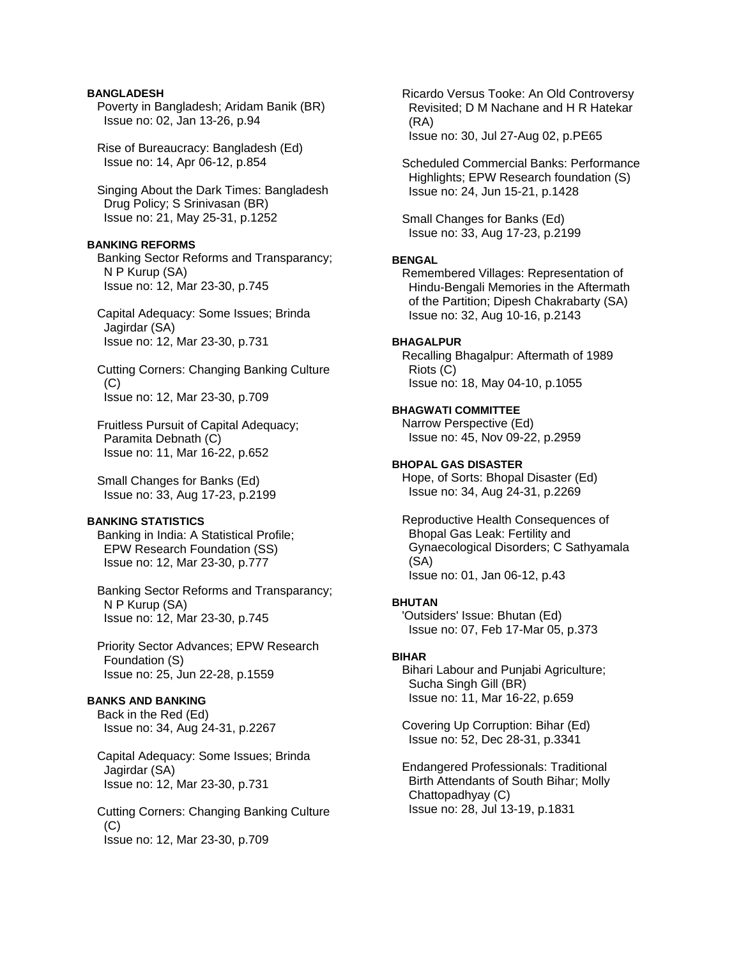### **BANGLADESH**

 Poverty in Bangladesh; Aridam Banik (BR) Issue no: 02, Jan 13-26, p.94

 Rise of Bureaucracy: Bangladesh (Ed) Issue no: 14, Apr 06-12, p.854

 Singing About the Dark Times: Bangladesh Drug Policy; S Srinivasan (BR) Issue no: 21, May 25-31, p.1252

### **BANKING REFORMS**

 Banking Sector Reforms and Transparancy; N P Kurup (SA) Issue no: 12, Mar 23-30, p.745

 Capital Adequacy: Some Issues; Brinda Jagirdar (SA) Issue no: 12, Mar 23-30, p.731

 Cutting Corners: Changing Banking Culture (C) Issue no: 12, Mar 23-30, p.709

 Fruitless Pursuit of Capital Adequacy; Paramita Debnath (C) Issue no: 11, Mar 16-22, p.652

 Small Changes for Banks (Ed) Issue no: 33, Aug 17-23, p.2199

#### **BANKING STATISTICS**

 Banking in India: A Statistical Profile; EPW Research Foundation (SS) Issue no: 12, Mar 23-30, p.777

 Banking Sector Reforms and Transparancy; N P Kurup (SA) Issue no: 12, Mar 23-30, p.745

 Priority Sector Advances; EPW Research Foundation (S) Issue no: 25, Jun 22-28, p.1559

# **BANKS AND BANKING**

 Back in the Red (Ed) Issue no: 34, Aug 24-31, p.2267

 Capital Adequacy: Some Issues; Brinda Jagirdar (SA) Issue no: 12, Mar 23-30, p.731

 Cutting Corners: Changing Banking Culture (C) Issue no: 12, Mar 23-30, p.709

 Ricardo Versus Tooke: An Old Controversy Revisited; D M Nachane and H R Hatekar (RA) Issue no: 30, Jul 27-Aug 02, p.PE65

 Scheduled Commercial Banks: Performance Highlights; EPW Research foundation (S) Issue no: 24, Jun 15-21, p.1428

 Small Changes for Banks (Ed) Issue no: 33, Aug 17-23, p.2199

### **BENGAL**

 Remembered Villages: Representation of Hindu-Bengali Memories in the Aftermath of the Partition; Dipesh Chakrabarty (SA) Issue no: 32, Aug 10-16, p.2143

# **BHAGALPUR**

 Recalling Bhagalpur: Aftermath of 1989 Riots (C) Issue no: 18, May 04-10, p.1055

#### **BHAGWATI COMMITTEE**

 Narrow Perspective (Ed) Issue no: 45, Nov 09-22, p.2959

### **BHOPAL GAS DISASTER**

 Hope, of Sorts: Bhopal Disaster (Ed) Issue no: 34, Aug 24-31, p.2269

 Reproductive Health Consequences of Bhopal Gas Leak: Fertility and Gynaecological Disorders; C Sathyamala (SA) Issue no: 01, Jan 06-12, p.43

# **BHUTAN**

 'Outsiders' Issue: Bhutan (Ed) Issue no: 07, Feb 17-Mar 05, p.373

#### **BIHAR**

 Bihari Labour and Punjabi Agriculture; Sucha Singh Gill (BR) Issue no: 11, Mar 16-22, p.659

 Covering Up Corruption: Bihar (Ed) Issue no: 52, Dec 28-31, p.3341

 Endangered Professionals: Traditional Birth Attendants of South Bihar; Molly Chattopadhyay (C) Issue no: 28, Jul 13-19, p.1831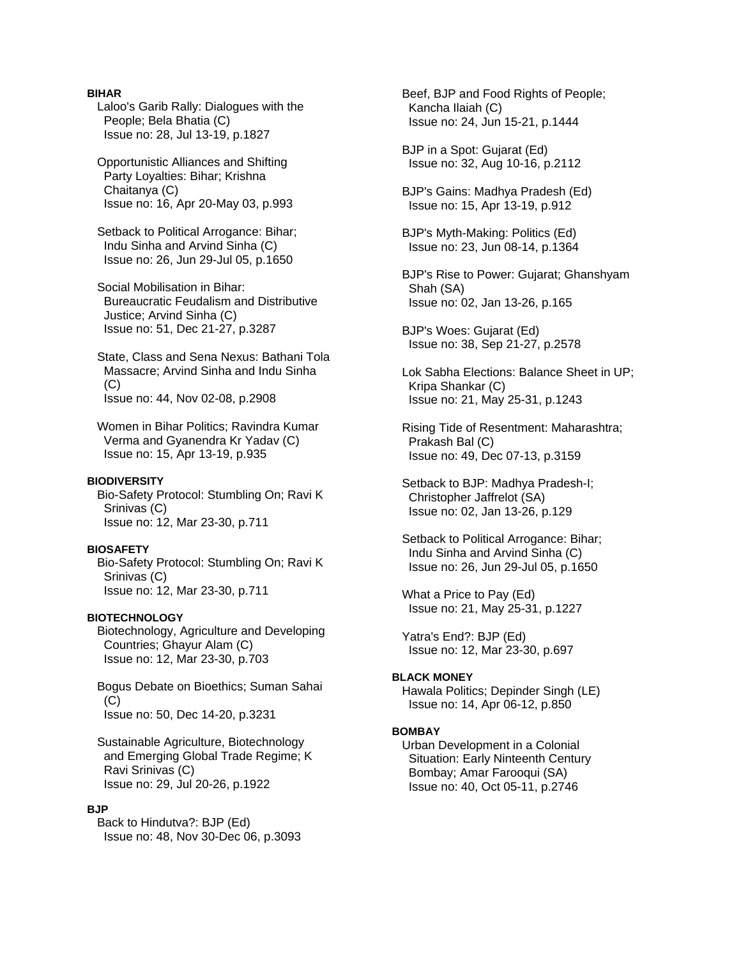### **BIHAR**

 Laloo's Garib Rally: Dialogues with the People; Bela Bhatia (C) Issue no: 28, Jul 13-19, p.1827

 Opportunistic Alliances and Shifting Party Loyalties: Bihar; Krishna Chaitanya (C) Issue no: 16, Apr 20-May 03, p.993

 Setback to Political Arrogance: Bihar; Indu Sinha and Arvind Sinha (C) Issue no: 26, Jun 29-Jul 05, p.1650

 Social Mobilisation in Bihar: Bureaucratic Feudalism and Distributive Justice; Arvind Sinha (C) Issue no: 51, Dec 21-27, p.3287

 State, Class and Sena Nexus: Bathani Tola Massacre; Arvind Sinha and Indu Sinha (C) Issue no: 44, Nov 02-08, p.2908

 Women in Bihar Politics; Ravindra Kumar Verma and Gyanendra Kr Yadav (C) Issue no: 15, Apr 13-19, p.935

#### **BIODIVERSITY**

 Bio-Safety Protocol: Stumbling On; Ravi K Srinivas (C) Issue no: 12, Mar 23-30, p.711

#### **BIOSAFETY**

 Bio-Safety Protocol: Stumbling On; Ravi K Srinivas (C) Issue no: 12, Mar 23-30, p.711

### **BIOTECHNOLOGY**

 Biotechnology, Agriculture and Developing Countries; Ghayur Alam (C) Issue no: 12, Mar 23-30, p.703

 Bogus Debate on Bioethics; Suman Sahai  $(C)$ Issue no: 50, Dec 14-20, p.3231

 Sustainable Agriculture, Biotechnology and Emerging Global Trade Regime; K Ravi Srinivas (C) Issue no: 29, Jul 20-26, p.1922

#### **BJP**

 Back to Hindutva?: BJP (Ed) Issue no: 48, Nov 30-Dec 06, p.3093  Beef, BJP and Food Rights of People; Kancha Ilaiah (C) Issue no: 24, Jun 15-21, p.1444

 BJP in a Spot: Gujarat (Ed) Issue no: 32, Aug 10-16, p.2112

 BJP's Gains: Madhya Pradesh (Ed) Issue no: 15, Apr 13-19, p.912

 BJP's Myth-Making: Politics (Ed) Issue no: 23, Jun 08-14, p.1364

 BJP's Rise to Power: Gujarat; Ghanshyam Shah (SA) Issue no: 02, Jan 13-26, p.165

 BJP's Woes: Gujarat (Ed) Issue no: 38, Sep 21-27, p.2578

 Lok Sabha Elections: Balance Sheet in UP; Kripa Shankar (C) Issue no: 21, May 25-31, p.1243

 Rising Tide of Resentment: Maharashtra; Prakash Bal (C) Issue no: 49, Dec 07-13, p.3159

 Setback to BJP: Madhya Pradesh-I; Christopher Jaffrelot (SA) Issue no: 02, Jan 13-26, p.129

 Setback to Political Arrogance: Bihar; Indu Sinha and Arvind Sinha (C) Issue no: 26, Jun 29-Jul 05, p.1650

 What a Price to Pay (Ed) Issue no: 21, May 25-31, p.1227

 Yatra's End?: BJP (Ed) Issue no: 12, Mar 23-30, p.697

#### **BLACK MONEY**

 Hawala Politics; Depinder Singh (LE) Issue no: 14, Apr 06-12, p.850

# **BOMBAY**

 Urban Development in a Colonial Situation: Early Ninteenth Century Bombay; Amar Farooqui (SA) Issue no: 40, Oct 05-11, p.2746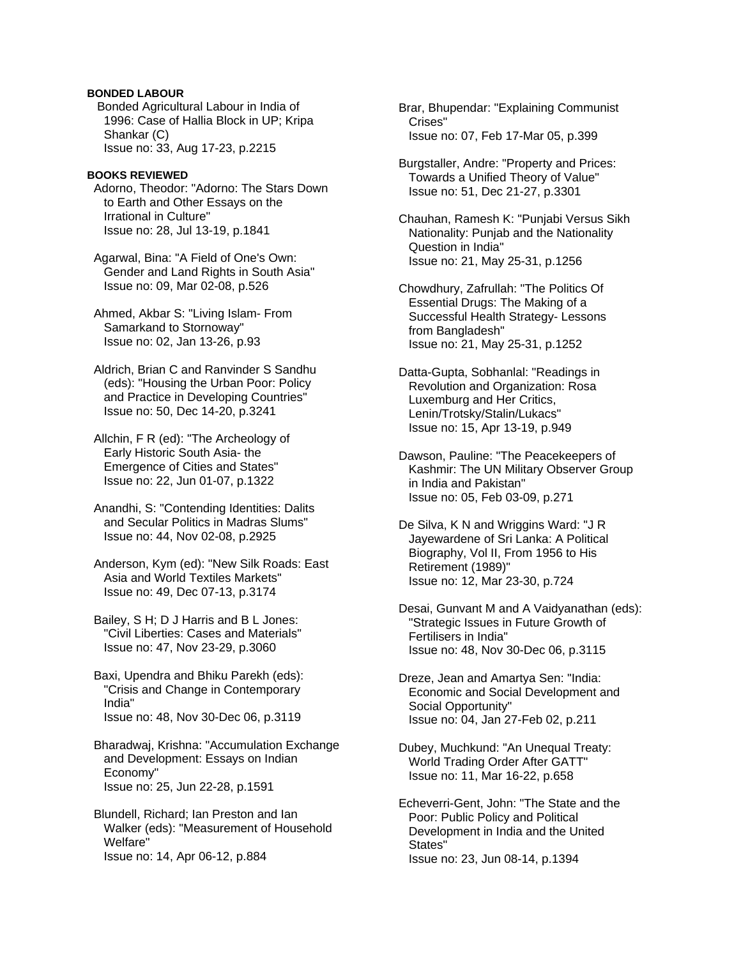# **BONDED LABOUR**

 Bonded Agricultural Labour in India of 1996: Case of Hallia Block in UP; Kripa Shankar (C) Issue no: 33, Aug 17-23, p.2215

### **BOOKS REVIEWED**

 Adorno, Theodor: "Adorno: The Stars Down to Earth and Other Essays on the Irrational in Culture" Issue no: 28, Jul 13-19, p.1841

 Agarwal, Bina: "A Field of One's Own: Gender and Land Rights in South Asia" Issue no: 09, Mar 02-08, p.526

 Ahmed, Akbar S: "Living Islam- From Samarkand to Stornoway" Issue no: 02, Jan 13-26, p.93

 Aldrich, Brian C and Ranvinder S Sandhu (eds): "Housing the Urban Poor: Policy and Practice in Developing Countries" Issue no: 50, Dec 14-20, p.3241

 Allchin, F R (ed): "The Archeology of Early Historic South Asia- the Emergence of Cities and States" Issue no: 22, Jun 01-07, p.1322

 Anandhi, S: "Contending Identities: Dalits and Secular Politics in Madras Slums" Issue no: 44, Nov 02-08, p.2925

 Anderson, Kym (ed): "New Silk Roads: East Asia and World Textiles Markets" Issue no: 49, Dec 07-13, p.3174

 Bailey, S H; D J Harris and B L Jones: "Civil Liberties: Cases and Materials" Issue no: 47, Nov 23-29, p.3060

 Baxi, Upendra and Bhiku Parekh (eds): "Crisis and Change in Contemporary India" Issue no: 48, Nov 30-Dec 06, p.3119

 Bharadwaj, Krishna: "Accumulation Exchange and Development: Essays on Indian Economy" Issue no: 25, Jun 22-28, p.1591

 Blundell, Richard; Ian Preston and Ian Walker (eds): "Measurement of Household Welfare" Issue no: 14, Apr 06-12, p.884

 Brar, Bhupendar: "Explaining Communist Crises" Issue no: 07, Feb 17-Mar 05, p.399

 Burgstaller, Andre: "Property and Prices: Towards a Unified Theory of Value" Issue no: 51, Dec 21-27, p.3301

 Chauhan, Ramesh K: "Punjabi Versus Sikh Nationality: Punjab and the Nationality Question in India" Issue no: 21, May 25-31, p.1256

 Chowdhury, Zafrullah: "The Politics Of Essential Drugs: The Making of a Successful Health Strategy- Lessons from Bangladesh" Issue no: 21, May 25-31, p.1252

 Datta-Gupta, Sobhanlal: "Readings in Revolution and Organization: Rosa Luxemburg and Her Critics, Lenin/Trotsky/Stalin/Lukacs" Issue no: 15, Apr 13-19, p.949

 Dawson, Pauline: "The Peacekeepers of Kashmir: The UN Military Observer Group in India and Pakistan" Issue no: 05, Feb 03-09, p.271

 De Silva, K N and Wriggins Ward: "J R Jayewardene of Sri Lanka: A Political Biography, Vol II, From 1956 to His Retirement (1989)" Issue no: 12, Mar 23-30, p.724

 Desai, Gunvant M and A Vaidyanathan (eds): "Strategic Issues in Future Growth of Fertilisers in India" Issue no: 48, Nov 30-Dec 06, p.3115

 Dreze, Jean and Amartya Sen: "India: Economic and Social Development and Social Opportunity" Issue no: 04, Jan 27-Feb 02, p.211

 Dubey, Muchkund: "An Unequal Treaty: World Trading Order After GATT" Issue no: 11, Mar 16-22, p.658

 Echeverri-Gent, John: "The State and the Poor: Public Policy and Political Development in India and the United States" Issue no: 23, Jun 08-14, p.1394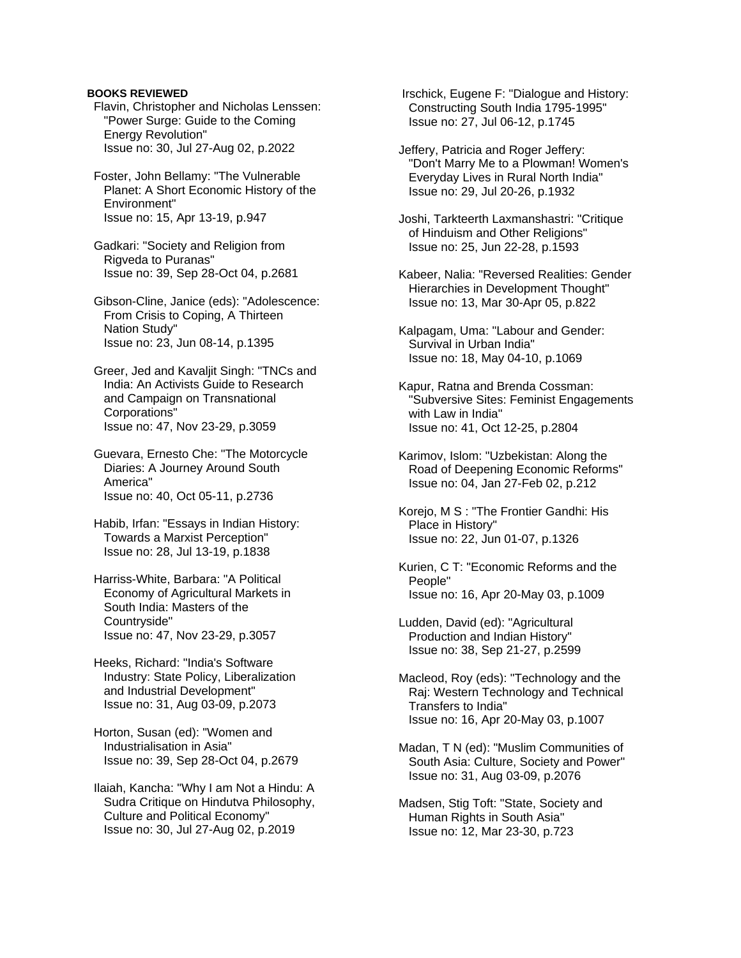### **BOOKS REVIEWED**

- Flavin, Christopher and Nicholas Lenssen: "Power Surge: Guide to the Coming Energy Revolution" Issue no: 30, Jul 27-Aug 02, p.2022
- Foster, John Bellamy: "The Vulnerable Planet: A Short Economic History of the Environment" Issue no: 15, Apr 13-19, p.947
- Gadkari: "Society and Religion from Rigveda to Puranas" Issue no: 39, Sep 28-Oct 04, p.2681
- Gibson-Cline, Janice (eds): "Adolescence: From Crisis to Coping, A Thirteen Nation Study" Issue no: 23, Jun 08-14, p.1395
- Greer, Jed and Kavaljit Singh: "TNCs and India: An Activists Guide to Research and Campaign on Transnational Corporations" Issue no: 47, Nov 23-29, p.3059
- Guevara, Ernesto Che: "The Motorcycle Diaries: A Journey Around South America" Issue no: 40, Oct 05-11, p.2736
- Habib, Irfan: "Essays in Indian History: Towards a Marxist Perception" Issue no: 28, Jul 13-19, p.1838
- Harriss-White, Barbara: "A Political Economy of Agricultural Markets in South India: Masters of the Countryside" Issue no: 47, Nov 23-29, p.3057
- Heeks, Richard: "India's Software Industry: State Policy, Liberalization and Industrial Development" Issue no: 31, Aug 03-09, p.2073
- Horton, Susan (ed): "Women and Industrialisation in Asia" Issue no: 39, Sep 28-Oct 04, p.2679
- Ilaiah, Kancha: "Why I am Not a Hindu: A Sudra Critique on Hindutva Philosophy, Culture and Political Economy" Issue no: 30, Jul 27-Aug 02, p.2019

 Irschick, Eugene F: "Dialogue and History: Constructing South India 1795-1995" Issue no: 27, Jul 06-12, p.1745

- Jeffery, Patricia and Roger Jeffery: "Don't Marry Me to a Plowman! Women's Everyday Lives in Rural North India" Issue no: 29, Jul 20-26, p.1932
- Joshi, Tarkteerth Laxmanshastri: "Critique of Hinduism and Other Religions" Issue no: 25, Jun 22-28, p.1593
- Kabeer, Nalia: "Reversed Realities: Gender Hierarchies in Development Thought" Issue no: 13, Mar 30-Apr 05, p.822
- Kalpagam, Uma: "Labour and Gender: Survival in Urban India" Issue no: 18, May 04-10, p.1069
- Kapur, Ratna and Brenda Cossman: "Subversive Sites: Feminist Engagements with Law in India" Issue no: 41, Oct 12-25, p.2804
- Karimov, Islom: "Uzbekistan: Along the Road of Deepening Economic Reforms" Issue no: 04, Jan 27-Feb 02, p.212
- Korejo, M S : "The Frontier Gandhi: His Place in History" Issue no: 22, Jun 01-07, p.1326
- Kurien, C T: "Economic Reforms and the People" Issue no: 16, Apr 20-May 03, p.1009
- Ludden, David (ed): "Agricultural Production and Indian History" Issue no: 38, Sep 21-27, p.2599
- Macleod, Roy (eds): "Technology and the Raj: Western Technology and Technical Transfers to India" Issue no: 16, Apr 20-May 03, p.1007
- Madan, T N (ed): "Muslim Communities of South Asia: Culture, Society and Power" Issue no: 31, Aug 03-09, p.2076
- Madsen, Stig Toft: "State, Society and Human Rights in South Asia" Issue no: 12, Mar 23-30, p.723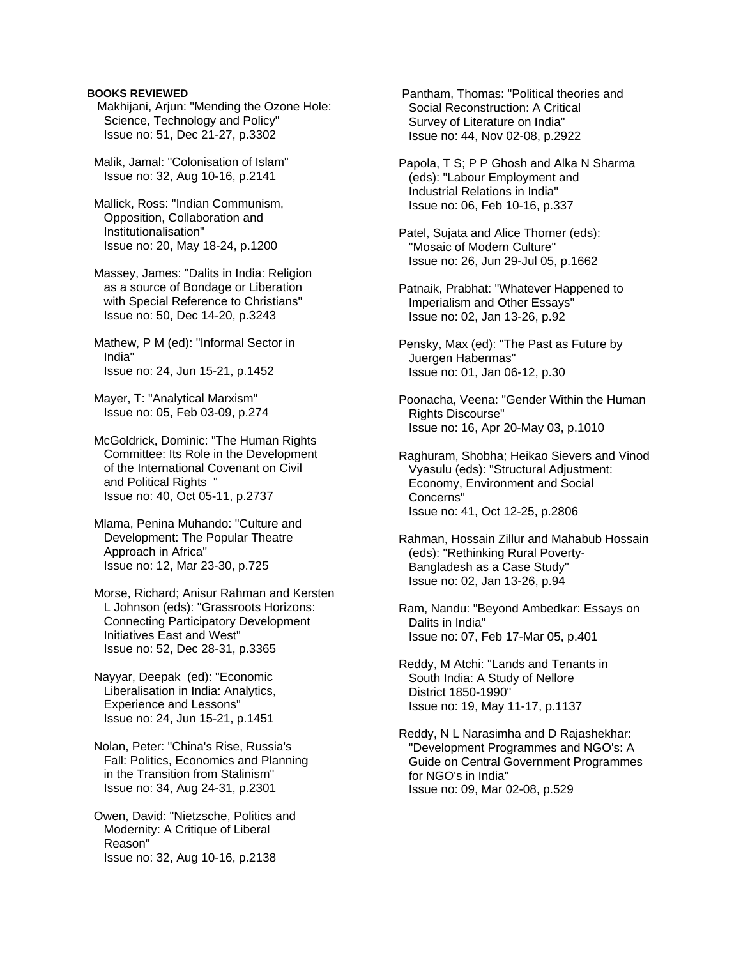### **BOOKS REVIEWED**

 Makhijani, Arjun: "Mending the Ozone Hole: Science, Technology and Policy" Issue no: 51, Dec 21-27, p.3302

 Malik, Jamal: "Colonisation of Islam" Issue no: 32, Aug 10-16, p.2141

 Mallick, Ross: "Indian Communism, Opposition, Collaboration and Institutionalisation" Issue no: 20, May 18-24, p.1200

 Massey, James: "Dalits in India: Religion as a source of Bondage or Liberation with Special Reference to Christians" Issue no: 50, Dec 14-20, p.3243

 Mathew, P M (ed): "Informal Sector in India" Issue no: 24, Jun 15-21, p.1452

 Mayer, T: "Analytical Marxism" Issue no: 05, Feb 03-09, p.274

 McGoldrick, Dominic: "The Human Rights Committee: Its Role in the Development of the International Covenant on Civil and Political Rights ' Issue no: 40, Oct 05-11, p.2737

 Mlama, Penina Muhando: "Culture and Development: The Popular Theatre Approach in Africa" Issue no: 12, Mar 23-30, p.725

 Morse, Richard; Anisur Rahman and Kersten L Johnson (eds): "Grassroots Horizons: Connecting Participatory Development Initiatives East and West" Issue no: 52, Dec 28-31, p.3365

 Nayyar, Deepak (ed): "Economic Liberalisation in India: Analytics, Experience and Lessons" Issue no: 24, Jun 15-21, p.1451

 Nolan, Peter: "China's Rise, Russia's Fall: Politics, Economics and Planning in the Transition from Stalinism" Issue no: 34, Aug 24-31, p.2301

 Owen, David: "Nietzsche, Politics and Modernity: A Critique of Liberal Reason" Issue no: 32, Aug 10-16, p.2138

 Pantham, Thomas: "Political theories and Social Reconstruction: A Critical Survey of Literature on India" Issue no: 44, Nov 02-08, p.2922

 Papola, T S; P P Ghosh and Alka N Sharma (eds): "Labour Employment and Industrial Relations in India" Issue no: 06, Feb 10-16, p.337

 Patel, Sujata and Alice Thorner (eds): "Mosaic of Modern Culture" Issue no: 26, Jun 29-Jul 05, p.1662

 Patnaik, Prabhat: "Whatever Happened to Imperialism and Other Essays" Issue no: 02, Jan 13-26, p.92

 Pensky, Max (ed): "The Past as Future by Juergen Habermas" Issue no: 01, Jan 06-12, p.30

 Poonacha, Veena: "Gender Within the Human Rights Discourse" Issue no: 16, Apr 20-May 03, p.1010

 Raghuram, Shobha; Heikao Sievers and Vinod Vyasulu (eds): "Structural Adjustment: Economy, Environment and Social Concerns" Issue no: 41, Oct 12-25, p.2806

 Rahman, Hossain Zillur and Mahabub Hossain (eds): "Rethinking Rural Poverty- Bangladesh as a Case Study" Issue no: 02, Jan 13-26, p.94

 Ram, Nandu: "Beyond Ambedkar: Essays on Dalits in India" Issue no: 07, Feb 17-Mar 05, p.401

 Reddy, M Atchi: "Lands and Tenants in South India: A Study of Nellore District 1850-1990" Issue no: 19, May 11-17, p.1137

 Reddy, N L Narasimha and D Rajashekhar: "Development Programmes and NGO's: A Guide on Central Government Programmes for NGO's in India" Issue no: 09, Mar 02-08, p.529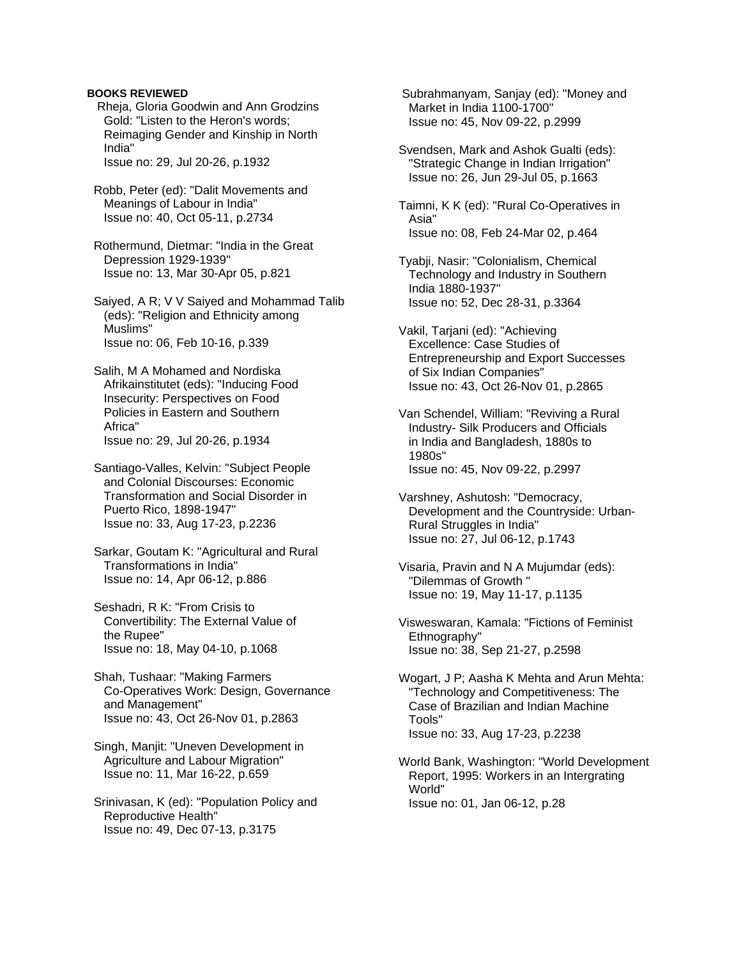### **BOOKS REVIEWED**

 Rheja, Gloria Goodwin and Ann Grodzins Gold: "Listen to the Heron's words; Reimaging Gender and Kinship in North India"

Issue no: 29, Jul 20-26, p.1932

- Robb, Peter (ed): "Dalit Movements and Meanings of Labour in India" Issue no: 40, Oct 05-11, p.2734
- Rothermund, Dietmar: "India in the Great Depression 1929-1939" Issue no: 13, Mar 30-Apr 05, p.821
- Saiyed, A R; V V Saiyed and Mohammad Talib (eds): "Religion and Ethnicity among Muslims" Issue no: 06, Feb 10-16, p.339
- Salih, M A Mohamed and Nordiska Afrikainstitutet (eds): "Inducing Food Insecurity: Perspectives on Food Policies in Eastern and Southern Africa" Issue no: 29, Jul 20-26, p.1934
- Santiago-Valles, Kelvin: "Subject People and Colonial Discourses: Economic Transformation and Social Disorder in Puerto Rico, 1898-1947" Issue no: 33, Aug 17-23, p.2236
- Sarkar, Goutam K: "Agricultural and Rural Transformations in India" Issue no: 14, Apr 06-12, p.886
- Seshadri, R K: "From Crisis to Convertibility: The External Value of the Rupee" Issue no: 18, May 04-10, p.1068
- Shah, Tushaar: "Making Farmers Co-Operatives Work: Design, Governance and Management" Issue no: 43, Oct 26-Nov 01, p.2863
- Singh, Manjit: "Uneven Development in Agriculture and Labour Migration" Issue no: 11, Mar 16-22, p.659
- Srinivasan, K (ed): "Population Policy and Reproductive Health" Issue no: 49, Dec 07-13, p.3175

 Subrahmanyam, Sanjay (ed): "Money and Market in India 1100-1700" Issue no: 45, Nov 09-22, p.2999

- Svendsen, Mark and Ashok Gualti (eds): "Strategic Change in Indian Irrigation" Issue no: 26, Jun 29-Jul 05, p.1663
- Taimni, K K (ed): "Rural Co-Operatives in Asia" Issue no: 08, Feb 24-Mar 02, p.464
- Tyabji, Nasir: "Colonialism, Chemical Technology and Industry in Southern India 1880-1937" Issue no: 52, Dec 28-31, p.3364
- Vakil, Tarjani (ed): "Achieving Excellence: Case Studies of Entrepreneurship and Export Successes of Six Indian Companies" Issue no: 43, Oct 26-Nov 01, p.2865
- Van Schendel, William: "Reviving a Rural Industry- Silk Producers and Officials in India and Bangladesh, 1880s to 1980s" Issue no: 45, Nov 09-22, p.2997
- Varshney, Ashutosh: "Democracy, Development and the Countryside: Urban- Rural Struggles in India" Issue no: 27, Jul 06-12, p.1743
- Visaria, Pravin and N A Mujumdar (eds): "Dilemmas of Growth " Issue no: 19, May 11-17, p.1135
- Visweswaran, Kamala: "Fictions of Feminist Ethnography" Issue no: 38, Sep 21-27, p.2598
- Wogart, J P; Aasha K Mehta and Arun Mehta: "Technology and Competitiveness: The Case of Brazilian and Indian Machine Tools" Issue no: 33, Aug 17-23, p.2238
- World Bank, Washington: "World Development Report, 1995: Workers in an Intergrating World" Issue no: 01, Jan 06-12, p.28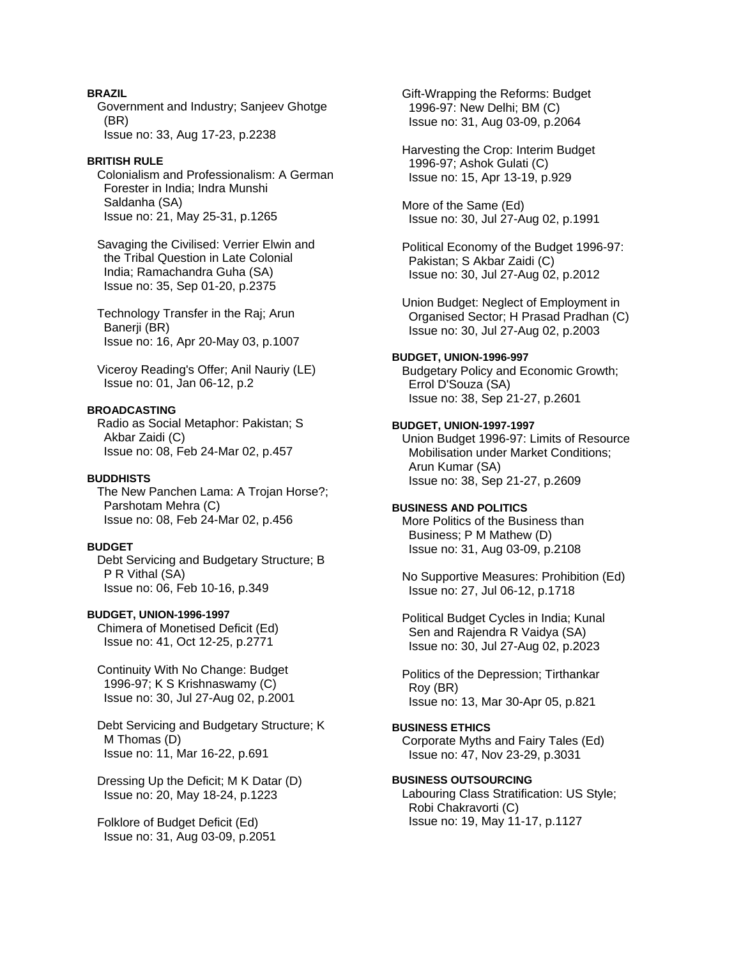# **BRAZIL**

 Government and Industry; Sanjeev Ghotge (BR) Issue no: 33, Aug 17-23, p.2238

# **BRITISH RULE**

 Colonialism and Professionalism: A German Forester in India; Indra Munshi Saldanha (SA) Issue no: 21, May 25-31, p.1265

 Savaging the Civilised: Verrier Elwin and the Tribal Question in Late Colonial India; Ramachandra Guha (SA) Issue no: 35, Sep 01-20, p.2375

 Technology Transfer in the Raj; Arun Banerji (BR) Issue no: 16, Apr 20-May 03, p.1007

 Viceroy Reading's Offer; Anil Nauriy (LE) Issue no: 01, Jan 06-12, p.2

# **BROADCASTING**

 Radio as Social Metaphor: Pakistan; S Akbar Zaidi (C) Issue no: 08, Feb 24-Mar 02, p.457

# **BUDDHISTS**

 The New Panchen Lama: A Trojan Horse?; Parshotam Mehra (C) Issue no: 08, Feb 24-Mar 02, p.456

# **BUDGET**

 Debt Servicing and Budgetary Structure; B P R Vithal (SA) Issue no: 06, Feb 10-16, p.349

# **BUDGET, UNION-1996-1997**

 Chimera of Monetised Deficit (Ed) Issue no: 41, Oct 12-25, p.2771

 Continuity With No Change: Budget 1996-97; K S Krishnaswamy (C) Issue no: 30, Jul 27-Aug 02, p.2001

 Debt Servicing and Budgetary Structure; K M Thomas (D) Issue no: 11, Mar 16-22, p.691

 Dressing Up the Deficit; M K Datar (D) Issue no: 20, May 18-24, p.1223

 Folklore of Budget Deficit (Ed) Issue no: 31, Aug 03-09, p.2051  Gift-Wrapping the Reforms: Budget 1996-97: New Delhi; BM (C) Issue no: 31, Aug 03-09, p.2064

 Harvesting the Crop: Interim Budget 1996-97; Ashok Gulati (C) Issue no: 15, Apr 13-19, p.929

 More of the Same (Ed) Issue no: 30, Jul 27-Aug 02, p.1991

 Political Economy of the Budget 1996-97: Pakistan; S Akbar Zaidi (C) Issue no: 30, Jul 27-Aug 02, p.2012

 Union Budget: Neglect of Employment in Organised Sector; H Prasad Pradhan (C) Issue no: 30, Jul 27-Aug 02, p.2003

# **BUDGET, UNION-1996-997**

 Budgetary Policy and Economic Growth; Errol D'Souza (SA) Issue no: 38, Sep 21-27, p.2601

# **BUDGET, UNION-1997-1997**

 Union Budget 1996-97: Limits of Resource Mobilisation under Market Conditions; Arun Kumar (SA) Issue no: 38, Sep 21-27, p.2609

# **BUSINESS AND POLITICS**

 More Politics of the Business than Business; P M Mathew (D) Issue no: 31, Aug 03-09, p.2108

 No Supportive Measures: Prohibition (Ed) Issue no: 27, Jul 06-12, p.1718

 Political Budget Cycles in India; Kunal Sen and Rajendra R Vaidya (SA) Issue no: 30, Jul 27-Aug 02, p.2023

 Politics of the Depression; Tirthankar Roy (BR) Issue no: 13, Mar 30-Apr 05, p.821

# **BUSINESS ETHICS**

 Corporate Myths and Fairy Tales (Ed) Issue no: 47, Nov 23-29, p.3031

# **BUSINESS OUTSOURCING**

 Labouring Class Stratification: US Style; Robi Chakravorti (C) Issue no: 19, May 11-17, p.1127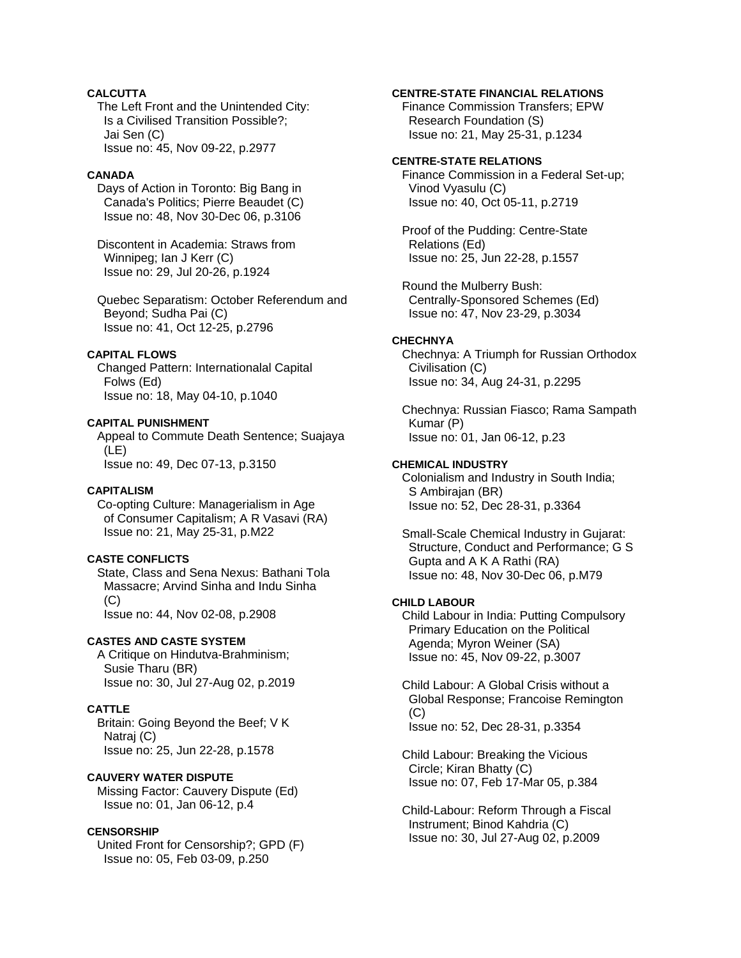# **CALCUTTA**

 The Left Front and the Unintended City: Is a Civilised Transition Possible?; Jai Sen (C) Issue no: 45, Nov 09-22, p.2977

### **CANADA**

 Days of Action in Toronto: Big Bang in Canada's Politics; Pierre Beaudet (C) Issue no: 48, Nov 30-Dec 06, p.3106

 Discontent in Academia: Straws from Winnipeg; Ian J Kerr (C) Issue no: 29, Jul 20-26, p.1924

 Quebec Separatism: October Referendum and Beyond; Sudha Pai (C) Issue no: 41, Oct 12-25, p.2796

### **CAPITAL FLOWS**

 Changed Pattern: Internationalal Capital Folws (Ed) Issue no: 18, May 04-10, p.1040

#### **CAPITAL PUNISHMENT**

 Appeal to Commute Death Sentence; Suajaya (LE) Issue no: 49, Dec 07-13, p.3150

### **CAPITALISM**

 Co-opting Culture: Managerialism in Age of Consumer Capitalism; A R Vasavi (RA) Issue no: 21, May 25-31, p.M22

### **CASTE CONFLICTS**

 State, Class and Sena Nexus: Bathani Tola Massacre; Arvind Sinha and Indu Sinha  $(C)$ Issue no: 44, Nov 02-08, p.2908

### **CASTES AND CASTE SYSTEM**

 A Critique on Hindutva-Brahminism; Susie Tharu (BR) Issue no: 30, Jul 27-Aug 02, p.2019

### **CATTLE**

 Britain: Going Beyond the Beef; V K Natraj (C) Issue no: 25, Jun 22-28, p.1578

# **CAUVERY WATER DISPUTE**

 Missing Factor: Cauvery Dispute (Ed) Issue no: 01, Jan 06-12, p.4

### **CENSORSHIP**

 United Front for Censorship?; GPD (F) Issue no: 05, Feb 03-09, p.250

### **CENTRE-STATE FINANCIAL RELATIONS**

 Finance Commission Transfers; EPW Research Foundation (S) Issue no: 21, May 25-31, p.1234

### **CENTRE-STATE RELATIONS**

 Finance Commission in a Federal Set-up; Vinod Vyasulu (C) Issue no: 40, Oct 05-11, p.2719

 Proof of the Pudding: Centre-State Relations (Ed) Issue no: 25, Jun 22-28, p.1557

 Round the Mulberry Bush: Centrally-Sponsored Schemes (Ed) Issue no: 47, Nov 23-29, p.3034

### **CHECHNYA**

 Chechnya: A Triumph for Russian Orthodox Civilisation (C) Issue no: 34, Aug 24-31, p.2295

 Chechnya: Russian Fiasco; Rama Sampath Kumar (P) Issue no: 01, Jan 06-12, p.23

# **CHEMICAL INDUSTRY**

 Colonialism and Industry in South India; S Ambirajan (BR) Issue no: 52, Dec 28-31, p.3364

 Small-Scale Chemical Industry in Gujarat: Structure, Conduct and Performance; G S Gupta and A K A Rathi (RA) Issue no: 48, Nov 30-Dec 06, p.M79

# **CHILD LABOUR**

 Child Labour in India: Putting Compulsory Primary Education on the Political Agenda; Myron Weiner (SA) Issue no: 45, Nov 09-22, p.3007

 Child Labour: A Global Crisis without a Global Response; Francoise Remington (C) Issue no: 52, Dec 28-31, p.3354

 Child Labour: Breaking the Vicious Circle; Kiran Bhatty (C) Issue no: 07, Feb 17-Mar 05, p.384

 Child-Labour: Reform Through a Fiscal Instrument; Binod Kahdria (C) Issue no: 30, Jul 27-Aug 02, p.2009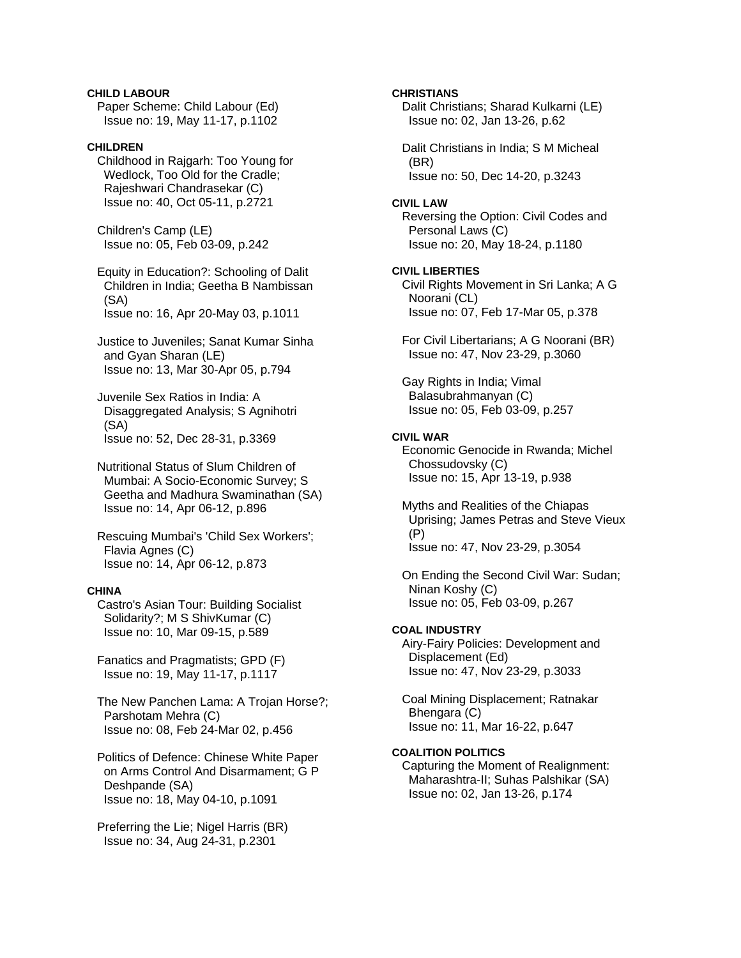**CHILD LABOUR** Paper Scheme: Child Labour (Ed) Issue no: 19, May 11-17, p.1102

### **CHILDREN**

 Childhood in Rajgarh: Too Young for Wedlock, Too Old for the Cradle; Rajeshwari Chandrasekar (C) Issue no: 40, Oct 05-11, p.2721

 Children's Camp (LE) Issue no: 05, Feb 03-09, p.242

 Equity in Education?: Schooling of Dalit Children in India; Geetha B Nambissan (SA) Issue no: 16, Apr 20-May 03, p.1011

 Justice to Juveniles; Sanat Kumar Sinha and Gyan Sharan (LE) Issue no: 13, Mar 30-Apr 05, p.794

 Juvenile Sex Ratios in India: A Disaggregated Analysis; S Agnihotri (SA) Issue no: 52, Dec 28-31, p.3369

 Nutritional Status of Slum Children of Mumbai: A Socio-Economic Survey; S Geetha and Madhura Swaminathan (SA) Issue no: 14, Apr 06-12, p.896

 Rescuing Mumbai's 'Child Sex Workers'; Flavia Agnes (C) Issue no: 14, Apr 06-12, p.873

### **CHINA**

 Castro's Asian Tour: Building Socialist Solidarity?; M S ShivKumar (C) Issue no: 10, Mar 09-15, p.589

 Fanatics and Pragmatists; GPD (F) Issue no: 19, May 11-17, p.1117

 The New Panchen Lama: A Trojan Horse?; Parshotam Mehra (C) Issue no: 08, Feb 24-Mar 02, p.456

 Politics of Defence: Chinese White Paper on Arms Control And Disarmament; G P Deshpande (SA) Issue no: 18, May 04-10, p.1091

 Preferring the Lie; Nigel Harris (BR) Issue no: 34, Aug 24-31, p.2301

### **CHRISTIANS**

 Dalit Christians; Sharad Kulkarni (LE) Issue no: 02, Jan 13-26, p.62

 Dalit Christians in India; S M Micheal (BR) Issue no: 50, Dec 14-20, p.3243

#### **CIVIL LAW**

 Reversing the Option: Civil Codes and Personal Laws (C) Issue no: 20, May 18-24, p.1180

#### **CIVIL LIBERTIES**

 Civil Rights Movement in Sri Lanka; A G Noorani (CL) Issue no: 07, Feb 17-Mar 05, p.378

 For Civil Libertarians; A G Noorani (BR) Issue no: 47, Nov 23-29, p.3060

 Gay Rights in India; Vimal Balasubrahmanyan (C) Issue no: 05, Feb 03-09, p.257

#### **CIVIL WAR**

 Economic Genocide in Rwanda; Michel Chossudovsky (C) Issue no: 15, Apr 13-19, p.938

 Myths and Realities of the Chiapas Uprising; James Petras and Steve Vieux (P) Issue no: 47, Nov 23-29, p.3054

 On Ending the Second Civil War: Sudan; Ninan Koshy (C) Issue no: 05, Feb 03-09, p.267

#### **COAL INDUSTRY**

 Airy-Fairy Policies: Development and Displacement (Ed) Issue no: 47, Nov 23-29, p.3033

 Coal Mining Displacement; Ratnakar Bhengara (C) Issue no: 11, Mar 16-22, p.647

### **COALITION POLITICS**

 Capturing the Moment of Realignment: Maharashtra-II; Suhas Palshikar (SA) Issue no: 02, Jan 13-26, p.174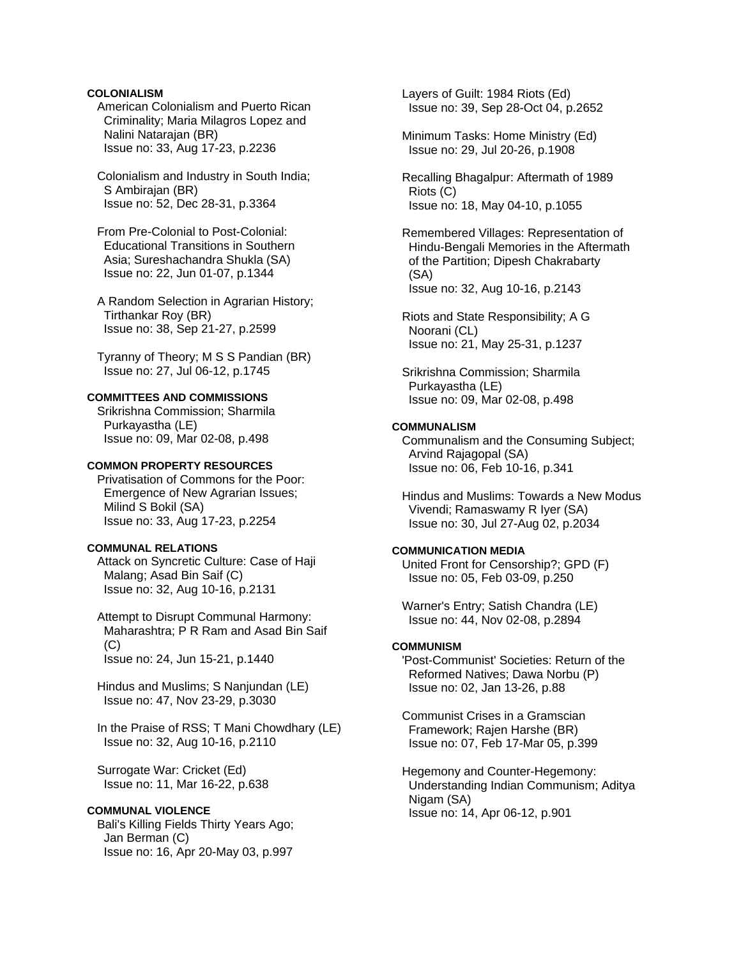### **COLONIALISM**

 American Colonialism and Puerto Rican Criminality; Maria Milagros Lopez and Nalini Natarajan (BR) Issue no: 33, Aug 17-23, p.2236

 Colonialism and Industry in South India; S Ambirajan (BR) Issue no: 52, Dec 28-31, p.3364

 From Pre-Colonial to Post-Colonial: Educational Transitions in Southern Asia; Sureshachandra Shukla (SA) Issue no: 22, Jun 01-07, p.1344

 A Random Selection in Agrarian History; Tirthankar Roy (BR) Issue no: 38, Sep 21-27, p.2599

 Tyranny of Theory; M S S Pandian (BR) Issue no: 27, Jul 06-12, p.1745

### **COMMITTEES AND COMMISSIONS**

 Srikrishna Commission; Sharmila Purkayastha (LE) Issue no: 09, Mar 02-08, p.498

### **COMMON PROPERTY RESOURCES**

 Privatisation of Commons for the Poor: Emergence of New Agrarian Issues; Milind S Bokil (SA) Issue no: 33, Aug 17-23, p.2254

# **COMMUNAL RELATIONS**

 Attack on Syncretic Culture: Case of Haji Malang; Asad Bin Saif (C) Issue no: 32, Aug 10-16, p.2131

 Attempt to Disrupt Communal Harmony: Maharashtra; P R Ram and Asad Bin Saif  $(C)$ Issue no: 24, Jun 15-21, p.1440

 Hindus and Muslims; S Nanjundan (LE) Issue no: 47, Nov 23-29, p.3030

 In the Praise of RSS; T Mani Chowdhary (LE) Issue no: 32, Aug 10-16, p.2110

 Surrogate War: Cricket (Ed) Issue no: 11, Mar 16-22, p.638

# **COMMUNAL VIOLENCE**

 Bali's Killing Fields Thirty Years Ago; Jan Berman (C) Issue no: 16, Apr 20-May 03, p.997

 Layers of Guilt: 1984 Riots (Ed) Issue no: 39, Sep 28-Oct 04, p.2652

 Minimum Tasks: Home Ministry (Ed) Issue no: 29, Jul 20-26, p.1908

 Recalling Bhagalpur: Aftermath of 1989 Riots (C) Issue no: 18, May 04-10, p.1055

 Remembered Villages: Representation of Hindu-Bengali Memories in the Aftermath of the Partition; Dipesh Chakrabarty (SA) Issue no: 32, Aug 10-16, p.2143

 Riots and State Responsibility; A G Noorani (CL) Issue no: 21, May 25-31, p.1237

 Srikrishna Commission; Sharmila Purkayastha (LE) Issue no: 09, Mar 02-08, p.498

# **COMMUNALISM**

 Communalism and the Consuming Subject; Arvind Rajagopal (SA) Issue no: 06, Feb 10-16, p.341

 Hindus and Muslims: Towards a New Modus Vivendi; Ramaswamy R Iyer (SA) Issue no: 30, Jul 27-Aug 02, p.2034

#### **COMMUNICATION MEDIA**

 United Front for Censorship?; GPD (F) Issue no: 05, Feb 03-09, p.250

 Warner's Entry; Satish Chandra (LE) Issue no: 44, Nov 02-08, p.2894

# **COMMUNISM**

 'Post-Communist' Societies: Return of the Reformed Natives; Dawa Norbu (P) Issue no: 02, Jan 13-26, p.88

 Communist Crises in a Gramscian Framework; Rajen Harshe (BR) Issue no: 07, Feb 17-Mar 05, p.399

 Hegemony and Counter-Hegemony: Understanding Indian Communism; Aditya Nigam (SA) Issue no: 14, Apr 06-12, p.901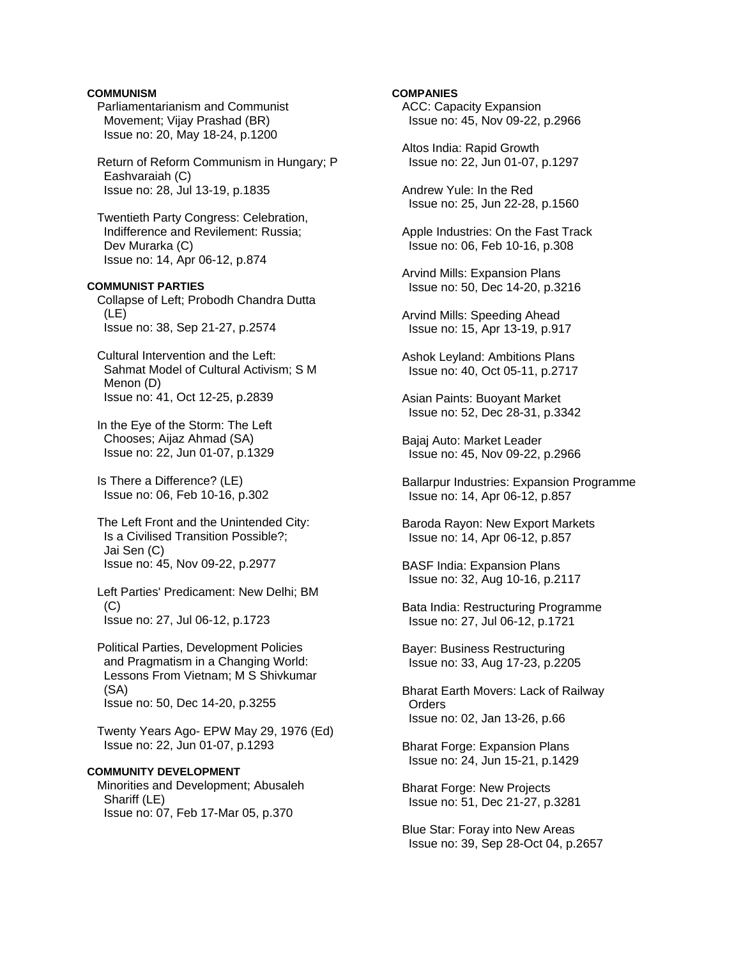### **COMMUNISM**

 Parliamentarianism and Communist Movement; Vijay Prashad (BR) Issue no: 20, May 18-24, p.1200

 Return of Reform Communism in Hungary; P Eashvaraiah (C) Issue no: 28, Jul 13-19, p.1835

 Twentieth Party Congress: Celebration, Indifference and Revilement: Russia; Dev Murarka (C) Issue no: 14, Apr 06-12, p.874

### **COMMUNIST PARTIES**

 Collapse of Left; Probodh Chandra Dutta (LE) Issue no: 38, Sep 21-27, p.2574

 Cultural Intervention and the Left: Sahmat Model of Cultural Activism; S M Menon (D) Issue no: 41, Oct 12-25, p.2839

 In the Eye of the Storm: The Left Chooses; Aijaz Ahmad (SA) Issue no: 22, Jun 01-07, p.1329

 Is There a Difference? (LE) Issue no: 06, Feb 10-16, p.302

 The Left Front and the Unintended City: Is a Civilised Transition Possible?; Jai Sen (C) Issue no: 45, Nov 09-22, p.2977

 Left Parties' Predicament: New Delhi; BM (C) Issue no: 27, Jul 06-12, p.1723

 Political Parties, Development Policies and Pragmatism in a Changing World: Lessons From Vietnam; M S Shivkumar (SA) Issue no: 50, Dec 14-20, p.3255

 Twenty Years Ago- EPW May 29, 1976 (Ed) Issue no: 22, Jun 01-07, p.1293

# **COMMUNITY DEVELOPMENT**

 Minorities and Development; Abusaleh Shariff (LE) Issue no: 07, Feb 17-Mar 05, p.370

#### **COMPANIES**

 ACC: Capacity Expansion Issue no: 45, Nov 09-22, p.2966

 Altos India: Rapid Growth Issue no: 22, Jun 01-07, p.1297

 Andrew Yule: In the Red Issue no: 25, Jun 22-28, p.1560

 Apple Industries: On the Fast Track Issue no: 06, Feb 10-16, p.308

 Arvind Mills: Expansion Plans Issue no: 50, Dec 14-20, p.3216

 Arvind Mills: Speeding Ahead Issue no: 15, Apr 13-19, p.917

 Ashok Leyland: Ambitions Plans Issue no: 40, Oct 05-11, p.2717

 Asian Paints: Buoyant Market Issue no: 52, Dec 28-31, p.3342

 Bajaj Auto: Market Leader Issue no: 45, Nov 09-22, p.2966

 Ballarpur Industries: Expansion Programme Issue no: 14, Apr 06-12, p.857

 Baroda Rayon: New Export Markets Issue no: 14, Apr 06-12, p.857

 BASF India: Expansion Plans Issue no: 32, Aug 10-16, p.2117

 Bata India: Restructuring Programme Issue no: 27, Jul 06-12, p.1721

 Bayer: Business Restructuring Issue no: 33, Aug 17-23, p.2205

 Bharat Earth Movers: Lack of Railway **Orders** Issue no: 02, Jan 13-26, p.66

 Bharat Forge: Expansion Plans Issue no: 24, Jun 15-21, p.1429

 Bharat Forge: New Projects Issue no: 51, Dec 21-27, p.3281

 Blue Star: Foray into New Areas Issue no: 39, Sep 28-Oct 04, p.2657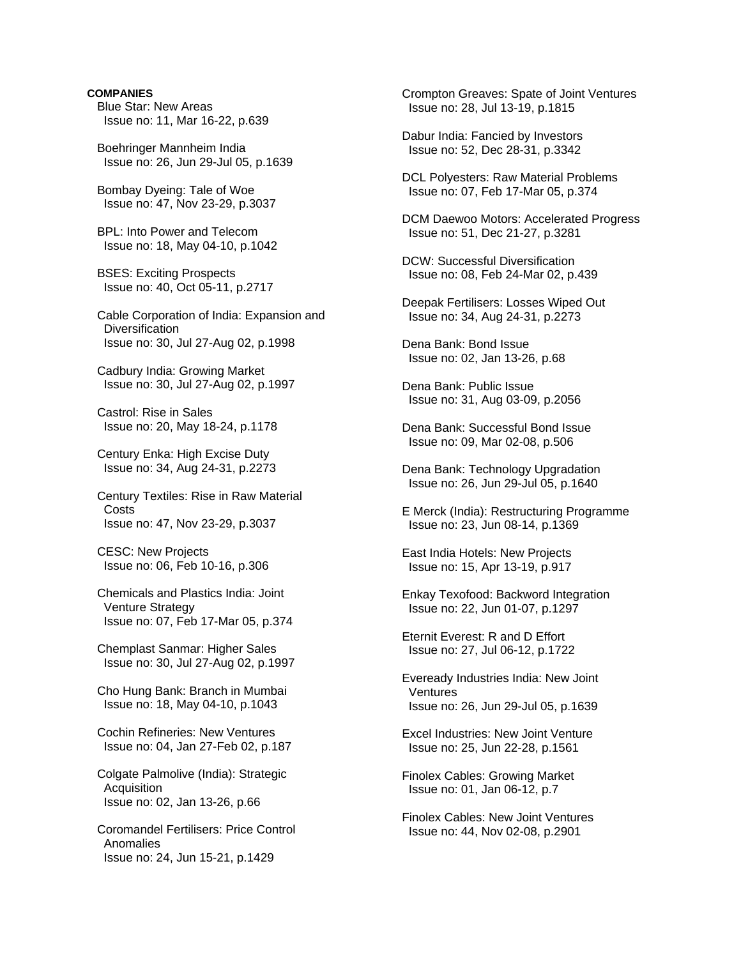### **COMPANIES**

- Blue Star: New Areas Issue no: 11, Mar 16-22, p.639
- Boehringer Mannheim India Issue no: 26, Jun 29-Jul 05, p.1639
- Bombay Dyeing: Tale of Woe Issue no: 47, Nov 23-29, p.3037
- BPL: Into Power and Telecom Issue no: 18, May 04-10, p.1042
- BSES: Exciting Prospects Issue no: 40, Oct 05-11, p.2717
- Cable Corporation of India: Expansion and **Diversification** Issue no: 30, Jul 27-Aug 02, p.1998
- Cadbury India: Growing Market Issue no: 30, Jul 27-Aug 02, p.1997
- Castrol: Rise in Sales Issue no: 20, May 18-24, p.1178
- Century Enka: High Excise Duty Issue no: 34, Aug 24-31, p.2273
- Century Textiles: Rise in Raw Material Costs Issue no: 47, Nov 23-29, p.3037
- CESC: New Projects Issue no: 06, Feb 10-16, p.306
- Chemicals and Plastics India: Joint Venture Strategy Issue no: 07, Feb 17-Mar 05, p.374
- Chemplast Sanmar: Higher Sales Issue no: 30, Jul 27-Aug 02, p.1997
- Cho Hung Bank: Branch in Mumbai Issue no: 18, May 04-10, p.1043
- Cochin Refineries: New Ventures Issue no: 04, Jan 27-Feb 02, p.187
- Colgate Palmolive (India): Strategic **Acquisition** Issue no: 02, Jan 13-26, p.66
- Coromandel Fertilisers: Price Control Anomalies Issue no: 24, Jun 15-21, p.1429

 Crompton Greaves: Spate of Joint Ventures Issue no: 28, Jul 13-19, p.1815

 Dabur India: Fancied by Investors Issue no: 52, Dec 28-31, p.3342

 DCL Polyesters: Raw Material Problems Issue no: 07, Feb 17-Mar 05, p.374

 DCM Daewoo Motors: Accelerated Progress Issue no: 51, Dec 21-27, p.3281

 DCW: Successful Diversification Issue no: 08, Feb 24-Mar 02, p.439

- Deepak Fertilisers: Losses Wiped Out Issue no: 34, Aug 24-31, p.2273
- Dena Bank: Bond Issue Issue no: 02, Jan 13-26, p.68
- Dena Bank: Public Issue Issue no: 31, Aug 03-09, p.2056
- Dena Bank: Successful Bond Issue Issue no: 09, Mar 02-08, p.506
- Dena Bank: Technology Upgradation Issue no: 26, Jun 29-Jul 05, p.1640
- E Merck (India): Restructuring Programme Issue no: 23, Jun 08-14, p.1369
- East India Hotels: New Projects Issue no: 15, Apr 13-19, p.917
- Enkay Texofood: Backword Integration Issue no: 22, Jun 01-07, p.1297
- Eternit Everest: R and D Effort Issue no: 27, Jul 06-12, p.1722
- Eveready Industries India: New Joint Ventures Issue no: 26, Jun 29-Jul 05, p.1639
- Excel Industries: New Joint Venture Issue no: 25, Jun 22-28, p.1561
- Finolex Cables: Growing Market Issue no: 01, Jan 06-12, p.7
- Finolex Cables: New Joint Ventures Issue no: 44, Nov 02-08, p.2901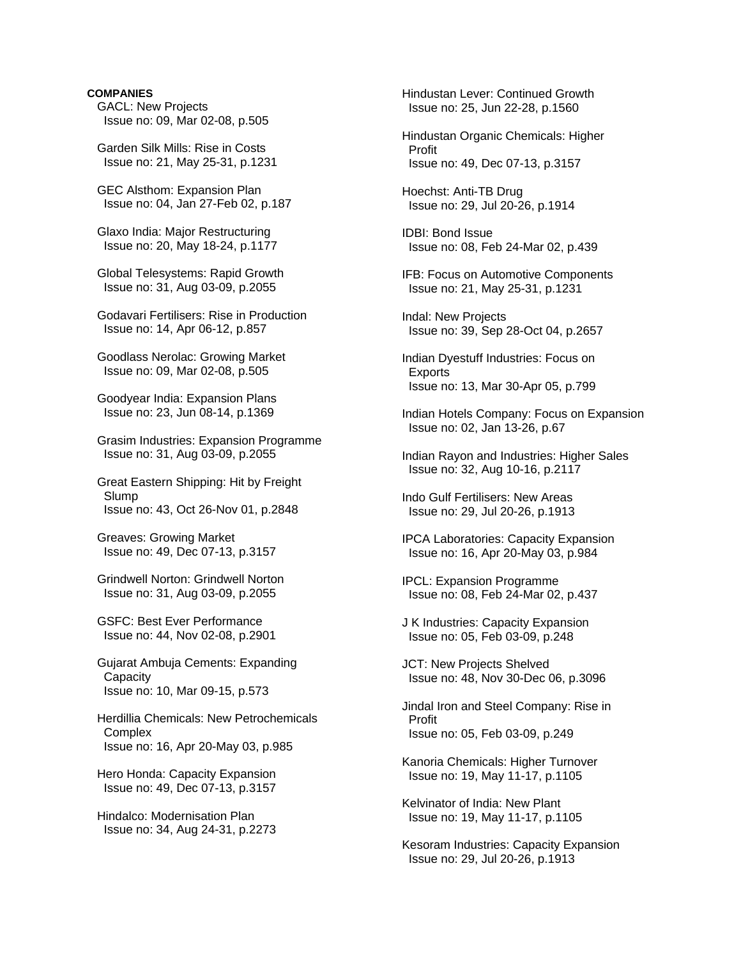### **COMPANIES**

 GACL: New Projects Issue no: 09, Mar 02-08, p.505

 Garden Silk Mills: Rise in Costs Issue no: 21, May 25-31, p.1231

 GEC Alsthom: Expansion Plan Issue no: 04, Jan 27-Feb 02, p.187

 Glaxo India: Major Restructuring Issue no: 20, May 18-24, p.1177

 Global Telesystems: Rapid Growth Issue no: 31, Aug 03-09, p.2055

 Godavari Fertilisers: Rise in Production Issue no: 14, Apr 06-12, p.857

 Goodlass Nerolac: Growing Market Issue no: 09, Mar 02-08, p.505

 Goodyear India: Expansion Plans Issue no: 23, Jun 08-14, p.1369

 Grasim Industries: Expansion Programme Issue no: 31, Aug 03-09, p.2055

 Great Eastern Shipping: Hit by Freight Slump Issue no: 43, Oct 26-Nov 01, p.2848

 Greaves: Growing Market Issue no: 49, Dec 07-13, p.3157

 Grindwell Norton: Grindwell Norton Issue no: 31, Aug 03-09, p.2055

 GSFC: Best Ever Performance Issue no: 44, Nov 02-08, p.2901

 Gujarat Ambuja Cements: Expanding **Capacity** Issue no: 10, Mar 09-15, p.573

- Herdillia Chemicals: New Petrochemicals **Complex** Issue no: 16, Apr 20-May 03, p.985
- Hero Honda: Capacity Expansion Issue no: 49, Dec 07-13, p.3157

 Hindalco: Modernisation Plan Issue no: 34, Aug 24-31, p.2273  Hindustan Lever: Continued Growth Issue no: 25, Jun 22-28, p.1560

 Hindustan Organic Chemicals: Higher Profit Issue no: 49, Dec 07-13, p.3157

 Hoechst: Anti-TB Drug Issue no: 29, Jul 20-26, p.1914

 IDBI: Bond Issue Issue no: 08, Feb 24-Mar 02, p.439

- IFB: Focus on Automotive Components Issue no: 21, May 25-31, p.1231
- Indal: New Projects Issue no: 39, Sep 28-Oct 04, p.2657
- Indian Dyestuff Industries: Focus on Exports Issue no: 13, Mar 30-Apr 05, p.799
- Indian Hotels Company: Focus on Expansion Issue no: 02, Jan 13-26, p.67
- Indian Rayon and Industries: Higher Sales Issue no: 32, Aug 10-16, p.2117

 Indo Gulf Fertilisers: New Areas Issue no: 29, Jul 20-26, p.1913

 IPCA Laboratories: Capacity Expansion Issue no: 16, Apr 20-May 03, p.984

 IPCL: Expansion Programme Issue no: 08, Feb 24-Mar 02, p.437

 J K Industries: Capacity Expansion Issue no: 05, Feb 03-09, p.248

 JCT: New Projects Shelved Issue no: 48, Nov 30-Dec 06, p.3096

 Jindal Iron and Steel Company: Rise in Profit Issue no: 05, Feb 03-09, p.249

 Kanoria Chemicals: Higher Turnover Issue no: 19, May 11-17, p.1105

 Kelvinator of India: New Plant Issue no: 19, May 11-17, p.1105

 Kesoram Industries: Capacity Expansion Issue no: 29, Jul 20-26, p.1913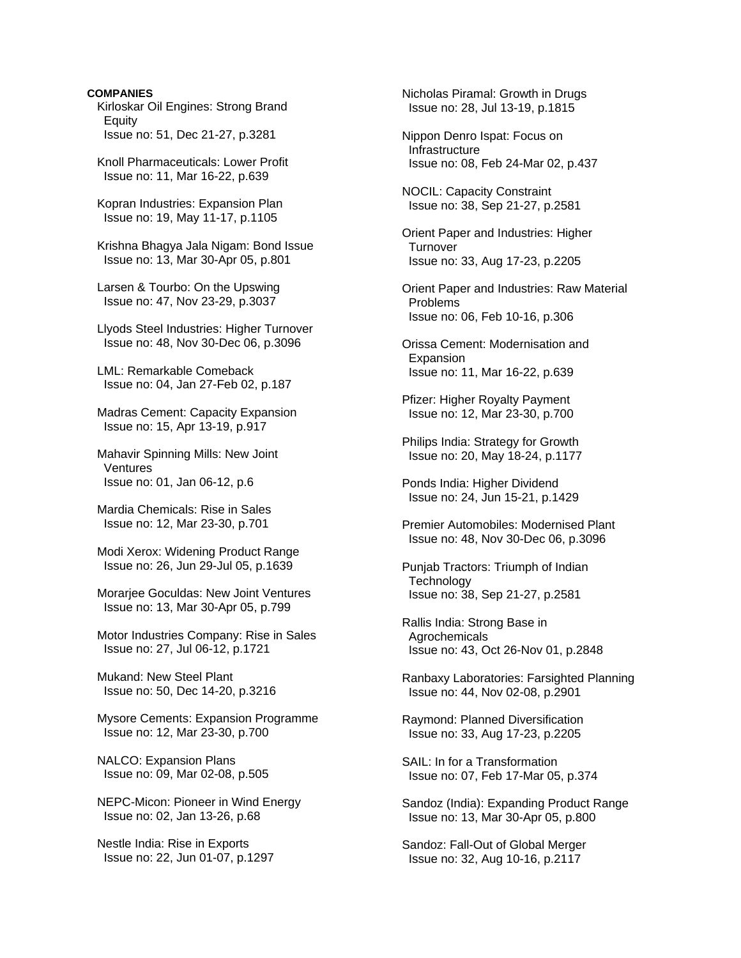### **COMPANIES**

 Kirloskar Oil Engines: Strong Brand Equity Issue no: 51, Dec 21-27, p.3281

 Knoll Pharmaceuticals: Lower Profit Issue no: 11, Mar 16-22, p.639

 Kopran Industries: Expansion Plan Issue no: 19, May 11-17, p.1105

 Krishna Bhagya Jala Nigam: Bond Issue Issue no: 13, Mar 30-Apr 05, p.801

 Larsen & Tourbo: On the Upswing Issue no: 47, Nov 23-29, p.3037

 Llyods Steel Industries: Higher Turnover Issue no: 48, Nov 30-Dec 06, p.3096

 LML: Remarkable Comeback Issue no: 04, Jan 27-Feb 02, p.187

 Madras Cement: Capacity Expansion Issue no: 15, Apr 13-19, p.917

 Mahavir Spinning Mills: New Joint Ventures Issue no: 01, Jan 06-12, p.6

 Mardia Chemicals: Rise in Sales Issue no: 12, Mar 23-30, p.701

 Modi Xerox: Widening Product Range Issue no: 26, Jun 29-Jul 05, p.1639

 Morarjee Goculdas: New Joint Ventures Issue no: 13, Mar 30-Apr 05, p.799

 Motor Industries Company: Rise in Sales Issue no: 27, Jul 06-12, p.1721

 Mukand: New Steel Plant Issue no: 50, Dec 14-20, p.3216

 Mysore Cements: Expansion Programme Issue no: 12, Mar 23-30, p.700

 NALCO: Expansion Plans Issue no: 09, Mar 02-08, p.505

 NEPC-Micon: Pioneer in Wind Energy Issue no: 02, Jan 13-26, p.68

 Nestle India: Rise in Exports Issue no: 22, Jun 01-07, p.1297  Nicholas Piramal: Growth in Drugs Issue no: 28, Jul 13-19, p.1815

 Nippon Denro Ispat: Focus on Infrastructure Issue no: 08, Feb 24-Mar 02, p.437

 NOCIL: Capacity Constraint Issue no: 38, Sep 21-27, p.2581

 Orient Paper and Industries: Higher **Turnover** Issue no: 33, Aug 17-23, p.2205

 Orient Paper and Industries: Raw Material Problems Issue no: 06, Feb 10-16, p.306

 Orissa Cement: Modernisation and Expansion Issue no: 11, Mar 16-22, p.639

 Pfizer: Higher Royalty Payment Issue no: 12, Mar 23-30, p.700

 Philips India: Strategy for Growth Issue no: 20, May 18-24, p.1177

 Ponds India: Higher Dividend Issue no: 24, Jun 15-21, p.1429

 Premier Automobiles: Modernised Plant Issue no: 48, Nov 30-Dec 06, p.3096

 Punjab Tractors: Triumph of Indian **Technology** Issue no: 38, Sep 21-27, p.2581

 Rallis India: Strong Base in Agrochemicals Issue no: 43, Oct 26-Nov 01, p.2848

 Ranbaxy Laboratories: Farsighted Planning Issue no: 44, Nov 02-08, p.2901

 Raymond: Planned Diversification Issue no: 33, Aug 17-23, p.2205

 SAIL: In for a Transformation Issue no: 07, Feb 17-Mar 05, p.374

 Sandoz (India): Expanding Product Range Issue no: 13, Mar 30-Apr 05, p.800

 Sandoz: Fall-Out of Global Merger Issue no: 32, Aug 10-16, p.2117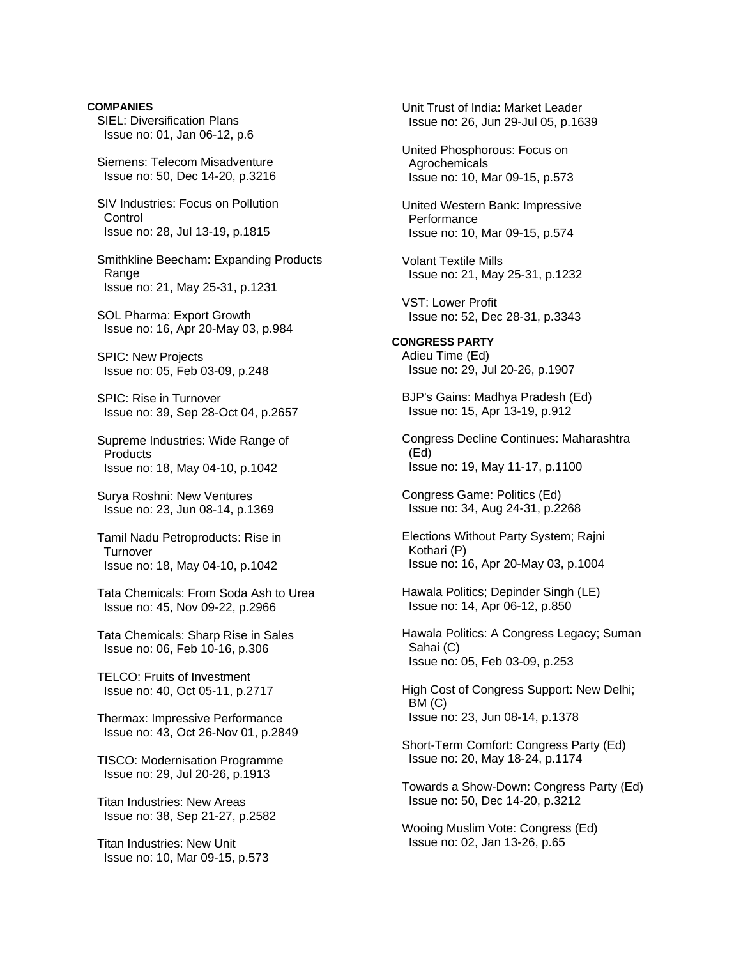**COMPANIES**  SIEL: Diversification Plans Issue no: 01, Jan 06-12, p.6

 Siemens: Telecom Misadventure Issue no: 50, Dec 14-20, p.3216

 SIV Industries: Focus on Pollution **Control** Issue no: 28, Jul 13-19, p.1815

 Smithkline Beecham: Expanding Products Range Issue no: 21, May 25-31, p.1231

 SOL Pharma: Export Growth Issue no: 16, Apr 20-May 03, p.984

 SPIC: New Projects Issue no: 05, Feb 03-09, p.248

 SPIC: Rise in Turnover Issue no: 39, Sep 28-Oct 04, p.2657

 Supreme Industries: Wide Range of **Products** Issue no: 18, May 04-10, p.1042

 Surya Roshni: New Ventures Issue no: 23, Jun 08-14, p.1369

 Tamil Nadu Petroproducts: Rise in **Turnover** Issue no: 18, May 04-10, p.1042

 Tata Chemicals: From Soda Ash to Urea Issue no: 45, Nov 09-22, p.2966

 Tata Chemicals: Sharp Rise in Sales Issue no: 06, Feb 10-16, p.306

 TELCO: Fruits of Investment Issue no: 40, Oct 05-11, p.2717

 Thermax: Impressive Performance Issue no: 43, Oct 26-Nov 01, p.2849

 TISCO: Modernisation Programme Issue no: 29, Jul 20-26, p.1913

 Titan Industries: New Areas Issue no: 38, Sep 21-27, p.2582

 Titan Industries: New Unit Issue no: 10, Mar 09-15, p.573  Unit Trust of India: Market Leader Issue no: 26, Jun 29-Jul 05, p.1639

 United Phosphorous: Focus on **Agrochemicals** Issue no: 10, Mar 09-15, p.573

 United Western Bank: Impressive **Performance** Issue no: 10, Mar 09-15, p.574

 Volant Textile Mills Issue no: 21, May 25-31, p.1232

 VST: Lower Profit Issue no: 52, Dec 28-31, p.3343

**CONGRESS PARTY**  Adieu Time (Ed) Issue no: 29, Jul 20-26, p.1907

 BJP's Gains: Madhya Pradesh (Ed) Issue no: 15, Apr 13-19, p.912

 Congress Decline Continues: Maharashtra (Ed) Issue no: 19, May 11-17, p.1100

 Congress Game: Politics (Ed) Issue no: 34, Aug 24-31, p.2268

 Elections Without Party System; Rajni Kothari (P) Issue no: 16, Apr 20-May 03, p.1004

 Hawala Politics; Depinder Singh (LE) Issue no: 14, Apr 06-12, p.850

 Hawala Politics: A Congress Legacy; Suman Sahai (C) Issue no: 05, Feb 03-09, p.253

 High Cost of Congress Support: New Delhi; BM (C) Issue no: 23, Jun 08-14, p.1378

 Short-Term Comfort: Congress Party (Ed) Issue no: 20, May 18-24, p.1174

 Towards a Show-Down: Congress Party (Ed) Issue no: 50, Dec 14-20, p.3212

 Wooing Muslim Vote: Congress (Ed) Issue no: 02, Jan 13-26, p.65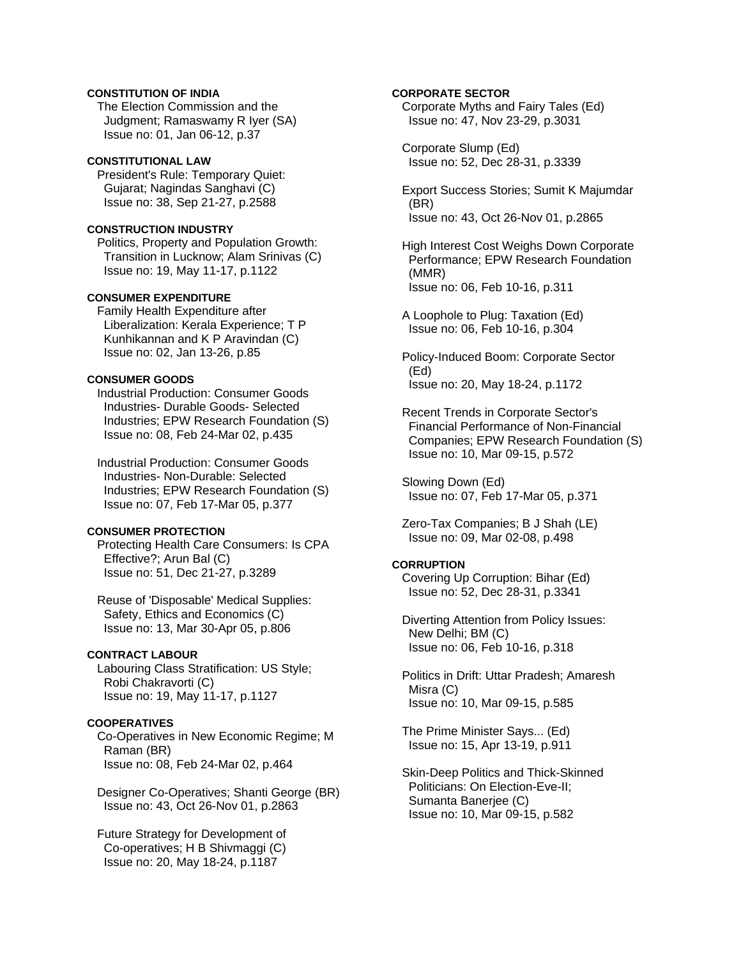# **CONSTITUTION OF INDIA**

 The Election Commission and the Judgment; Ramaswamy R Iyer (SA) Issue no: 01, Jan 06-12, p.37

#### **CONSTITUTIONAL LAW**

 President's Rule: Temporary Quiet: Gujarat; Nagindas Sanghavi (C) Issue no: 38, Sep 21-27, p.2588

### **CONSTRUCTION INDUSTRY**

 Politics, Property and Population Growth: Transition in Lucknow; Alam Srinivas (C) Issue no: 19, May 11-17, p.1122

#### **CONSUMER EXPENDITURE**

 Family Health Expenditure after Liberalization: Kerala Experience; T P Kunhikannan and K P Aravindan (C) Issue no: 02, Jan 13-26, p.85

### **CONSUMER GOODS**

 Industrial Production: Consumer Goods Industries- Durable Goods- Selected Industries; EPW Research Foundation (S) Issue no: 08, Feb 24-Mar 02, p.435

 Industrial Production: Consumer Goods Industries- Non-Durable: Selected Industries; EPW Research Foundation (S) Issue no: 07, Feb 17-Mar 05, p.377

### **CONSUMER PROTECTION**

 Protecting Health Care Consumers: Is CPA Effective?; Arun Bal (C) Issue no: 51, Dec 21-27, p.3289

 Reuse of 'Disposable' Medical Supplies: Safety, Ethics and Economics (C) Issue no: 13, Mar 30-Apr 05, p.806

## **CONTRACT LABOUR**

 Labouring Class Stratification: US Style; Robi Chakravorti (C) Issue no: 19, May 11-17, p.1127

### **COOPERATIVES**

 Co-Operatives in New Economic Regime; M Raman (BR) Issue no: 08, Feb 24-Mar 02, p.464

 Designer Co-Operatives; Shanti George (BR) Issue no: 43, Oct 26-Nov 01, p.2863

 Future Strategy for Development of Co-operatives; H B Shivmaggi (C) Issue no: 20, May 18-24, p.1187

### **CORPORATE SECTOR**

 Corporate Myths and Fairy Tales (Ed) Issue no: 47, Nov 23-29, p.3031

 Corporate Slump (Ed) Issue no: 52, Dec 28-31, p.3339

 Export Success Stories; Sumit K Majumdar (BR) Issue no: 43, Oct 26-Nov 01, p.2865

 High Interest Cost Weighs Down Corporate Performance; EPW Research Foundation (MMR) Issue no: 06, Feb 10-16, p.311

 A Loophole to Plug: Taxation (Ed) Issue no: 06, Feb 10-16, p.304

 Policy-Induced Boom: Corporate Sector (Ed) Issue no: 20, May 18-24, p.1172

 Recent Trends in Corporate Sector's Financial Performance of Non-Financial Companies; EPW Research Foundation (S) Issue no: 10, Mar 09-15, p.572

 Slowing Down (Ed) Issue no: 07, Feb 17-Mar 05, p.371

 Zero-Tax Companies; B J Shah (LE) Issue no: 09, Mar 02-08, p.498

# **CORRUPTION**

 Covering Up Corruption: Bihar (Ed) Issue no: 52, Dec 28-31, p.3341

 Diverting Attention from Policy Issues: New Delhi; BM (C) Issue no: 06, Feb 10-16, p.318

 Politics in Drift: Uttar Pradesh; Amaresh Misra (C) Issue no: 10, Mar 09-15, p.585

 The Prime Minister Says... (Ed) Issue no: 15, Apr 13-19, p.911

 Skin-Deep Politics and Thick-Skinned Politicians: On Election-Eve-II; Sumanta Baneriee (C) Issue no: 10, Mar 09-15, p.582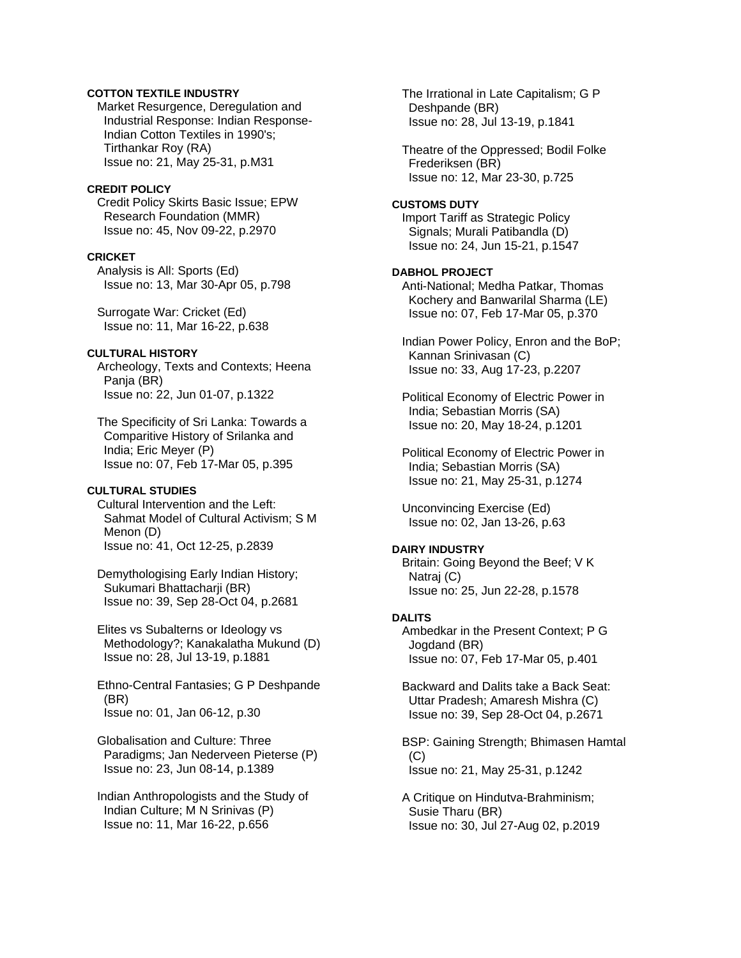# **COTTON TEXTILE INDUSTRY**

 Market Resurgence, Deregulation and Industrial Response: Indian Response- Indian Cotton Textiles in 1990's; Tirthankar Roy (RA) Issue no: 21, May 25-31, p.M31

### **CREDIT POLICY**

 Credit Policy Skirts Basic Issue; EPW Research Foundation (MMR) Issue no: 45, Nov 09-22, p.2970

#### **CRICKET**

 Analysis is All: Sports (Ed) Issue no: 13, Mar 30-Apr 05, p.798

 Surrogate War: Cricket (Ed) Issue no: 11, Mar 16-22, p.638

# **CULTURAL HISTORY**

 Archeology, Texts and Contexts; Heena Panja (BR) Issue no: 22, Jun 01-07, p.1322

 The Specificity of Sri Lanka: Towards a Comparitive History of Srilanka and India; Eric Meyer (P) Issue no: 07, Feb 17-Mar 05, p.395

# **CULTURAL STUDIES**

 Cultural Intervention and the Left: Sahmat Model of Cultural Activism; S M Menon (D) Issue no: 41, Oct 12-25, p.2839

 Demythologising Early Indian History; Sukumari Bhattacharji (BR) Issue no: 39, Sep 28-Oct 04, p.2681

 Elites vs Subalterns or Ideology vs Methodology?; Kanakalatha Mukund (D) Issue no: 28, Jul 13-19, p.1881

 Ethno-Central Fantasies; G P Deshpande (BR) Issue no: 01, Jan 06-12, p.30

 Globalisation and Culture: Three Paradigms; Jan Nederveen Pieterse (P) Issue no: 23, Jun 08-14, p.1389

 Indian Anthropologists and the Study of Indian Culture; M N Srinivas (P) Issue no: 11, Mar 16-22, p.656

 The Irrational in Late Capitalism; G P Deshpande (BR) Issue no: 28, Jul 13-19, p.1841

 Theatre of the Oppressed; Bodil Folke Frederiksen (BR) Issue no: 12, Mar 23-30, p.725

#### **CUSTOMS DUTY**

 Import Tariff as Strategic Policy Signals; Murali Patibandla (D) Issue no: 24, Jun 15-21, p.1547

### **DABHOL PROJECT**

 Anti-National; Medha Patkar, Thomas Kochery and Banwarilal Sharma (LE) Issue no: 07, Feb 17-Mar 05, p.370

 Indian Power Policy, Enron and the BoP; Kannan Srinivasan (C) Issue no: 33, Aug 17-23, p.2207

 Political Economy of Electric Power in India; Sebastian Morris (SA) Issue no: 20, May 18-24, p.1201

 Political Economy of Electric Power in India; Sebastian Morris (SA) Issue no: 21, May 25-31, p.1274

 Unconvincing Exercise (Ed) Issue no: 02, Jan 13-26, p.63

#### **DAIRY INDUSTRY**

 Britain: Going Beyond the Beef; V K Natraj (C) Issue no: 25, Jun 22-28, p.1578

#### **DALITS**

 Ambedkar in the Present Context; P G Jogdand (BR) Issue no: 07, Feb 17-Mar 05, p.401

 Backward and Dalits take a Back Seat: Uttar Pradesh; Amaresh Mishra (C) Issue no: 39, Sep 28-Oct 04, p.2671

 BSP: Gaining Strength; Bhimasen Hamtal (C) Issue no: 21, May 25-31, p.1242

 A Critique on Hindutva-Brahminism; Susie Tharu (BR) Issue no: 30, Jul 27-Aug 02, p.2019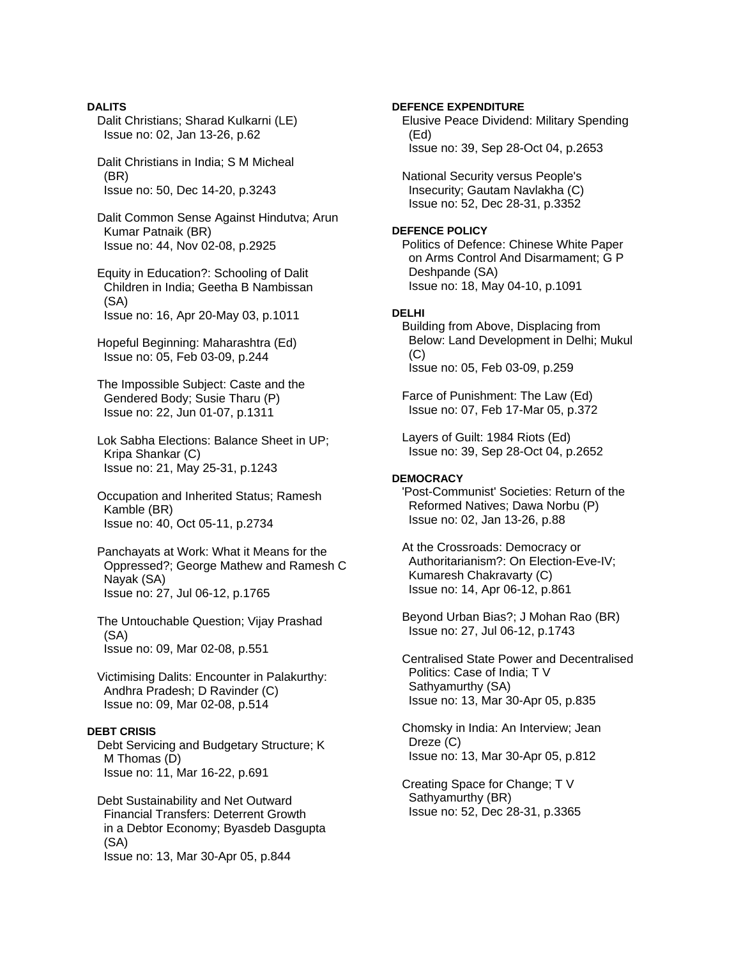**DALITS**  Dalit Christians; Sharad Kulkarni (LE) Issue no: 02, Jan 13-26, p.62 Dalit Christians in India; S M Micheal (BR) Issue no: 50, Dec 14-20, p.3243 Dalit Common Sense Against Hindutva; Arun Kumar Patnaik (BR) Issue no: 44, Nov 02-08, p.2925 Equity in Education?: Schooling of Dalit Children in India; Geetha B Nambissan (SA) Issue no: 16, Apr 20-May 03, p.1011 Hopeful Beginning: Maharashtra (Ed) Issue no: 05, Feb 03-09, p.244 The Impossible Subject: Caste and the Gendered Body; Susie Tharu (P) Issue no: 22, Jun 01-07, p.1311 Lok Sabha Elections: Balance Sheet in UP; Kripa Shankar (C) Issue no: 21, May 25-31, p.1243 Occupation and Inherited Status; Ramesh Kamble (BR) Issue no: 40, Oct 05-11, p.2734 Panchayats at Work: What it Means for the Oppressed?; George Mathew and Ramesh C Nayak (SA) Issue no: 27, Jul 06-12, p.1765 The Untouchable Question; Vijay Prashad (SA) Issue no: 09, Mar 02-08, p.551 Victimising Dalits: Encounter in Palakurthy: Andhra Pradesh; D Ravinder (C) Issue no: 09, Mar 02-08, p.514 **DEBT CRISIS**  Debt Servicing and Budgetary Structure; K M Thomas (D) Issue no: 11, Mar 16-22, p.691 Debt Sustainability and Net Outward

 Financial Transfers: Deterrent Growth in a Debtor Economy; Byasdeb Dasgupta (SA) Issue no: 13, Mar 30-Apr 05, p.844

### **DEFENCE EXPENDITURE**

 Elusive Peace Dividend: Military Spending (Ed) Issue no: 39, Sep 28-Oct 04, p.2653

 National Security versus People's Insecurity; Gautam Navlakha (C) Issue no: 52, Dec 28-31, p.3352

#### **DEFENCE POLICY**

 Politics of Defence: Chinese White Paper on Arms Control And Disarmament; G P Deshpande (SA) Issue no: 18, May 04-10, p.1091

### **DELHI**

 Building from Above, Displacing from Below: Land Development in Delhi; Mukul (C) Issue no: 05, Feb 03-09, p.259

 Farce of Punishment: The Law (Ed) Issue no: 07, Feb 17-Mar 05, p.372

 Layers of Guilt: 1984 Riots (Ed) Issue no: 39, Sep 28-Oct 04, p.2652

### **DEMOCRACY**

 'Post-Communist' Societies: Return of the Reformed Natives; Dawa Norbu (P) Issue no: 02, Jan 13-26, p.88

 At the Crossroads: Democracy or Authoritarianism?: On Election-Eve-IV; Kumaresh Chakravarty (C) Issue no: 14, Apr 06-12, p.861

 Beyond Urban Bias?; J Mohan Rao (BR) Issue no: 27, Jul 06-12, p.1743

 Centralised State Power and Decentralised Politics: Case of India; T V Sathyamurthy (SA) Issue no: 13, Mar 30-Apr 05, p.835

 Chomsky in India: An Interview; Jean Dreze (C) Issue no: 13, Mar 30-Apr 05, p.812

 Creating Space for Change; T V Sathyamurthy (BR) Issue no: 52, Dec 28-31, p.3365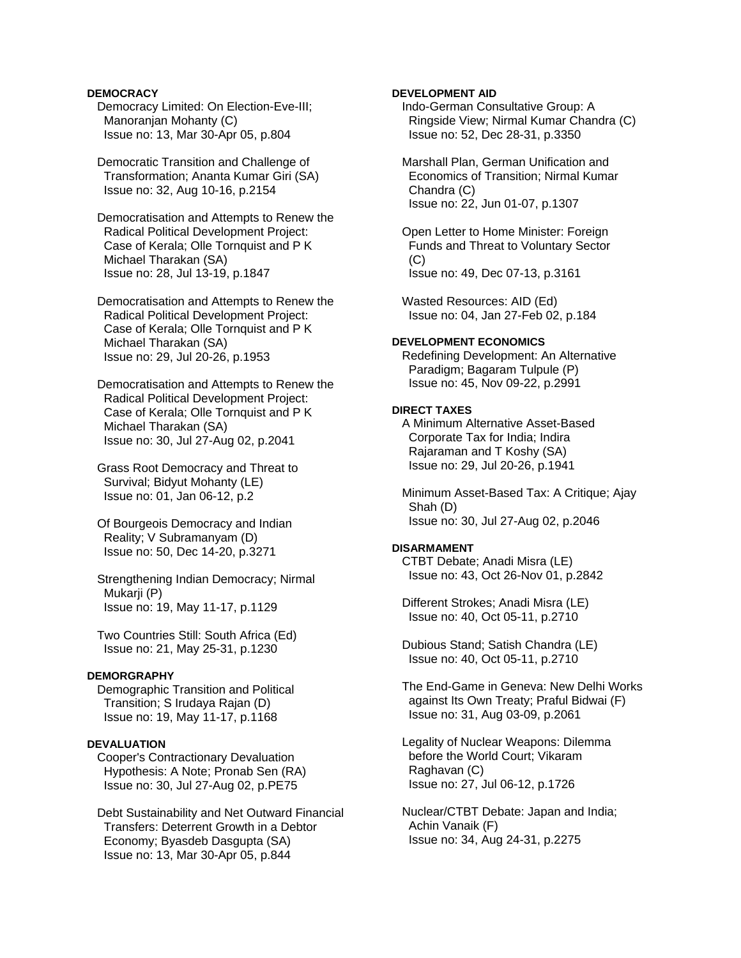### **DEMOCRACY**

 Democracy Limited: On Election-Eve-III; Manoranjan Mohanty (C) Issue no: 13, Mar 30-Apr 05, p.804

 Democratic Transition and Challenge of Transformation; Ananta Kumar Giri (SA) Issue no: 32, Aug 10-16, p.2154

 Democratisation and Attempts to Renew the Radical Political Development Project: Case of Kerala; Olle Tornquist and P K Michael Tharakan (SA) Issue no: 28, Jul 13-19, p.1847

 Democratisation and Attempts to Renew the Radical Political Development Project: Case of Kerala; Olle Tornquist and P K Michael Tharakan (SA) Issue no: 29, Jul 20-26, p.1953

 Democratisation and Attempts to Renew the Radical Political Development Project: Case of Kerala; Olle Tornquist and P K Michael Tharakan (SA) Issue no: 30, Jul 27-Aug 02, p.2041

 Grass Root Democracy and Threat to Survival; Bidyut Mohanty (LE) Issue no: 01, Jan 06-12, p.2

 Of Bourgeois Democracy and Indian Reality; V Subramanyam (D) Issue no: 50, Dec 14-20, p.3271

 Strengthening Indian Democracy; Nirmal Mukarji (P) Issue no: 19, May 11-17, p.1129

 Two Countries Still: South Africa (Ed) Issue no: 21, May 25-31, p.1230

### **DEMORGRAPHY**

 Demographic Transition and Political Transition; S Irudaya Rajan (D) Issue no: 19, May 11-17, p.1168

### **DEVALUATION**

 Cooper's Contractionary Devaluation Hypothesis: A Note; Pronab Sen (RA) Issue no: 30, Jul 27-Aug 02, p.PE75

 Debt Sustainability and Net Outward Financial Transfers: Deterrent Growth in a Debtor Economy; Byasdeb Dasgupta (SA) Issue no: 13, Mar 30-Apr 05, p.844

### **DEVELOPMENT AID**

 Indo-German Consultative Group: A Ringside View; Nirmal Kumar Chandra (C) Issue no: 52, Dec 28-31, p.3350

 Marshall Plan, German Unification and Economics of Transition; Nirmal Kumar Chandra (C) Issue no: 22, Jun 01-07, p.1307

 Open Letter to Home Minister: Foreign Funds and Threat to Voluntary Sector  $(C)$ Issue no: 49, Dec 07-13, p.3161

 Wasted Resources: AID (Ed) Issue no: 04, Jan 27-Feb 02, p.184

# **DEVELOPMENT ECONOMICS**

 Redefining Development: An Alternative Paradigm; Bagaram Tulpule (P) Issue no: 45, Nov 09-22, p.2991

#### **DIRECT TAXES**

 A Minimum Alternative Asset-Based Corporate Tax for India; Indira Rajaraman and T Koshy (SA) Issue no: 29, Jul 20-26, p.1941

 Minimum Asset-Based Tax: A Critique; Ajay Shah (D) Issue no: 30, Jul 27-Aug 02, p.2046

### **DISARMAMENT**

 CTBT Debate; Anadi Misra (LE) Issue no: 43, Oct 26-Nov 01, p.2842

 Different Strokes; Anadi Misra (LE) Issue no: 40, Oct 05-11, p.2710

 Dubious Stand; Satish Chandra (LE) Issue no: 40, Oct 05-11, p.2710

 The End-Game in Geneva: New Delhi Works against Its Own Treaty; Praful Bidwai (F) Issue no: 31, Aug 03-09, p.2061

 Legality of Nuclear Weapons: Dilemma before the World Court; Vikaram Raghavan (C) Issue no: 27, Jul 06-12, p.1726

 Nuclear/CTBT Debate: Japan and India; Achin Vanaik (F) Issue no: 34, Aug 24-31, p.2275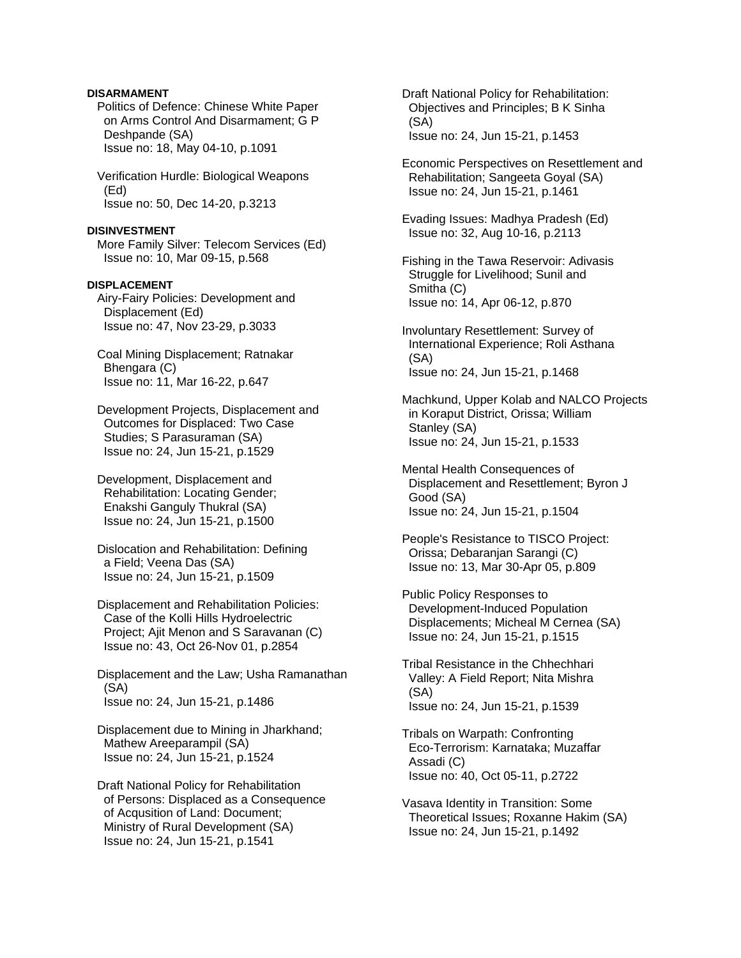### **DISARMAMENT**

 Politics of Defence: Chinese White Paper on Arms Control And Disarmament; G P Deshpande (SA) Issue no: 18, May 04-10, p.1091

 Verification Hurdle: Biological Weapons (Ed) Issue no: 50, Dec 14-20, p.3213

#### **DISINVESTMENT**

 More Family Silver: Telecom Services (Ed) Issue no: 10, Mar 09-15, p.568

### **DISPLACEMENT**

 Airy-Fairy Policies: Development and Displacement (Ed) Issue no: 47, Nov 23-29, p.3033

 Coal Mining Displacement; Ratnakar Bhengara (C) Issue no: 11, Mar 16-22, p.647

 Development Projects, Displacement and Outcomes for Displaced: Two Case Studies; S Parasuraman (SA) Issue no: 24, Jun 15-21, p.1529

 Development, Displacement and Rehabilitation: Locating Gender; Enakshi Ganguly Thukral (SA) Issue no: 24, Jun 15-21, p.1500

 Dislocation and Rehabilitation: Defining a Field; Veena Das (SA) Issue no: 24, Jun 15-21, p.1509

 Displacement and Rehabilitation Policies: Case of the Kolli Hills Hydroelectric Project; Ajit Menon and S Saravanan (C) Issue no: 43, Oct 26-Nov 01, p.2854

 Displacement and the Law; Usha Ramanathan (SA) Issue no: 24, Jun 15-21, p.1486

 Displacement due to Mining in Jharkhand; Mathew Areeparampil (SA) Issue no: 24, Jun 15-21, p.1524

 Draft National Policy for Rehabilitation of Persons: Displaced as a Consequence of Acqusition of Land: Document; Ministry of Rural Development (SA) Issue no: 24, Jun 15-21, p.1541

 Draft National Policy for Rehabilitation: Objectives and Principles; B K Sinha (SA) Issue no: 24, Jun 15-21, p.1453

 Economic Perspectives on Resettlement and Rehabilitation; Sangeeta Goyal (SA) Issue no: 24, Jun 15-21, p.1461

 Evading Issues: Madhya Pradesh (Ed) Issue no: 32, Aug 10-16, p.2113

 Fishing in the Tawa Reservoir: Adivasis Struggle for Livelihood; Sunil and Smitha (C) Issue no: 14, Apr 06-12, p.870

 Involuntary Resettlement: Survey of International Experience; Roli Asthana (SA) Issue no: 24, Jun 15-21, p.1468

 Machkund, Upper Kolab and NALCO Projects in Koraput District, Orissa; William Stanley (SA) Issue no: 24, Jun 15-21, p.1533

 Mental Health Consequences of Displacement and Resettlement; Byron J Good (SA) Issue no: 24, Jun 15-21, p.1504

 People's Resistance to TISCO Project: Orissa; Debaranjan Sarangi (C) Issue no: 13, Mar 30-Apr 05, p.809

 Public Policy Responses to Development-Induced Population Displacements; Micheal M Cernea (SA) Issue no: 24, Jun 15-21, p.1515

 Tribal Resistance in the Chhechhari Valley: A Field Report; Nita Mishra (SA) Issue no: 24, Jun 15-21, p.1539

 Tribals on Warpath: Confronting Eco-Terrorism: Karnataka; Muzaffar Assadi (C) Issue no: 40, Oct 05-11, p.2722

 Vasava Identity in Transition: Some Theoretical Issues; Roxanne Hakim (SA) Issue no: 24, Jun 15-21, p.1492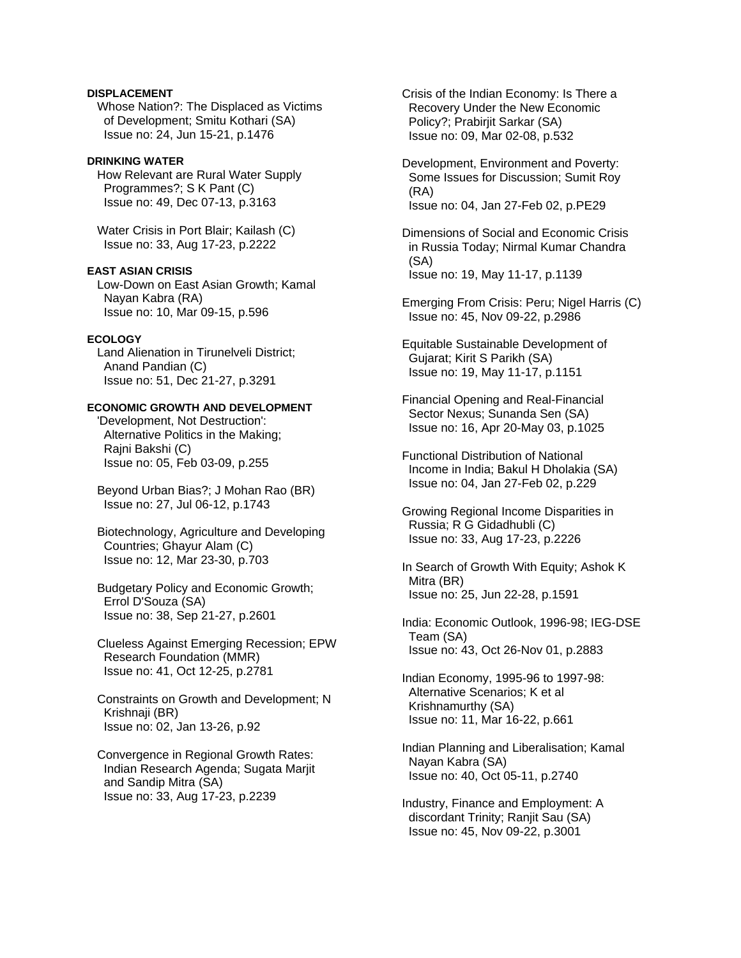### **DISPLACEMENT**

 Whose Nation?: The Displaced as Victims of Development; Smitu Kothari (SA) Issue no: 24, Jun 15-21, p.1476

#### **DRINKING WATER**

 How Relevant are Rural Water Supply Programmes?; S K Pant (C) Issue no: 49, Dec 07-13, p.3163

 Water Crisis in Port Blair; Kailash (C) Issue no: 33, Aug 17-23, p.2222

### **EAST ASIAN CRISIS**

 Low-Down on East Asian Growth; Kamal Nayan Kabra (RA) Issue no: 10, Mar 09-15, p.596

# **ECOLOGY**

 Land Alienation in Tirunelveli District; Anand Pandian (C) Issue no: 51, Dec 21-27, p.3291

### **ECONOMIC GROWTH AND DEVELOPMENT**

 'Development, Not Destruction': Alternative Politics in the Making; Rajni Bakshi (C) Issue no: 05, Feb 03-09, p.255

 Beyond Urban Bias?; J Mohan Rao (BR) Issue no: 27, Jul 06-12, p.1743

 Biotechnology, Agriculture and Developing Countries; Ghayur Alam (C) Issue no: 12, Mar 23-30, p.703

 Budgetary Policy and Economic Growth; Errol D'Souza (SA) Issue no: 38, Sep 21-27, p.2601

 Clueless Against Emerging Recession; EPW Research Foundation (MMR) Issue no: 41, Oct 12-25, p.2781

 Constraints on Growth and Development; N Krishnaji (BR) Issue no: 02, Jan 13-26, p.92

 Convergence in Regional Growth Rates: Indian Research Agenda; Sugata Marjit and Sandip Mitra (SA) Issue no: 33, Aug 17-23, p.2239

 Crisis of the Indian Economy: Is There a Recovery Under the New Economic Policy?; Prabirjit Sarkar (SA) Issue no: 09, Mar 02-08, p.532

 Development, Environment and Poverty: Some Issues for Discussion; Sumit Roy (RA) Issue no: 04, Jan 27-Feb 02, p.PE29

 Dimensions of Social and Economic Crisis in Russia Today; Nirmal Kumar Chandra (SA) Issue no: 19, May 11-17, p.1139

 Emerging From Crisis: Peru; Nigel Harris (C) Issue no: 45, Nov 09-22, p.2986

 Equitable Sustainable Development of Gujarat; Kirit S Parikh (SA) Issue no: 19, May 11-17, p.1151

 Financial Opening and Real-Financial Sector Nexus; Sunanda Sen (SA) Issue no: 16, Apr 20-May 03, p.1025

 Functional Distribution of National Income in India; Bakul H Dholakia (SA) Issue no: 04, Jan 27-Feb 02, p.229

 Growing Regional Income Disparities in Russia; R G Gidadhubli (C) Issue no: 33, Aug 17-23, p.2226

 In Search of Growth With Equity; Ashok K Mitra (BR) Issue no: 25, Jun 22-28, p.1591

 India: Economic Outlook, 1996-98; IEG-DSE Team (SA) Issue no: 43, Oct 26-Nov 01, p.2883

 Indian Economy, 1995-96 to 1997-98: Alternative Scenarios; K et al Krishnamurthy (SA) Issue no: 11, Mar 16-22, p.661

 Indian Planning and Liberalisation; Kamal Nayan Kabra (SA) Issue no: 40, Oct 05-11, p.2740

 Industry, Finance and Employment: A discordant Trinity; Ranjit Sau (SA) Issue no: 45, Nov 09-22, p.3001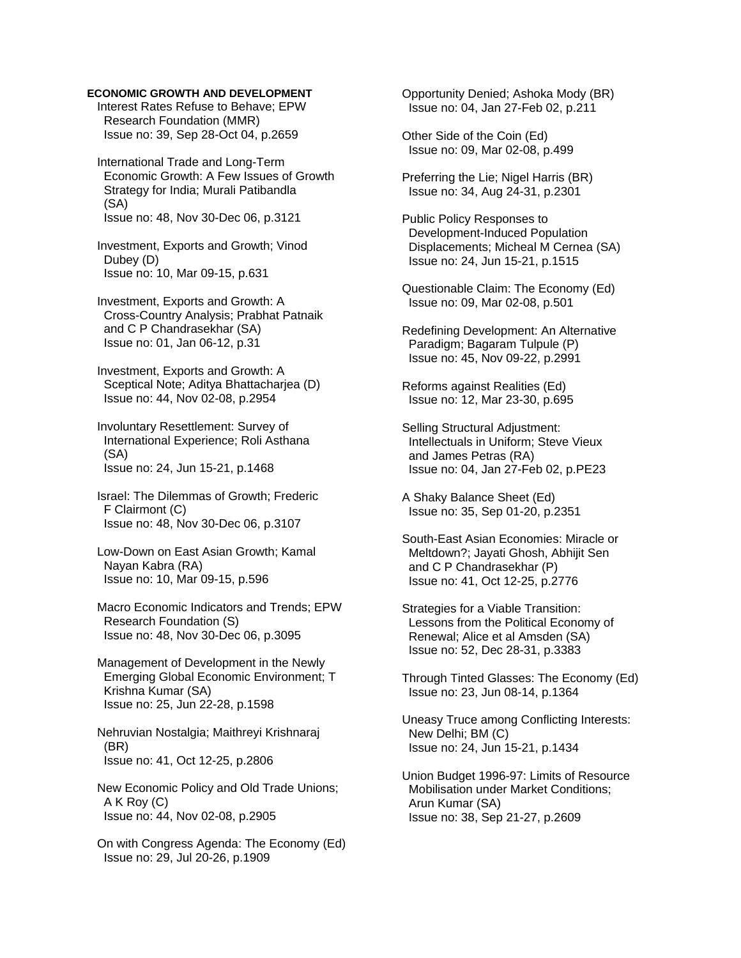Interest Rates Refuse to Behave; EPW Research Foundation (MMR) Issue no: 39, Sep 28-Oct 04, p.2659

 International Trade and Long-Term Economic Growth: A Few Issues of Growth Strategy for India; Murali Patibandla (SA) Issue no: 48, Nov 30-Dec 06, p.3121

 Investment, Exports and Growth; Vinod Dubey (D) Issue no: 10, Mar 09-15, p.631

 Investment, Exports and Growth: A Cross-Country Analysis; Prabhat Patnaik and C P Chandrasekhar (SA) Issue no: 01, Jan 06-12, p.31

 Investment, Exports and Growth: A Sceptical Note; Aditya Bhattacharjea (D) Issue no: 44, Nov 02-08, p.2954

 Involuntary Resettlement: Survey of International Experience; Roli Asthana (SA) Issue no: 24, Jun 15-21, p.1468

 Israel: The Dilemmas of Growth; Frederic F Clairmont (C) Issue no: 48, Nov 30-Dec 06, p.3107

 Low-Down on East Asian Growth; Kamal Nayan Kabra (RA) Issue no: 10, Mar 09-15, p.596

 Macro Economic Indicators and Trends; EPW Research Foundation (S) Issue no: 48, Nov 30-Dec 06, p.3095

 Management of Development in the Newly Emerging Global Economic Environment; T Krishna Kumar (SA) Issue no: 25, Jun 22-28, p.1598

 Nehruvian Nostalgia; Maithreyi Krishnaraj (BR) Issue no: 41, Oct 12-25, p.2806

 New Economic Policy and Old Trade Unions; A K Roy (C) Issue no: 44, Nov 02-08, p.2905

 On with Congress Agenda: The Economy (Ed) Issue no: 29, Jul 20-26, p.1909

 Opportunity Denied; Ashoka Mody (BR) Issue no: 04, Jan 27-Feb 02, p.211

 Other Side of the Coin (Ed) Issue no: 09, Mar 02-08, p.499

 Preferring the Lie; Nigel Harris (BR) Issue no: 34, Aug 24-31, p.2301

 Public Policy Responses to Development-Induced Population Displacements; Micheal M Cernea (SA) Issue no: 24, Jun 15-21, p.1515

 Questionable Claim: The Economy (Ed) Issue no: 09, Mar 02-08, p.501

 Redefining Development: An Alternative Paradigm; Bagaram Tulpule (P) Issue no: 45, Nov 09-22, p.2991

 Reforms against Realities (Ed) Issue no: 12, Mar 23-30, p.695

 Selling Structural Adjustment: Intellectuals in Uniform; Steve Vieux and James Petras (RA) Issue no: 04, Jan 27-Feb 02, p.PE23

 A Shaky Balance Sheet (Ed) Issue no: 35, Sep 01-20, p.2351

 South-East Asian Economies: Miracle or Meltdown?; Jayati Ghosh, Abhijit Sen and C P Chandrasekhar (P) Issue no: 41, Oct 12-25, p.2776

 Strategies for a Viable Transition: Lessons from the Political Economy of Renewal; Alice et al Amsden (SA) Issue no: 52, Dec 28-31, p.3383

 Through Tinted Glasses: The Economy (Ed) Issue no: 23, Jun 08-14, p.1364

 Uneasy Truce among Conflicting Interests: New Delhi; BM (C) Issue no: 24, Jun 15-21, p.1434

 Union Budget 1996-97: Limits of Resource Mobilisation under Market Conditions; Arun Kumar (SA) Issue no: 38, Sep 21-27, p.2609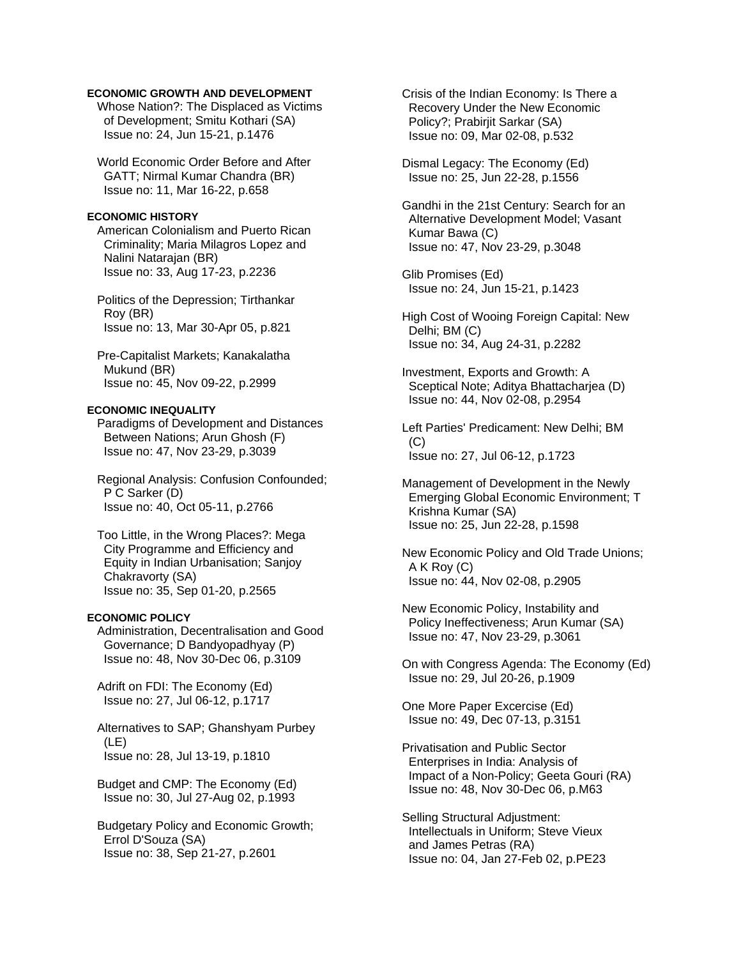Whose Nation?: The Displaced as Victims of Development; Smitu Kothari (SA) Issue no: 24, Jun 15-21, p.1476

 World Economic Order Before and After GATT; Nirmal Kumar Chandra (BR) Issue no: 11, Mar 16-22, p.658

#### **ECONOMIC HISTORY**

 American Colonialism and Puerto Rican Criminality; Maria Milagros Lopez and Nalini Natarajan (BR) Issue no: 33, Aug 17-23, p.2236

 Politics of the Depression; Tirthankar Roy (BR) Issue no: 13, Mar 30-Apr 05, p.821

 Pre-Capitalist Markets; Kanakalatha Mukund (BR) Issue no: 45, Nov 09-22, p.2999

#### **ECONOMIC INEQUALITY**

 Paradigms of Development and Distances Between Nations; Arun Ghosh (F) Issue no: 47, Nov 23-29, p.3039

 Regional Analysis: Confusion Confounded; P C Sarker (D) Issue no: 40, Oct 05-11, p.2766

 Too Little, in the Wrong Places?: Mega City Programme and Efficiency and Equity in Indian Urbanisation; Sanjoy Chakravorty (SA) Issue no: 35, Sep 01-20, p.2565

### **ECONOMIC POLICY**

 Administration, Decentralisation and Good Governance; D Bandyopadhyay (P) Issue no: 48, Nov 30-Dec 06, p.3109

 Adrift on FDI: The Economy (Ed) Issue no: 27, Jul 06-12, p.1717

 Alternatives to SAP; Ghanshyam Purbey (LE) Issue no: 28, Jul 13-19, p.1810

 Budget and CMP: The Economy (Ed) Issue no: 30, Jul 27-Aug 02, p.1993

 Budgetary Policy and Economic Growth; Errol D'Souza (SA) Issue no: 38, Sep 21-27, p.2601

 Crisis of the Indian Economy: Is There a Recovery Under the New Economic Policy?; Prabirjit Sarkar (SA) Issue no: 09, Mar 02-08, p.532

 Dismal Legacy: The Economy (Ed) Issue no: 25, Jun 22-28, p.1556

 Gandhi in the 21st Century: Search for an Alternative Development Model; Vasant Kumar Bawa (C) Issue no: 47, Nov 23-29, p.3048

 Glib Promises (Ed) Issue no: 24, Jun 15-21, p.1423

 High Cost of Wooing Foreign Capital: New Delhi; BM (C) Issue no: 34, Aug 24-31, p.2282

 Investment, Exports and Growth: A Sceptical Note; Aditya Bhattacharjea (D) Issue no: 44, Nov 02-08, p.2954

 Left Parties' Predicament: New Delhi; BM  $(C)$ Issue no: 27, Jul 06-12, p.1723

 Management of Development in the Newly Emerging Global Economic Environment; T Krishna Kumar (SA) Issue no: 25, Jun 22-28, p.1598

 New Economic Policy and Old Trade Unions; A K Roy (C) Issue no: 44, Nov 02-08, p.2905

 New Economic Policy, Instability and Policy Ineffectiveness; Arun Kumar (SA) Issue no: 47, Nov 23-29, p.3061

 On with Congress Agenda: The Economy (Ed) Issue no: 29, Jul 20-26, p.1909

 One More Paper Excercise (Ed) Issue no: 49, Dec 07-13, p.3151

 Privatisation and Public Sector Enterprises in India: Analysis of Impact of a Non-Policy; Geeta Gouri (RA) Issue no: 48, Nov 30-Dec 06, p.M63

 Selling Structural Adjustment: Intellectuals in Uniform; Steve Vieux and James Petras (RA) Issue no: 04, Jan 27-Feb 02, p.PE23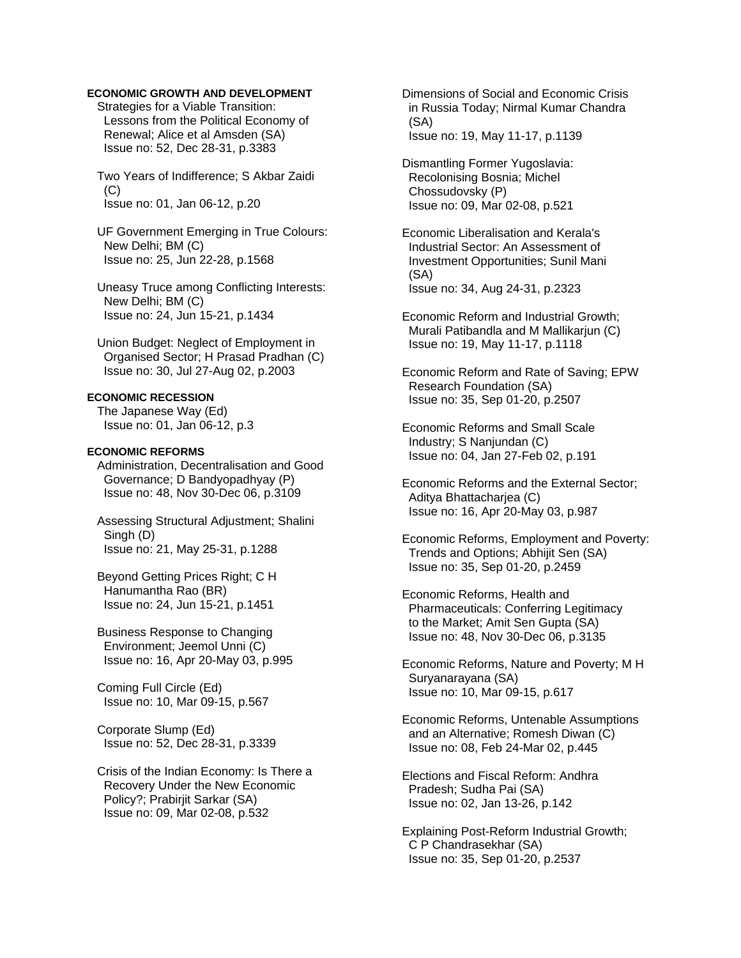Strategies for a Viable Transition: Lessons from the Political Economy of Renewal; Alice et al Amsden (SA) Issue no: 52, Dec 28-31, p.3383

 Two Years of Indifference; S Akbar Zaidi  $(C)$ Issue no: 01, Jan 06-12, p.20

 UF Government Emerging in True Colours: New Delhi; BM (C) Issue no: 25, Jun 22-28, p.1568

 Uneasy Truce among Conflicting Interests: New Delhi; BM (C) Issue no: 24, Jun 15-21, p.1434

 Union Budget: Neglect of Employment in Organised Sector; H Prasad Pradhan (C) Issue no: 30, Jul 27-Aug 02, p.2003

# **ECONOMIC RECESSION**

 The Japanese Way (Ed) Issue no: 01, Jan 06-12, p.3

### **ECONOMIC REFORMS**

 Administration, Decentralisation and Good Governance; D Bandyopadhyay (P) Issue no: 48, Nov 30-Dec 06, p.3109

 Assessing Structural Adjustment; Shalini Singh (D) Issue no: 21, May 25-31, p.1288

 Beyond Getting Prices Right; C H Hanumantha Rao (BR) Issue no: 24, Jun 15-21, p.1451

 Business Response to Changing Environment; Jeemol Unni (C) Issue no: 16, Apr 20-May 03, p.995

 Coming Full Circle (Ed) Issue no: 10, Mar 09-15, p.567

 Corporate Slump (Ed) Issue no: 52, Dec 28-31, p.3339

 Crisis of the Indian Economy: Is There a Recovery Under the New Economic Policy?; Prabirjit Sarkar (SA) Issue no: 09, Mar 02-08, p.532

 Dimensions of Social and Economic Crisis in Russia Today; Nirmal Kumar Chandra (SA) Issue no: 19, May 11-17, p.1139

 Dismantling Former Yugoslavia: Recolonising Bosnia; Michel Chossudovsky (P) Issue no: 09, Mar 02-08, p.521

 Economic Liberalisation and Kerala's Industrial Sector: An Assessment of Investment Opportunities; Sunil Mani (SA) Issue no: 34, Aug 24-31, p.2323

 Economic Reform and Industrial Growth; Murali Patibandla and M Mallikarjun (C) Issue no: 19, May 11-17, p.1118

 Economic Reform and Rate of Saving; EPW Research Foundation (SA) Issue no: 35, Sep 01-20, p.2507

 Economic Reforms and Small Scale Industry; S Nanjundan (C) Issue no: 04, Jan 27-Feb 02, p.191

 Economic Reforms and the External Sector; Aditya Bhattacharjea (C) Issue no: 16, Apr 20-May 03, p.987

 Economic Reforms, Employment and Poverty: Trends and Options; Abhijit Sen (SA) Issue no: 35, Sep 01-20, p.2459

 Economic Reforms, Health and Pharmaceuticals: Conferring Legitimacy to the Market; Amit Sen Gupta (SA) Issue no: 48, Nov 30-Dec 06, p.3135

 Economic Reforms, Nature and Poverty; M H Suryanarayana (SA) Issue no: 10, Mar 09-15, p.617

 Economic Reforms, Untenable Assumptions and an Alternative; Romesh Diwan (C) Issue no: 08, Feb 24-Mar 02, p.445

 Elections and Fiscal Reform: Andhra Pradesh; Sudha Pai (SA) Issue no: 02, Jan 13-26, p.142

 Explaining Post-Reform Industrial Growth; C P Chandrasekhar (SA) Issue no: 35, Sep 01-20, p.2537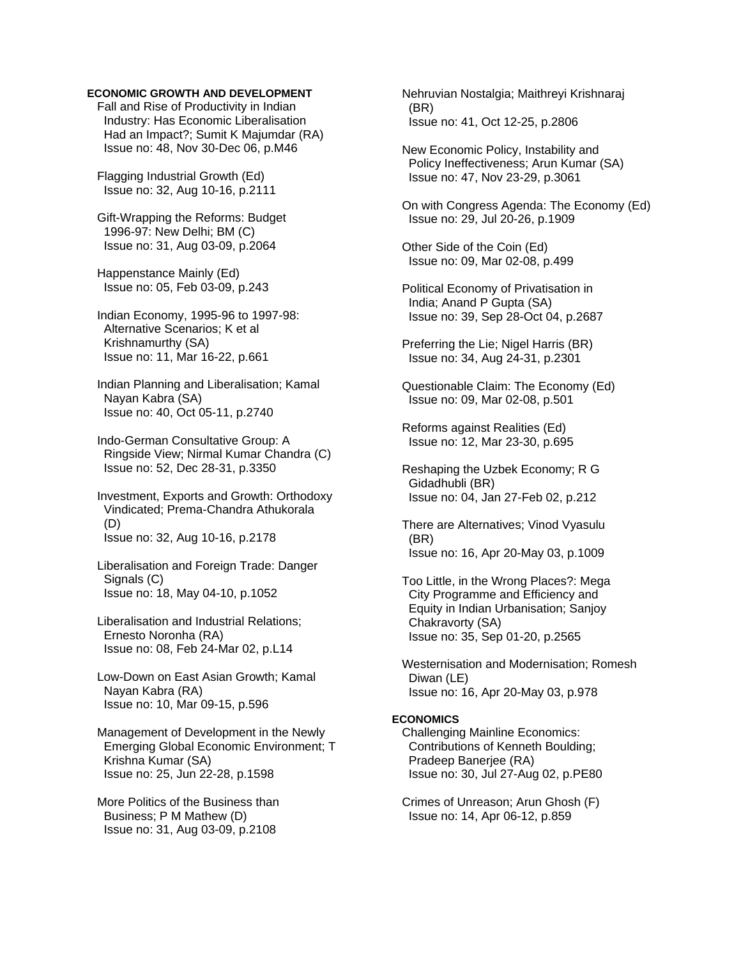Fall and Rise of Productivity in Indian Industry: Has Economic Liberalisation Had an Impact?; Sumit K Majumdar (RA) Issue no: 48, Nov 30-Dec 06, p.M46

 Flagging Industrial Growth (Ed) Issue no: 32, Aug 10-16, p.2111

 Gift-Wrapping the Reforms: Budget 1996-97: New Delhi; BM (C) Issue no: 31, Aug 03-09, p.2064

 Happenstance Mainly (Ed) Issue no: 05, Feb 03-09, p.243

 Indian Economy, 1995-96 to 1997-98: Alternative Scenarios; K et al Krishnamurthy (SA) Issue no: 11, Mar 16-22, p.661

 Indian Planning and Liberalisation; Kamal Nayan Kabra (SA) Issue no: 40, Oct 05-11, p.2740

 Indo-German Consultative Group: A Ringside View; Nirmal Kumar Chandra (C) Issue no: 52, Dec 28-31, p.3350

 Investment, Exports and Growth: Orthodoxy Vindicated; Prema-Chandra Athukorala (D) Issue no: 32, Aug 10-16, p.2178

 Liberalisation and Foreign Trade: Danger Signals (C) Issue no: 18, May 04-10, p.1052

 Liberalisation and Industrial Relations; Ernesto Noronha (RA) Issue no: 08, Feb 24-Mar 02, p.L14

 Low-Down on East Asian Growth; Kamal Nayan Kabra (RA) Issue no: 10, Mar 09-15, p.596

 Management of Development in the Newly Emerging Global Economic Environment; T Krishna Kumar (SA) Issue no: 25, Jun 22-28, p.1598

 More Politics of the Business than Business; P M Mathew (D) Issue no: 31, Aug 03-09, p.2108

 Nehruvian Nostalgia; Maithreyi Krishnaraj (BR) Issue no: 41, Oct 12-25, p.2806

 New Economic Policy, Instability and Policy Ineffectiveness; Arun Kumar (SA) Issue no: 47, Nov 23-29, p.3061

 On with Congress Agenda: The Economy (Ed) Issue no: 29, Jul 20-26, p.1909

 Other Side of the Coin (Ed) Issue no: 09, Mar 02-08, p.499

 Political Economy of Privatisation in India; Anand P Gupta (SA) Issue no: 39, Sep 28-Oct 04, p.2687

 Preferring the Lie; Nigel Harris (BR) Issue no: 34, Aug 24-31, p.2301

 Questionable Claim: The Economy (Ed) Issue no: 09, Mar 02-08, p.501

 Reforms against Realities (Ed) Issue no: 12, Mar 23-30, p.695

 Reshaping the Uzbek Economy; R G Gidadhubli (BR) Issue no: 04, Jan 27-Feb 02, p.212

 There are Alternatives; Vinod Vyasulu (BR) Issue no: 16, Apr 20-May 03, p.1009

 Too Little, in the Wrong Places?: Mega City Programme and Efficiency and Equity in Indian Urbanisation; Sanjoy Chakravorty (SA) Issue no: 35, Sep 01-20, p.2565

 Westernisation and Modernisation; Romesh Diwan (LE) Issue no: 16, Apr 20-May 03, p.978

# **ECONOMICS**

 Challenging Mainline Economics: Contributions of Kenneth Boulding; Pradeep Banerjee (RA) Issue no: 30, Jul 27-Aug 02, p.PE80

 Crimes of Unreason; Arun Ghosh (F) Issue no: 14, Apr 06-12, p.859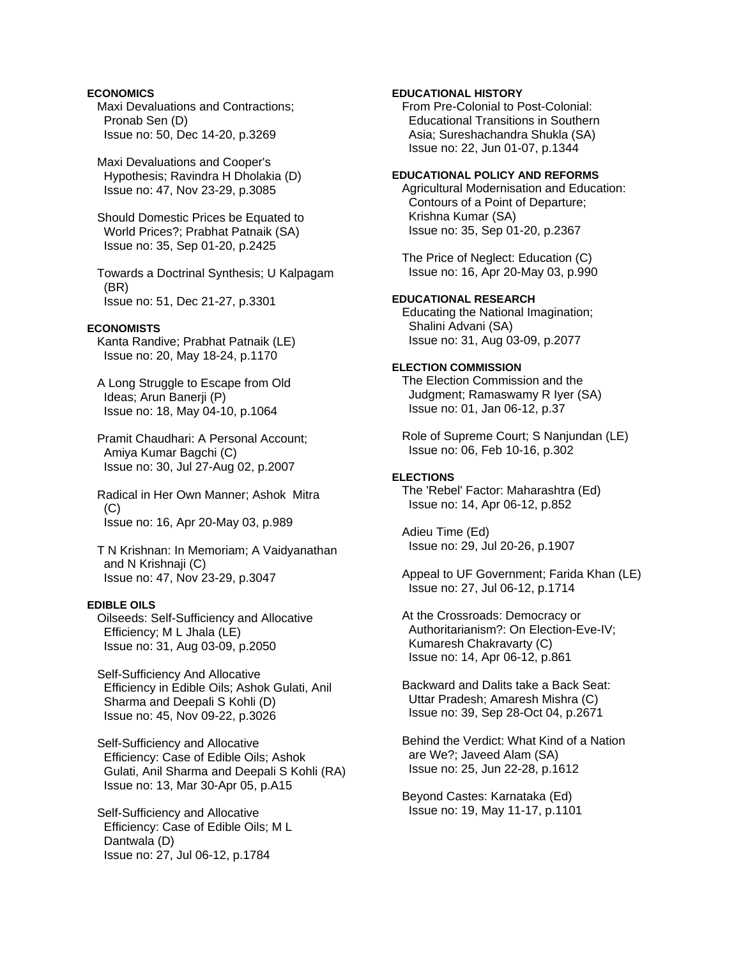### **ECONOMICS**

 Maxi Devaluations and Contractions; Pronab Sen (D) Issue no: 50, Dec 14-20, p.3269

 Maxi Devaluations and Cooper's Hypothesis; Ravindra H Dholakia (D) Issue no: 47, Nov 23-29, p.3085

 Should Domestic Prices be Equated to World Prices?; Prabhat Patnaik (SA) Issue no: 35, Sep 01-20, p.2425

 Towards a Doctrinal Synthesis; U Kalpagam (BR) Issue no: 51, Dec 21-27, p.3301

### **ECONOMISTS**

 Kanta Randive; Prabhat Patnaik (LE) Issue no: 20, May 18-24, p.1170

 A Long Struggle to Escape from Old Ideas; Arun Banerji (P) Issue no: 18, May 04-10, p.1064

 Pramit Chaudhari: A Personal Account; Amiya Kumar Bagchi (C) Issue no: 30, Jul 27-Aug 02, p.2007

 Radical in Her Own Manner; Ashok Mitra (C) Issue no: 16, Apr 20-May 03, p.989

 T N Krishnan: In Memoriam; A Vaidyanathan and N Krishnaji (C) Issue no: 47, Nov 23-29, p.3047

### **EDIBLE OILS**

 Oilseeds: Self-Sufficiency and Allocative Efficiency; M L Jhala (LE) Issue no: 31, Aug 03-09, p.2050

 Self-Sufficiency And Allocative Efficiency in Edible Oils; Ashok Gulati, Anil Sharma and Deepali S Kohli (D) Issue no: 45, Nov 09-22, p.3026

 Self-Sufficiency and Allocative Efficiency: Case of Edible Oils; Ashok Gulati, Anil Sharma and Deepali S Kohli (RA) Issue no: 13, Mar 30-Apr 05, p.A15

 Self-Sufficiency and Allocative Efficiency: Case of Edible Oils; M L Dantwala (D) Issue no: 27, Jul 06-12, p.1784

### **EDUCATIONAL HISTORY**

 From Pre-Colonial to Post-Colonial: Educational Transitions in Southern Asia; Sureshachandra Shukla (SA) Issue no: 22, Jun 01-07, p.1344

#### **EDUCATIONAL POLICY AND REFORMS**

 Agricultural Modernisation and Education: Contours of a Point of Departure; Krishna Kumar (SA) Issue no: 35, Sep 01-20, p.2367

 The Price of Neglect: Education (C) Issue no: 16, Apr 20-May 03, p.990

# **EDUCATIONAL RESEARCH**

 Educating the National Imagination; Shalini Advani (SA) Issue no: 31, Aug 03-09, p.2077

### **ELECTION COMMISSION**

 The Election Commission and the Judgment; Ramaswamy R Iyer (SA) Issue no: 01, Jan 06-12, p.37

 Role of Supreme Court; S Nanjundan (LE) Issue no: 06, Feb 10-16, p.302

#### **ELECTIONS**

 The 'Rebel' Factor: Maharashtra (Ed) Issue no: 14, Apr 06-12, p.852

 Adieu Time (Ed) Issue no: 29, Jul 20-26, p.1907

 Appeal to UF Government; Farida Khan (LE) Issue no: 27, Jul 06-12, p.1714

 At the Crossroads: Democracy or Authoritarianism?: On Election-Eve-IV; Kumaresh Chakravarty (C) Issue no: 14, Apr 06-12, p.861

 Backward and Dalits take a Back Seat: Uttar Pradesh; Amaresh Mishra (C) Issue no: 39, Sep 28-Oct 04, p.2671

 Behind the Verdict: What Kind of a Nation are We?; Javeed Alam (SA) Issue no: 25, Jun 22-28, p.1612

 Beyond Castes: Karnataka (Ed) Issue no: 19, May 11-17, p.1101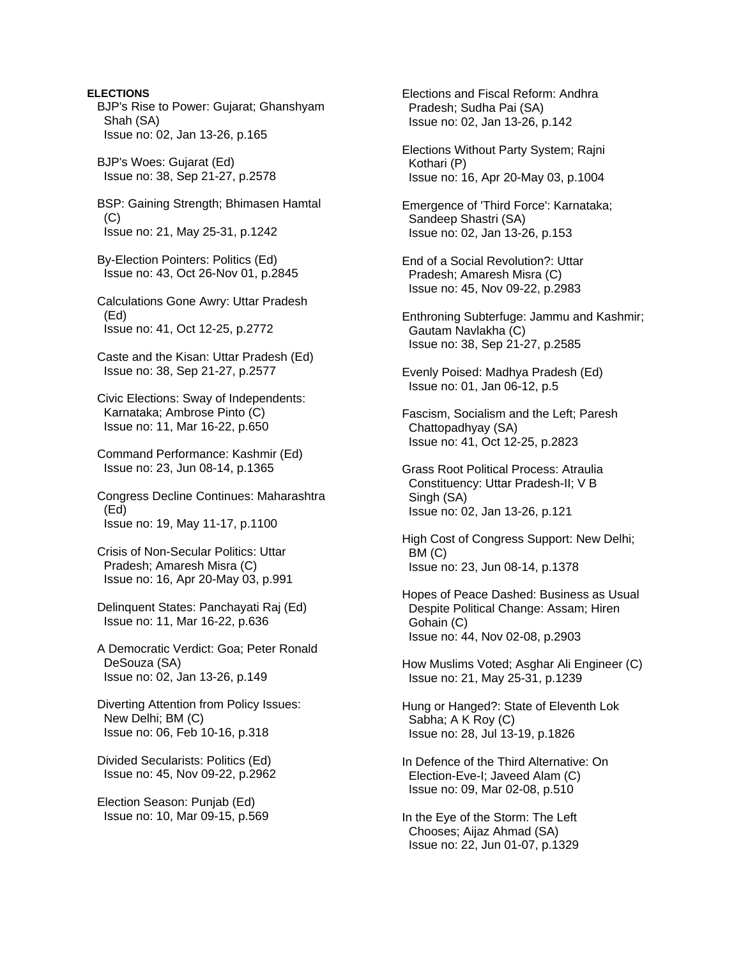**ELECTIONS**  BJP's Rise to Power: Gujarat; Ghanshyam Shah (SA) Issue no: 02, Jan 13-26, p.165 BJP's Woes: Gujarat (Ed) Issue no: 38, Sep 21-27, p.2578 BSP: Gaining Strength; Bhimasen Hamtal  $(C)$  Issue no: 21, May 25-31, p.1242 By-Election Pointers: Politics (Ed) Issue no: 43, Oct 26-Nov 01, p.2845 Calculations Gone Awry: Uttar Pradesh (Ed) Issue no: 41, Oct 12-25, p.2772 Caste and the Kisan: Uttar Pradesh (Ed) Issue no: 38, Sep 21-27, p.2577 Civic Elections: Sway of Independents: Karnataka; Ambrose Pinto (C) Issue no: 11, Mar 16-22, p.650 Command Performance: Kashmir (Ed) Issue no: 23, Jun 08-14, p.1365 Congress Decline Continues: Maharashtra (Ed) Issue no: 19, May 11-17, p.1100 Crisis of Non-Secular Politics: Uttar Pradesh; Amaresh Misra (C) Issue no: 16, Apr 20-May 03, p.991 Delinquent States: Panchayati Raj (Ed) Issue no: 11, Mar 16-22, p.636 A Democratic Verdict: Goa; Peter Ronald DeSouza (SA) Issue no: 02, Jan 13-26, p.149 Diverting Attention from Policy Issues: New Delhi; BM (C) Issue no: 06, Feb 10-16, p.318 Divided Secularists: Politics (Ed) Issue no: 45, Nov 09-22, p.2962 Election Season: Punjab (Ed) Issue no: 10, Mar 09-15, p.569

 Elections and Fiscal Reform: Andhra Pradesh; Sudha Pai (SA) Issue no: 02, Jan 13-26, p.142

 Elections Without Party System; Rajni Kothari (P) Issue no: 16, Apr 20-May 03, p.1004

 Emergence of 'Third Force': Karnataka; Sandeep Shastri (SA) Issue no: 02, Jan 13-26, p.153

 End of a Social Revolution?: Uttar Pradesh; Amaresh Misra (C) Issue no: 45, Nov 09-22, p.2983

 Enthroning Subterfuge: Jammu and Kashmir; Gautam Navlakha (C) Issue no: 38, Sep 21-27, p.2585

 Evenly Poised: Madhya Pradesh (Ed) Issue no: 01, Jan 06-12, p.5

 Fascism, Socialism and the Left; Paresh Chattopadhyay (SA) Issue no: 41, Oct 12-25, p.2823

 Grass Root Political Process: Atraulia Constituency: Uttar Pradesh-II; V B Singh (SA) Issue no: 02, Jan 13-26, p.121

 High Cost of Congress Support: New Delhi; BM (C) Issue no: 23, Jun 08-14, p.1378

 Hopes of Peace Dashed: Business as Usual Despite Political Change: Assam; Hiren Gohain (C) Issue no: 44, Nov 02-08, p.2903

 How Muslims Voted; Asghar Ali Engineer (C) Issue no: 21, May 25-31, p.1239

 Hung or Hanged?: State of Eleventh Lok Sabha; A K Roy (C) Issue no: 28, Jul 13-19, p.1826

 In Defence of the Third Alternative: On Election-Eve-I; Javeed Alam (C) Issue no: 09, Mar 02-08, p.510

 In the Eye of the Storm: The Left Chooses; Aijaz Ahmad (SA) Issue no: 22, Jun 01-07, p.1329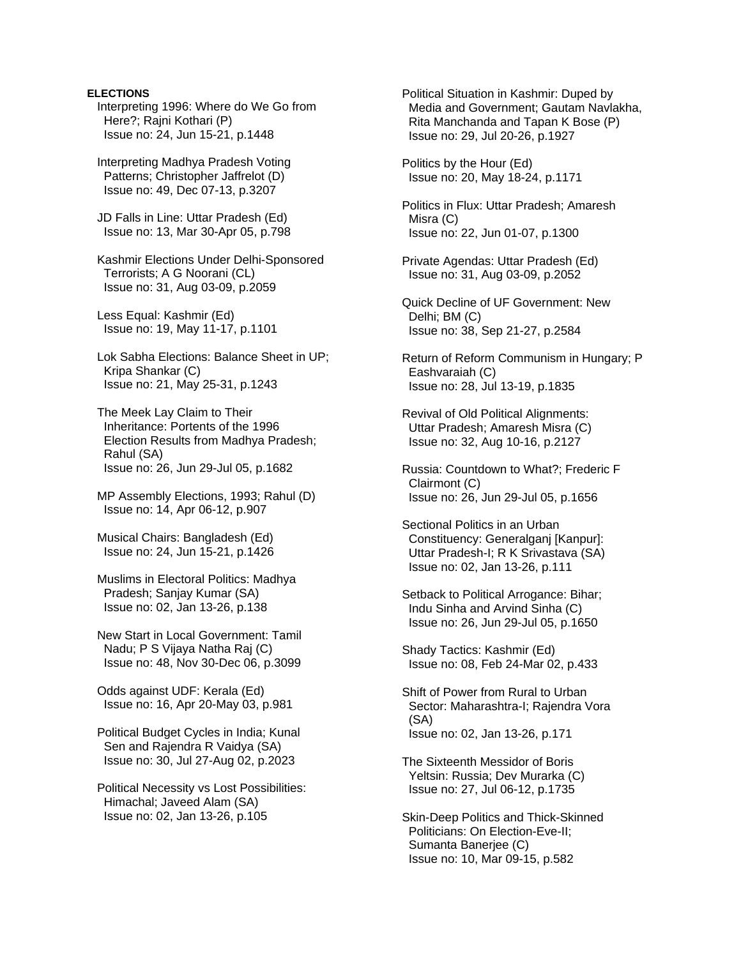# **ELECTIONS**

- Interpreting 1996: Where do We Go from Here?; Rajni Kothari (P) Issue no: 24, Jun 15-21, p.1448
- Interpreting Madhya Pradesh Voting Patterns; Christopher Jaffrelot (D) Issue no: 49, Dec 07-13, p.3207
- JD Falls in Line: Uttar Pradesh (Ed) Issue no: 13, Mar 30-Apr 05, p.798
- Kashmir Elections Under Delhi-Sponsored Terrorists; A G Noorani (CL) Issue no: 31, Aug 03-09, p.2059
- Less Equal: Kashmir (Ed) Issue no: 19, May 11-17, p.1101
- Lok Sabha Elections: Balance Sheet in UP; Kripa Shankar (C) Issue no: 21, May 25-31, p.1243
- The Meek Lay Claim to Their Inheritance: Portents of the 1996 Election Results from Madhya Pradesh; Rahul (SA) Issue no: 26, Jun 29-Jul 05, p.1682
- MP Assembly Elections, 1993; Rahul (D) Issue no: 14, Apr 06-12, p.907
- Musical Chairs: Bangladesh (Ed) Issue no: 24, Jun 15-21, p.1426
- Muslims in Electoral Politics: Madhya Pradesh; Sanjay Kumar (SA) Issue no: 02, Jan 13-26, p.138
- New Start in Local Government: Tamil Nadu; P S Vijaya Natha Raj (C) Issue no: 48, Nov 30-Dec 06, p.3099
- Odds against UDF: Kerala (Ed) Issue no: 16, Apr 20-May 03, p.981
- Political Budget Cycles in India; Kunal Sen and Rajendra R Vaidya (SA) Issue no: 30, Jul 27-Aug 02, p.2023
- Political Necessity vs Lost Possibilities: Himachal; Javeed Alam (SA) Issue no: 02, Jan 13-26, p.105

 Political Situation in Kashmir: Duped by Media and Government; Gautam Navlakha, Rita Manchanda and Tapan K Bose (P) Issue no: 29, Jul 20-26, p.1927

 Politics by the Hour (Ed) Issue no: 20, May 18-24, p.1171

 Politics in Flux: Uttar Pradesh; Amaresh Misra (C) Issue no: 22, Jun 01-07, p.1300

- Private Agendas: Uttar Pradesh (Ed) Issue no: 31, Aug 03-09, p.2052
- Quick Decline of UF Government: New Delhi; BM (C) Issue no: 38, Sep 21-27, p.2584
- Return of Reform Communism in Hungary; P Eashvaraiah (C) Issue no: 28, Jul 13-19, p.1835
- Revival of Old Political Alignments: Uttar Pradesh; Amaresh Misra (C) Issue no: 32, Aug 10-16, p.2127
- Russia: Countdown to What?; Frederic F Clairmont (C) Issue no: 26, Jun 29-Jul 05, p.1656
- Sectional Politics in an Urban Constituency: Generalganj [Kanpur]: Uttar Pradesh-I; R K Srivastava (SA) Issue no: 02, Jan 13-26, p.111
- Setback to Political Arrogance: Bihar; Indu Sinha and Arvind Sinha (C) Issue no: 26, Jun 29-Jul 05, p.1650
- Shady Tactics: Kashmir (Ed) Issue no: 08, Feb 24-Mar 02, p.433
- Shift of Power from Rural to Urban Sector: Maharashtra-I; Rajendra Vora (SA) Issue no: 02, Jan 13-26, p.171
- The Sixteenth Messidor of Boris Yeltsin: Russia; Dev Murarka (C) Issue no: 27, Jul 06-12, p.1735
- Skin-Deep Politics and Thick-Skinned Politicians: On Election-Eve-II; Sumanta Banerjee (C) Issue no: 10, Mar 09-15, p.582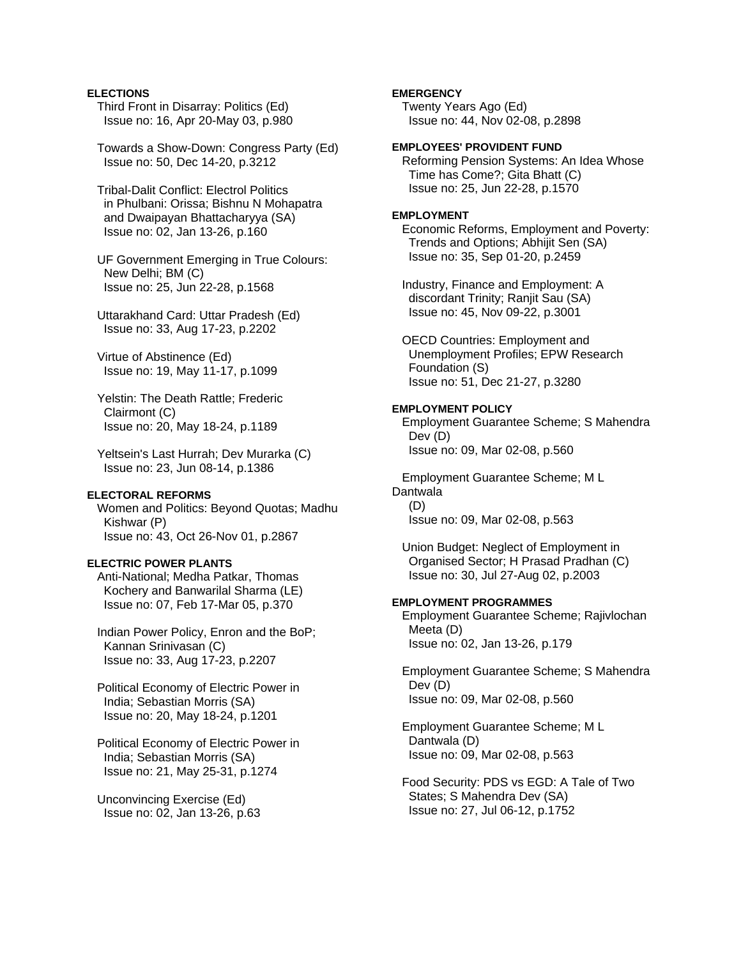### **ELECTIONS**

- Third Front in Disarray: Politics (Ed) Issue no: 16, Apr 20-May 03, p.980
- Towards a Show-Down: Congress Party (Ed) Issue no: 50, Dec 14-20, p.3212
- Tribal-Dalit Conflict: Electrol Politics in Phulbani: Orissa; Bishnu N Mohapatra and Dwaipayan Bhattacharyya (SA) Issue no: 02, Jan 13-26, p.160

### UF Government Emerging in True Colours: New Delhi; BM (C) Issue no: 25, Jun 22-28, p.1568

- Uttarakhand Card: Uttar Pradesh (Ed) Issue no: 33, Aug 17-23, p.2202
- Virtue of Abstinence (Ed) Issue no: 19, May 11-17, p.1099
- Yelstin: The Death Rattle; Frederic Clairmont (C) Issue no: 20, May 18-24, p.1189
- Yeltsein's Last Hurrah; Dev Murarka (C) Issue no: 23, Jun 08-14, p.1386

### **ELECTORAL REFORMS**

 Women and Politics: Beyond Quotas; Madhu Kishwar (P) Issue no: 43, Oct 26-Nov 01, p.2867

### **ELECTRIC POWER PLANTS**

 Anti-National; Medha Patkar, Thomas Kochery and Banwarilal Sharma (LE) Issue no: 07, Feb 17-Mar 05, p.370

 Indian Power Policy, Enron and the BoP; Kannan Srinivasan (C) Issue no: 33, Aug 17-23, p.2207

 Political Economy of Electric Power in India; Sebastian Morris (SA) Issue no: 20, May 18-24, p.1201

 Political Economy of Electric Power in India; Sebastian Morris (SA) Issue no: 21, May 25-31, p.1274

 Unconvincing Exercise (Ed) Issue no: 02, Jan 13-26, p.63

# **EMERGENCY**

 Twenty Years Ago (Ed) Issue no: 44, Nov 02-08, p.2898

### **EMPLOYEES' PROVIDENT FUND**

 Reforming Pension Systems: An Idea Whose Time has Come?; Gita Bhatt (C) Issue no: 25, Jun 22-28, p.1570

### **EMPLOYMENT**

 Economic Reforms, Employment and Poverty: Trends and Options; Abhijit Sen (SA) Issue no: 35, Sep 01-20, p.2459

 Industry, Finance and Employment: A discordant Trinity; Ranjit Sau (SA) Issue no: 45, Nov 09-22, p.3001

 OECD Countries: Employment and Unemployment Profiles; EPW Research Foundation (S) Issue no: 51, Dec 21-27, p.3280

#### **EMPLOYMENT POLICY**

 Employment Guarantee Scheme; S Mahendra Dev (D) Issue no: 09, Mar 02-08, p.560

 Employment Guarantee Scheme; M L **Dantwala**  (D) Issue no: 09, Mar 02-08, p.563

 Union Budget: Neglect of Employment in Organised Sector; H Prasad Pradhan (C) Issue no: 30, Jul 27-Aug 02, p.2003

# **EMPLOYMENT PROGRAMMES**

 Employment Guarantee Scheme; Rajivlochan Meeta (D) Issue no: 02, Jan 13-26, p.179

 Employment Guarantee Scheme; S Mahendra Dev (D) Issue no: 09, Mar 02-08, p.560

 Employment Guarantee Scheme; M L Dantwala (D) Issue no: 09, Mar 02-08, p.563

 Food Security: PDS vs EGD: A Tale of Two States; S Mahendra Dev (SA) Issue no: 27, Jul 06-12, p.1752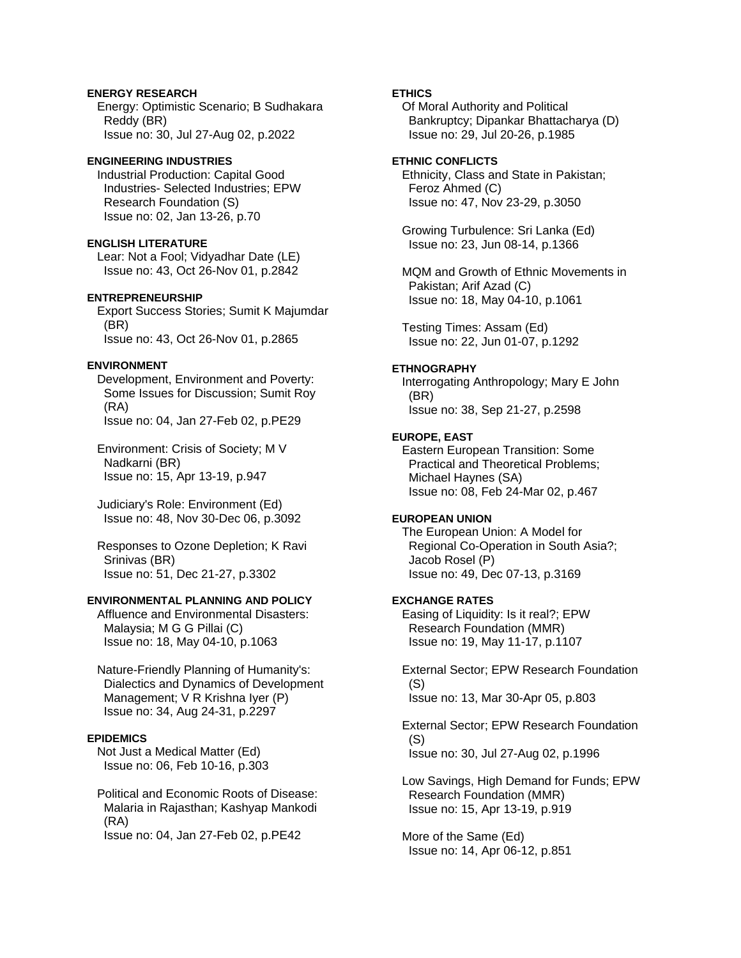# **ENERGY RESEARCH**

 Energy: Optimistic Scenario; B Sudhakara Reddy (BR) Issue no: 30, Jul 27-Aug 02, p.2022

# **ENGINEERING INDUSTRIES**

 Industrial Production: Capital Good Industries- Selected Industries; EPW Research Foundation (S) Issue no: 02, Jan 13-26, p.70

### **ENGLISH LITERATURE**

 Lear: Not a Fool; Vidyadhar Date (LE) Issue no: 43, Oct 26-Nov 01, p.2842

### **ENTREPRENEURSHIP**

 Export Success Stories; Sumit K Majumdar (BR) Issue no: 43, Oct 26-Nov 01, p.2865

# **ENVIRONMENT**

 Development, Environment and Poverty: Some Issues for Discussion; Sumit Roy (RA) Issue no: 04, Jan 27-Feb 02, p.PE29

 Environment: Crisis of Society; M V Nadkarni (BR) Issue no: 15, Apr 13-19, p.947

 Judiciary's Role: Environment (Ed) Issue no: 48, Nov 30-Dec 06, p.3092

 Responses to Ozone Depletion; K Ravi Srinivas (BR) Issue no: 51, Dec 21-27, p.3302

# **ENVIRONMENTAL PLANNING AND POLICY**

 Affluence and Environmental Disasters: Malaysia; M G G Pillai (C) Issue no: 18, May 04-10, p.1063

 Nature-Friendly Planning of Humanity's: Dialectics and Dynamics of Development Management; V R Krishna Iyer (P) Issue no: 34, Aug 24-31, p.2297

# **EPIDEMICS**

 Not Just a Medical Matter (Ed) Issue no: 06, Feb 10-16, p.303

 Political and Economic Roots of Disease: Malaria in Rajasthan; Kashyap Mankodi (RA)

Issue no: 04, Jan 27-Feb 02, p.PE42

# **ETHICS**

 Of Moral Authority and Political Bankruptcy; Dipankar Bhattacharya (D) Issue no: 29, Jul 20-26, p.1985

# **ETHNIC CONFLICTS**

 Ethnicity, Class and State in Pakistan; Feroz Ahmed (C) Issue no: 47, Nov 23-29, p.3050

 Growing Turbulence: Sri Lanka (Ed) Issue no: 23, Jun 08-14, p.1366

 MQM and Growth of Ethnic Movements in Pakistan; Arif Azad (C) Issue no: 18, May 04-10, p.1061

 Testing Times: Assam (Ed) Issue no: 22, Jun 01-07, p.1292

# **ETHNOGRAPHY**

 Interrogating Anthropology; Mary E John (BR) Issue no: 38, Sep 21-27, p.2598

### **EUROPE, EAST**

 Eastern European Transition: Some Practical and Theoretical Problems; Michael Haynes (SA) Issue no: 08, Feb 24-Mar 02, p.467

# **EUROPEAN UNION**

 The European Union: A Model for Regional Co-Operation in South Asia?; Jacob Rosel (P) Issue no: 49, Dec 07-13, p.3169

# **EXCHANGE RATES**

 Easing of Liquidity: Is it real?; EPW Research Foundation (MMR) Issue no: 19, May 11-17, p.1107

 External Sector; EPW Research Foundation (S) Issue no: 13, Mar 30-Apr 05, p.803

 External Sector; EPW Research Foundation (S) Issue no: 30, Jul 27-Aug 02, p.1996

 Low Savings, High Demand for Funds; EPW Research Foundation (MMR) Issue no: 15, Apr 13-19, p.919

 More of the Same (Ed) Issue no: 14, Apr 06-12, p.851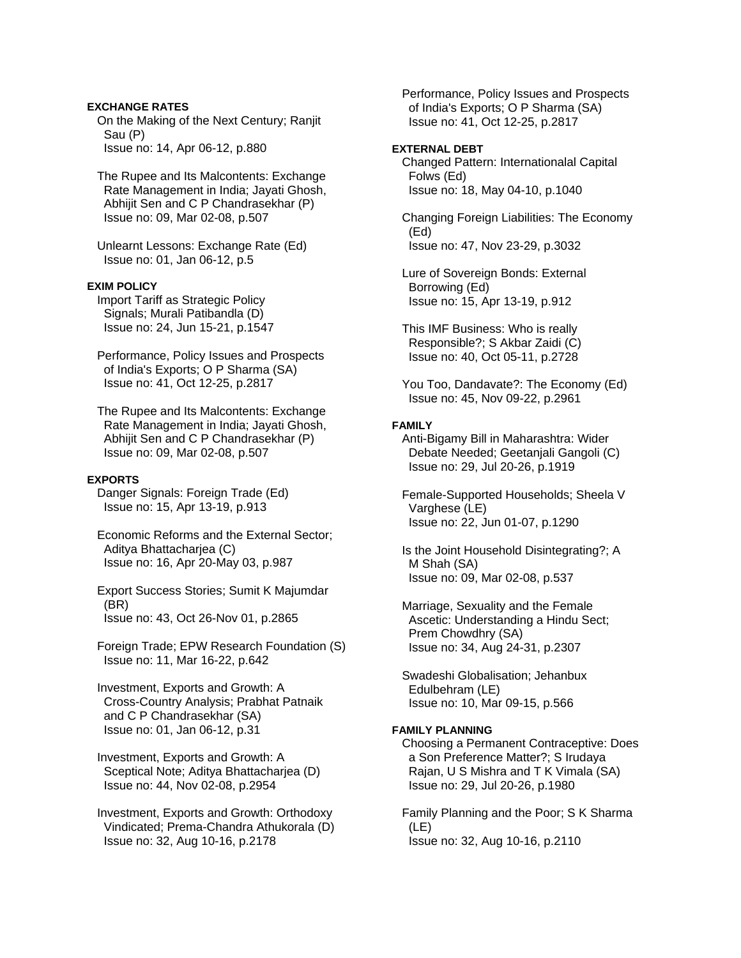### **EXCHANGE RATES**

 On the Making of the Next Century; Ranjit Sau (P) Issue no: 14, Apr 06-12, p.880

 The Rupee and Its Malcontents: Exchange Rate Management in India; Jayati Ghosh, Abhijit Sen and C P Chandrasekhar (P) Issue no: 09, Mar 02-08, p.507

 Unlearnt Lessons: Exchange Rate (Ed) Issue no: 01, Jan 06-12, p.5

### **EXIM POLICY**

 Import Tariff as Strategic Policy Signals; Murali Patibandla (D) Issue no: 24, Jun 15-21, p.1547

 Performance, Policy Issues and Prospects of India's Exports; O P Sharma (SA) Issue no: 41, Oct 12-25, p.2817

 The Rupee and Its Malcontents: Exchange Rate Management in India; Jayati Ghosh, Abhijit Sen and C P Chandrasekhar (P) Issue no: 09, Mar 02-08, p.507

### **EXPORTS**

 Danger Signals: Foreign Trade (Ed) Issue no: 15, Apr 13-19, p.913

 Economic Reforms and the External Sector; Aditya Bhattacharjea (C) Issue no: 16, Apr 20-May 03, p.987

 Export Success Stories; Sumit K Majumdar (BR) Issue no: 43, Oct 26-Nov 01, p.2865

 Foreign Trade; EPW Research Foundation (S) Issue no: 11, Mar 16-22, p.642

 Investment, Exports and Growth: A Cross-Country Analysis; Prabhat Patnaik and C P Chandrasekhar (SA) Issue no: 01, Jan 06-12, p.31

 Investment, Exports and Growth: A Sceptical Note; Aditya Bhattacharjea (D) Issue no: 44, Nov 02-08, p.2954

 Investment, Exports and Growth: Orthodoxy Vindicated; Prema-Chandra Athukorala (D) Issue no: 32, Aug 10-16, p.2178

 Performance, Policy Issues and Prospects of India's Exports; O P Sharma (SA) Issue no: 41, Oct 12-25, p.2817

### **EXTERNAL DEBT**

 Changed Pattern: Internationalal Capital Folws (Ed) Issue no: 18, May 04-10, p.1040

 Changing Foreign Liabilities: The Economy (Ed) Issue no: 47, Nov 23-29, p.3032

 Lure of Sovereign Bonds: External Borrowing (Ed) Issue no: 15, Apr 13-19, p.912

 This IMF Business: Who is really Responsible?; S Akbar Zaidi (C) Issue no: 40, Oct 05-11, p.2728

 You Too, Dandavate?: The Economy (Ed) Issue no: 45, Nov 09-22, p.2961

# **FAMILY**

 Anti-Bigamy Bill in Maharashtra: Wider Debate Needed; Geetanjali Gangoli (C) Issue no: 29, Jul 20-26, p.1919

 Female-Supported Households; Sheela V Varghese (LE) Issue no: 22, Jun 01-07, p.1290

 Is the Joint Household Disintegrating?; A M Shah (SA) Issue no: 09, Mar 02-08, p.537

 Marriage, Sexuality and the Female Ascetic: Understanding a Hindu Sect; Prem Chowdhry (SA) Issue no: 34, Aug 24-31, p.2307

 Swadeshi Globalisation; Jehanbux Edulbehram (LE) Issue no: 10, Mar 09-15, p.566

#### **FAMILY PLANNING**

 Choosing a Permanent Contraceptive: Does a Son Preference Matter?; S Irudaya Rajan, U S Mishra and T K Vimala (SA) Issue no: 29, Jul 20-26, p.1980

 Family Planning and the Poor; S K Sharma (LE) Issue no: 32, Aug 10-16, p.2110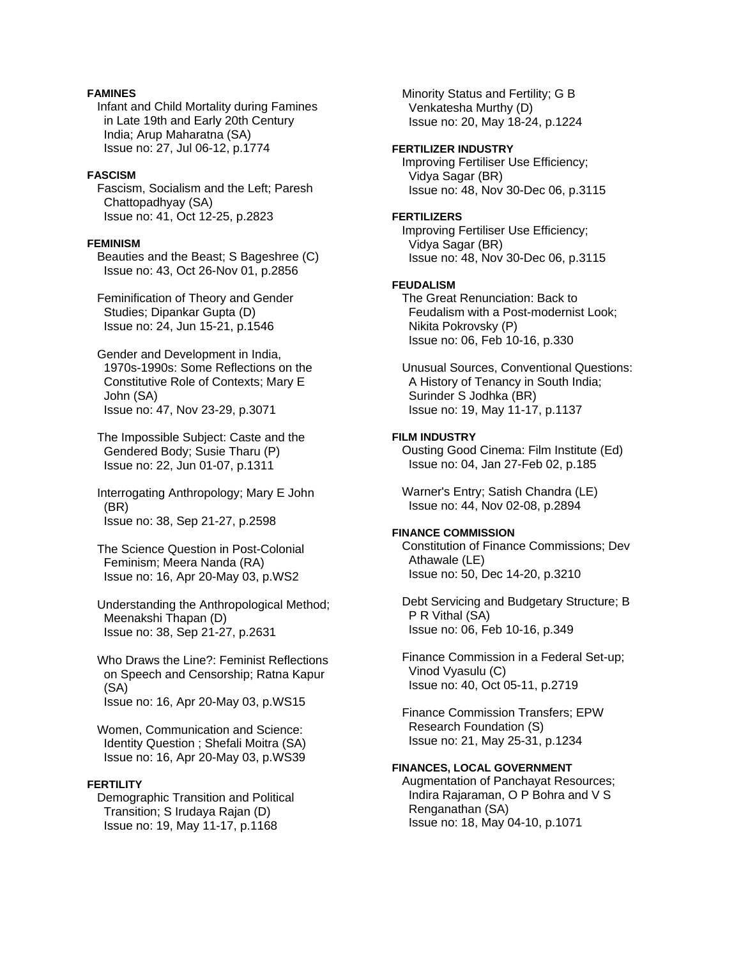# **FAMINES**

 Infant and Child Mortality during Famines in Late 19th and Early 20th Century India; Arup Maharatna (SA) Issue no: 27, Jul 06-12, p.1774

### **FASCISM**

 Fascism, Socialism and the Left; Paresh Chattopadhyay (SA) Issue no: 41, Oct 12-25, p.2823

#### **FEMINISM**

 Beauties and the Beast; S Bageshree (C) Issue no: 43, Oct 26-Nov 01, p.2856

 Feminification of Theory and Gender Studies; Dipankar Gupta (D) Issue no: 24, Jun 15-21, p.1546

 Gender and Development in India, 1970s-1990s: Some Reflections on the Constitutive Role of Contexts; Mary E John (SA) Issue no: 47, Nov 23-29, p.3071

 The Impossible Subject: Caste and the Gendered Body; Susie Tharu (P) Issue no: 22, Jun 01-07, p.1311

 Interrogating Anthropology; Mary E John (BR) Issue no: 38, Sep 21-27, p.2598

 The Science Question in Post-Colonial Feminism; Meera Nanda (RA) Issue no: 16, Apr 20-May 03, p.WS2

 Understanding the Anthropological Method; Meenakshi Thapan (D) Issue no: 38, Sep 21-27, p.2631

 Who Draws the Line?: Feminist Reflections on Speech and Censorship; Ratna Kapur (SA) Issue no: 16, Apr 20-May 03, p.WS15

 Women, Communication and Science: Identity Question ; Shefali Moitra (SA) Issue no: 16, Apr 20-May 03, p.WS39

# **FERTILITY**

 Demographic Transition and Political Transition; S Irudaya Rajan (D) Issue no: 19, May 11-17, p.1168

 Minority Status and Fertility; G B Venkatesha Murthy (D) Issue no: 20, May 18-24, p.1224

### **FERTILIZER INDUSTRY**

 Improving Fertiliser Use Efficiency; Vidya Sagar (BR) Issue no: 48, Nov 30-Dec 06, p.3115

#### **FERTILIZERS**

 Improving Fertiliser Use Efficiency; Vidya Sagar (BR) Issue no: 48, Nov 30-Dec 06, p.3115

# **FEUDALISM**

 The Great Renunciation: Back to Feudalism with a Post-modernist Look; Nikita Pokrovsky (P) Issue no: 06, Feb 10-16, p.330

 Unusual Sources, Conventional Questions: A History of Tenancy in South India; Surinder S Jodhka (BR) Issue no: 19, May 11-17, p.1137

#### **FILM INDUSTRY**

 Ousting Good Cinema: Film Institute (Ed) Issue no: 04, Jan 27-Feb 02, p.185

 Warner's Entry; Satish Chandra (LE) Issue no: 44, Nov 02-08, p.2894

#### **FINANCE COMMISSION**

 Constitution of Finance Commissions; Dev Athawale (LE) Issue no: 50, Dec 14-20, p.3210

 Debt Servicing and Budgetary Structure; B P R Vithal (SA) Issue no: 06, Feb 10-16, p.349

 Finance Commission in a Federal Set-up; Vinod Vyasulu (C) Issue no: 40, Oct 05-11, p.2719

 Finance Commission Transfers; EPW Research Foundation (S) Issue no: 21, May 25-31, p.1234

# **FINANCES, LOCAL GOVERNMENT**

 Augmentation of Panchayat Resources; Indira Rajaraman, O P Bohra and V S Renganathan (SA) Issue no: 18, May 04-10, p.1071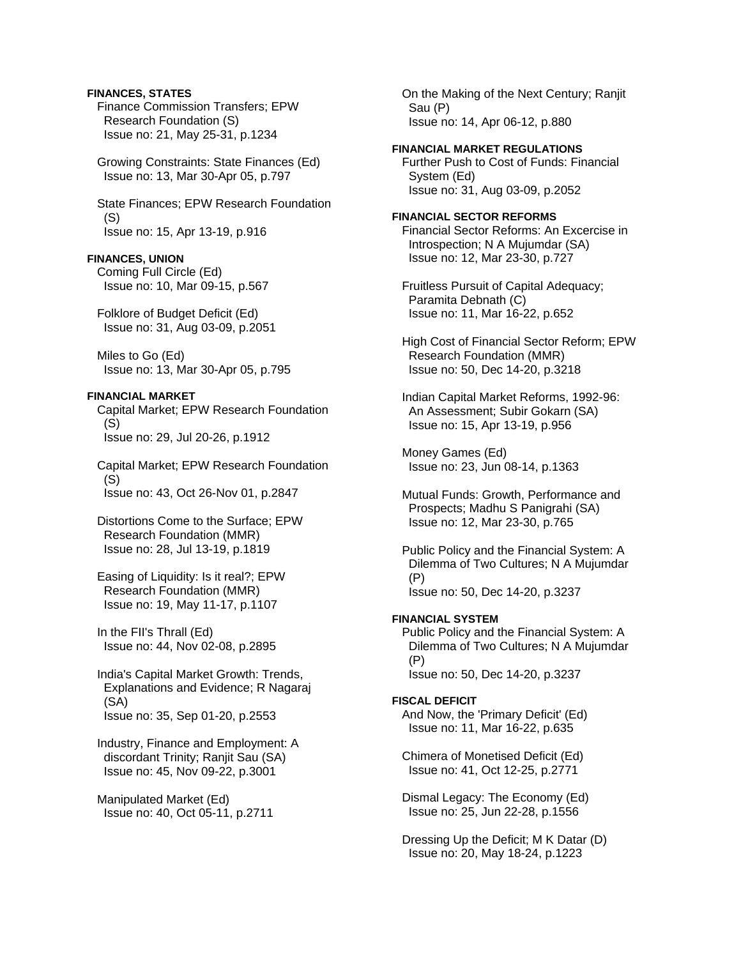### **FINANCES, STATES**

 Finance Commission Transfers; EPW Research Foundation (S) Issue no: 21, May 25-31, p.1234

 Growing Constraints: State Finances (Ed) Issue no: 13, Mar 30-Apr 05, p.797

 State Finances; EPW Research Foundation (S) Issue no: 15, Apr 13-19, p.916

### **FINANCES, UNION**

 Coming Full Circle (Ed) Issue no: 10, Mar 09-15, p.567

 Folklore of Budget Deficit (Ed) Issue no: 31, Aug 03-09, p.2051

 Miles to Go (Ed) Issue no: 13, Mar 30-Apr 05, p.795

### **FINANCIAL MARKET**

 Capital Market; EPW Research Foundation (S) Issue no: 29, Jul 20-26, p.1912

 Capital Market; EPW Research Foundation (S) Issue no: 43, Oct 26-Nov 01, p.2847

 Distortions Come to the Surface; EPW Research Foundation (MMR) Issue no: 28, Jul 13-19, p.1819

 Easing of Liquidity: Is it real?; EPW Research Foundation (MMR) Issue no: 19, May 11-17, p.1107

 In the FII's Thrall (Ed) Issue no: 44, Nov 02-08, p.2895

 India's Capital Market Growth: Trends, Explanations and Evidence; R Nagaraj (SA) Issue no: 35, Sep 01-20, p.2553

 Industry, Finance and Employment: A discordant Trinity; Ranjit Sau (SA) Issue no: 45, Nov 09-22, p.3001

 Manipulated Market (Ed) Issue no: 40, Oct 05-11, p.2711  On the Making of the Next Century; Ranjit Sau (P) Issue no: 14, Apr 06-12, p.880

### **FINANCIAL MARKET REGULATIONS**

 Further Push to Cost of Funds: Financial System (Ed) Issue no: 31, Aug 03-09, p.2052

#### **FINANCIAL SECTOR REFORMS**

 Financial Sector Reforms: An Excercise in Introspection; N A Mujumdar (SA) Issue no: 12, Mar 23-30, p.727

 Fruitless Pursuit of Capital Adequacy; Paramita Debnath (C) Issue no: 11, Mar 16-22, p.652

 High Cost of Financial Sector Reform; EPW Research Foundation (MMR) Issue no: 50, Dec 14-20, p.3218

 Indian Capital Market Reforms, 1992-96: An Assessment; Subir Gokarn (SA) Issue no: 15, Apr 13-19, p.956

 Money Games (Ed) Issue no: 23, Jun 08-14, p.1363

 Mutual Funds: Growth, Performance and Prospects; Madhu S Panigrahi (SA) Issue no: 12, Mar 23-30, p.765

 Public Policy and the Financial System: A Dilemma of Two Cultures; N A Mujumdar (P) Issue no: 50, Dec 14-20, p.3237

#### **FINANCIAL SYSTEM**

 Public Policy and the Financial System: A Dilemma of Two Cultures; N A Mujumdar (P) Issue no: 50, Dec 14-20, p.3237

#### **FISCAL DEFICIT**

 And Now, the 'Primary Deficit' (Ed) Issue no: 11, Mar 16-22, p.635

 Chimera of Monetised Deficit (Ed) Issue no: 41, Oct 12-25, p.2771

 Dismal Legacy: The Economy (Ed) Issue no: 25, Jun 22-28, p.1556

 Dressing Up the Deficit; M K Datar (D) Issue no: 20, May 18-24, p.1223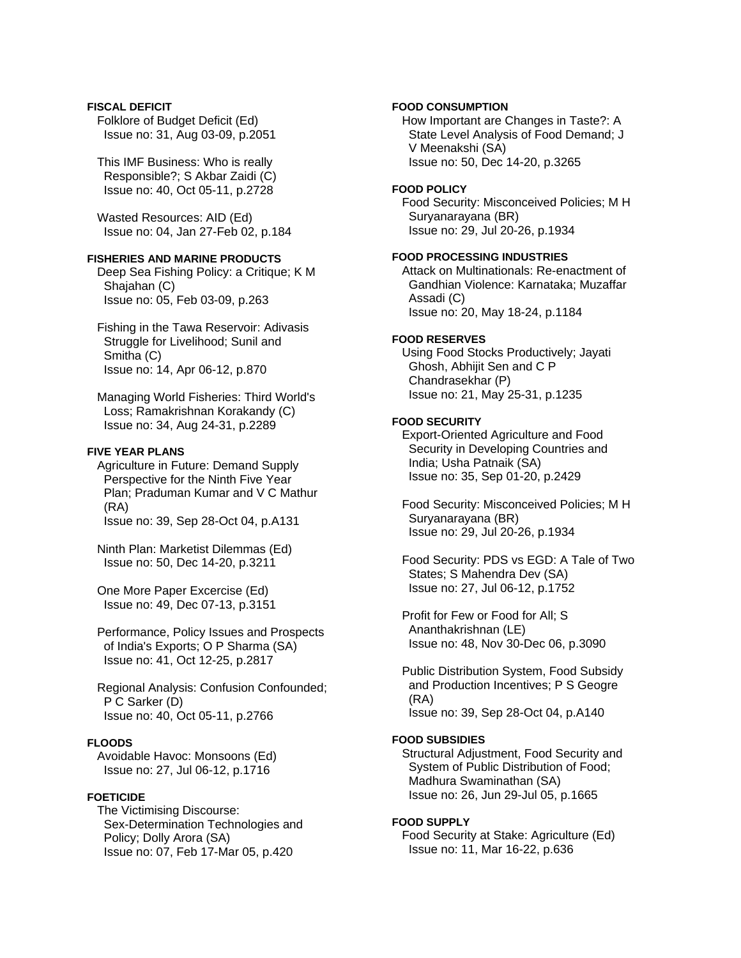### **FISCAL DEFICIT** Folklore of Budget Deficit (Ed) Issue no: 31, Aug 03-09, p.2051

 This IMF Business: Who is really Responsible?; S Akbar Zaidi (C) Issue no: 40, Oct 05-11, p.2728

 Wasted Resources: AID (Ed) Issue no: 04, Jan 27-Feb 02, p.184

### **FISHERIES AND MARINE PRODUCTS**

 Deep Sea Fishing Policy: a Critique; K M Shajahan (C) Issue no: 05, Feb 03-09, p.263

 Fishing in the Tawa Reservoir: Adivasis Struggle for Livelihood; Sunil and Smitha (C) Issue no: 14, Apr 06-12, p.870

 Managing World Fisheries: Third World's Loss; Ramakrishnan Korakandy (C) Issue no: 34, Aug 24-31, p.2289

### **FIVE YEAR PLANS**

 Agriculture in Future: Demand Supply Perspective for the Ninth Five Year Plan; Praduman Kumar and V C Mathur (RA) Issue no: 39, Sep 28-Oct 04, p.A131

 Ninth Plan: Marketist Dilemmas (Ed) Issue no: 50, Dec 14-20, p.3211

 One More Paper Excercise (Ed) Issue no: 49, Dec 07-13, p.3151

 Performance, Policy Issues and Prospects of India's Exports; O P Sharma (SA) Issue no: 41, Oct 12-25, p.2817

 Regional Analysis: Confusion Confounded; P C Sarker (D) Issue no: 40, Oct 05-11, p.2766

### **FLOODS**

 Avoidable Havoc: Monsoons (Ed) Issue no: 27, Jul 06-12, p.1716

### **FOETICIDE**

 The Victimising Discourse: Sex-Determination Technologies and Policy; Dolly Arora (SA) Issue no: 07, Feb 17-Mar 05, p.420

# **FOOD CONSUMPTION**

 How Important are Changes in Taste?: A State Level Analysis of Food Demand; J V Meenakshi (SA) Issue no: 50, Dec 14-20, p.3265

# **FOOD POLICY**

 Food Security: Misconceived Policies; M H Suryanarayana (BR) Issue no: 29, Jul 20-26, p.1934

### **FOOD PROCESSING INDUSTRIES**

 Attack on Multinationals: Re-enactment of Gandhian Violence: Karnataka; Muzaffar Assadi (C) Issue no: 20, May 18-24, p.1184

### **FOOD RESERVES**

 Using Food Stocks Productively; Jayati Ghosh, Abhijit Sen and C P Chandrasekhar (P) Issue no: 21, May 25-31, p.1235

# **FOOD SECURITY**

 Export-Oriented Agriculture and Food Security in Developing Countries and India; Usha Patnaik (SA) Issue no: 35, Sep 01-20, p.2429

 Food Security: Misconceived Policies; M H Suryanarayana (BR) Issue no: 29, Jul 20-26, p.1934

 Food Security: PDS vs EGD: A Tale of Two States; S Mahendra Dev (SA) Issue no: 27, Jul 06-12, p.1752

 Profit for Few or Food for All; S Ananthakrishnan (LE) Issue no: 48, Nov 30-Dec 06, p.3090

 Public Distribution System, Food Subsidy and Production Incentives; P S Geogre (RA) Issue no: 39, Sep 28-Oct 04, p.A140

### **FOOD SUBSIDIES**

 Structural Adjustment, Food Security and System of Public Distribution of Food; Madhura Swaminathan (SA) Issue no: 26, Jun 29-Jul 05, p.1665

### **FOOD SUPPLY**

 Food Security at Stake: Agriculture (Ed) Issue no: 11, Mar 16-22, p.636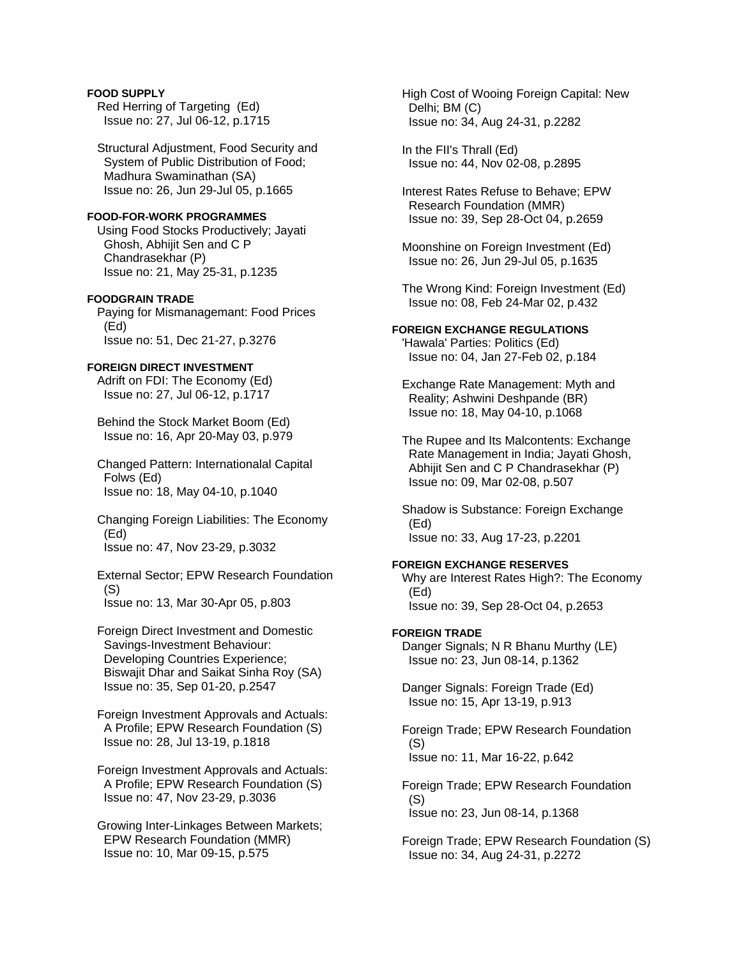# **FOOD SUPPLY**

 Red Herring of Targeting (Ed) Issue no: 27, Jul 06-12, p.1715

 Structural Adjustment, Food Security and System of Public Distribution of Food; Madhura Swaminathan (SA) Issue no: 26, Jun 29-Jul 05, p.1665

### **FOOD-FOR-WORK PROGRAMMES**

 Using Food Stocks Productively; Jayati Ghosh, Abhijit Sen and C P Chandrasekhar (P) Issue no: 21, May 25-31, p.1235

# **FOODGRAIN TRADE**

 Paying for Mismanagemant: Food Prices (Ed) Issue no: 51, Dec 21-27, p.3276

# **FOREIGN DIRECT INVESTMENT**

 Adrift on FDI: The Economy (Ed) Issue no: 27, Jul 06-12, p.1717

 Behind the Stock Market Boom (Ed) Issue no: 16, Apr 20-May 03, p.979

 Changed Pattern: Internationalal Capital Folws (Ed) Issue no: 18, May 04-10, p.1040

 Changing Foreign Liabilities: The Economy (Ed) Issue no: 47, Nov 23-29, p.3032

 External Sector; EPW Research Foundation (S) Issue no: 13, Mar 30-Apr 05, p.803

 Foreign Direct Investment and Domestic Savings-Investment Behaviour: Developing Countries Experience; Biswajit Dhar and Saikat Sinha Roy (SA) Issue no: 35, Sep 01-20, p.2547

 Foreign Investment Approvals and Actuals: A Profile; EPW Research Foundation (S) Issue no: 28, Jul 13-19, p.1818

 Foreign Investment Approvals and Actuals: A Profile; EPW Research Foundation (S) Issue no: 47, Nov 23-29, p.3036

 Growing Inter-Linkages Between Markets; EPW Research Foundation (MMR) Issue no: 10, Mar 09-15, p.575

 High Cost of Wooing Foreign Capital: New Delhi; BM (C) Issue no: 34, Aug 24-31, p.2282

 In the FII's Thrall (Ed) Issue no: 44, Nov 02-08, p.2895

 Interest Rates Refuse to Behave; EPW Research Foundation (MMR) Issue no: 39, Sep 28-Oct 04, p.2659

 Moonshine on Foreign Investment (Ed) Issue no: 26, Jun 29-Jul 05, p.1635

 The Wrong Kind: Foreign Investment (Ed) Issue no: 08, Feb 24-Mar 02, p.432

### **FOREIGN EXCHANGE REGULATIONS**

 'Hawala' Parties: Politics (Ed) Issue no: 04, Jan 27-Feb 02, p.184

 Exchange Rate Management: Myth and Reality; Ashwini Deshpande (BR) Issue no: 18, May 04-10, p.1068

 The Rupee and Its Malcontents: Exchange Rate Management in India; Jayati Ghosh, Abhijit Sen and C P Chandrasekhar (P) Issue no: 09, Mar 02-08, p.507

 Shadow is Substance: Foreign Exchange (Ed) Issue no: 33, Aug 17-23, p.2201

### **FOREIGN EXCHANGE RESERVES**

 Why are Interest Rates High?: The Economy (Ed)

Issue no: 39, Sep 28-Oct 04, p.2653

### **FOREIGN TRADE**

 Danger Signals; N R Bhanu Murthy (LE) Issue no: 23, Jun 08-14, p.1362

 Danger Signals: Foreign Trade (Ed) Issue no: 15, Apr 13-19, p.913

 Foreign Trade; EPW Research Foundation (S) Issue no: 11, Mar 16-22, p.642

 Foreign Trade; EPW Research Foundation (S) Issue no: 23, Jun 08-14, p.1368

 Foreign Trade; EPW Research Foundation (S) Issue no: 34, Aug 24-31, p.2272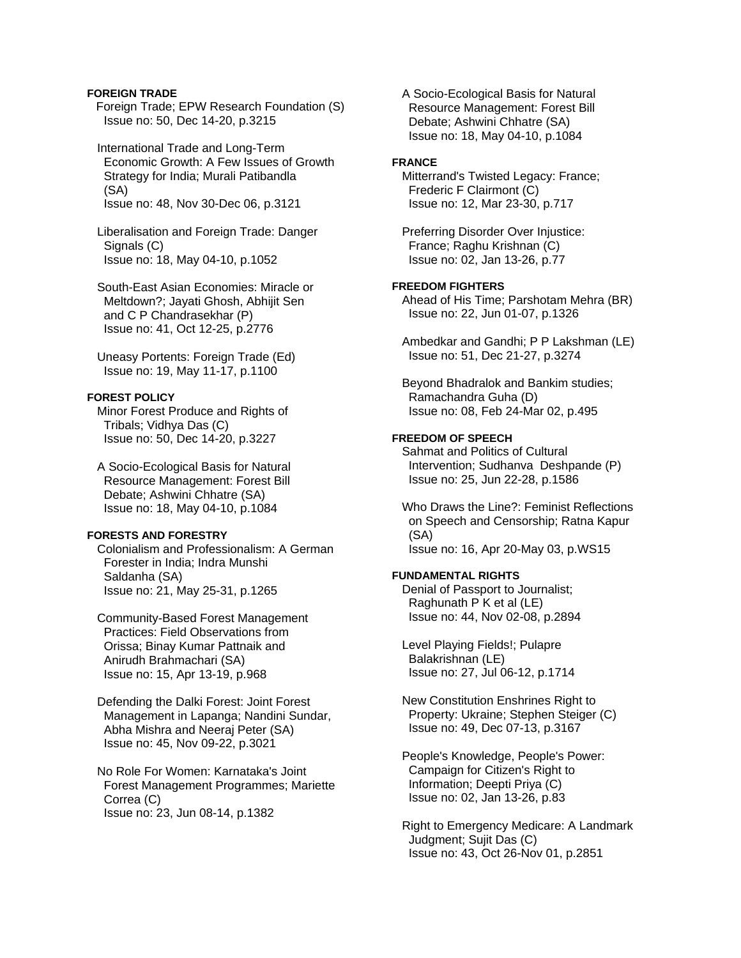### **FOREIGN TRADE**

Foreign Trade; EPW Research Foundation (S) Issue no: 50, Dec 14-20, p.3215

 International Trade and Long-Term Economic Growth: A Few Issues of Growth Strategy for India; Murali Patibandla (SA) Issue no: 48, Nov 30-Dec 06, p.3121

 Liberalisation and Foreign Trade: Danger Signals (C) Issue no: 18, May 04-10, p.1052

 South-East Asian Economies: Miracle or Meltdown?; Jayati Ghosh, Abhijit Sen and C P Chandrasekhar (P) Issue no: 41, Oct 12-25, p.2776

 Uneasy Portents: Foreign Trade (Ed) Issue no: 19, May 11-17, p.1100

# **FOREST POLICY**

 Minor Forest Produce and Rights of Tribals; Vidhya Das (C) Issue no: 50, Dec 14-20, p.3227

 A Socio-Ecological Basis for Natural Resource Management: Forest Bill Debate; Ashwini Chhatre (SA) Issue no: 18, May 04-10, p.1084

### **FORESTS AND FORESTRY**

 Colonialism and Professionalism: A German Forester in India; Indra Munshi Saldanha (SA) Issue no: 21, May 25-31, p.1265

 Community-Based Forest Management Practices: Field Observations from Orissa; Binay Kumar Pattnaik and Anirudh Brahmachari (SA) Issue no: 15, Apr 13-19, p.968

 Defending the Dalki Forest: Joint Forest Management in Lapanga; Nandini Sundar, Abha Mishra and Neeraj Peter (SA) Issue no: 45, Nov 09-22, p.3021

 No Role For Women: Karnataka's Joint Forest Management Programmes; Mariette Correa (C) Issue no: 23, Jun 08-14, p.1382

 A Socio-Ecological Basis for Natural Resource Management: Forest Bill Debate; Ashwini Chhatre (SA) Issue no: 18, May 04-10, p.1084

#### **FRANCE**

 Mitterrand's Twisted Legacy: France; Frederic F Clairmont (C) Issue no: 12, Mar 23-30, p.717

 Preferring Disorder Over Injustice: France; Raghu Krishnan (C) Issue no: 02, Jan 13-26, p.77

# **FREEDOM FIGHTERS**

 Ahead of His Time; Parshotam Mehra (BR) Issue no: 22, Jun 01-07, p.1326

 Ambedkar and Gandhi; P P Lakshman (LE) Issue no: 51, Dec 21-27, p.3274

 Beyond Bhadralok and Bankim studies; Ramachandra Guha (D) Issue no: 08, Feb 24-Mar 02, p.495

### **FREEDOM OF SPEECH**

 Sahmat and Politics of Cultural Intervention; Sudhanva Deshpande (P) Issue no: 25, Jun 22-28, p.1586

 Who Draws the Line?: Feminist Reflections on Speech and Censorship; Ratna Kapur (SA) Issue no: 16, Apr 20-May 03, p.WS15

### **FUNDAMENTAL RIGHTS**

 Denial of Passport to Journalist; Raghunath P K et al (LE) Issue no: 44, Nov 02-08, p.2894

 Level Playing Fields!; Pulapre Balakrishnan (LE) Issue no: 27, Jul 06-12, p.1714

 New Constitution Enshrines Right to Property: Ukraine; Stephen Steiger (C) Issue no: 49, Dec 07-13, p.3167

 People's Knowledge, People's Power: Campaign for Citizen's Right to Information; Deepti Priya (C) Issue no: 02, Jan 13-26, p.83

 Right to Emergency Medicare: A Landmark Judgment; Sujit Das (C) Issue no: 43, Oct 26-Nov 01, p.2851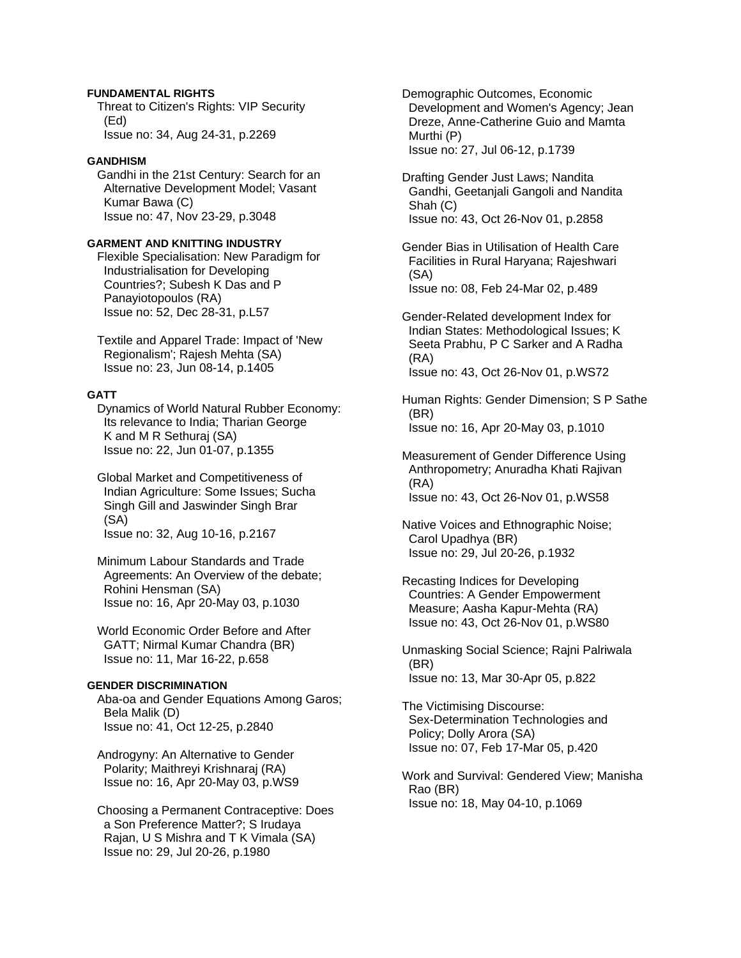### **FUNDAMENTAL RIGHTS**

 Threat to Citizen's Rights: VIP Security (Ed) Issue no: 34, Aug 24-31, p.2269

### **GANDHISM**

 Gandhi in the 21st Century: Search for an Alternative Development Model; Vasant Kumar Bawa (C) Issue no: 47, Nov 23-29, p.3048

### **GARMENT AND KNITTING INDUSTRY**

 Flexible Specialisation: New Paradigm for Industrialisation for Developing Countries?; Subesh K Das and P Panayiotopoulos (RA) Issue no: 52, Dec 28-31, p.L57

 Textile and Apparel Trade: Impact of 'New Regionalism'; Rajesh Mehta (SA) Issue no: 23, Jun 08-14, p.1405

# **GATT**

 Dynamics of World Natural Rubber Economy: Its relevance to India; Tharian George K and M R Sethuraj (SA) Issue no: 22, Jun 01-07, p.1355

 Global Market and Competitiveness of Indian Agriculture: Some Issues; Sucha Singh Gill and Jaswinder Singh Brar (SA) Issue no: 32, Aug 10-16, p.2167

 Minimum Labour Standards and Trade Agreements: An Overview of the debate; Rohini Hensman (SA) Issue no: 16, Apr 20-May 03, p.1030

 World Economic Order Before and After GATT; Nirmal Kumar Chandra (BR) Issue no: 11, Mar 16-22, p.658

### **GENDER DISCRIMINATION**

 Aba-oa and Gender Equations Among Garos; Bela Malik (D) Issue no: 41, Oct 12-25, p.2840

 Androgyny: An Alternative to Gender Polarity; Maithreyi Krishnaraj (RA) Issue no: 16, Apr 20-May 03, p.WS9

 Choosing a Permanent Contraceptive: Does a Son Preference Matter?; S Irudaya Rajan, U S Mishra and T K Vimala (SA) Issue no: 29, Jul 20-26, p.1980

 Demographic Outcomes, Economic Development and Women's Agency; Jean Dreze, Anne-Catherine Guio and Mamta Murthi (P) Issue no: 27, Jul 06-12, p.1739

 Drafting Gender Just Laws; Nandita Gandhi, Geetanjali Gangoli and Nandita Shah (C) Issue no: 43, Oct 26-Nov 01, p.2858

 Gender Bias in Utilisation of Health Care Facilities in Rural Haryana; Rajeshwari (SA) Issue no: 08, Feb 24-Mar 02, p.489

 Gender-Related development Index for Indian States: Methodological Issues; K Seeta Prabhu, P C Sarker and A Radha (RA) Issue no: 43, Oct 26-Nov 01, p.WS72

 Human Rights: Gender Dimension; S P Sathe (BR) Issue no: 16, Apr 20-May 03, p.1010

 Measurement of Gender Difference Using Anthropometry; Anuradha Khati Rajivan (RA) Issue no: 43, Oct 26-Nov 01, p.WS58

 Native Voices and Ethnographic Noise; Carol Upadhya (BR) Issue no: 29, Jul 20-26, p.1932

 Recasting Indices for Developing Countries: A Gender Empowerment Measure; Aasha Kapur-Mehta (RA) Issue no: 43, Oct 26-Nov 01, p.WS80

 Unmasking Social Science; Rajni Palriwala (BR) Issue no: 13, Mar 30-Apr 05, p.822

 The Victimising Discourse: Sex-Determination Technologies and Policy; Dolly Arora (SA) Issue no: 07, Feb 17-Mar 05, p.420

 Work and Survival: Gendered View; Manisha Rao (BR) Issue no: 18, May 04-10, p.1069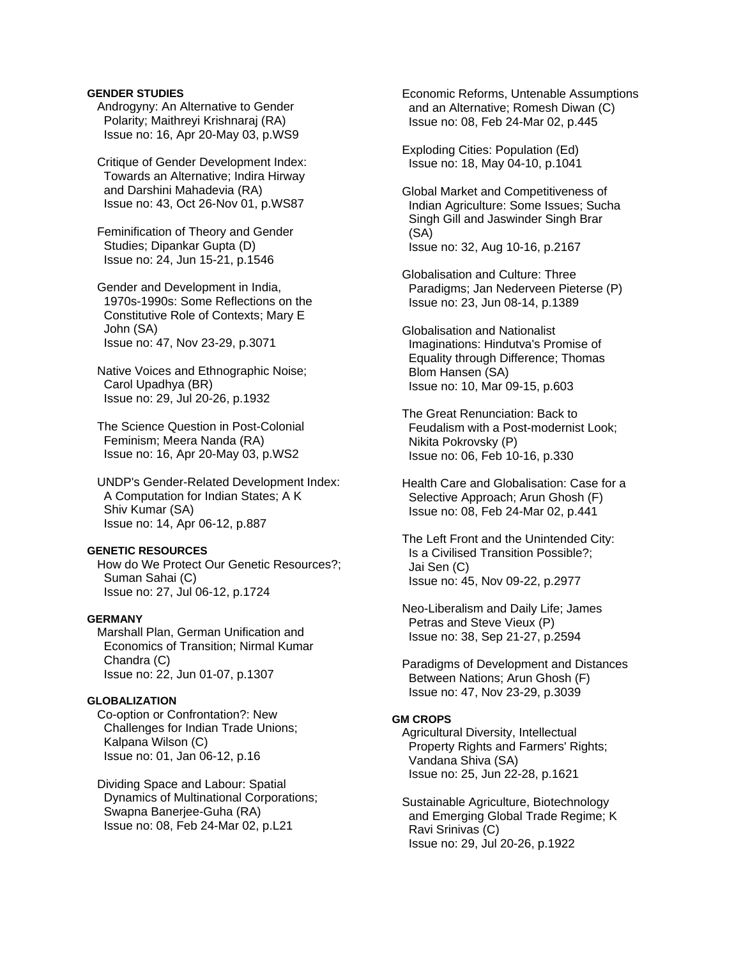### **GENDER STUDIES**

 Androgyny: An Alternative to Gender Polarity; Maithreyi Krishnaraj (RA) Issue no: 16, Apr 20-May 03, p.WS9

 Critique of Gender Development Index: Towards an Alternative; Indira Hirway and Darshini Mahadevia (RA) Issue no: 43, Oct 26-Nov 01, p.WS87

 Feminification of Theory and Gender Studies; Dipankar Gupta (D) Issue no: 24, Jun 15-21, p.1546

 Gender and Development in India, 1970s-1990s: Some Reflections on the Constitutive Role of Contexts; Mary E John (SA) Issue no: 47, Nov 23-29, p.3071

 Native Voices and Ethnographic Noise; Carol Upadhya (BR) Issue no: 29, Jul 20-26, p.1932

 The Science Question in Post-Colonial Feminism; Meera Nanda (RA) Issue no: 16, Apr 20-May 03, p.WS2

 UNDP's Gender-Related Development Index: A Computation for Indian States; A K Shiv Kumar (SA) Issue no: 14, Apr 06-12, p.887

### **GENETIC RESOURCES**

 How do We Protect Our Genetic Resources?; Suman Sahai (C) Issue no: 27, Jul 06-12, p.1724

### **GERMANY**

 Marshall Plan, German Unification and Economics of Transition; Nirmal Kumar Chandra (C) Issue no: 22, Jun 01-07, p.1307

### **GLOBALIZATION**

 Co-option or Confrontation?: New Challenges for Indian Trade Unions; Kalpana Wilson (C) Issue no: 01, Jan 06-12, p.16

 Dividing Space and Labour: Spatial Dynamics of Multinational Corporations; Swapna Banerjee-Guha (RA) Issue no: 08, Feb 24-Mar 02, p.L21

 Economic Reforms, Untenable Assumptions and an Alternative; Romesh Diwan (C) Issue no: 08, Feb 24-Mar 02, p.445

 Exploding Cities: Population (Ed) Issue no: 18, May 04-10, p.1041

 Global Market and Competitiveness of Indian Agriculture: Some Issues; Sucha Singh Gill and Jaswinder Singh Brar (SA) Issue no: 32, Aug 10-16, p.2167

 Globalisation and Culture: Three Paradigms; Jan Nederveen Pieterse (P) Issue no: 23, Jun 08-14, p.1389

 Globalisation and Nationalist Imaginations: Hindutva's Promise of Equality through Difference; Thomas Blom Hansen (SA) Issue no: 10, Mar 09-15, p.603

 The Great Renunciation: Back to Feudalism with a Post-modernist Look; Nikita Pokrovsky (P) Issue no: 06, Feb 10-16, p.330

 Health Care and Globalisation: Case for a Selective Approach; Arun Ghosh (F) Issue no: 08, Feb 24-Mar 02, p.441

 The Left Front and the Unintended City: Is a Civilised Transition Possible?; Jai Sen (C) Issue no: 45, Nov 09-22, p.2977

 Neo-Liberalism and Daily Life; James Petras and Steve Vieux (P) Issue no: 38, Sep 21-27, p.2594

 Paradigms of Development and Distances Between Nations; Arun Ghosh (F) Issue no: 47, Nov 23-29, p.3039

# **GM CROPS**

 Agricultural Diversity, Intellectual Property Rights and Farmers' Rights; Vandana Shiva (SA) Issue no: 25, Jun 22-28, p.1621

 Sustainable Agriculture, Biotechnology and Emerging Global Trade Regime; K Ravi Srinivas (C) Issue no: 29, Jul 20-26, p.1922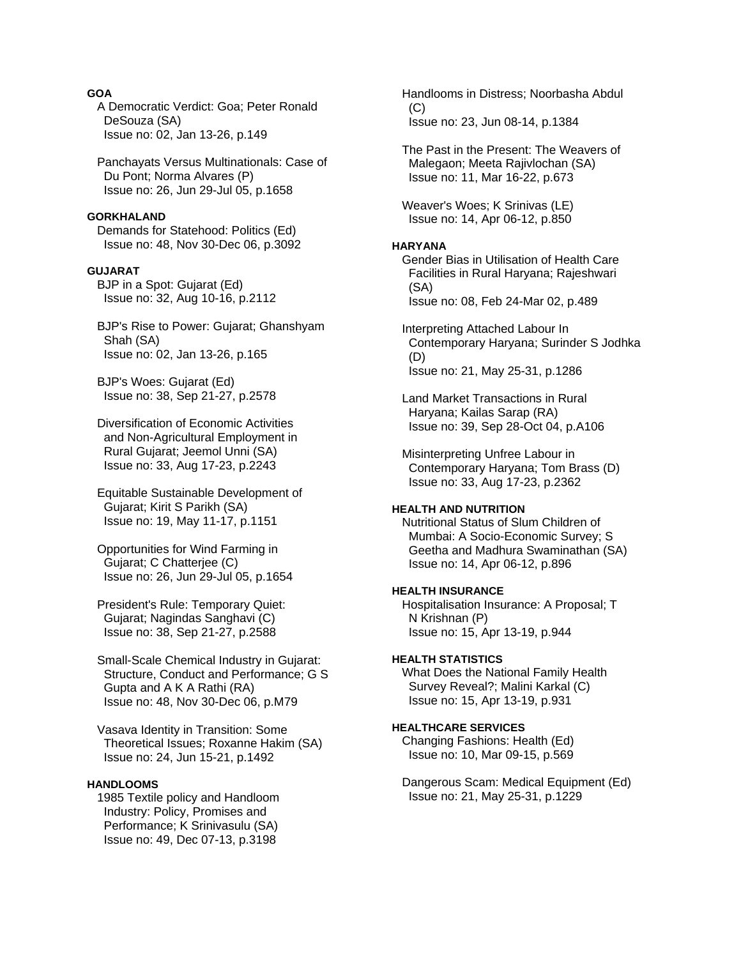# **GOA**

 A Democratic Verdict: Goa; Peter Ronald DeSouza (SA) Issue no: 02, Jan 13-26, p.149

 Panchayats Versus Multinationals: Case of Du Pont; Norma Alvares (P) Issue no: 26, Jun 29-Jul 05, p.1658

#### **GORKHALAND**

 Demands for Statehood: Politics (Ed) Issue no: 48, Nov 30-Dec 06, p.3092

### **GUJARAT**

 BJP in a Spot: Gujarat (Ed) Issue no: 32, Aug 10-16, p.2112

 BJP's Rise to Power: Gujarat; Ghanshyam Shah (SA) Issue no: 02, Jan 13-26, p.165

 BJP's Woes: Gujarat (Ed) Issue no: 38, Sep 21-27, p.2578

 Diversification of Economic Activities and Non-Agricultural Employment in Rural Gujarat; Jeemol Unni (SA) Issue no: 33, Aug 17-23, p.2243

 Equitable Sustainable Development of Gujarat; Kirit S Parikh (SA) Issue no: 19, May 11-17, p.1151

 Opportunities for Wind Farming in Gujarat; C Chatterjee (C) Issue no: 26, Jun 29-Jul 05, p.1654

 President's Rule: Temporary Quiet: Gujarat; Nagindas Sanghavi (C) Issue no: 38, Sep 21-27, p.2588

 Small-Scale Chemical Industry in Gujarat: Structure, Conduct and Performance; G S Gupta and A K A Rathi (RA) Issue no: 48, Nov 30-Dec 06, p.M79

 Vasava Identity in Transition: Some Theoretical Issues; Roxanne Hakim (SA) Issue no: 24, Jun 15-21, p.1492

# **HANDLOOMS**

 1985 Textile policy and Handloom Industry: Policy, Promises and Performance; K Srinivasulu (SA) Issue no: 49, Dec 07-13, p.3198

 Handlooms in Distress; Noorbasha Abdul  $(C)$  Issue no: 23, Jun 08-14, p.1384 The Past in the Present: The Weavers of Malegaon; Meeta Rajivlochan (SA) Issue no: 11, Mar 16-22, p.673 Weaver's Woes; K Srinivas (LE) Issue no: 14, Apr 06-12, p.850 **HARYANA**  Gender Bias in Utilisation of Health Care Facilities in Rural Haryana; Rajeshwari (SA) Issue no: 08, Feb 24-Mar 02, p.489 Interpreting Attached Labour In Contemporary Haryana; Surinder S Jodhka (D) Issue no: 21, May 25-31, p.1286 Land Market Transactions in Rural Haryana; Kailas Sarap (RA) Issue no: 39, Sep 28-Oct 04, p.A106 Misinterpreting Unfree Labour in Contemporary Haryana; Tom Brass (D) Issue no: 33, Aug 17-23, p.2362

# **HEALTH AND NUTRITION**

 Nutritional Status of Slum Children of Mumbai: A Socio-Economic Survey; S Geetha and Madhura Swaminathan (SA) Issue no: 14, Apr 06-12, p.896

### **HEALTH INSURANCE**

 Hospitalisation Insurance: A Proposal; T N Krishnan (P) Issue no: 15, Apr 13-19, p.944

#### **HEALTH STATISTICS**

 What Does the National Family Health Survey Reveal?; Malini Karkal (C) Issue no: 15, Apr 13-19, p.931

# **HEALTHCARE SERVICES**

 Changing Fashions: Health (Ed) Issue no: 10, Mar 09-15, p.569

 Dangerous Scam: Medical Equipment (Ed) Issue no: 21, May 25-31, p.1229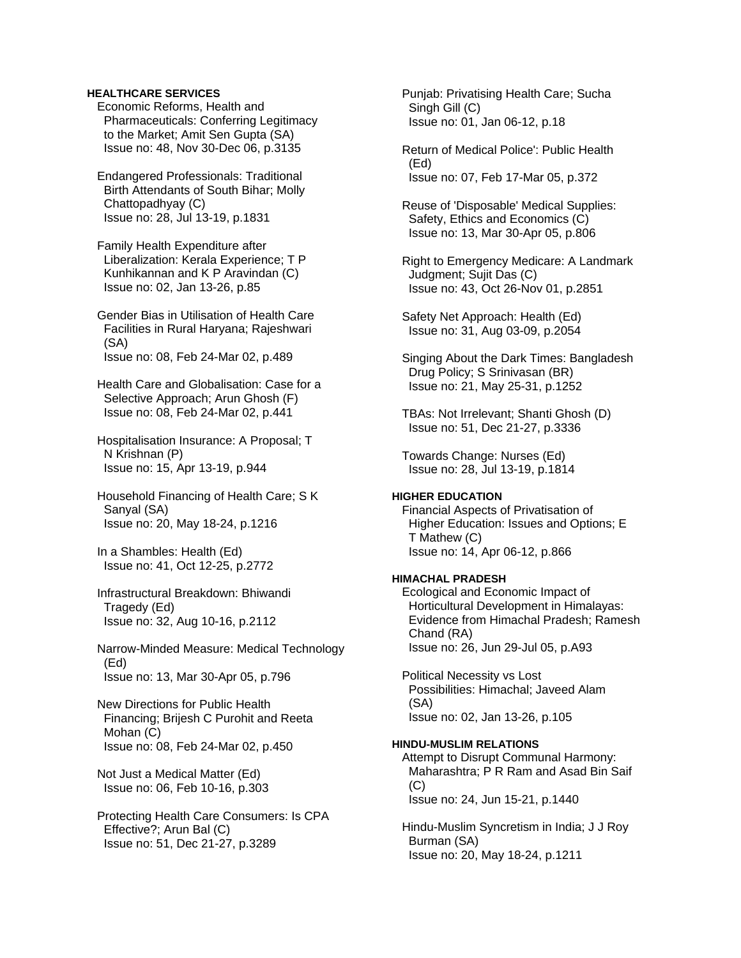### **HEALTHCARE SERVICES**

 Economic Reforms, Health and Pharmaceuticals: Conferring Legitimacy to the Market; Amit Sen Gupta (SA) Issue no: 48, Nov 30-Dec 06, p.3135

 Endangered Professionals: Traditional Birth Attendants of South Bihar; Molly Chattopadhyay (C) Issue no: 28, Jul 13-19, p.1831

 Family Health Expenditure after Liberalization: Kerala Experience; T P Kunhikannan and K P Aravindan (C) Issue no: 02, Jan 13-26, p.85

 Gender Bias in Utilisation of Health Care Facilities in Rural Haryana; Rajeshwari (SA) Issue no: 08, Feb 24-Mar 02, p.489

 Health Care and Globalisation: Case for a Selective Approach; Arun Ghosh (F) Issue no: 08, Feb 24-Mar 02, p.441

 Hospitalisation Insurance: A Proposal; T N Krishnan (P) Issue no: 15, Apr 13-19, p.944

 Household Financing of Health Care; S K Sanyal (SA) Issue no: 20, May 18-24, p.1216

 In a Shambles: Health (Ed) Issue no: 41, Oct 12-25, p.2772

 Infrastructural Breakdown: Bhiwandi Tragedy (Ed) Issue no: 32, Aug 10-16, p.2112

 Narrow-Minded Measure: Medical Technology (Ed) Issue no: 13, Mar 30-Apr 05, p.796

 New Directions for Public Health Financing; Brijesh C Purohit and Reeta Mohan (C) Issue no: 08, Feb 24-Mar 02, p.450

 Not Just a Medical Matter (Ed) Issue no: 06, Feb 10-16, p.303

 Protecting Health Care Consumers: Is CPA Effective?; Arun Bal (C) Issue no: 51, Dec 21-27, p.3289

 Punjab: Privatising Health Care; Sucha Singh Gill (C) Issue no: 01, Jan 06-12, p.18

 Return of Medical Police': Public Health (Ed) Issue no: 07, Feb 17-Mar 05, p.372

 Reuse of 'Disposable' Medical Supplies: Safety, Ethics and Economics (C) Issue no: 13, Mar 30-Apr 05, p.806

 Right to Emergency Medicare: A Landmark Judgment; Sujit Das (C) Issue no: 43, Oct 26-Nov 01, p.2851

 Safety Net Approach: Health (Ed) Issue no: 31, Aug 03-09, p.2054

 Singing About the Dark Times: Bangladesh Drug Policy; S Srinivasan (BR) Issue no: 21, May 25-31, p.1252

 TBAs: Not Irrelevant; Shanti Ghosh (D) Issue no: 51, Dec 21-27, p.3336

 Towards Change: Nurses (Ed) Issue no: 28, Jul 13-19, p.1814

### **HIGHER EDUCATION**

 Financial Aspects of Privatisation of Higher Education: Issues and Options; E T Mathew (C) Issue no: 14, Apr 06-12, p.866

### **HIMACHAL PRADESH**

 Ecological and Economic Impact of Horticultural Development in Himalayas: Evidence from Himachal Pradesh; Ramesh Chand (RA) Issue no: 26, Jun 29-Jul 05, p.A93

 Political Necessity vs Lost Possibilities: Himachal; Javeed Alam (SA) Issue no: 02, Jan 13-26, p.105

### **HINDU-MUSLIM RELATIONS**

 Attempt to Disrupt Communal Harmony: Maharashtra; P R Ram and Asad Bin Saif (C) Issue no: 24, Jun 15-21, p.1440

 Hindu-Muslim Syncretism in India; J J Roy Burman (SA) Issue no: 20, May 18-24, p.1211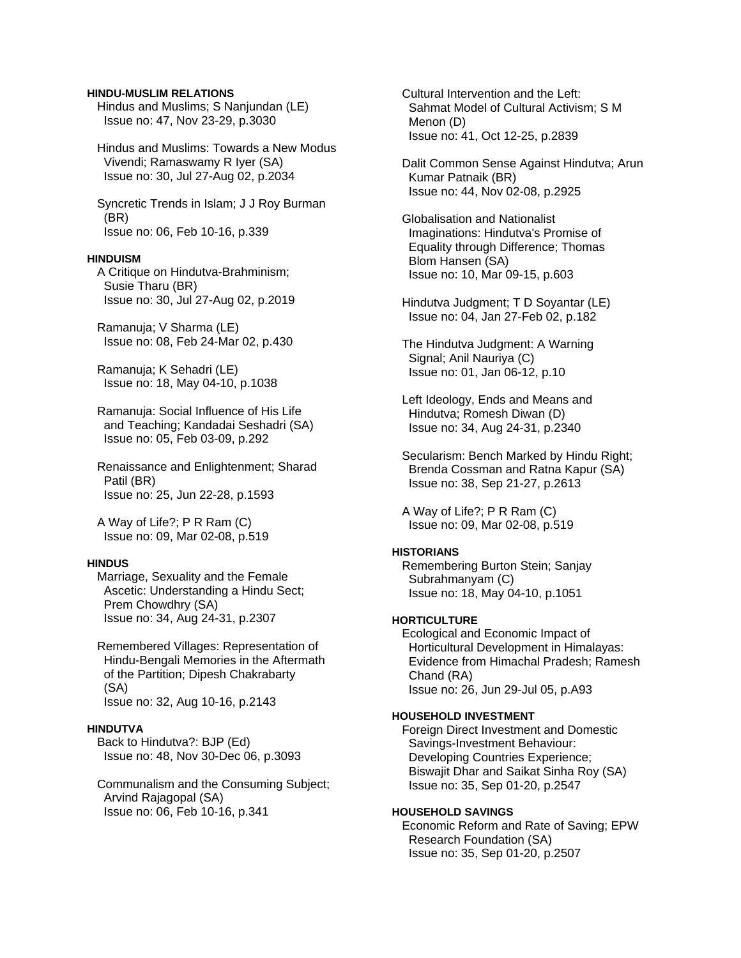#### **HINDU-MUSLIM RELATIONS**

 Hindus and Muslims; S Nanjundan (LE) Issue no: 47, Nov 23-29, p.3030

 Hindus and Muslims: Towards a New Modus Vivendi; Ramaswamy R Iyer (SA) Issue no: 30, Jul 27-Aug 02, p.2034

 Syncretic Trends in Islam; J J Roy Burman (BR) Issue no: 06, Feb 10-16, p.339

### **HINDUISM**

 A Critique on Hindutva-Brahminism; Susie Tharu (BR) Issue no: 30, Jul 27-Aug 02, p.2019

 Ramanuja; V Sharma (LE) Issue no: 08, Feb 24-Mar 02, p.430

 Ramanuja; K Sehadri (LE) Issue no: 18, May 04-10, p.1038

 Ramanuja: Social Influence of His Life and Teaching; Kandadai Seshadri (SA) Issue no: 05, Feb 03-09, p.292

 Renaissance and Enlightenment; Sharad Patil (BR) Issue no: 25, Jun 22-28, p.1593

 A Way of Life?; P R Ram (C) Issue no: 09, Mar 02-08, p.519

### **HINDUS**

 Marriage, Sexuality and the Female Ascetic: Understanding a Hindu Sect; Prem Chowdhry (SA) Issue no: 34, Aug 24-31, p.2307

 Remembered Villages: Representation of Hindu-Bengali Memories in the Aftermath of the Partition; Dipesh Chakrabarty (SA) Issue no: 32, Aug 10-16, p.2143

#### **HINDUTVA**

 Back to Hindutva?: BJP (Ed) Issue no: 48, Nov 30-Dec 06, p.3093

 Communalism and the Consuming Subject; Arvind Rajagopal (SA) Issue no: 06, Feb 10-16, p.341

 Cultural Intervention and the Left: Sahmat Model of Cultural Activism; S M Menon (D) Issue no: 41, Oct 12-25, p.2839

 Dalit Common Sense Against Hindutva; Arun Kumar Patnaik (BR) Issue no: 44, Nov 02-08, p.2925

 Globalisation and Nationalist Imaginations: Hindutva's Promise of Equality through Difference; Thomas Blom Hansen (SA) Issue no: 10, Mar 09-15, p.603

 Hindutva Judgment; T D Soyantar (LE) Issue no: 04, Jan 27-Feb 02, p.182

 The Hindutva Judgment: A Warning Signal; Anil Nauriya (C) Issue no: 01, Jan 06-12, p.10

 Left Ideology, Ends and Means and Hindutva; Romesh Diwan (D) Issue no: 34, Aug 24-31, p.2340

 Secularism: Bench Marked by Hindu Right; Brenda Cossman and Ratna Kapur (SA) Issue no: 38, Sep 21-27, p.2613

 A Way of Life?; P R Ram (C) Issue no: 09, Mar 02-08, p.519

#### **HISTORIANS**

 Remembering Burton Stein; Sanjay Subrahmanyam (C) Issue no: 18, May 04-10, p.1051

### **HORTICULTURE**

 Ecological and Economic Impact of Horticultural Development in Himalayas: Evidence from Himachal Pradesh; Ramesh Chand (RA) Issue no: 26, Jun 29-Jul 05, p.A93

#### **HOUSEHOLD INVESTMENT**

 Foreign Direct Investment and Domestic Savings-Investment Behaviour: Developing Countries Experience; Biswajit Dhar and Saikat Sinha Roy (SA) Issue no: 35, Sep 01-20, p.2547

### **HOUSEHOLD SAVINGS**

 Economic Reform and Rate of Saving; EPW Research Foundation (SA) Issue no: 35, Sep 01-20, p.2507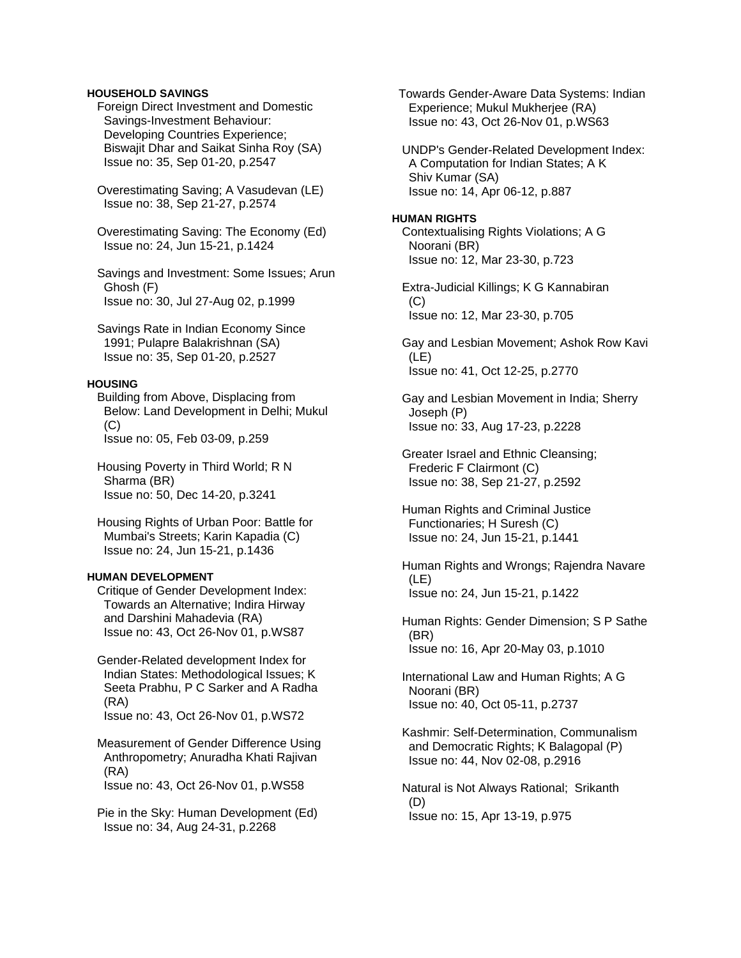### **HOUSEHOLD SAVINGS**

 Foreign Direct Investment and Domestic Savings-Investment Behaviour: Developing Countries Experience; Biswajit Dhar and Saikat Sinha Roy (SA) Issue no: 35, Sep 01-20, p.2547

 Overestimating Saving; A Vasudevan (LE) Issue no: 38, Sep 21-27, p.2574

 Overestimating Saving: The Economy (Ed) Issue no: 24, Jun 15-21, p.1424

 Savings and Investment: Some Issues; Arun Ghosh (F) Issue no: 30, Jul 27-Aug 02, p.1999

 Savings Rate in Indian Economy Since 1991; Pulapre Balakrishnan (SA) Issue no: 35, Sep 01-20, p.2527

### **HOUSING**

 Building from Above, Displacing from Below: Land Development in Delhi; Mukul  $(C)$ Issue no: 05, Feb 03-09, p.259

 Housing Poverty in Third World; R N Sharma (BR) Issue no: 50, Dec 14-20, p.3241

 Housing Rights of Urban Poor: Battle for Mumbai's Streets; Karin Kapadia (C) Issue no: 24, Jun 15-21, p.1436

### **HUMAN DEVELOPMENT**

 Critique of Gender Development Index: Towards an Alternative; Indira Hirway and Darshini Mahadevia (RA) Issue no: 43, Oct 26-Nov 01, p.WS87

 Gender-Related development Index for Indian States: Methodological Issues; K Seeta Prabhu, P C Sarker and A Radha (RA)

Issue no: 43, Oct 26-Nov 01, p.WS72

 Measurement of Gender Difference Using Anthropometry; Anuradha Khati Rajivan (RA) Issue no: 43, Oct 26-Nov 01, p.WS58

 Pie in the Sky: Human Development (Ed) Issue no: 34, Aug 24-31, p.2268

 Towards Gender-Aware Data Systems: Indian Experience; Mukul Mukherjee (RA) Issue no: 43, Oct 26-Nov 01, p.WS63

 UNDP's Gender-Related Development Index: A Computation for Indian States; A K Shiv Kumar (SA) Issue no: 14, Apr 06-12, p.887

### **HUMAN RIGHTS**

 Contextualising Rights Violations; A G Noorani (BR) Issue no: 12, Mar 23-30, p.723

 Extra-Judicial Killings; K G Kannabiran  $(C)$ Issue no: 12, Mar 23-30, p.705

 Gay and Lesbian Movement; Ashok Row Kavi (LE) Issue no: 41, Oct 12-25, p.2770

 Gay and Lesbian Movement in India; Sherry Joseph (P) Issue no: 33, Aug 17-23, p.2228

 Greater Israel and Ethnic Cleansing; Frederic F Clairmont (C) Issue no: 38, Sep 21-27, p.2592

 Human Rights and Criminal Justice Functionaries; H Suresh (C) Issue no: 24, Jun 15-21, p.1441

 Human Rights and Wrongs; Rajendra Navare (LE) Issue no: 24, Jun 15-21, p.1422

 Human Rights: Gender Dimension; S P Sathe (BR) Issue no: 16, Apr 20-May 03, p.1010

 International Law and Human Rights; A G Noorani (BR) Issue no: 40, Oct 05-11, p.2737

 Kashmir: Self-Determination, Communalism and Democratic Rights; K Balagopal (P) Issue no: 44, Nov 02-08, p.2916

 Natural is Not Always Rational; Srikanth (D) Issue no: 15, Apr 13-19, p.975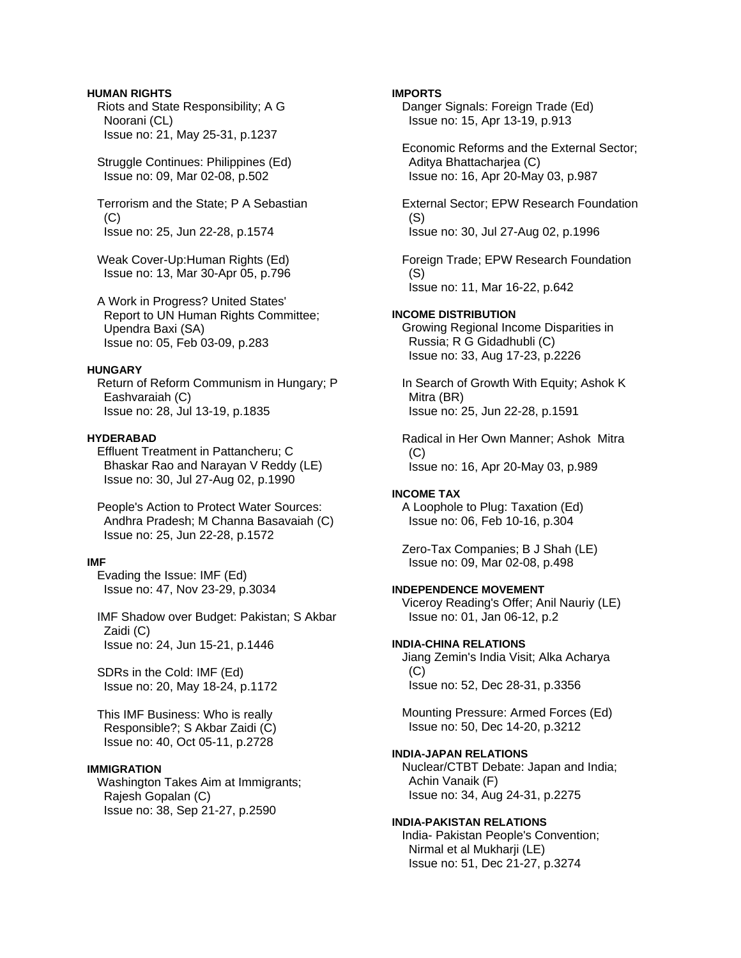# **HUMAN RIGHTS**

 Riots and State Responsibility; A G Noorani (CL) Issue no: 21, May 25-31, p.1237

 Struggle Continues: Philippines (Ed) Issue no: 09, Mar 02-08, p.502

 Terrorism and the State; P A Sebastian  $(C)$ Issue no: 25, Jun 22-28, p.1574

 Weak Cover-Up:Human Rights (Ed) Issue no: 13, Mar 30-Apr 05, p.796

 A Work in Progress? United States' Report to UN Human Rights Committee; Upendra Baxi (SA) Issue no: 05, Feb 03-09, p.283

# **HUNGARY**

 Return of Reform Communism in Hungary; P Eashvaraiah (C) Issue no: 28, Jul 13-19, p.1835

# **HYDERABAD**

 Effluent Treatment in Pattancheru; C Bhaskar Rao and Narayan V Reddy (LE) Issue no: 30, Jul 27-Aug 02, p.1990

 People's Action to Protect Water Sources: Andhra Pradesh; M Channa Basavaiah (C) Issue no: 25, Jun 22-28, p.1572

# **IMF**

 Evading the Issue: IMF (Ed) Issue no: 47, Nov 23-29, p.3034

 IMF Shadow over Budget: Pakistan; S Akbar Zaidi (C) Issue no: 24, Jun 15-21, p.1446

 SDRs in the Cold: IMF (Ed) Issue no: 20, May 18-24, p.1172

 This IMF Business: Who is really Responsible?; S Akbar Zaidi (C) Issue no: 40, Oct 05-11, p.2728

### **IMMIGRATION**

 Washington Takes Aim at Immigrants; Rajesh Gopalan (C) Issue no: 38, Sep 21-27, p.2590

### **IMPORTS**

 Danger Signals: Foreign Trade (Ed) Issue no: 15, Apr 13-19, p.913

 Economic Reforms and the External Sector; Aditya Bhattacharjea (C) Issue no: 16, Apr 20-May 03, p.987

 External Sector; EPW Research Foundation (S) Issue no: 30, Jul 27-Aug 02, p.1996

 Foreign Trade; EPW Research Foundation (S) Issue no: 11, Mar 16-22, p.642

**INCOME DISTRIBUTION**  Growing Regional Income Disparities in Russia; R G Gidadhubli (C) Issue no: 33, Aug 17-23, p.2226

 In Search of Growth With Equity; Ashok K Mitra (BR) Issue no: 25, Jun 22-28, p.1591

 Radical in Her Own Manner; Ashok Mitra  $(C)$ Issue no: 16, Apr 20-May 03, p.989

# **INCOME TAX**

 A Loophole to Plug: Taxation (Ed) Issue no: 06, Feb 10-16, p.304

 Zero-Tax Companies; B J Shah (LE) Issue no: 09, Mar 02-08, p.498

# **INDEPENDENCE MOVEMENT**

 Viceroy Reading's Offer; Anil Nauriy (LE) Issue no: 01, Jan 06-12, p.2

# **INDIA-CHINA RELATIONS**

 Jiang Zemin's India Visit; Alka Acharya (C) Issue no: 52, Dec 28-31, p.3356

 Mounting Pressure: Armed Forces (Ed) Issue no: 50, Dec 14-20, p.3212

# **INDIA-JAPAN RELATIONS**

 Nuclear/CTBT Debate: Japan and India; Achin Vanaik (F) Issue no: 34, Aug 24-31, p.2275

# **INDIA-PAKISTAN RELATIONS**

 India- Pakistan People's Convention; Nirmal et al Mukharji (LE) Issue no: 51, Dec 21-27, p.3274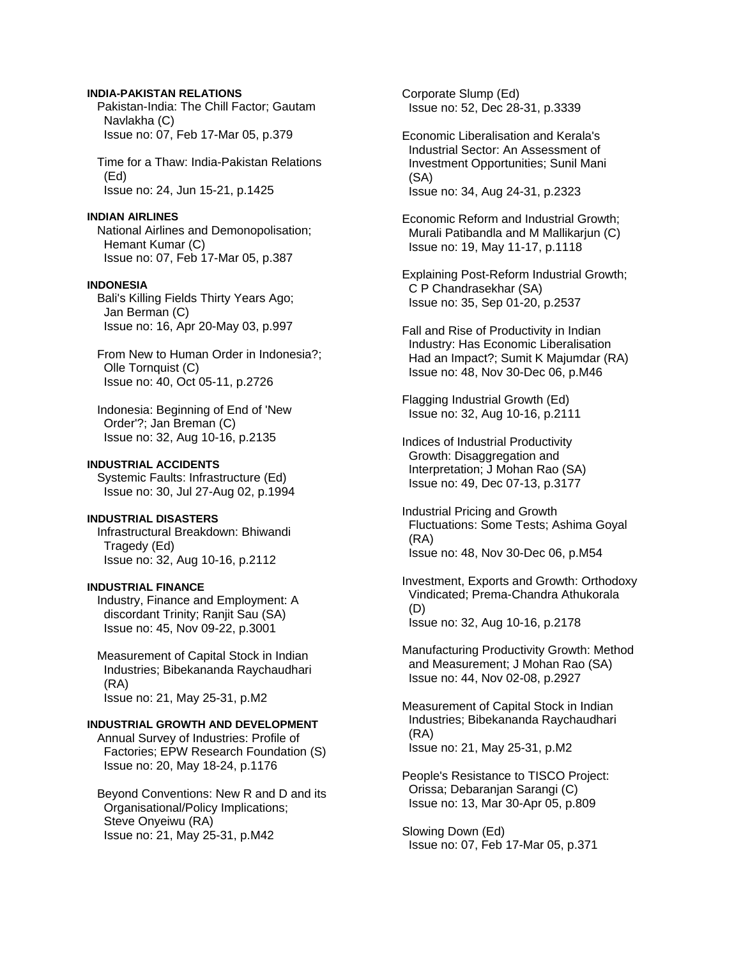### **INDIA-PAKISTAN RELATIONS**

 Pakistan-India: The Chill Factor; Gautam Navlakha (C) Issue no: 07, Feb 17-Mar 05, p.379

 Time for a Thaw: India-Pakistan Relations (Ed) Issue no: 24, Jun 15-21, p.1425

#### **INDIAN AIRLINES**

 National Airlines and Demonopolisation; Hemant Kumar (C) Issue no: 07, Feb 17-Mar 05, p.387

### **INDONESIA**

 Bali's Killing Fields Thirty Years Ago; Jan Berman (C) Issue no: 16, Apr 20-May 03, p.997

 From New to Human Order in Indonesia?; Olle Tornquist (C) Issue no: 40, Oct 05-11, p.2726

 Indonesia: Beginning of End of 'New Order'?; Jan Breman (C) Issue no: 32, Aug 10-16, p.2135

# **INDUSTRIAL ACCIDENTS**

 Systemic Faults: Infrastructure (Ed) Issue no: 30, Jul 27-Aug 02, p.1994

### **INDUSTRIAL DISASTERS**

 Infrastructural Breakdown: Bhiwandi Tragedy (Ed) Issue no: 32, Aug 10-16, p.2112

#### **INDUSTRIAL FINANCE**

 Industry, Finance and Employment: A discordant Trinity; Ranjit Sau (SA) Issue no: 45, Nov 09-22, p.3001

 Measurement of Capital Stock in Indian Industries; Bibekananda Raychaudhari (RA) Issue no: 21, May 25-31, p.M2

### **INDUSTRIAL GROWTH AND DEVELOPMENT**

 Annual Survey of Industries: Profile of Factories; EPW Research Foundation (S) Issue no: 20, May 18-24, p.1176

Beyond Conventions: New R and D and its Organisational/Policy Implications; Steve Onyeiwu (RA) Issue no: 21, May 25-31, p.M42

 Corporate Slump (Ed) Issue no: 52, Dec 28-31, p.3339

 Economic Liberalisation and Kerala's Industrial Sector: An Assessment of Investment Opportunities; Sunil Mani (SA) Issue no: 34, Aug 24-31, p.2323

 Economic Reform and Industrial Growth; Murali Patibandla and M Mallikarjun (C) Issue no: 19, May 11-17, p.1118

 Explaining Post-Reform Industrial Growth; C P Chandrasekhar (SA) Issue no: 35, Sep 01-20, p.2537

 Fall and Rise of Productivity in Indian Industry: Has Economic Liberalisation Had an Impact?; Sumit K Majumdar (RA) Issue no: 48, Nov 30-Dec 06, p.M46

 Flagging Industrial Growth (Ed) Issue no: 32, Aug 10-16, p.2111

 Indices of Industrial Productivity Growth: Disaggregation and Interpretation; J Mohan Rao (SA) Issue no: 49, Dec 07-13, p.3177

 Industrial Pricing and Growth Fluctuations: Some Tests; Ashima Goyal (RA) Issue no: 48, Nov 30-Dec 06, p.M54

 Investment, Exports and Growth: Orthodoxy Vindicated; Prema-Chandra Athukorala (D) Issue no: 32, Aug 10-16, p.2178

 Manufacturing Productivity Growth: Method and Measurement; J Mohan Rao (SA) Issue no: 44, Nov 02-08, p.2927

 Measurement of Capital Stock in Indian Industries; Bibekananda Raychaudhari (RA) Issue no: 21, May 25-31, p.M2

 People's Resistance to TISCO Project: Orissa; Debaranjan Sarangi (C) Issue no: 13, Mar 30-Apr 05, p.809

 Slowing Down (Ed) Issue no: 07, Feb 17-Mar 05, p.371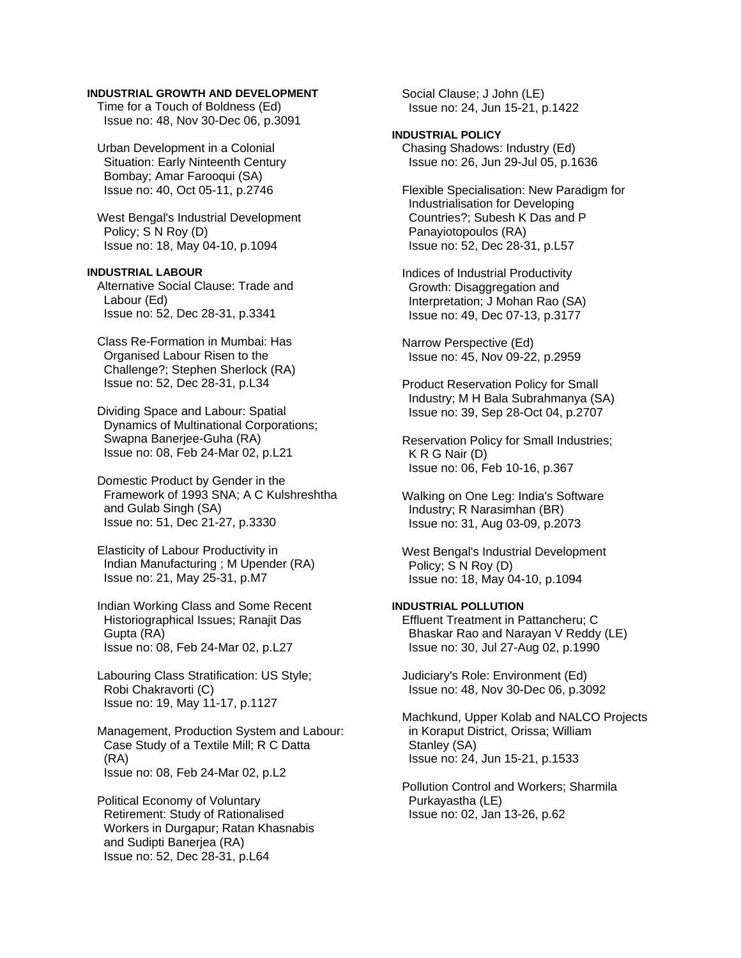### **INDUSTRIAL GROWTH AND DEVELOPMENT**

 Time for a Touch of Boldness (Ed) Issue no: 48, Nov 30-Dec 06, p.3091

 Urban Development in a Colonial Situation: Early Ninteenth Century Bombay; Amar Farooqui (SA) Issue no: 40, Oct 05-11, p.2746

 West Bengal's Industrial Development Policy; S N Roy (D) Issue no: 18, May 04-10, p.1094

**INDUSTRIAL LABOUR**  Alternative Social Clause: Trade and Labour (Ed) Issue no: 52, Dec 28-31, p.3341

 Class Re-Formation in Mumbai: Has Organised Labour Risen to the Challenge?; Stephen Sherlock (RA) Issue no: 52, Dec 28-31, p.L34

 Dividing Space and Labour: Spatial Dynamics of Multinational Corporations; Swapna Banerjee-Guha (RA) Issue no: 08, Feb 24-Mar 02, p.L21

 Domestic Product by Gender in the Framework of 1993 SNA; A C Kulshreshtha and Gulab Singh (SA) Issue no: 51, Dec 21-27, p.3330

 Elasticity of Labour Productivity in Indian Manufacturing ; M Upender (RA) Issue no: 21, May 25-31, p.M7

 Indian Working Class and Some Recent Historiographical Issues; Ranajit Das Gupta (RA) Issue no: 08, Feb 24-Mar 02, p.L27

 Labouring Class Stratification: US Style; Robi Chakravorti (C) Issue no: 19, May 11-17, p.1127

 Management, Production System and Labour: Case Study of a Textile Mill; R C Datta (RA) Issue no: 08, Feb 24-Mar 02, p.L2

 Political Economy of Voluntary Retirement: Study of Rationalised Workers in Durgapur; Ratan Khasnabis and Sudipti Banerjea (RA) Issue no: 52, Dec 28-31, p.L64

 Social Clause; J John (LE) Issue no: 24, Jun 15-21, p.1422

### **INDUSTRIAL POLICY**

 Chasing Shadows: Industry (Ed) Issue no: 26, Jun 29-Jul 05, p.1636

 Flexible Specialisation: New Paradigm for Industrialisation for Developing Countries?; Subesh K Das and P Panayiotopoulos (RA) Issue no: 52, Dec 28-31, p.L57

 Indices of Industrial Productivity Growth: Disaggregation and Interpretation; J Mohan Rao (SA) Issue no: 49, Dec 07-13, p.3177

 Narrow Perspective (Ed) Issue no: 45, Nov 09-22, p.2959

 Product Reservation Policy for Small Industry; M H Bala Subrahmanya (SA) Issue no: 39, Sep 28-Oct 04, p.2707

 Reservation Policy for Small Industries; K R G Nair (D) Issue no: 06, Feb 10-16, p.367

 Walking on One Leg: India's Software Industry; R Narasimhan (BR) Issue no: 31, Aug 03-09, p.2073

 West Bengal's Industrial Development Policy; S N Roy (D) Issue no: 18, May 04-10, p.1094

### **INDUSTRIAL POLLUTION**

 Effluent Treatment in Pattancheru; C Bhaskar Rao and Narayan V Reddy (LE) Issue no: 30, Jul 27-Aug 02, p.1990

 Judiciary's Role: Environment (Ed) Issue no: 48, Nov 30-Dec 06, p.3092

 Machkund, Upper Kolab and NALCO Projects in Koraput District, Orissa; William Stanley (SA) Issue no: 24, Jun 15-21, p.1533

 Pollution Control and Workers; Sharmila Purkayastha (LE) Issue no: 02, Jan 13-26, p.62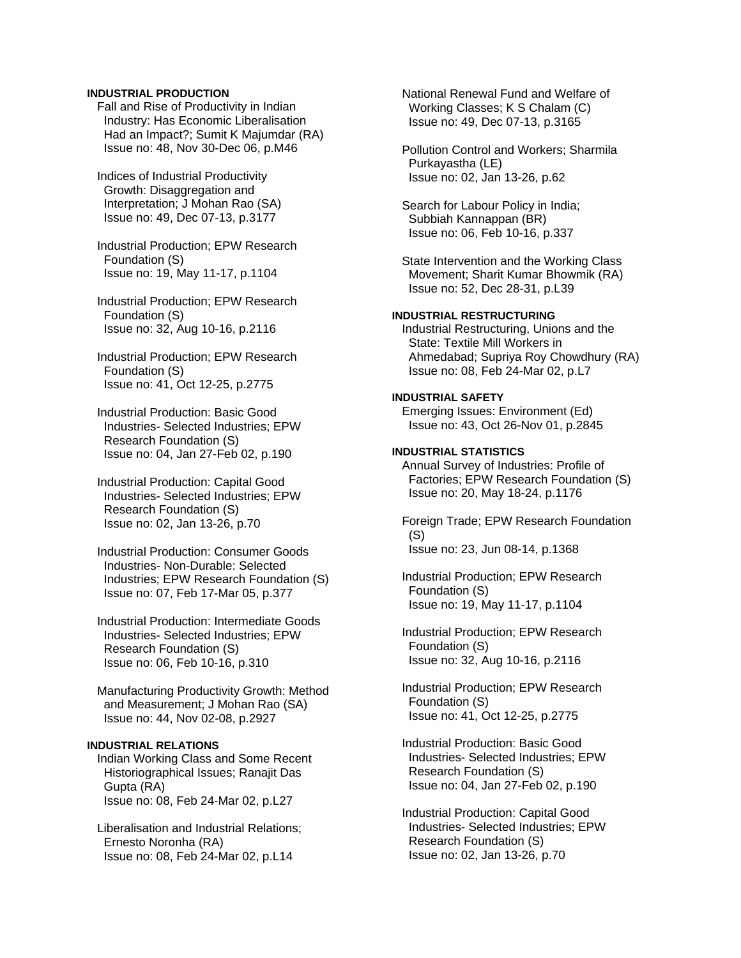### **INDUSTRIAL PRODUCTION**

 Fall and Rise of Productivity in Indian Industry: Has Economic Liberalisation Had an Impact?; Sumit K Majumdar (RA) Issue no: 48, Nov 30-Dec 06, p.M46

 Indices of Industrial Productivity Growth: Disaggregation and Interpretation; J Mohan Rao (SA) Issue no: 49, Dec 07-13, p.3177

 Industrial Production; EPW Research Foundation (S) Issue no: 19, May 11-17, p.1104

 Industrial Production; EPW Research Foundation (S) Issue no: 32, Aug 10-16, p.2116

 Industrial Production; EPW Research Foundation (S) Issue no: 41, Oct 12-25, p.2775

 Industrial Production: Basic Good Industries- Selected Industries; EPW Research Foundation (S) Issue no: 04, Jan 27-Feb 02, p.190

 Industrial Production: Capital Good Industries- Selected Industries; EPW Research Foundation (S) Issue no: 02, Jan 13-26, p.70

 Industrial Production: Consumer Goods Industries- Non-Durable: Selected Industries; EPW Research Foundation (S) Issue no: 07, Feb 17-Mar 05, p.377

 Industrial Production: Intermediate Goods Industries- Selected Industries; EPW Research Foundation (S) Issue no: 06, Feb 10-16, p.310

 Manufacturing Productivity Growth: Method and Measurement; J Mohan Rao (SA) Issue no: 44, Nov 02-08, p.2927

# **INDUSTRIAL RELATIONS**

 Indian Working Class and Some Recent Historiographical Issues; Ranajit Das Gupta (RA) Issue no: 08, Feb 24-Mar 02, p.L27

 Liberalisation and Industrial Relations; Ernesto Noronha (RA) Issue no: 08, Feb 24-Mar 02, p.L14

 National Renewal Fund and Welfare of Working Classes; K S Chalam (C) Issue no: 49, Dec 07-13, p.3165

 Pollution Control and Workers; Sharmila Purkayastha (LE) Issue no: 02, Jan 13-26, p.62

 Search for Labour Policy in India; Subbiah Kannappan (BR) Issue no: 06, Feb 10-16, p.337

 State Intervention and the Working Class Movement; Sharit Kumar Bhowmik (RA) Issue no: 52, Dec 28-31, p.L39

### **INDUSTRIAL RESTRUCTURING**

 Industrial Restructuring, Unions and the State: Textile Mill Workers in Ahmedabad; Supriya Roy Chowdhury (RA) Issue no: 08, Feb 24-Mar 02, p.L7

### **INDUSTRIAL SAFETY**

 Emerging Issues: Environment (Ed) Issue no: 43, Oct 26-Nov 01, p.2845

### **INDUSTRIAL STATISTICS**

 Annual Survey of Industries: Profile of Factories; EPW Research Foundation (S) Issue no: 20, May 18-24, p.1176

 Foreign Trade; EPW Research Foundation (S) Issue no: 23, Jun 08-14, p.1368

 Industrial Production; EPW Research Foundation (S) Issue no: 19, May 11-17, p.1104

 Industrial Production; EPW Research Foundation (S) Issue no: 32, Aug 10-16, p.2116

 Industrial Production; EPW Research Foundation (S) Issue no: 41, Oct 12-25, p.2775

 Industrial Production: Basic Good Industries- Selected Industries; EPW Research Foundation (S) Issue no: 04, Jan 27-Feb 02, p.190

 Industrial Production: Capital Good Industries- Selected Industries; EPW Research Foundation (S) Issue no: 02, Jan 13-26, p.70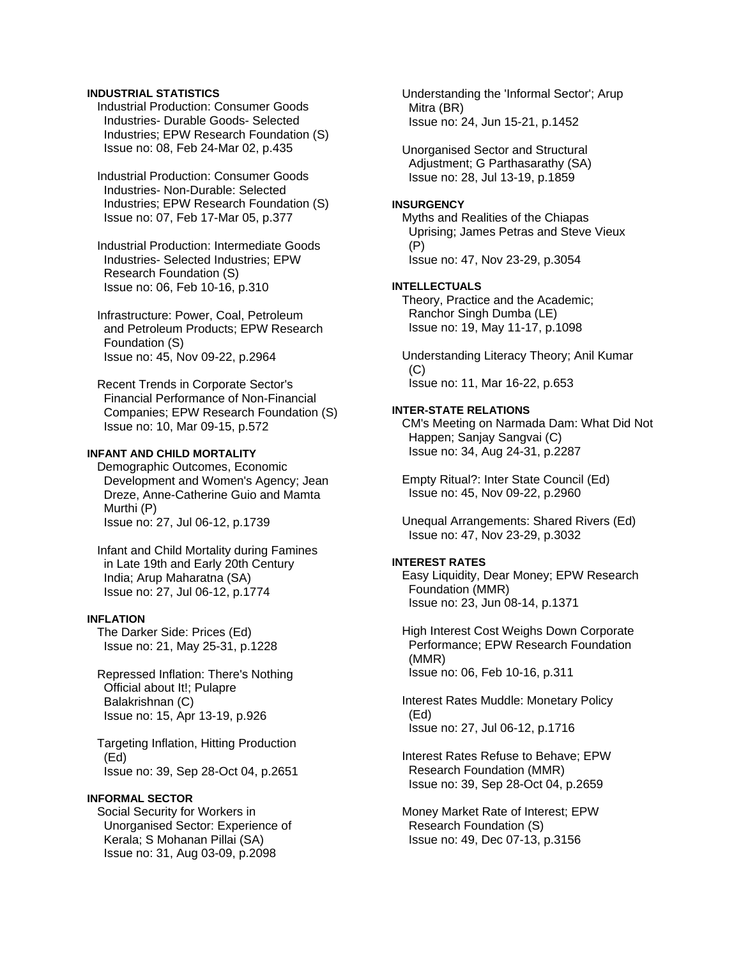### **INDUSTRIAL STATISTICS**

 Industrial Production: Consumer Goods Industries- Durable Goods- Selected Industries; EPW Research Foundation (S) Issue no: 08, Feb 24-Mar 02, p.435

 Industrial Production: Consumer Goods Industries- Non-Durable: Selected Industries; EPW Research Foundation (S) Issue no: 07, Feb 17-Mar 05, p.377

 Industrial Production: Intermediate Goods Industries- Selected Industries; EPW Research Foundation (S) Issue no: 06, Feb 10-16, p.310

 Infrastructure: Power, Coal, Petroleum and Petroleum Products; EPW Research Foundation (S) Issue no: 45, Nov 09-22, p.2964

 Recent Trends in Corporate Sector's Financial Performance of Non-Financial Companies; EPW Research Foundation (S) Issue no: 10, Mar 09-15, p.572

# **INFANT AND CHILD MORTALITY**

 Demographic Outcomes, Economic Development and Women's Agency; Jean Dreze, Anne-Catherine Guio and Mamta Murthi (P) Issue no: 27, Jul 06-12, p.1739

 Infant and Child Mortality during Famines in Late 19th and Early 20th Century India; Arup Maharatna (SA) Issue no: 27, Jul 06-12, p.1774

### **INFLATION**

 The Darker Side: Prices (Ed) Issue no: 21, May 25-31, p.1228

 Repressed Inflation: There's Nothing Official about It!; Pulapre Balakrishnan (C) Issue no: 15, Apr 13-19, p.926

 Targeting Inflation, Hitting Production (Ed) Issue no: 39, Sep 28-Oct 04, p.2651

# **INFORMAL SECTOR**

 Social Security for Workers in Unorganised Sector: Experience of Kerala; S Mohanan Pillai (SA) Issue no: 31, Aug 03-09, p.2098

 Understanding the 'Informal Sector'; Arup Mitra (BR) Issue no: 24, Jun 15-21, p.1452

 Unorganised Sector and Structural Adjustment; G Parthasarathy (SA) Issue no: 28, Jul 13-19, p.1859

#### **INSURGENCY**

 Myths and Realities of the Chiapas Uprising; James Petras and Steve Vieux (P) Issue no: 47, Nov 23-29, p.3054

# **INTELLECTUALS**

 Theory, Practice and the Academic; Ranchor Singh Dumba (LE) Issue no: 19, May 11-17, p.1098

 Understanding Literacy Theory; Anil Kumar (C) Issue no: 11, Mar 16-22, p.653

#### **INTER-STATE RELATIONS**

 CM's Meeting on Narmada Dam: What Did Not Happen; Sanjay Sangvai (C) Issue no: 34, Aug 24-31, p.2287

 Empty Ritual?: Inter State Council (Ed) Issue no: 45, Nov 09-22, p.2960

 Unequal Arrangements: Shared Rivers (Ed) Issue no: 47, Nov 23-29, p.3032

### **INTEREST RATES**

 Easy Liquidity, Dear Money; EPW Research Foundation (MMR) Issue no: 23, Jun 08-14, p.1371

 High Interest Cost Weighs Down Corporate Performance; EPW Research Foundation (MMR) Issue no: 06, Feb 10-16, p.311

 Interest Rates Muddle: Monetary Policy (Ed) Issue no: 27, Jul 06-12, p.1716

 Interest Rates Refuse to Behave; EPW Research Foundation (MMR) Issue no: 39, Sep 28-Oct 04, p.2659

 Money Market Rate of Interest; EPW Research Foundation (S) Issue no: 49, Dec 07-13, p.3156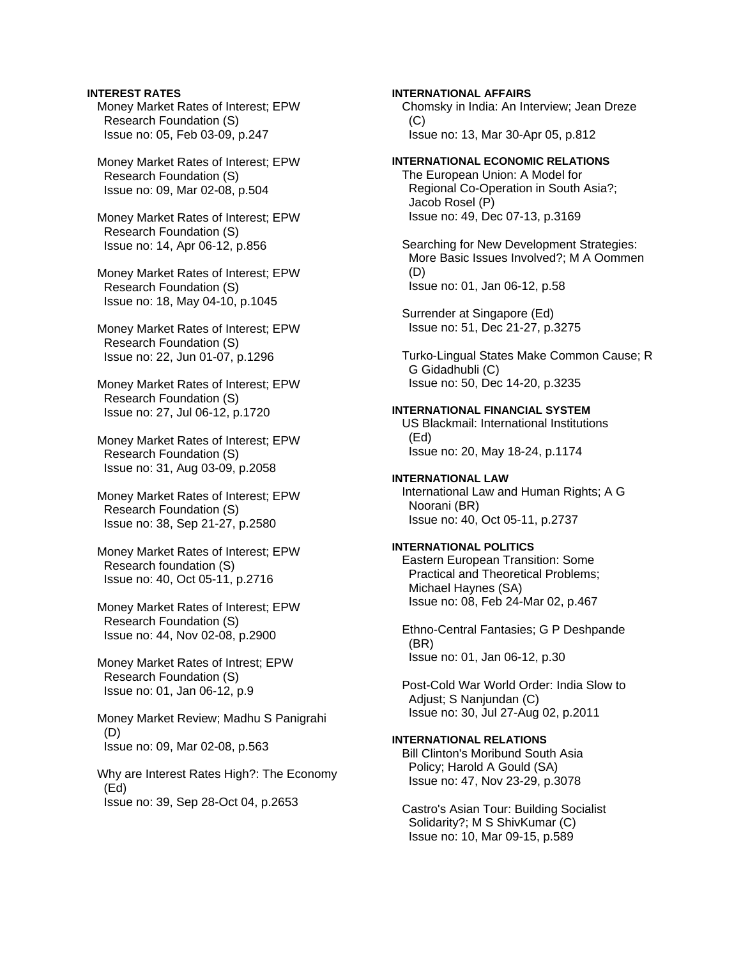### **INTEREST RATES**

 Money Market Rates of Interest; EPW Research Foundation (S) Issue no: 05, Feb 03-09, p.247

 Money Market Rates of Interest; EPW Research Foundation (S) Issue no: 09, Mar 02-08, p.504

 Money Market Rates of Interest; EPW Research Foundation (S) Issue no: 14, Apr 06-12, p.856

 Money Market Rates of Interest; EPW Research Foundation (S) Issue no: 18, May 04-10, p.1045

 Money Market Rates of Interest; EPW Research Foundation (S) Issue no: 22, Jun 01-07, p.1296

 Money Market Rates of Interest; EPW Research Foundation (S) Issue no: 27, Jul 06-12, p.1720

 Money Market Rates of Interest; EPW Research Foundation (S) Issue no: 31, Aug 03-09, p.2058

 Money Market Rates of Interest; EPW Research Foundation (S) Issue no: 38, Sep 21-27, p.2580

 Money Market Rates of Interest; EPW Research foundation (S) Issue no: 40, Oct 05-11, p.2716

 Money Market Rates of Interest; EPW Research Foundation (S) Issue no: 44, Nov 02-08, p.2900

 Money Market Rates of Intrest; EPW Research Foundation (S) Issue no: 01, Jan 06-12, p.9

 Money Market Review; Madhu S Panigrahi (D) Issue no: 09, Mar 02-08, p.563

 Why are Interest Rates High?: The Economy (Ed) Issue no: 39, Sep 28-Oct 04, p.2653

### **INTERNATIONAL AFFAIRS**

 Chomsky in India: An Interview; Jean Dreze  $(C)$ Issue no: 13, Mar 30-Apr 05, p.812

# **INTERNATIONAL ECONOMIC RELATIONS**

 The European Union: A Model for Regional Co-Operation in South Asia?; Jacob Rosel (P) Issue no: 49, Dec 07-13, p.3169

 Searching for New Development Strategies: More Basic Issues Involved?; M A Oommen (D) Issue no: 01, Jan 06-12, p.58

 Surrender at Singapore (Ed) Issue no: 51, Dec 21-27, p.3275

 Turko-Lingual States Make Common Cause; R G Gidadhubli (C) Issue no: 50, Dec 14-20, p.3235

### **INTERNATIONAL FINANCIAL SYSTEM**

 US Blackmail: International Institutions (Ed) Issue no: 20, May 18-24, p.1174

#### **INTERNATIONAL LAW**

 International Law and Human Rights; A G Noorani (BR) Issue no: 40, Oct 05-11, p.2737

# **INTERNATIONAL POLITICS**

 Eastern European Transition: Some Practical and Theoretical Problems; Michael Haynes (SA) Issue no: 08, Feb 24-Mar 02, p.467

 Ethno-Central Fantasies; G P Deshpande (BR) Issue no: 01, Jan 06-12, p.30

 Post-Cold War World Order: India Slow to Adjust; S Nanjundan (C) Issue no: 30, Jul 27-Aug 02, p.2011

# **INTERNATIONAL RELATIONS**

 Bill Clinton's Moribund South Asia Policy; Harold A Gould (SA) Issue no: 47, Nov 23-29, p.3078

 Castro's Asian Tour: Building Socialist Solidarity?; M S ShivKumar (C) Issue no: 10, Mar 09-15, p.589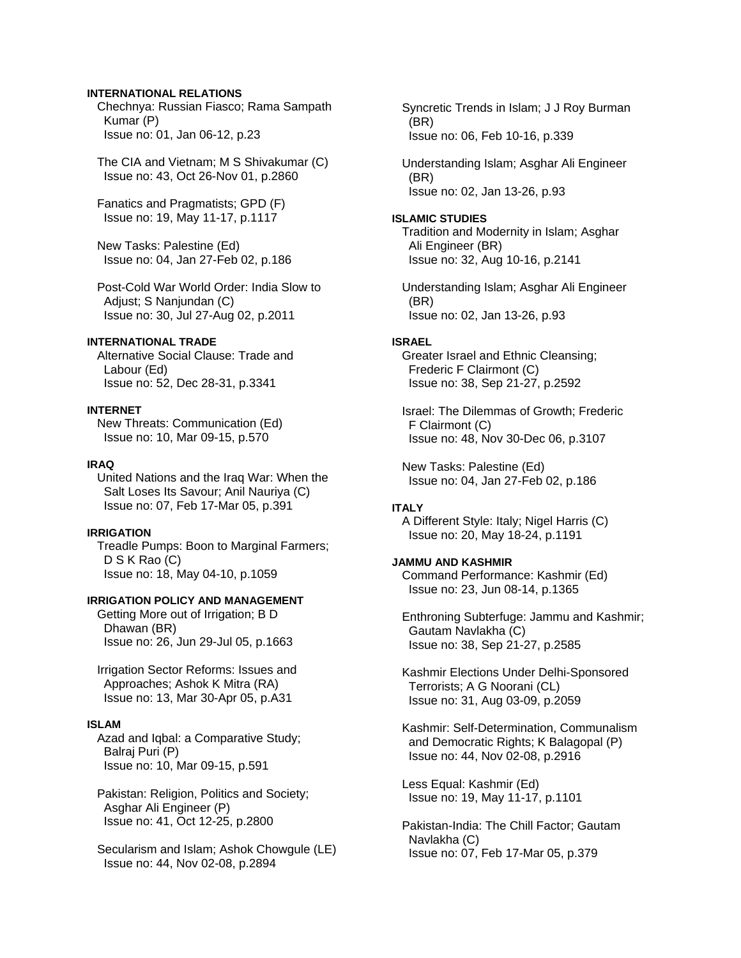### **INTERNATIONAL RELATIONS**

 Chechnya: Russian Fiasco; Rama Sampath Kumar (P) Issue no: 01, Jan 06-12, p.23

 The CIA and Vietnam; M S Shivakumar (C) Issue no: 43, Oct 26-Nov 01, p.2860

 Fanatics and Pragmatists; GPD (F) Issue no: 19, May 11-17, p.1117

 New Tasks: Palestine (Ed) Issue no: 04, Jan 27-Feb 02, p.186

 Post-Cold War World Order: India Slow to Adjust; S Nanjundan (C) Issue no: 30, Jul 27-Aug 02, p.2011

### **INTERNATIONAL TRADE**

 Alternative Social Clause: Trade and Labour (Ed) Issue no: 52, Dec 28-31, p.3341

#### **INTERNET**

 New Threats: Communication (Ed) Issue no: 10, Mar 09-15, p.570

#### **IRAQ**

 United Nations and the Iraq War: When the Salt Loses Its Savour; Anil Nauriya (C) Issue no: 07, Feb 17-Mar 05, p.391

### **IRRIGATION**

 Treadle Pumps: Boon to Marginal Farmers; D S K Rao (C) Issue no: 18, May 04-10, p.1059

# **IRRIGATION POLICY AND MANAGEMENT**

 Getting More out of Irrigation; B D Dhawan (BR) Issue no: 26, Jun 29-Jul 05, p.1663

 Irrigation Sector Reforms: Issues and Approaches; Ashok K Mitra (RA) Issue no: 13, Mar 30-Apr 05, p.A31

### **ISLAM**

 Azad and Iqbal: a Comparative Study; Balraj Puri (P) Issue no: 10, Mar 09-15, p.591

 Pakistan: Religion, Politics and Society; Asghar Ali Engineer (P) Issue no: 41, Oct 12-25, p.2800

 Secularism and Islam; Ashok Chowgule (LE) Issue no: 44, Nov 02-08, p.2894

 Syncretic Trends in Islam; J J Roy Burman (BR) Issue no: 06, Feb 10-16, p.339

 Understanding Islam; Asghar Ali Engineer (BR) Issue no: 02, Jan 13-26, p.93

#### **ISLAMIC STUDIES**

 Tradition and Modernity in Islam; Asghar Ali Engineer (BR) Issue no: 32, Aug 10-16, p.2141

 Understanding Islam; Asghar Ali Engineer (BR) Issue no: 02, Jan 13-26, p.93

#### **ISRAEL**

 Greater Israel and Ethnic Cleansing; Frederic F Clairmont (C) Issue no: 38, Sep 21-27, p.2592

 Israel: The Dilemmas of Growth; Frederic F Clairmont (C) Issue no: 48, Nov 30-Dec 06, p.3107

 New Tasks: Palestine (Ed) Issue no: 04, Jan 27-Feb 02, p.186

### **ITALY**

 A Different Style: Italy; Nigel Harris (C) Issue no: 20, May 18-24, p.1191

# **JAMMU AND KASHMIR**

 Command Performance: Kashmir (Ed) Issue no: 23, Jun 08-14, p.1365

 Enthroning Subterfuge: Jammu and Kashmir; Gautam Navlakha (C) Issue no: 38, Sep 21-27, p.2585

 Kashmir Elections Under Delhi-Sponsored Terrorists; A G Noorani (CL) Issue no: 31, Aug 03-09, p.2059

 Kashmir: Self-Determination, Communalism and Democratic Rights; K Balagopal (P) Issue no: 44, Nov 02-08, p.2916

 Less Equal: Kashmir (Ed) Issue no: 19, May 11-17, p.1101

 Pakistan-India: The Chill Factor; Gautam Navlakha (C) Issue no: 07, Feb 17-Mar 05, p.379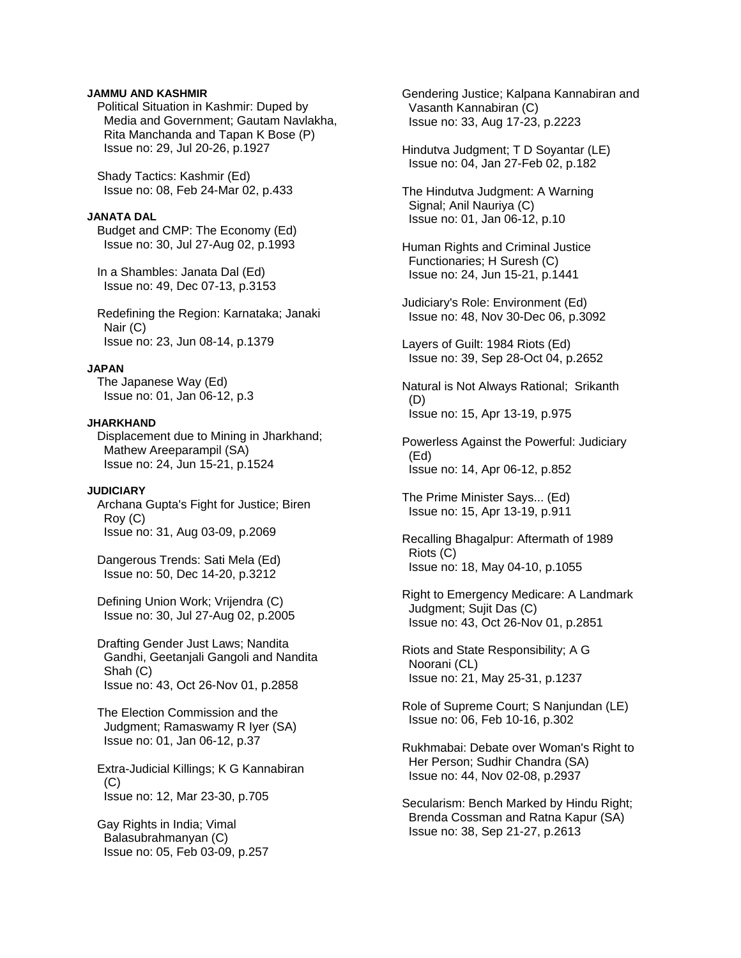### **JAMMU AND KASHMIR**

 Political Situation in Kashmir: Duped by Media and Government; Gautam Navlakha, Rita Manchanda and Tapan K Bose (P) Issue no: 29, Jul 20-26, p.1927

 Shady Tactics: Kashmir (Ed) Issue no: 08, Feb 24-Mar 02, p.433

#### **JANATA DAL**

 Budget and CMP: The Economy (Ed) Issue no: 30, Jul 27-Aug 02, p.1993

 In a Shambles: Janata Dal (Ed) Issue no: 49, Dec 07-13, p.3153

 Redefining the Region: Karnataka; Janaki Nair (C) Issue no: 23, Jun 08-14, p.1379

# **JAPAN**

 The Japanese Way (Ed) Issue no: 01, Jan 06-12, p.3

#### **JHARKHAND**

 Displacement due to Mining in Jharkhand; Mathew Areeparampil (SA) Issue no: 24, Jun 15-21, p.1524

### **JUDICIARY**

 Archana Gupta's Fight for Justice; Biren Roy (C) Issue no: 31, Aug 03-09, p.2069

 Dangerous Trends: Sati Mela (Ed) Issue no: 50, Dec 14-20, p.3212

 Defining Union Work; Vrijendra (C) Issue no: 30, Jul 27-Aug 02, p.2005

 Drafting Gender Just Laws; Nandita Gandhi, Geetanjali Gangoli and Nandita Shah (C) Issue no: 43, Oct 26-Nov 01, p.2858

 The Election Commission and the Judgment; Ramaswamy R Iyer (SA) Issue no: 01, Jan 06-12, p.37

 Extra-Judicial Killings; K G Kannabiran  $(C)$ Issue no: 12, Mar 23-30, p.705

 Gay Rights in India; Vimal Balasubrahmanyan (C) Issue no: 05, Feb 03-09, p.257  Gendering Justice; Kalpana Kannabiran and Vasanth Kannabiran (C) Issue no: 33, Aug 17-23, p.2223

 Hindutva Judgment; T D Soyantar (LE) Issue no: 04, Jan 27-Feb 02, p.182

 The Hindutva Judgment: A Warning Signal; Anil Nauriya (C) Issue no: 01, Jan 06-12, p.10

 Human Rights and Criminal Justice Functionaries; H Suresh (C) Issue no: 24, Jun 15-21, p.1441

 Judiciary's Role: Environment (Ed) Issue no: 48, Nov 30-Dec 06, p.3092

 Layers of Guilt: 1984 Riots (Ed) Issue no: 39, Sep 28-Oct 04, p.2652

 Natural is Not Always Rational; Srikanth (D) Issue no: 15, Apr 13-19, p.975

 Powerless Against the Powerful: Judiciary (Ed) Issue no: 14, Apr 06-12, p.852

 The Prime Minister Says... (Ed) Issue no: 15, Apr 13-19, p.911

 Recalling Bhagalpur: Aftermath of 1989 Riots (C) Issue no: 18, May 04-10, p.1055

 Right to Emergency Medicare: A Landmark Judgment; Sujit Das (C) Issue no: 43, Oct 26-Nov 01, p.2851

 Riots and State Responsibility; A G Noorani (CL) Issue no: 21, May 25-31, p.1237

 Role of Supreme Court; S Nanjundan (LE) Issue no: 06, Feb 10-16, p.302

 Rukhmabai: Debate over Woman's Right to Her Person; Sudhir Chandra (SA) Issue no: 44, Nov 02-08, p.2937

 Secularism: Bench Marked by Hindu Right; Brenda Cossman and Ratna Kapur (SA) Issue no: 38, Sep 21-27, p.2613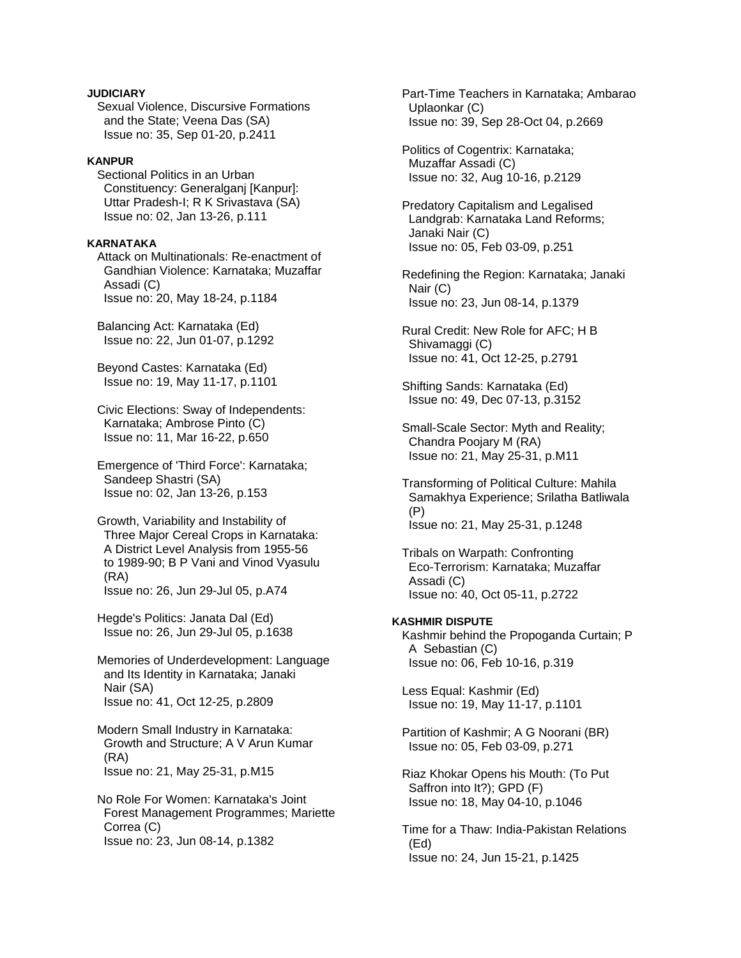# **JUDICIARY**

 Sexual Violence, Discursive Formations and the State; Veena Das (SA) Issue no: 35, Sep 01-20, p.2411

### **KANPUR**

 Sectional Politics in an Urban Constituency: Generalganj [Kanpur]: Uttar Pradesh-I; R K Srivastava (SA) Issue no: 02, Jan 13-26, p.111

### **KARNATAKA**

 Attack on Multinationals: Re-enactment of Gandhian Violence: Karnataka; Muzaffar Assadi (C) Issue no: 20, May 18-24, p.1184

 Balancing Act: Karnataka (Ed) Issue no: 22, Jun 01-07, p.1292

 Beyond Castes: Karnataka (Ed) Issue no: 19, May 11-17, p.1101

 Civic Elections: Sway of Independents: Karnataka; Ambrose Pinto (C) Issue no: 11, Mar 16-22, p.650

 Emergence of 'Third Force': Karnataka; Sandeep Shastri (SA) Issue no: 02, Jan 13-26, p.153

 Growth, Variability and Instability of Three Major Cereal Crops in Karnataka: A District Level Analysis from 1955-56 to 1989-90; B P Vani and Vinod Vyasulu (RA) Issue no: 26, Jun 29-Jul 05, p.A74

 Hegde's Politics: Janata Dal (Ed) Issue no: 26, Jun 29-Jul 05, p.1638

 Memories of Underdevelopment: Language and Its Identity in Karnataka; Janaki Nair (SA) Issue no: 41, Oct 12-25, p.2809

 Modern Small Industry in Karnataka: Growth and Structure; A V Arun Kumar (RA) Issue no: 21, May 25-31, p.M15

 No Role For Women: Karnataka's Joint Forest Management Programmes; Mariette Correa (C) Issue no: 23, Jun 08-14, p.1382

 Part-Time Teachers in Karnataka; Ambarao Uplaonkar (C) Issue no: 39, Sep 28-Oct 04, p.2669

 Politics of Cogentrix: Karnataka; Muzaffar Assadi (C) Issue no: 32, Aug 10-16, p.2129

 Predatory Capitalism and Legalised Landgrab: Karnataka Land Reforms; Janaki Nair (C) Issue no: 05, Feb 03-09, p.251

 Redefining the Region: Karnataka; Janaki Nair (C) Issue no: 23, Jun 08-14, p.1379

 Rural Credit: New Role for AFC; H B Shivamaggi (C) Issue no: 41, Oct 12-25, p.2791

 Shifting Sands: Karnataka (Ed) Issue no: 49, Dec 07-13, p.3152

 Small-Scale Sector: Myth and Reality; Chandra Poojary M (RA) Issue no: 21, May 25-31, p.M11

 Transforming of Political Culture: Mahila Samakhya Experience; Srilatha Batliwala (P) Issue no: 21, May 25-31, p.1248

 Tribals on Warpath: Confronting Eco-Terrorism: Karnataka; Muzaffar Assadi (C) Issue no: 40, Oct 05-11, p.2722

### **KASHMIR DISPUTE**

 Kashmir behind the Propoganda Curtain; P A Sebastian (C) Issue no: 06, Feb 10-16, p.319

 Less Equal: Kashmir (Ed) Issue no: 19, May 11-17, p.1101

 Partition of Kashmir; A G Noorani (BR) Issue no: 05, Feb 03-09, p.271

 Riaz Khokar Opens his Mouth: (To Put Saffron into It?); GPD (F) Issue no: 18, May 04-10, p.1046

 Time for a Thaw: India-Pakistan Relations (Ed) Issue no: 24, Jun 15-21, p.1425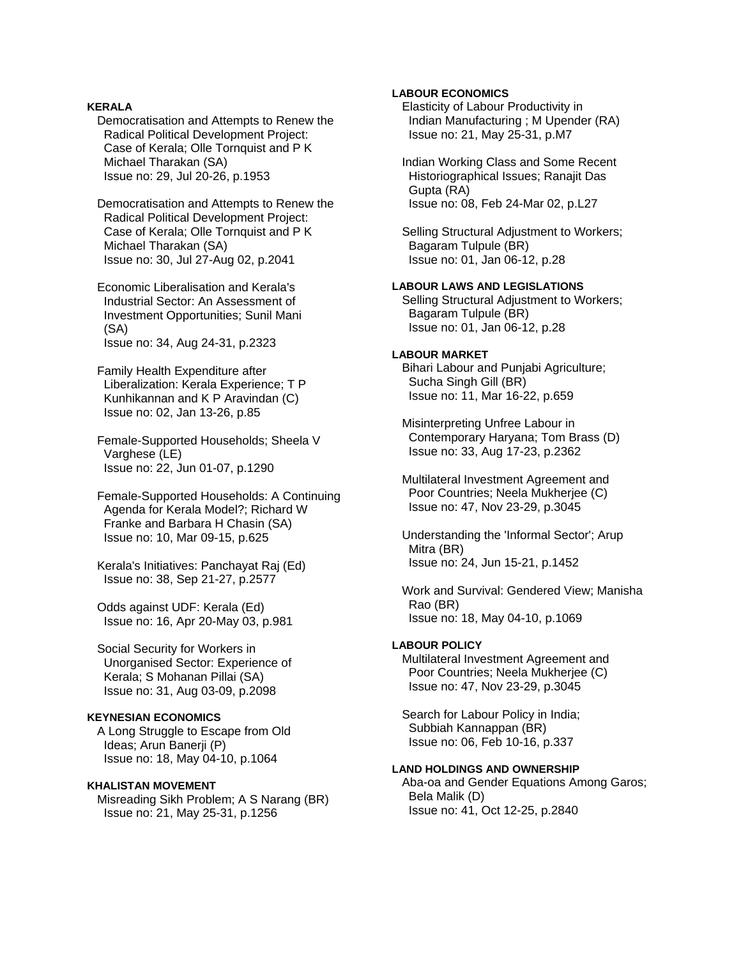### **KERALA**

 Democratisation and Attempts to Renew the Radical Political Development Project: Case of Kerala; Olle Tornquist and P K Michael Tharakan (SA) Issue no: 29, Jul 20-26, p.1953

 Democratisation and Attempts to Renew the Radical Political Development Project: Case of Kerala; Olle Tornquist and P K Michael Tharakan (SA) Issue no: 30, Jul 27-Aug 02, p.2041

 Economic Liberalisation and Kerala's Industrial Sector: An Assessment of Investment Opportunities; Sunil Mani (SA) Issue no: 34, Aug 24-31, p.2323

 Family Health Expenditure after Liberalization: Kerala Experience; T P Kunhikannan and K P Aravindan (C) Issue no: 02, Jan 13-26, p.85

 Female-Supported Households; Sheela V Varghese (LE) Issue no: 22, Jun 01-07, p.1290

 Female-Supported Households: A Continuing Agenda for Kerala Model?; Richard W Franke and Barbara H Chasin (SA) Issue no: 10, Mar 09-15, p.625

 Kerala's Initiatives: Panchayat Raj (Ed) Issue no: 38, Sep 21-27, p.2577

 Odds against UDF: Kerala (Ed) Issue no: 16, Apr 20-May 03, p.981

 Social Security for Workers in Unorganised Sector: Experience of Kerala; S Mohanan Pillai (SA) Issue no: 31, Aug 03-09, p.2098

## **KEYNESIAN ECONOMICS**

 A Long Struggle to Escape from Old Ideas; Arun Banerji (P) Issue no: 18, May 04-10, p.1064

# **KHALISTAN MOVEMENT**

 Misreading Sikh Problem; A S Narang (BR) Issue no: 21, May 25-31, p.1256

### **LABOUR ECONOMICS**

 Elasticity of Labour Productivity in Indian Manufacturing ; M Upender (RA) Issue no: 21, May 25-31, p.M7

 Indian Working Class and Some Recent Historiographical Issues; Ranajit Das Gupta (RA) Issue no: 08, Feb 24-Mar 02, p.L27

 Selling Structural Adjustment to Workers; Bagaram Tulpule (BR) Issue no: 01, Jan 06-12, p.28

# **LABOUR LAWS AND LEGISLATIONS**

 Selling Structural Adjustment to Workers; Bagaram Tulpule (BR) Issue no: 01, Jan 06-12, p.28

#### **LABOUR MARKET**

 Bihari Labour and Punjabi Agriculture; Sucha Singh Gill (BR) Issue no: 11, Mar 16-22, p.659

 Misinterpreting Unfree Labour in Contemporary Haryana; Tom Brass (D) Issue no: 33, Aug 17-23, p.2362

 Multilateral Investment Agreement and Poor Countries; Neela Mukherjee (C) Issue no: 47, Nov 23-29, p.3045

 Understanding the 'Informal Sector'; Arup Mitra (BR) Issue no: 24, Jun 15-21, p.1452

 Work and Survival: Gendered View; Manisha Rao (BR) Issue no: 18, May 04-10, p.1069

### **LABOUR POLICY**

 Multilateral Investment Agreement and Poor Countries; Neela Mukherjee (C) Issue no: 47, Nov 23-29, p.3045

 Search for Labour Policy in India; Subbiah Kannappan (BR) Issue no: 06, Feb 10-16, p.337

# **LAND HOLDINGS AND OWNERSHIP**

 Aba-oa and Gender Equations Among Garos; Bela Malik (D) Issue no: 41, Oct 12-25, p.2840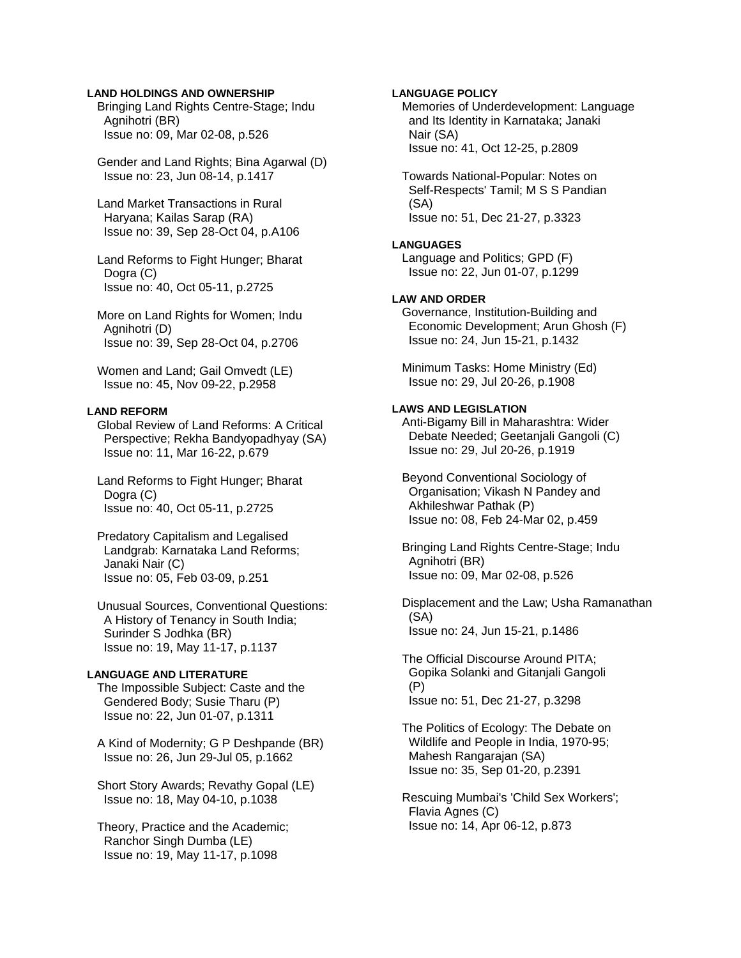### **LAND HOLDINGS AND OWNERSHIP**

 Bringing Land Rights Centre-Stage; Indu Agnihotri (BR) Issue no: 09, Mar 02-08, p.526

 Gender and Land Rights; Bina Agarwal (D) Issue no: 23, Jun 08-14, p.1417

 Land Market Transactions in Rural Haryana; Kailas Sarap (RA) Issue no: 39, Sep 28-Oct 04, p.A106

 Land Reforms to Fight Hunger; Bharat Dogra (C) Issue no: 40, Oct 05-11, p.2725

 More on Land Rights for Women; Indu Agnihotri (D) Issue no: 39, Sep 28-Oct 04, p.2706

 Women and Land; Gail Omvedt (LE) Issue no: 45, Nov 09-22, p.2958

# **LAND REFORM**

 Global Review of Land Reforms: A Critical Perspective; Rekha Bandyopadhyay (SA) Issue no: 11, Mar 16-22, p.679

 Land Reforms to Fight Hunger; Bharat Dogra (C) Issue no: 40, Oct 05-11, p.2725

 Predatory Capitalism and Legalised Landgrab: Karnataka Land Reforms; Janaki Nair (C) Issue no: 05, Feb 03-09, p.251

 Unusual Sources, Conventional Questions: A History of Tenancy in South India; Surinder S Jodhka (BR) Issue no: 19, May 11-17, p.1137

# **LANGUAGE AND LITERATURE**

 The Impossible Subject: Caste and the Gendered Body; Susie Tharu (P) Issue no: 22, Jun 01-07, p.1311

 A Kind of Modernity; G P Deshpande (BR) Issue no: 26, Jun 29-Jul 05, p.1662

 Short Story Awards; Revathy Gopal (LE) Issue no: 18, May 04-10, p.1038

 Theory, Practice and the Academic; Ranchor Singh Dumba (LE) Issue no: 19, May 11-17, p.1098

# **LANGUAGE POLICY**

 Memories of Underdevelopment: Language and Its Identity in Karnataka; Janaki Nair (SA) Issue no: 41, Oct 12-25, p.2809

 Towards National-Popular: Notes on Self-Respects' Tamil; M S S Pandian (SA) Issue no: 51, Dec 21-27, p.3323

### **LANGUAGES**

 Language and Politics; GPD (F) Issue no: 22, Jun 01-07, p.1299

# **LAW AND ORDER**

 Governance, Institution-Building and Economic Development; Arun Ghosh (F) Issue no: 24, Jun 15-21, p.1432

 Minimum Tasks: Home Ministry (Ed) Issue no: 29, Jul 20-26, p.1908

#### **LAWS AND LEGISLATION**

 Anti-Bigamy Bill in Maharashtra: Wider Debate Needed; Geetanjali Gangoli (C) Issue no: 29, Jul 20-26, p.1919

 Beyond Conventional Sociology of Organisation; Vikash N Pandey and Akhileshwar Pathak (P) Issue no: 08, Feb 24-Mar 02, p.459

 Bringing Land Rights Centre-Stage; Indu Agnihotri (BR) Issue no: 09, Mar 02-08, p.526

 Displacement and the Law; Usha Ramanathan (SA) Issue no: 24, Jun 15-21, p.1486

 The Official Discourse Around PITA; Gopika Solanki and Gitanjali Gangoli (P) Issue no: 51, Dec 21-27, p.3298

 The Politics of Ecology: The Debate on Wildlife and People in India, 1970-95; Mahesh Rangarajan (SA) Issue no: 35, Sep 01-20, p.2391

 Rescuing Mumbai's 'Child Sex Workers'; Flavia Agnes (C) Issue no: 14, Apr 06-12, p.873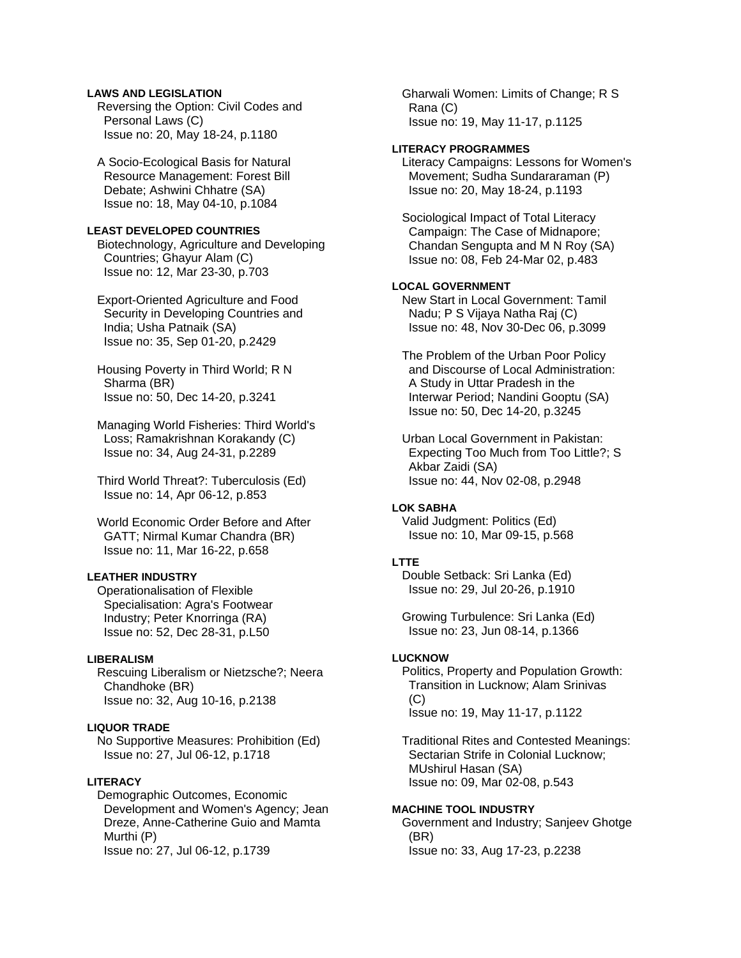# **LAWS AND LEGISLATION**

 Reversing the Option: Civil Codes and Personal Laws (C) Issue no: 20, May 18-24, p.1180

 A Socio-Ecological Basis for Natural Resource Management: Forest Bill Debate; Ashwini Chhatre (SA) Issue no: 18, May 04-10, p.1084

#### **LEAST DEVELOPED COUNTRIES**

 Biotechnology, Agriculture and Developing Countries; Ghayur Alam (C) Issue no: 12, Mar 23-30, p.703

 Export-Oriented Agriculture and Food Security in Developing Countries and India; Usha Patnaik (SA) Issue no: 35, Sep 01-20, p.2429

 Housing Poverty in Third World; R N Sharma (BR) Issue no: 50, Dec 14-20, p.3241

 Managing World Fisheries: Third World's Loss; Ramakrishnan Korakandy (C) Issue no: 34, Aug 24-31, p.2289

 Third World Threat?: Tuberculosis (Ed) Issue no: 14, Apr 06-12, p.853

 World Economic Order Before and After GATT; Nirmal Kumar Chandra (BR) Issue no: 11, Mar 16-22, p.658

### **LEATHER INDUSTRY**

 Operationalisation of Flexible Specialisation: Agra's Footwear Industry; Peter Knorringa (RA) Issue no: 52, Dec 28-31, p.L50

# **LIBERALISM**

 Rescuing Liberalism or Nietzsche?; Neera Chandhoke (BR) Issue no: 32, Aug 10-16, p.2138

### **LIQUOR TRADE**

 No Supportive Measures: Prohibition (Ed) Issue no: 27, Jul 06-12, p.1718

### **LITERACY**

 Demographic Outcomes, Economic Development and Women's Agency; Jean Dreze, Anne-Catherine Guio and Mamta Murthi (P) Issue no: 27, Jul 06-12, p.1739

 Gharwali Women: Limits of Change; R S Rana (C) Issue no: 19, May 11-17, p.1125

### **LITERACY PROGRAMMES**

 Literacy Campaigns: Lessons for Women's Movement; Sudha Sundararaman (P) Issue no: 20, May 18-24, p.1193

 Sociological Impact of Total Literacy Campaign: The Case of Midnapore; Chandan Sengupta and M N Roy (SA) Issue no: 08, Feb 24-Mar 02, p.483

# **LOCAL GOVERNMENT**

 New Start in Local Government: Tamil Nadu; P S Vijaya Natha Raj (C) Issue no: 48, Nov 30-Dec 06, p.3099

 The Problem of the Urban Poor Policy and Discourse of Local Administration: A Study in Uttar Pradesh in the Interwar Period; Nandini Gooptu (SA) Issue no: 50, Dec 14-20, p.3245

 Urban Local Government in Pakistan: Expecting Too Much from Too Little?; S Akbar Zaidi (SA) Issue no: 44, Nov 02-08, p.2948

### **LOK SABHA**

 Valid Judgment: Politics (Ed) Issue no: 10, Mar 09-15, p.568

#### **LTTE**

 Double Setback: Sri Lanka (Ed) Issue no: 29, Jul 20-26, p.1910

 Growing Turbulence: Sri Lanka (Ed) Issue no: 23, Jun 08-14, p.1366

#### **LUCKNOW**

 Politics, Property and Population Growth: Transition in Lucknow; Alam Srinivas  $(C)$ Issue no: 19, May 11-17, p.1122

 Traditional Rites and Contested Meanings: Sectarian Strife in Colonial Lucknow; MUshirul Hasan (SA) Issue no: 09, Mar 02-08, p.543

#### **MACHINE TOOL INDUSTRY**

 Government and Industry; Sanjeev Ghotge (BR) Issue no: 33, Aug 17-23, p.2238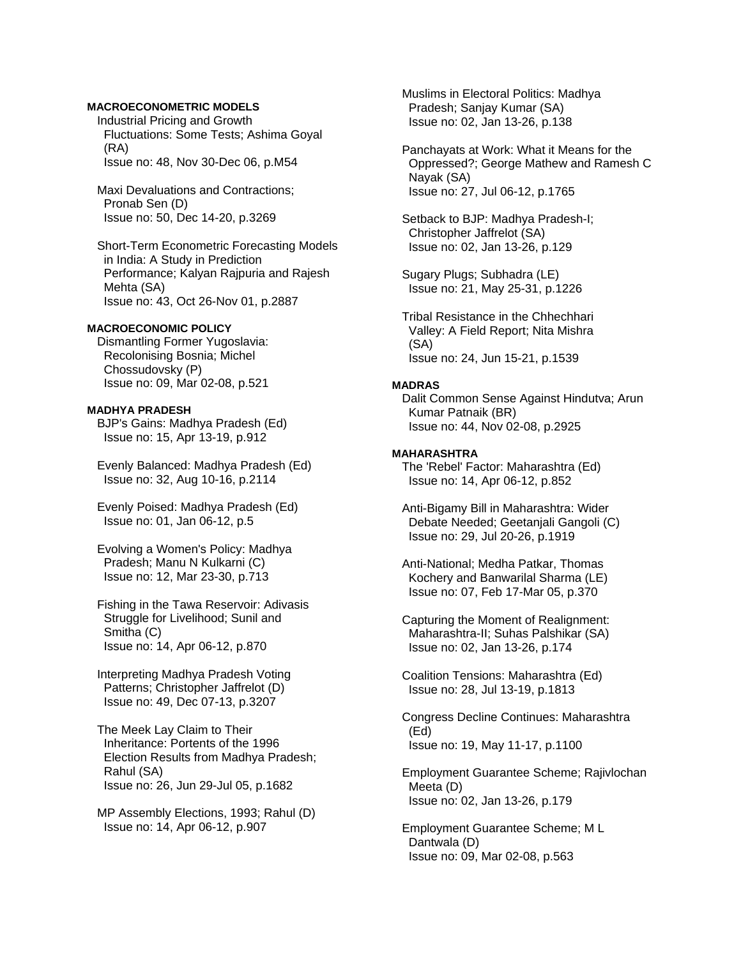### **MACROECONOMETRIC MODELS**

 Industrial Pricing and Growth Fluctuations: Some Tests; Ashima Goyal (RA) Issue no: 48, Nov 30-Dec 06, p.M54

 Maxi Devaluations and Contractions; Pronab Sen (D) Issue no: 50, Dec 14-20, p.3269

 Short-Term Econometric Forecasting Models in India: A Study in Prediction Performance; Kalyan Rajpuria and Rajesh Mehta (SA) Issue no: 43, Oct 26-Nov 01, p.2887

#### **MACROECONOMIC POLICY**

 Dismantling Former Yugoslavia: Recolonising Bosnia; Michel Chossudovsky (P) Issue no: 09, Mar 02-08, p.521

#### **MADHYA PRADESH**

 BJP's Gains: Madhya Pradesh (Ed) Issue no: 15, Apr 13-19, p.912

 Evenly Balanced: Madhya Pradesh (Ed) Issue no: 32, Aug 10-16, p.2114

 Evenly Poised: Madhya Pradesh (Ed) Issue no: 01, Jan 06-12, p.5

 Evolving a Women's Policy: Madhya Pradesh; Manu N Kulkarni (C) Issue no: 12, Mar 23-30, p.713

 Fishing in the Tawa Reservoir: Adivasis Struggle for Livelihood; Sunil and Smitha (C) Issue no: 14, Apr 06-12, p.870

 Interpreting Madhya Pradesh Voting Patterns; Christopher Jaffrelot (D) Issue no: 49, Dec 07-13, p.3207

 The Meek Lay Claim to Their Inheritance: Portents of the 1996 Election Results from Madhya Pradesh; Rahul (SA) Issue no: 26, Jun 29-Jul 05, p.1682

 MP Assembly Elections, 1993; Rahul (D) Issue no: 14, Apr 06-12, p.907

 Muslims in Electoral Politics: Madhya Pradesh; Sanjay Kumar (SA) Issue no: 02, Jan 13-26, p.138

 Panchayats at Work: What it Means for the Oppressed?; George Mathew and Ramesh C Nayak (SA) Issue no: 27, Jul 06-12, p.1765

 Setback to BJP: Madhya Pradesh-I; Christopher Jaffrelot (SA) Issue no: 02, Jan 13-26, p.129

 Sugary Plugs; Subhadra (LE) Issue no: 21, May 25-31, p.1226

 Tribal Resistance in the Chhechhari Valley: A Field Report; Nita Mishra (SA) Issue no: 24, Jun 15-21, p.1539

#### **MADRAS**

 Dalit Common Sense Against Hindutva; Arun Kumar Patnaik (BR) Issue no: 44, Nov 02-08, p.2925

#### **MAHARASHTRA**

 The 'Rebel' Factor: Maharashtra (Ed) Issue no: 14, Apr 06-12, p.852

 Anti-Bigamy Bill in Maharashtra: Wider Debate Needed; Geetanjali Gangoli (C) Issue no: 29, Jul 20-26, p.1919

 Anti-National; Medha Patkar, Thomas Kochery and Banwarilal Sharma (LE) Issue no: 07, Feb 17-Mar 05, p.370

 Capturing the Moment of Realignment: Maharashtra-II; Suhas Palshikar (SA) Issue no: 02, Jan 13-26, p.174

 Coalition Tensions: Maharashtra (Ed) Issue no: 28, Jul 13-19, p.1813

 Congress Decline Continues: Maharashtra (Ed) Issue no: 19, May 11-17, p.1100

 Employment Guarantee Scheme; Rajivlochan Meeta (D) Issue no: 02, Jan 13-26, p.179

 Employment Guarantee Scheme; M L Dantwala (D) Issue no: 09, Mar 02-08, p.563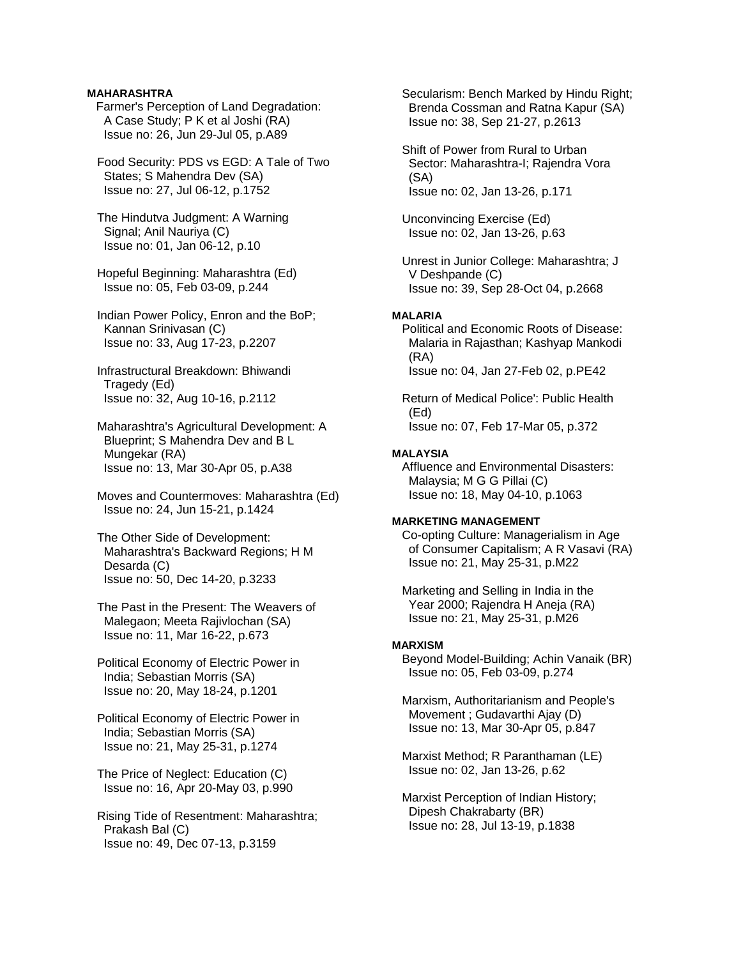### **MAHARASHTRA**

- Farmer's Perception of Land Degradation: A Case Study; P K et al Joshi (RA) Issue no: 26, Jun 29-Jul 05, p.A89
- Food Security: PDS vs EGD: A Tale of Two States; S Mahendra Dev (SA) Issue no: 27, Jul 06-12, p.1752
- The Hindutva Judgment: A Warning Signal; Anil Nauriya (C) Issue no: 01, Jan 06-12, p.10
- Hopeful Beginning: Maharashtra (Ed) Issue no: 05, Feb 03-09, p.244
- Indian Power Policy, Enron and the BoP; Kannan Srinivasan (C) Issue no: 33, Aug 17-23, p.2207
- Infrastructural Breakdown: Bhiwandi Tragedy (Ed) Issue no: 32, Aug 10-16, p.2112
- Maharashtra's Agricultural Development: A Blueprint; S Mahendra Dev and B L Mungekar (RA) Issue no: 13, Mar 30-Apr 05, p.A38
- Moves and Countermoves: Maharashtra (Ed) Issue no: 24, Jun 15-21, p.1424
- The Other Side of Development: Maharashtra's Backward Regions; H M Desarda (C) Issue no: 50, Dec 14-20, p.3233
- The Past in the Present: The Weavers of Malegaon; Meeta Rajivlochan (SA) Issue no: 11, Mar 16-22, p.673
- Political Economy of Electric Power in India; Sebastian Morris (SA) Issue no: 20, May 18-24, p.1201
- Political Economy of Electric Power in India; Sebastian Morris (SA) Issue no: 21, May 25-31, p.1274
- The Price of Neglect: Education (C) Issue no: 16, Apr 20-May 03, p.990
- Rising Tide of Resentment: Maharashtra; Prakash Bal (C) Issue no: 49, Dec 07-13, p.3159

 Secularism: Bench Marked by Hindu Right; Brenda Cossman and Ratna Kapur (SA) Issue no: 38, Sep 21-27, p.2613

- Shift of Power from Rural to Urban Sector: Maharashtra-I; Rajendra Vora (SA) Issue no: 02, Jan 13-26, p.171
- Unconvincing Exercise (Ed) Issue no: 02, Jan 13-26, p.63
- Unrest in Junior College: Maharashtra; J V Deshpande (C) Issue no: 39, Sep 28-Oct 04, p.2668

### **MALARIA**

- Political and Economic Roots of Disease: Malaria in Rajasthan; Kashyap Mankodi (RA) Issue no: 04, Jan 27-Feb 02, p.PE42
- Return of Medical Police': Public Health (Ed) Issue no: 07, Feb 17-Mar 05, p.372

### **MALAYSIA**

 Affluence and Environmental Disasters: Malaysia; M G G Pillai (C) Issue no: 18, May 04-10, p.1063

#### **MARKETING MANAGEMENT**

- Co-opting Culture: Managerialism in Age of Consumer Capitalism; A R Vasavi (RA) Issue no: 21, May 25-31, p.M22
- Marketing and Selling in India in the Year 2000; Rajendra H Aneja (RA) Issue no: 21, May 25-31, p.M26

### **MARXISM**

- Beyond Model-Building; Achin Vanaik (BR) Issue no: 05, Feb 03-09, p.274
- Marxism, Authoritarianism and People's Movement ; Gudavarthi Ajay (D) Issue no: 13, Mar 30-Apr 05, p.847
- Marxist Method; R Paranthaman (LE) Issue no: 02, Jan 13-26, p.62
- Marxist Perception of Indian History; Dipesh Chakrabarty (BR) Issue no: 28, Jul 13-19, p.1838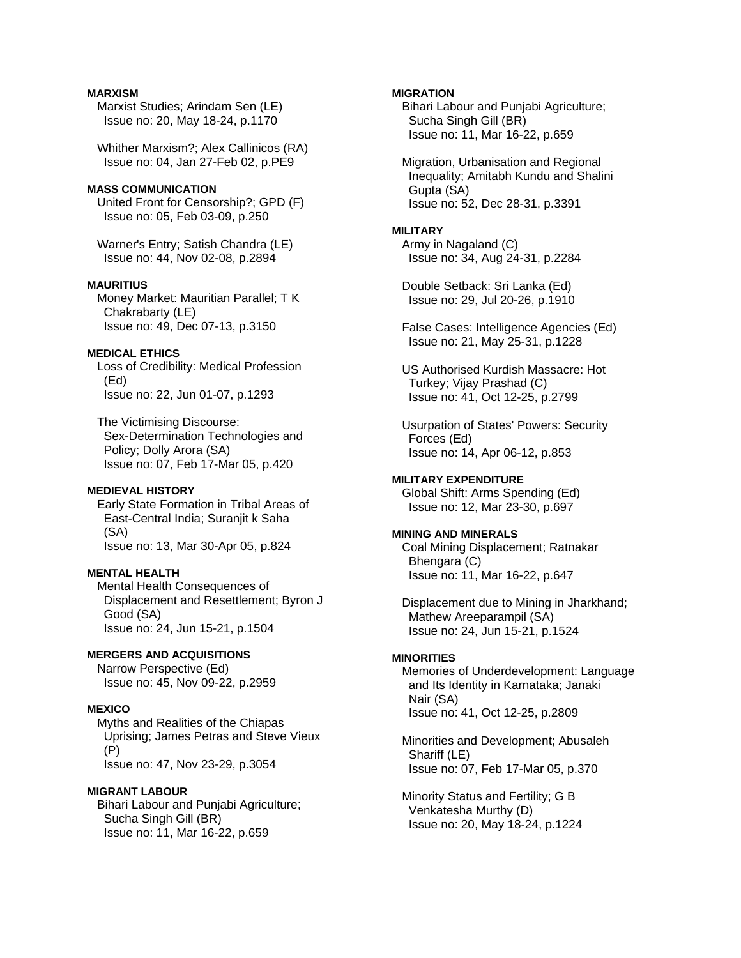### **MARXISM**

 Marxist Studies; Arindam Sen (LE) Issue no: 20, May 18-24, p.1170

 Whither Marxism?; Alex Callinicos (RA) Issue no: 04, Jan 27-Feb 02, p.PE9

### **MASS COMMUNICATION**

 United Front for Censorship?; GPD (F) Issue no: 05, Feb 03-09, p.250

 Warner's Entry; Satish Chandra (LE) Issue no: 44, Nov 02-08, p.2894

### **MAURITIUS**

 Money Market: Mauritian Parallel; T K Chakrabarty (LE) Issue no: 49, Dec 07-13, p.3150

### **MEDICAL ETHICS**

 Loss of Credibility: Medical Profession (Ed) Issue no: 22, Jun 01-07, p.1293

 The Victimising Discourse: Sex-Determination Technologies and Policy; Dolly Arora (SA) Issue no: 07, Feb 17-Mar 05, p.420

### **MEDIEVAL HISTORY**

 Early State Formation in Tribal Areas of East-Central India; Suranjit k Saha (SA) Issue no: 13, Mar 30-Apr 05, p.824

# **MENTAL HEALTH**

 Mental Health Consequences of Displacement and Resettlement; Byron J Good (SA) Issue no: 24, Jun 15-21, p.1504

### **MERGERS AND ACQUISITIONS**

 Narrow Perspective (Ed) Issue no: 45, Nov 09-22, p.2959

#### **MEXICO**

 Myths and Realities of the Chiapas Uprising; James Petras and Steve Vieux (P) Issue no: 47, Nov 23-29, p.3054

### **MIGRANT LABOUR**

 Bihari Labour and Punjabi Agriculture; Sucha Singh Gill (BR) Issue no: 11, Mar 16-22, p.659

### **MIGRATION**

 Bihari Labour and Punjabi Agriculture; Sucha Singh Gill (BR) Issue no: 11, Mar 16-22, p.659

 Migration, Urbanisation and Regional Inequality; Amitabh Kundu and Shalini Gupta (SA) Issue no: 52, Dec 28-31, p.3391

#### **MILITARY**

 Army in Nagaland (C) Issue no: 34, Aug 24-31, p.2284

 Double Setback: Sri Lanka (Ed) Issue no: 29, Jul 20-26, p.1910

 False Cases: Intelligence Agencies (Ed) Issue no: 21, May 25-31, p.1228

 US Authorised Kurdish Massacre: Hot Turkey; Vijay Prashad (C) Issue no: 41, Oct 12-25, p.2799

 Usurpation of States' Powers: Security Forces (Ed) Issue no: 14, Apr 06-12, p.853

**MILITARY EXPENDITURE**  Global Shift: Arms Spending (Ed) Issue no: 12, Mar 23-30, p.697

### **MINING AND MINERALS**  Coal Mining Displacement; Ratnakar Bhengara (C) Issue no: 11, Mar 16-22, p.647

 Displacement due to Mining in Jharkhand; Mathew Areeparampil (SA) Issue no: 24, Jun 15-21, p.1524

#### **MINORITIES**

 Memories of Underdevelopment: Language and Its Identity in Karnataka; Janaki Nair (SA) Issue no: 41, Oct 12-25, p.2809

 Minorities and Development; Abusaleh Shariff (LE) Issue no: 07, Feb 17-Mar 05, p.370

 Minority Status and Fertility; G B Venkatesha Murthy (D) Issue no: 20, May 18-24, p.1224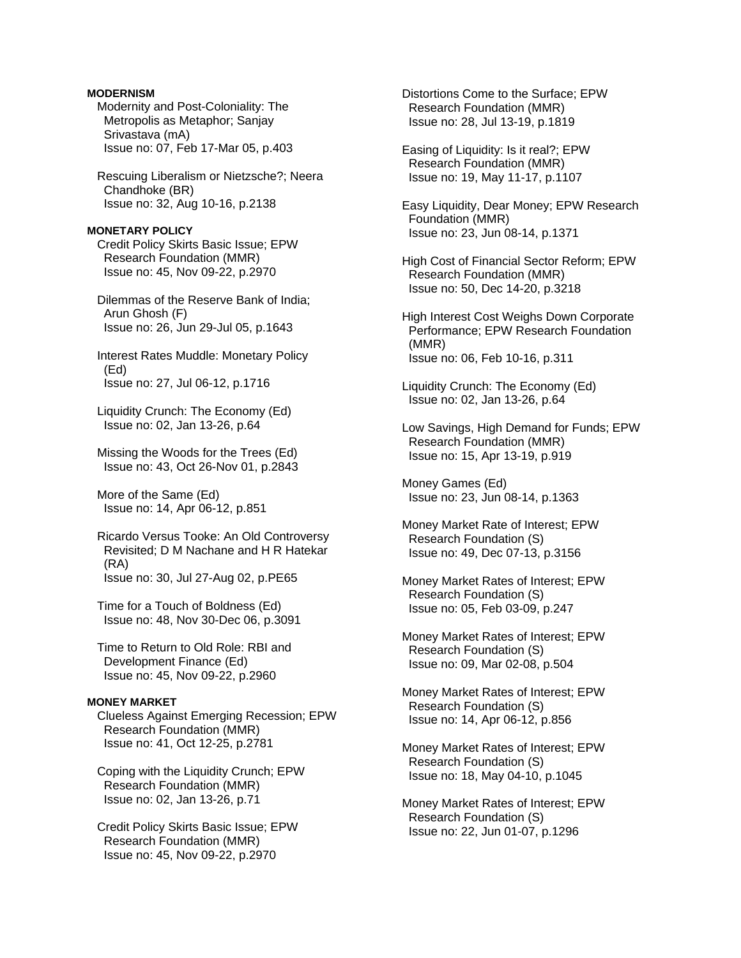### **MODERNISM**

 Modernity and Post-Coloniality: The Metropolis as Metaphor; Sanjay Srivastava (mA) Issue no: 07, Feb 17-Mar 05, p.403

 Rescuing Liberalism or Nietzsche?; Neera Chandhoke (BR) Issue no: 32, Aug 10-16, p.2138

#### **MONETARY POLICY**

 Credit Policy Skirts Basic Issue; EPW Research Foundation (MMR) Issue no: 45, Nov 09-22, p.2970

 Dilemmas of the Reserve Bank of India; Arun Ghosh (F) Issue no: 26, Jun 29-Jul 05, p.1643

 Interest Rates Muddle: Monetary Policy (Ed) Issue no: 27, Jul 06-12, p.1716

 Liquidity Crunch: The Economy (Ed) Issue no: 02, Jan 13-26, p.64

 Missing the Woods for the Trees (Ed) Issue no: 43, Oct 26-Nov 01, p.2843

 More of the Same (Ed) Issue no: 14, Apr 06-12, p.851

 Ricardo Versus Tooke: An Old Controversy Revisited; D M Nachane and H R Hatekar (RA) Issue no: 30, Jul 27-Aug 02, p.PE65

 Time for a Touch of Boldness (Ed) Issue no: 48, Nov 30-Dec 06, p.3091

 Time to Return to Old Role: RBI and Development Finance (Ed) Issue no: 45, Nov 09-22, p.2960

### **MONEY MARKET**

 Clueless Against Emerging Recession; EPW Research Foundation (MMR) Issue no: 41, Oct 12-25, p.2781

 Coping with the Liquidity Crunch; EPW Research Foundation (MMR) Issue no: 02, Jan 13-26, p.71

 Credit Policy Skirts Basic Issue; EPW Research Foundation (MMR) Issue no: 45, Nov 09-22, p.2970

 Distortions Come to the Surface; EPW Research Foundation (MMR) Issue no: 28, Jul 13-19, p.1819

 Easing of Liquidity: Is it real?; EPW Research Foundation (MMR) Issue no: 19, May 11-17, p.1107

 Easy Liquidity, Dear Money; EPW Research Foundation (MMR) Issue no: 23, Jun 08-14, p.1371

- High Cost of Financial Sector Reform; EPW Research Foundation (MMR) Issue no: 50, Dec 14-20, p.3218
- High Interest Cost Weighs Down Corporate Performance; EPW Research Foundation (MMR) Issue no: 06, Feb 10-16, p.311
- Liquidity Crunch: The Economy (Ed) Issue no: 02, Jan 13-26, p.64

 Low Savings, High Demand for Funds; EPW Research Foundation (MMR) Issue no: 15, Apr 13-19, p.919

 Money Games (Ed) Issue no: 23, Jun 08-14, p.1363

 Money Market Rate of Interest; EPW Research Foundation (S) Issue no: 49, Dec 07-13, p.3156

 Money Market Rates of Interest; EPW Research Foundation (S) Issue no: 05, Feb 03-09, p.247

 Money Market Rates of Interest; EPW Research Foundation (S) Issue no: 09, Mar 02-08, p.504

 Money Market Rates of Interest; EPW Research Foundation (S) Issue no: 14, Apr 06-12, p.856

 Money Market Rates of Interest; EPW Research Foundation (S) Issue no: 18, May 04-10, p.1045

 Money Market Rates of Interest; EPW Research Foundation (S) Issue no: 22, Jun 01-07, p.1296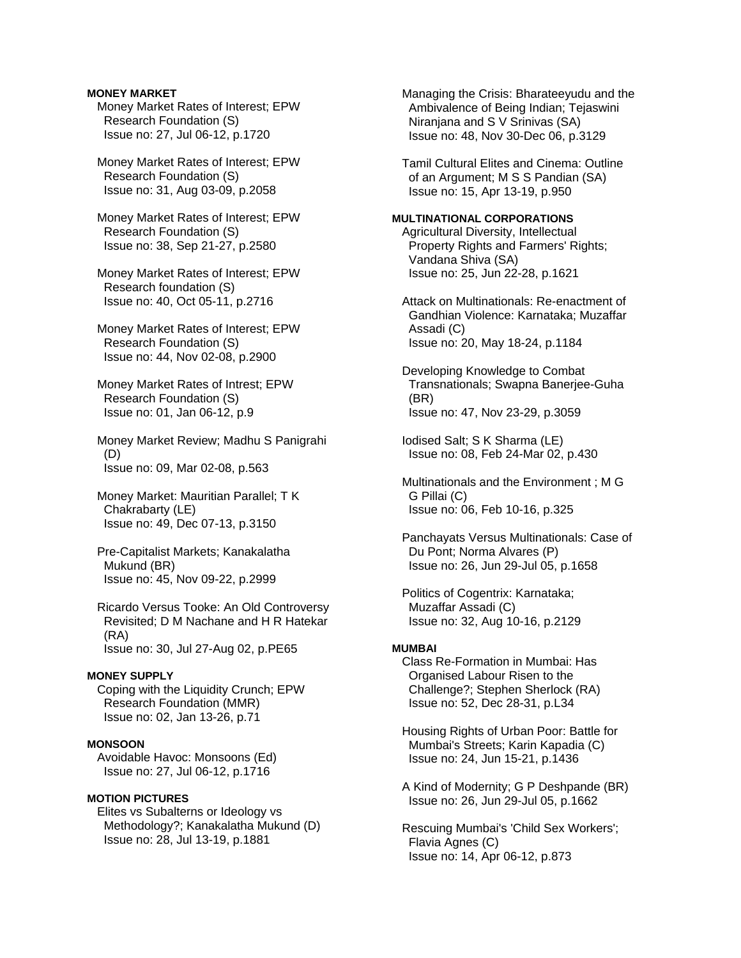### **MONEY MARKET**

 Money Market Rates of Interest; EPW Research Foundation (S) Issue no: 27, Jul 06-12, p.1720

 Money Market Rates of Interest; EPW Research Foundation (S) Issue no: 31, Aug 03-09, p.2058

 Money Market Rates of Interest; EPW Research Foundation (S) Issue no: 38, Sep 21-27, p.2580

 Money Market Rates of Interest; EPW Research foundation (S) Issue no: 40, Oct 05-11, p.2716

 Money Market Rates of Interest; EPW Research Foundation (S) Issue no: 44, Nov 02-08, p.2900

 Money Market Rates of Intrest; EPW Research Foundation (S) Issue no: 01, Jan 06-12, p.9

 Money Market Review; Madhu S Panigrahi (D) Issue no: 09, Mar 02-08, p.563

 Money Market: Mauritian Parallel; T K Chakrabarty (LE) Issue no: 49, Dec 07-13, p.3150

 Pre-Capitalist Markets; Kanakalatha Mukund (BR) Issue no: 45, Nov 09-22, p.2999

 Ricardo Versus Tooke: An Old Controversy Revisited; D M Nachane and H R Hatekar (RA) Issue no: 30, Jul 27-Aug 02, p.PE65

#### **MONEY SUPPLY**

 Coping with the Liquidity Crunch; EPW Research Foundation (MMR) Issue no: 02, Jan 13-26, p.71

### **MONSOON**

 Avoidable Havoc: Monsoons (Ed) Issue no: 27, Jul 06-12, p.1716

#### **MOTION PICTURES**

 Elites vs Subalterns or Ideology vs Methodology?; Kanakalatha Mukund (D) Issue no: 28, Jul 13-19, p.1881

 Managing the Crisis: Bharateeyudu and the Ambivalence of Being Indian; Tejaswini Niranjana and S V Srinivas (SA) Issue no: 48, Nov 30-Dec 06, p.3129

 Tamil Cultural Elites and Cinema: Outline of an Argument; M S S Pandian (SA) Issue no: 15, Apr 13-19, p.950

# **MULTINATIONAL CORPORATIONS**

 Agricultural Diversity, Intellectual Property Rights and Farmers' Rights; Vandana Shiva (SA) Issue no: 25, Jun 22-28, p.1621

 Attack on Multinationals: Re-enactment of Gandhian Violence: Karnataka; Muzaffar Assadi (C) Issue no: 20, May 18-24, p.1184

 Developing Knowledge to Combat Transnationals; Swapna Banerjee-Guha (BR) Issue no: 47, Nov 23-29, p.3059

 Iodised Salt; S K Sharma (LE) Issue no: 08, Feb 24-Mar 02, p.430

 Multinationals and the Environment ; M G G Pillai (C) Issue no: 06, Feb 10-16, p.325

 Panchayats Versus Multinationals: Case of Du Pont; Norma Alvares (P) Issue no: 26, Jun 29-Jul 05, p.1658

 Politics of Cogentrix: Karnataka; Muzaffar Assadi (C) Issue no: 32, Aug 10-16, p.2129

### **MUMBAI**

 Class Re-Formation in Mumbai: Has Organised Labour Risen to the Challenge?; Stephen Sherlock (RA) Issue no: 52, Dec 28-31, p.L34

 Housing Rights of Urban Poor: Battle for Mumbai's Streets; Karin Kapadia (C) Issue no: 24, Jun 15-21, p.1436

 A Kind of Modernity; G P Deshpande (BR) Issue no: 26, Jun 29-Jul 05, p.1662

 Rescuing Mumbai's 'Child Sex Workers'; Flavia Agnes (C) Issue no: 14, Apr 06-12, p.873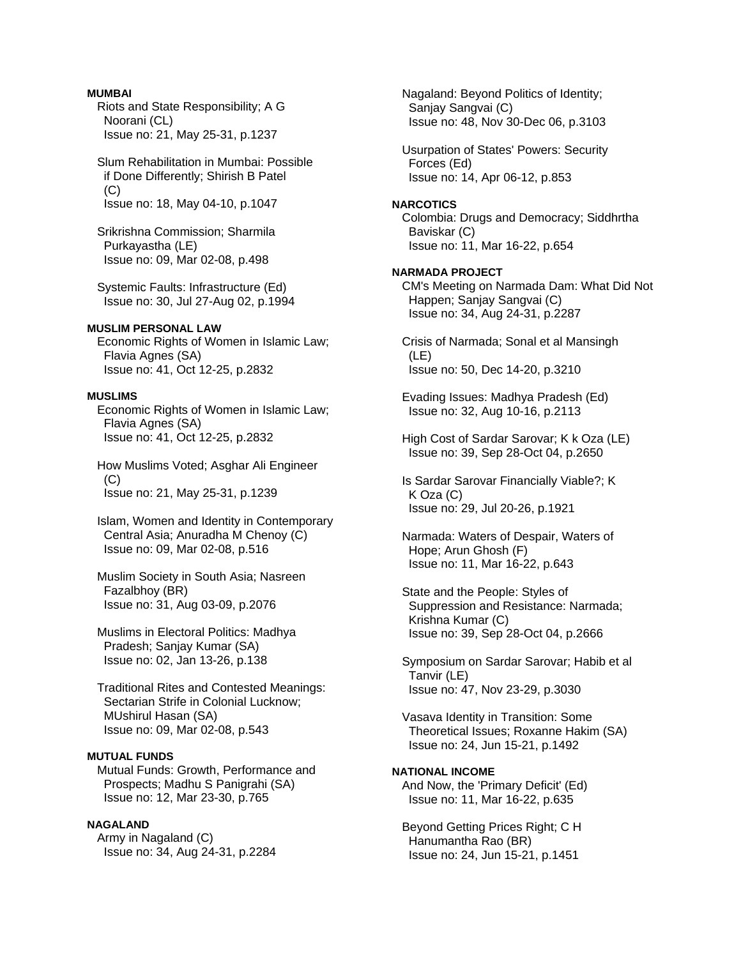### **MUMBAI**

 Riots and State Responsibility; A G Noorani (CL) Issue no: 21, May 25-31, p.1237

 Slum Rehabilitation in Mumbai: Possible if Done Differently; Shirish B Patel (C) Issue no: 18, May 04-10, p.1047

 Srikrishna Commission; Sharmila Purkayastha (LE) Issue no: 09, Mar 02-08, p.498

 Systemic Faults: Infrastructure (Ed) Issue no: 30, Jul 27-Aug 02, p.1994

## **MUSLIM PERSONAL LAW**

 Economic Rights of Women in Islamic Law; Flavia Agnes (SA) Issue no: 41, Oct 12-25, p.2832

# **MUSLIMS**

 Economic Rights of Women in Islamic Law; Flavia Agnes (SA) Issue no: 41, Oct 12-25, p.2832

 How Muslims Voted; Asghar Ali Engineer  $(C)$ Issue no: 21, May 25-31, p.1239

 Islam, Women and Identity in Contemporary Central Asia; Anuradha M Chenoy (C) Issue no: 09, Mar 02-08, p.516

 Muslim Society in South Asia; Nasreen Fazalbhoy (BR) Issue no: 31, Aug 03-09, p.2076

 Muslims in Electoral Politics: Madhya Pradesh; Sanjay Kumar (SA) Issue no: 02, Jan 13-26, p.138

 Traditional Rites and Contested Meanings: Sectarian Strife in Colonial Lucknow; MUshirul Hasan (SA) Issue no: 09, Mar 02-08, p.543

### **MUTUAL FUNDS**

 Mutual Funds: Growth, Performance and Prospects; Madhu S Panigrahi (SA) Issue no: 12, Mar 23-30, p.765

# **NAGALAND**

 Army in Nagaland (C) Issue no: 34, Aug 24-31, p.2284  Nagaland: Beyond Politics of Identity; Sanjay Sangvai (C) Issue no: 48, Nov 30-Dec 06, p.3103

 Usurpation of States' Powers: Security Forces (Ed) Issue no: 14, Apr 06-12, p.853

#### **NARCOTICS**

 Colombia: Drugs and Democracy; Siddhrtha Baviskar (C) Issue no: 11, Mar 16-22, p.654

#### **NARMADA PROJECT**

 CM's Meeting on Narmada Dam: What Did Not Happen; Sanjay Sangvai (C) Issue no: 34, Aug 24-31, p.2287

 Crisis of Narmada; Sonal et al Mansingh (LE) Issue no: 50, Dec 14-20, p.3210

 Evading Issues: Madhya Pradesh (Ed) Issue no: 32, Aug 10-16, p.2113

 High Cost of Sardar Sarovar; K k Oza (LE) Issue no: 39, Sep 28-Oct 04, p.2650

 Is Sardar Sarovar Financially Viable?; K K Oza (C) Issue no: 29, Jul 20-26, p.1921

 Narmada: Waters of Despair, Waters of Hope; Arun Ghosh (F) Issue no: 11, Mar 16-22, p.643

 State and the People: Styles of Suppression and Resistance: Narmada; Krishna Kumar (C) Issue no: 39, Sep 28-Oct 04, p.2666

 Symposium on Sardar Sarovar; Habib et al Tanvir (LE) Issue no: 47, Nov 23-29, p.3030

 Vasava Identity in Transition: Some Theoretical Issues; Roxanne Hakim (SA) Issue no: 24, Jun 15-21, p.1492

# **NATIONAL INCOME**

 And Now, the 'Primary Deficit' (Ed) Issue no: 11, Mar 16-22, p.635

 Beyond Getting Prices Right; C H Hanumantha Rao (BR) Issue no: 24, Jun 15-21, p.1451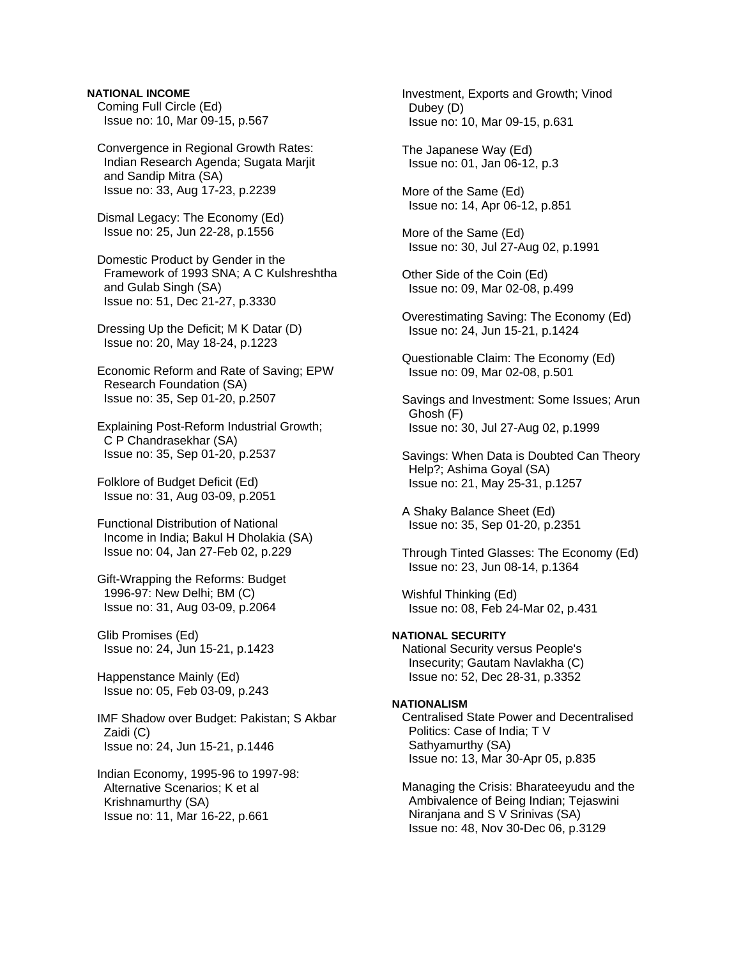### **NATIONAL INCOME**

 Coming Full Circle (Ed) Issue no: 10, Mar 09-15, p.567

 Convergence in Regional Growth Rates: Indian Research Agenda; Sugata Marjit and Sandip Mitra (SA) Issue no: 33, Aug 17-23, p.2239

 Dismal Legacy: The Economy (Ed) Issue no: 25, Jun 22-28, p.1556

 Domestic Product by Gender in the Framework of 1993 SNA; A C Kulshreshtha and Gulab Singh (SA) Issue no: 51, Dec 21-27, p.3330

 Dressing Up the Deficit; M K Datar (D) Issue no: 20, May 18-24, p.1223

 Economic Reform and Rate of Saving; EPW Research Foundation (SA) Issue no: 35, Sep 01-20, p.2507

 Explaining Post-Reform Industrial Growth; C P Chandrasekhar (SA) Issue no: 35, Sep 01-20, p.2537

 Folklore of Budget Deficit (Ed) Issue no: 31, Aug 03-09, p.2051

 Functional Distribution of National Income in India; Bakul H Dholakia (SA) Issue no: 04, Jan 27-Feb 02, p.229

 Gift-Wrapping the Reforms: Budget 1996-97: New Delhi; BM (C) Issue no: 31, Aug 03-09, p.2064

 Glib Promises (Ed) Issue no: 24, Jun 15-21, p.1423

 Happenstance Mainly (Ed) Issue no: 05, Feb 03-09, p.243

 IMF Shadow over Budget: Pakistan; S Akbar Zaidi (C) Issue no: 24, Jun 15-21, p.1446

 Indian Economy, 1995-96 to 1997-98: Alternative Scenarios; K et al Krishnamurthy (SA) Issue no: 11, Mar 16-22, p.661

 Investment, Exports and Growth; Vinod Dubey (D) Issue no: 10, Mar 09-15, p.631

 The Japanese Way (Ed) Issue no: 01, Jan 06-12, p.3

 More of the Same (Ed) Issue no: 14, Apr 06-12, p.851

 More of the Same (Ed) Issue no: 30, Jul 27-Aug 02, p.1991

- Other Side of the Coin (Ed) Issue no: 09, Mar 02-08, p.499
- Overestimating Saving: The Economy (Ed) Issue no: 24, Jun 15-21, p.1424
- Questionable Claim: The Economy (Ed) Issue no: 09, Mar 02-08, p.501

 Savings and Investment: Some Issues; Arun Ghosh (F) Issue no: 30, Jul 27-Aug 02, p.1999

 Savings: When Data is Doubted Can Theory Help?; Ashima Goyal (SA) Issue no: 21, May 25-31, p.1257

 A Shaky Balance Sheet (Ed) Issue no: 35, Sep 01-20, p.2351

 Through Tinted Glasses: The Economy (Ed) Issue no: 23, Jun 08-14, p.1364

 Wishful Thinking (Ed) Issue no: 08, Feb 24-Mar 02, p.431

### **NATIONAL SECURITY**  National Security versus People's Insecurity; Gautam Navlakha (C) Issue no: 52, Dec 28-31, p.3352

#### **NATIONALISM**

 Centralised State Power and Decentralised Politics: Case of India; T V Sathyamurthy (SA) Issue no: 13, Mar 30-Apr 05, p.835

 Managing the Crisis: Bharateeyudu and the Ambivalence of Being Indian; Tejaswini Niranjana and S V Srinivas (SA) Issue no: 48, Nov 30-Dec 06, p.3129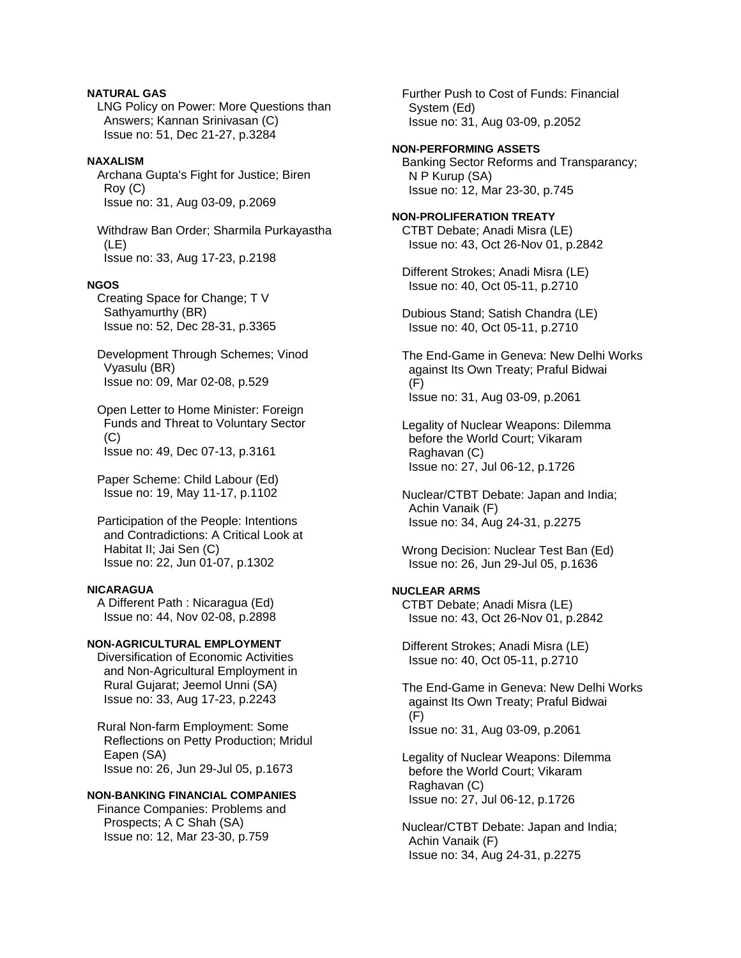# **NATURAL GAS**

 LNG Policy on Power: More Questions than Answers; Kannan Srinivasan (C) Issue no: 51, Dec 21-27, p.3284

# **NAXALISM**

 Archana Gupta's Fight for Justice; Biren Roy (C) Issue no: 31, Aug 03-09, p.2069

 Withdraw Ban Order; Sharmila Purkayastha (LE) Issue no: 33, Aug 17-23, p.2198

#### **NGOS**

 Creating Space for Change; T V Sathyamurthy (BR) Issue no: 52, Dec 28-31, p.3365

 Development Through Schemes; Vinod Vyasulu (BR) Issue no: 09, Mar 02-08, p.529

 Open Letter to Home Minister: Foreign Funds and Threat to Voluntary Sector  $(C)$ Issue no: 49, Dec 07-13, p.3161

 Paper Scheme: Child Labour (Ed) Issue no: 19, May 11-17, p.1102

 Participation of the People: Intentions and Contradictions: A Critical Look at Habitat II; Jai Sen (C) Issue no: 22, Jun 01-07, p.1302

### **NICARAGUA**

 A Different Path : Nicaragua (Ed) Issue no: 44, Nov 02-08, p.2898

# **NON-AGRICULTURAL EMPLOYMENT**

 Diversification of Economic Activities and Non-Agricultural Employment in Rural Gujarat; Jeemol Unni (SA) Issue no: 33, Aug 17-23, p.2243

 Rural Non-farm Employment: Some Reflections on Petty Production; Mridul Eapen (SA) Issue no: 26, Jun 29-Jul 05, p.1673

#### **NON-BANKING FINANCIAL COMPANIES**

 Finance Companies: Problems and Prospects; A C Shah (SA) Issue no: 12, Mar 23-30, p.759

 Further Push to Cost of Funds: Financial System (Ed) Issue no: 31, Aug 03-09, p.2052

### **NON-PERFORMING ASSETS**

 Banking Sector Reforms and Transparancy; N P Kurup (SA) Issue no: 12, Mar 23-30, p.745

#### **NON-PROLIFERATION TREATY**  CTBT Debate; Anadi Misra (LE) Issue no: 43, Oct 26-Nov 01, p.2842

 Different Strokes; Anadi Misra (LE) Issue no: 40, Oct 05-11, p.2710

 Dubious Stand; Satish Chandra (LE) Issue no: 40, Oct 05-11, p.2710

 The End-Game in Geneva: New Delhi Works against Its Own Treaty; Praful Bidwai (F) Issue no: 31, Aug 03-09, p.2061

 Legality of Nuclear Weapons: Dilemma before the World Court; Vikaram Raghavan (C) Issue no: 27, Jul 06-12, p.1726

 Nuclear/CTBT Debate: Japan and India; Achin Vanaik (F) Issue no: 34, Aug 24-31, p.2275

 Wrong Decision: Nuclear Test Ban (Ed) Issue no: 26, Jun 29-Jul 05, p.1636

# **NUCLEAR ARMS**

 CTBT Debate; Anadi Misra (LE) Issue no: 43, Oct 26-Nov 01, p.2842

 Different Strokes; Anadi Misra (LE) Issue no: 40, Oct 05-11, p.2710

 The End-Game in Geneva: New Delhi Works against Its Own Treaty; Praful Bidwai (F) Issue no: 31, Aug 03-09, p.2061

 Legality of Nuclear Weapons: Dilemma before the World Court; Vikaram Raghavan (C) Issue no: 27, Jul 06-12, p.1726

 Nuclear/CTBT Debate: Japan and India; Achin Vanaik (F) Issue no: 34, Aug 24-31, p.2275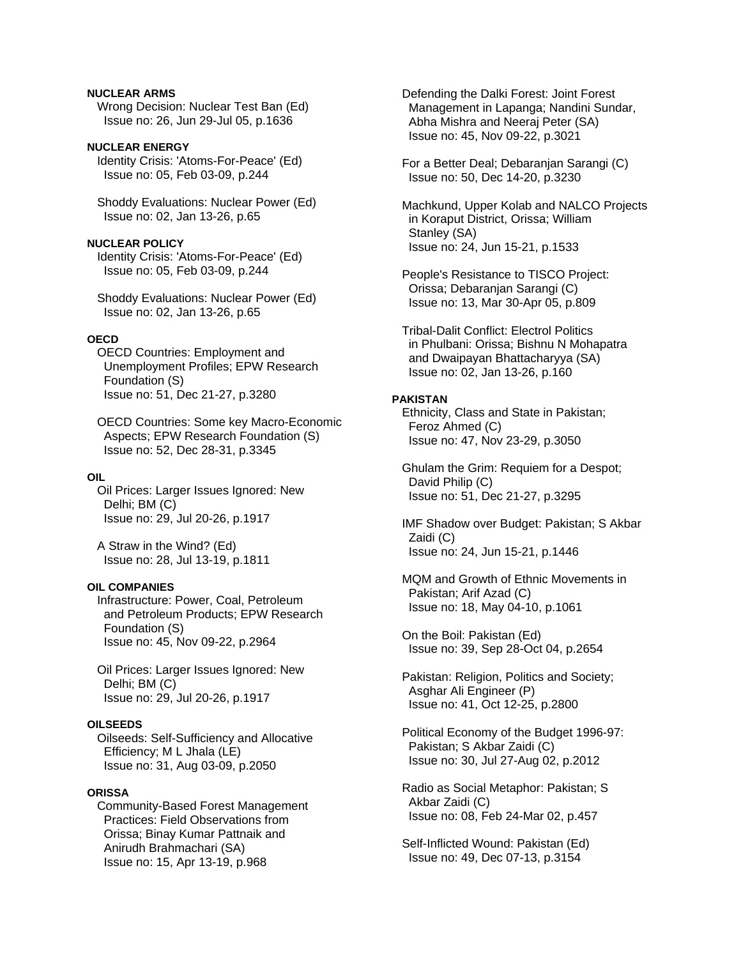### **NUCLEAR ARMS**

 Wrong Decision: Nuclear Test Ban (Ed) Issue no: 26, Jun 29-Jul 05, p.1636

### **NUCLEAR ENERGY**

 Identity Crisis: 'Atoms-For-Peace' (Ed) Issue no: 05, Feb 03-09, p.244

 Shoddy Evaluations: Nuclear Power (Ed) Issue no: 02, Jan 13-26, p.65

### **NUCLEAR POLICY**

 Identity Crisis: 'Atoms-For-Peace' (Ed) Issue no: 05, Feb 03-09, p.244

 Shoddy Evaluations: Nuclear Power (Ed) Issue no: 02, Jan 13-26, p.65

### **OECD**

 OECD Countries: Employment and Unemployment Profiles; EPW Research Foundation (S) Issue no: 51, Dec 21-27, p.3280

 OECD Countries: Some key Macro-Economic Aspects; EPW Research Foundation (S) Issue no: 52, Dec 28-31, p.3345

#### **OIL**

 Oil Prices: Larger Issues Ignored: New Delhi; BM (C) Issue no: 29, Jul 20-26, p.1917

 A Straw in the Wind? (Ed) Issue no: 28, Jul 13-19, p.1811

# **OIL COMPANIES**

 Infrastructure: Power, Coal, Petroleum and Petroleum Products; EPW Research Foundation (S) Issue no: 45, Nov 09-22, p.2964

 Oil Prices: Larger Issues Ignored: New Delhi; BM (C) Issue no: 29, Jul 20-26, p.1917

#### **OILSEEDS**

 Oilseeds: Self-Sufficiency and Allocative Efficiency; M L Jhala (LE) Issue no: 31, Aug 03-09, p.2050

#### **ORISSA**

 Community-Based Forest Management Practices: Field Observations from Orissa; Binay Kumar Pattnaik and Anirudh Brahmachari (SA) Issue no: 15, Apr 13-19, p.968

 Defending the Dalki Forest: Joint Forest Management in Lapanga; Nandini Sundar, Abha Mishra and Neeraj Peter (SA) Issue no: 45, Nov 09-22, p.3021

 For a Better Deal; Debaranjan Sarangi (C) Issue no: 50, Dec 14-20, p.3230

 Machkund, Upper Kolab and NALCO Projects in Koraput District, Orissa; William Stanley (SA) Issue no: 24, Jun 15-21, p.1533

 People's Resistance to TISCO Project: Orissa; Debaranjan Sarangi (C) Issue no: 13, Mar 30-Apr 05, p.809

 Tribal-Dalit Conflict: Electrol Politics in Phulbani: Orissa; Bishnu N Mohapatra and Dwaipayan Bhattacharyya (SA) Issue no: 02, Jan 13-26, p.160

# **PAKISTAN**

 Ethnicity, Class and State in Pakistan; Feroz Ahmed (C) Issue no: 47, Nov 23-29, p.3050

 Ghulam the Grim: Requiem for a Despot; David Philip (C) Issue no: 51, Dec 21-27, p.3295

 IMF Shadow over Budget: Pakistan; S Akbar Zaidi (C) Issue no: 24, Jun 15-21, p.1446

 MQM and Growth of Ethnic Movements in Pakistan; Arif Azad (C) Issue no: 18, May 04-10, p.1061

 On the Boil: Pakistan (Ed) Issue no: 39, Sep 28-Oct 04, p.2654

 Pakistan: Religion, Politics and Society; Asghar Ali Engineer (P) Issue no: 41, Oct 12-25, p.2800

 Political Economy of the Budget 1996-97: Pakistan; S Akbar Zaidi (C) Issue no: 30, Jul 27-Aug 02, p.2012

 Radio as Social Metaphor: Pakistan; S Akbar Zaidi (C) Issue no: 08, Feb 24-Mar 02, p.457

 Self-Inflicted Wound: Pakistan (Ed) Issue no: 49, Dec 07-13, p.3154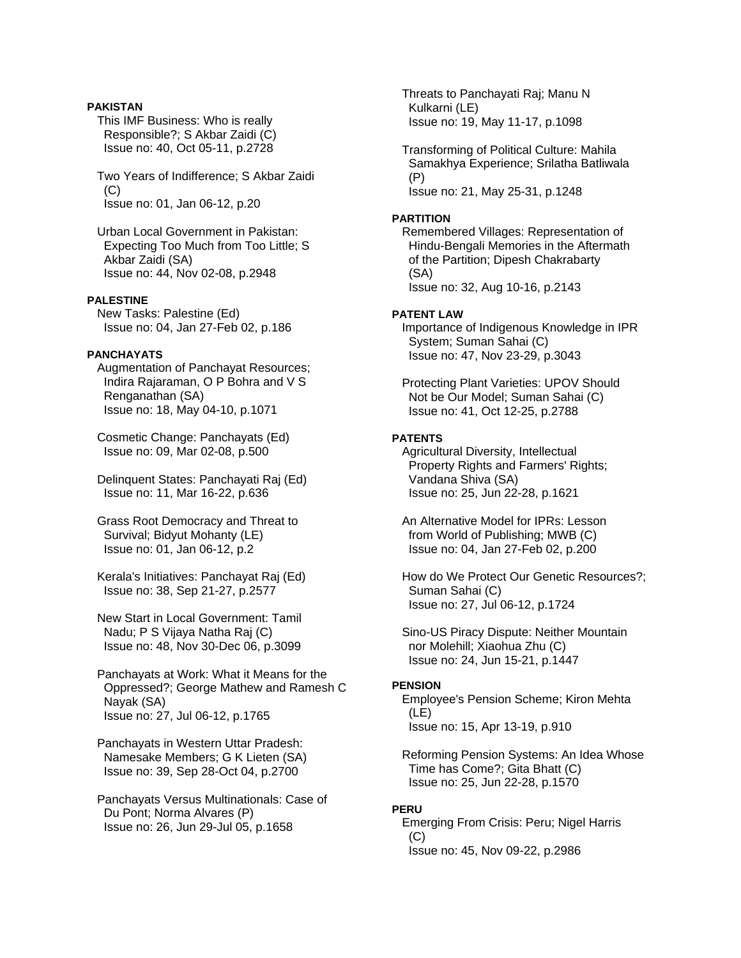### **PAKISTAN**

 This IMF Business: Who is really Responsible?; S Akbar Zaidi (C) Issue no: 40, Oct 05-11, p.2728

 Two Years of Indifference; S Akbar Zaidi (C) Issue no: 01, Jan 06-12, p.20

 Urban Local Government in Pakistan: Expecting Too Much from Too Little; S Akbar Zaidi (SA) Issue no: 44, Nov 02-08, p.2948

# **PALESTINE**

 New Tasks: Palestine (Ed) Issue no: 04, Jan 27-Feb 02, p.186

### **PANCHAYATS**

 Augmentation of Panchayat Resources; Indira Rajaraman, O P Bohra and V S Renganathan (SA) Issue no: 18, May 04-10, p.1071

 Cosmetic Change: Panchayats (Ed) Issue no: 09, Mar 02-08, p.500

 Delinquent States: Panchayati Raj (Ed) Issue no: 11, Mar 16-22, p.636

 Grass Root Democracy and Threat to Survival; Bidyut Mohanty (LE) Issue no: 01, Jan 06-12, p.2

 Kerala's Initiatives: Panchayat Raj (Ed) Issue no: 38, Sep 21-27, p.2577

 New Start in Local Government: Tamil Nadu; P S Vijaya Natha Raj (C) Issue no: 48, Nov 30-Dec 06, p.3099

 Panchayats at Work: What it Means for the Oppressed?; George Mathew and Ramesh C Nayak (SA) Issue no: 27, Jul 06-12, p.1765

 Panchayats in Western Uttar Pradesh: Namesake Members; G K Lieten (SA) Issue no: 39, Sep 28-Oct 04, p.2700

 Panchayats Versus Multinationals: Case of Du Pont; Norma Alvares (P) Issue no: 26, Jun 29-Jul 05, p.1658

 Threats to Panchayati Raj; Manu N Kulkarni (LE) Issue no: 19, May 11-17, p.1098

 Transforming of Political Culture: Mahila Samakhya Experience; Srilatha Batliwala (P) Issue no: 21, May 25-31, p.1248

# **PARTITION**

 Remembered Villages: Representation of Hindu-Bengali Memories in the Aftermath of the Partition; Dipesh Chakrabarty (SA) Issue no: 32, Aug 10-16, p.2143

# **PATENT LAW**

 Importance of Indigenous Knowledge in IPR System; Suman Sahai (C) Issue no: 47, Nov 23-29, p.3043

 Protecting Plant Varieties: UPOV Should Not be Our Model; Suman Sahai (C) Issue no: 41, Oct 12-25, p.2788

# **PATENTS**

 Agricultural Diversity, Intellectual Property Rights and Farmers' Rights; Vandana Shiva (SA) Issue no: 25, Jun 22-28, p.1621

 An Alternative Model for IPRs: Lesson from World of Publishing; MWB (C) Issue no: 04, Jan 27-Feb 02, p.200

 How do We Protect Our Genetic Resources?; Suman Sahai (C) Issue no: 27, Jul 06-12, p.1724

 Sino-US Piracy Dispute: Neither Mountain nor Molehill; Xiaohua Zhu (C) Issue no: 24, Jun 15-21, p.1447

# **PENSION**

 Employee's Pension Scheme; Kiron Mehta (LE) Issue no: 15, Apr 13-19, p.910

 Reforming Pension Systems: An Idea Whose Time has Come?; Gita Bhatt (C) Issue no: 25, Jun 22-28, p.1570

# **PERU**

 Emerging From Crisis: Peru; Nigel Harris  $(C)$ Issue no: 45, Nov 09-22, p.2986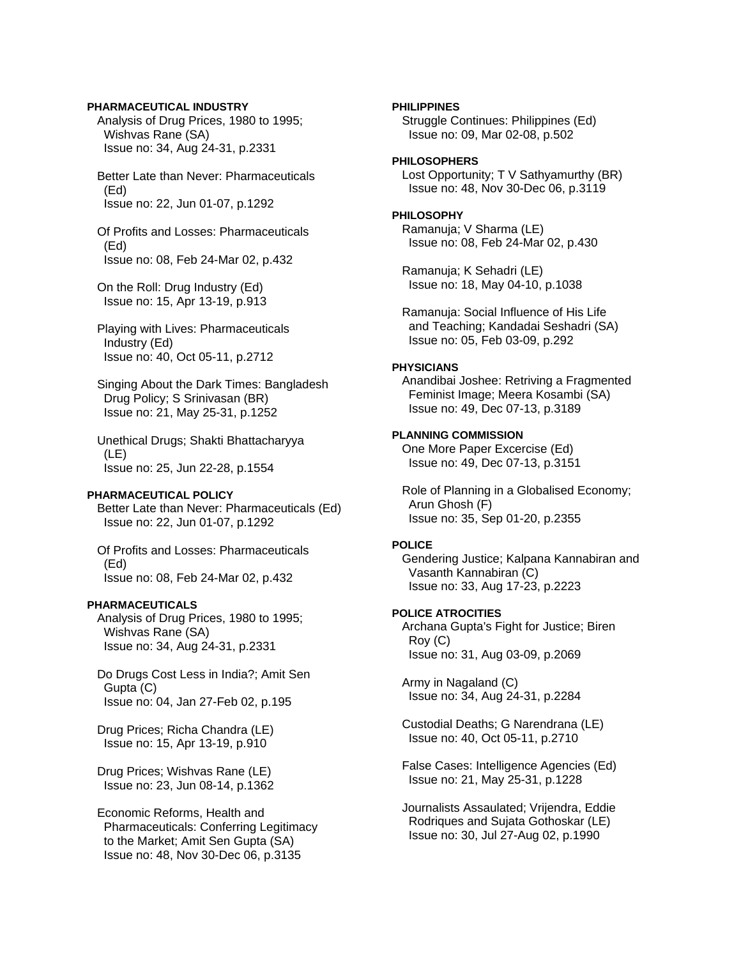### **PHARMACEUTICAL INDUSTRY**

 Analysis of Drug Prices, 1980 to 1995; Wishvas Rane (SA) Issue no: 34, Aug 24-31, p.2331

 Better Late than Never: Pharmaceuticals (Ed) Issue no: 22, Jun 01-07, p.1292

 Of Profits and Losses: Pharmaceuticals (Ed) Issue no: 08, Feb 24-Mar 02, p.432

 On the Roll: Drug Industry (Ed) Issue no: 15, Apr 13-19, p.913

 Playing with Lives: Pharmaceuticals Industry (Ed) Issue no: 40, Oct 05-11, p.2712

 Singing About the Dark Times: Bangladesh Drug Policy; S Srinivasan (BR) Issue no: 21, May 25-31, p.1252

 Unethical Drugs; Shakti Bhattacharyya (LE) Issue no: 25, Jun 22-28, p.1554

### **PHARMACEUTICAL POLICY**

 Better Late than Never: Pharmaceuticals (Ed) Issue no: 22, Jun 01-07, p.1292

 Of Profits and Losses: Pharmaceuticals (Ed) Issue no: 08, Feb 24-Mar 02, p.432

### **PHARMACEUTICALS**

 Analysis of Drug Prices, 1980 to 1995; Wishvas Rane (SA) Issue no: 34, Aug 24-31, p.2331

 Do Drugs Cost Less in India?; Amit Sen Gupta (C) Issue no: 04, Jan 27-Feb 02, p.195

 Drug Prices; Richa Chandra (LE) Issue no: 15, Apr 13-19, p.910

 Drug Prices; Wishvas Rane (LE) Issue no: 23, Jun 08-14, p.1362

 Economic Reforms, Health and Pharmaceuticals: Conferring Legitimacy to the Market; Amit Sen Gupta (SA) Issue no: 48, Nov 30-Dec 06, p.3135

### **PHILIPPINES**

 Struggle Continues: Philippines (Ed) Issue no: 09, Mar 02-08, p.502

### **PHILOSOPHERS**

 Lost Opportunity; T V Sathyamurthy (BR) Issue no: 48, Nov 30-Dec 06, p.3119

# **PHILOSOPHY**

 Ramanuja; V Sharma (LE) Issue no: 08, Feb 24-Mar 02, p.430

 Ramanuja; K Sehadri (LE) Issue no: 18, May 04-10, p.1038

 Ramanuja: Social Influence of His Life and Teaching; Kandadai Seshadri (SA) Issue no: 05, Feb 03-09, p.292

# **PHYSICIANS**

 Anandibai Joshee: Retriving a Fragmented Feminist Image; Meera Kosambi (SA) Issue no: 49, Dec 07-13, p.3189

### **PLANNING COMMISSION**

 One More Paper Excercise (Ed) Issue no: 49, Dec 07-13, p.3151

 Role of Planning in a Globalised Economy; Arun Ghosh (F) Issue no: 35, Sep 01-20, p.2355

### **POLICE**

 Gendering Justice; Kalpana Kannabiran and Vasanth Kannabiran (C) Issue no: 33, Aug 17-23, p.2223

### **POLICE ATROCITIES**

 Archana Gupta's Fight for Justice; Biren Roy (C) Issue no: 31, Aug 03-09, p.2069

 Army in Nagaland (C) Issue no: 34, Aug 24-31, p.2284

 Custodial Deaths; G Narendrana (LE) Issue no: 40, Oct 05-11, p.2710

 False Cases: Intelligence Agencies (Ed) Issue no: 21, May 25-31, p.1228

 Journalists Assaulated; Vrijendra, Eddie Rodriques and Sujata Gothoskar (LE) Issue no: 30, Jul 27-Aug 02, p.1990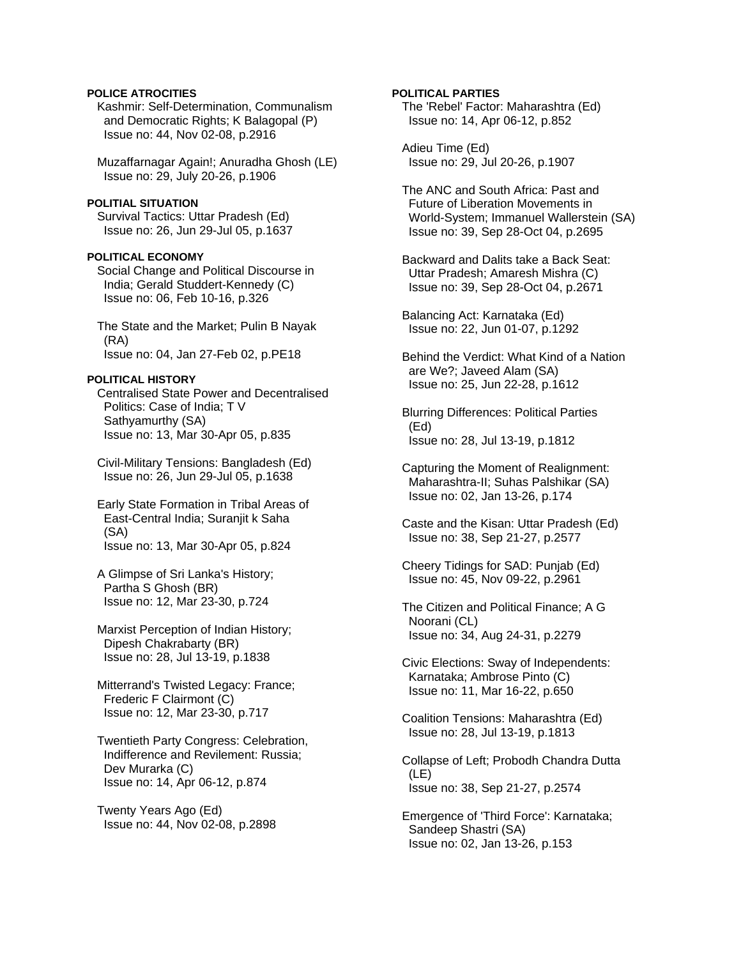### **POLICE ATROCITIES**

 Kashmir: Self-Determination, Communalism and Democratic Rights; K Balagopal (P) Issue no: 44, Nov 02-08, p.2916

 Muzaffarnagar Again!; Anuradha Ghosh (LE) Issue no: 29, July 20-26, p.1906

# **POLITIAL SITUATION**

 Survival Tactics: Uttar Pradesh (Ed) Issue no: 26, Jun 29-Jul 05, p.1637

#### **POLITICAL ECONOMY**

 Social Change and Political Discourse in India; Gerald Studdert-Kennedy (C) Issue no: 06, Feb 10-16, p.326

 The State and the Market; Pulin B Nayak (RA) Issue no: 04, Jan 27-Feb 02, p.PE18

### **POLITICAL HISTORY**

 Centralised State Power and Decentralised Politics: Case of India; T V Sathyamurthy (SA) Issue no: 13, Mar 30-Apr 05, p.835

 Civil-Military Tensions: Bangladesh (Ed) Issue no: 26, Jun 29-Jul 05, p.1638

 Early State Formation in Tribal Areas of East-Central India; Suranjit k Saha (SA) Issue no: 13, Mar 30-Apr 05, p.824

 A Glimpse of Sri Lanka's History; Partha S Ghosh (BR) Issue no: 12, Mar 23-30, p.724

 Marxist Perception of Indian History; Dipesh Chakrabarty (BR) Issue no: 28, Jul 13-19, p.1838

 Mitterrand's Twisted Legacy: France; Frederic F Clairmont (C) Issue no: 12, Mar 23-30, p.717

 Twentieth Party Congress: Celebration, Indifference and Revilement: Russia; Dev Murarka (C) Issue no: 14, Apr 06-12, p.874

 Twenty Years Ago (Ed) Issue no: 44, Nov 02-08, p.2898

### **POLITICAL PARTIES**

 The 'Rebel' Factor: Maharashtra (Ed) Issue no: 14, Apr 06-12, p.852

 Adieu Time (Ed) Issue no: 29, Jul 20-26, p.1907

 The ANC and South Africa: Past and Future of Liberation Movements in World-System; Immanuel Wallerstein (SA) Issue no: 39, Sep 28-Oct 04, p.2695

 Backward and Dalits take a Back Seat: Uttar Pradesh; Amaresh Mishra (C) Issue no: 39, Sep 28-Oct 04, p.2671

 Balancing Act: Karnataka (Ed) Issue no: 22, Jun 01-07, p.1292

 Behind the Verdict: What Kind of a Nation are We?; Javeed Alam (SA) Issue no: 25, Jun 22-28, p.1612

 Blurring Differences: Political Parties (Ed) Issue no: 28, Jul 13-19, p.1812

 Capturing the Moment of Realignment: Maharashtra-II; Suhas Palshikar (SA) Issue no: 02, Jan 13-26, p.174

 Caste and the Kisan: Uttar Pradesh (Ed) Issue no: 38, Sep 21-27, p.2577

 Cheery Tidings for SAD: Punjab (Ed) Issue no: 45, Nov 09-22, p.2961

 The Citizen and Political Finance; A G Noorani (CL) Issue no: 34, Aug 24-31, p.2279

 Civic Elections: Sway of Independents: Karnataka; Ambrose Pinto (C) Issue no: 11, Mar 16-22, p.650

 Coalition Tensions: Maharashtra (Ed) Issue no: 28, Jul 13-19, p.1813

 Collapse of Left; Probodh Chandra Dutta (LE) Issue no: 38, Sep 21-27, p.2574

 Emergence of 'Third Force': Karnataka; Sandeep Shastri (SA) Issue no: 02, Jan 13-26, p.153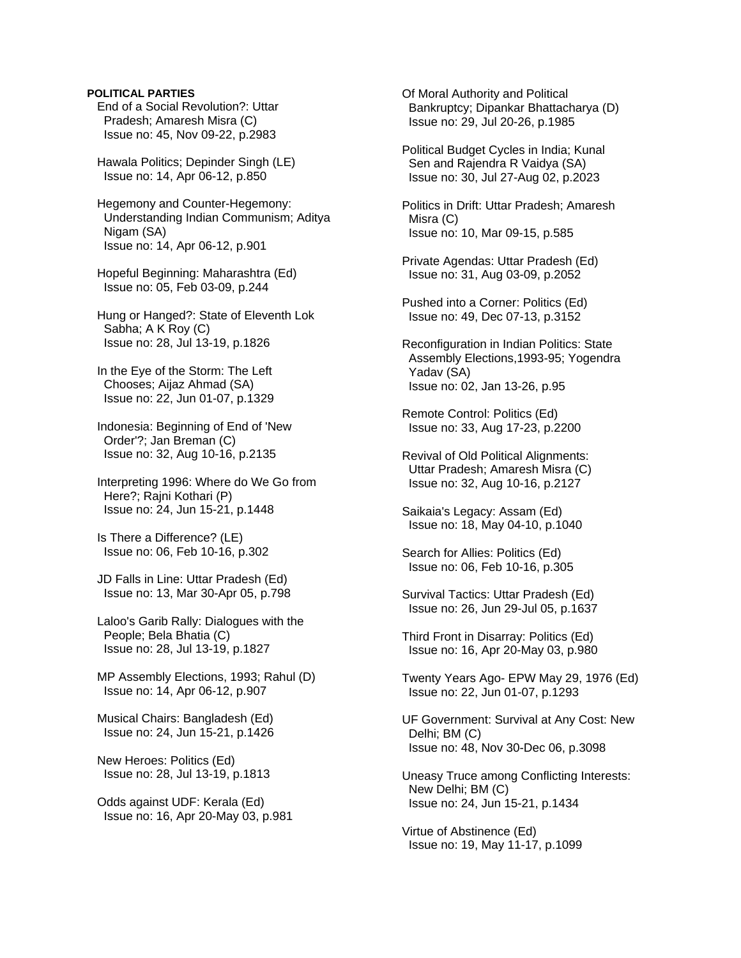### **POLITICAL PARTIES**

 End of a Social Revolution?: Uttar Pradesh; Amaresh Misra (C) Issue no: 45, Nov 09-22, p.2983

 Hawala Politics; Depinder Singh (LE) Issue no: 14, Apr 06-12, p.850

 Hegemony and Counter-Hegemony: Understanding Indian Communism; Aditya Nigam (SA) Issue no: 14, Apr 06-12, p.901

 Hopeful Beginning: Maharashtra (Ed) Issue no: 05, Feb 03-09, p.244

 Hung or Hanged?: State of Eleventh Lok Sabha; A K Roy (C) Issue no: 28, Jul 13-19, p.1826

 In the Eye of the Storm: The Left Chooses; Aijaz Ahmad (SA) Issue no: 22, Jun 01-07, p.1329

 Indonesia: Beginning of End of 'New Order'?; Jan Breman (C) Issue no: 32, Aug 10-16, p.2135

 Interpreting 1996: Where do We Go from Here?; Rajni Kothari (P) Issue no: 24, Jun 15-21, p.1448

 Is There a Difference? (LE) Issue no: 06, Feb 10-16, p.302

 JD Falls in Line: Uttar Pradesh (Ed) Issue no: 13, Mar 30-Apr 05, p.798

 Laloo's Garib Rally: Dialogues with the People; Bela Bhatia (C) Issue no: 28, Jul 13-19, p.1827

 MP Assembly Elections, 1993; Rahul (D) Issue no: 14, Apr 06-12, p.907

 Musical Chairs: Bangladesh (Ed) Issue no: 24, Jun 15-21, p.1426

 New Heroes: Politics (Ed) Issue no: 28, Jul 13-19, p.1813

 Odds against UDF: Kerala (Ed) Issue no: 16, Apr 20-May 03, p.981  Of Moral Authority and Political Bankruptcy; Dipankar Bhattacharya (D) Issue no: 29, Jul 20-26, p.1985

 Political Budget Cycles in India; Kunal Sen and Rajendra R Vaidya (SA) Issue no: 30, Jul 27-Aug 02, p.2023

 Politics in Drift: Uttar Pradesh; Amaresh Misra (C) Issue no: 10, Mar 09-15, p.585

 Private Agendas: Uttar Pradesh (Ed) Issue no: 31, Aug 03-09, p.2052

 Pushed into a Corner: Politics (Ed) Issue no: 49, Dec 07-13, p.3152

 Reconfiguration in Indian Politics: State Assembly Elections,1993-95; Yogendra Yadav (SA) Issue no: 02, Jan 13-26, p.95

 Remote Control: Politics (Ed) Issue no: 33, Aug 17-23, p.2200

 Revival of Old Political Alignments: Uttar Pradesh; Amaresh Misra (C) Issue no: 32, Aug 10-16, p.2127

 Saikaia's Legacy: Assam (Ed) Issue no: 18, May 04-10, p.1040

 Search for Allies: Politics (Ed) Issue no: 06, Feb 10-16, p.305

 Survival Tactics: Uttar Pradesh (Ed) Issue no: 26, Jun 29-Jul 05, p.1637

 Third Front in Disarray: Politics (Ed) Issue no: 16, Apr 20-May 03, p.980

 Twenty Years Ago- EPW May 29, 1976 (Ed) Issue no: 22, Jun 01-07, p.1293

 UF Government: Survival at Any Cost: New Delhi; BM (C) Issue no: 48, Nov 30-Dec 06, p.3098

 Uneasy Truce among Conflicting Interests: New Delhi; BM (C) Issue no: 24, Jun 15-21, p.1434

 Virtue of Abstinence (Ed) Issue no: 19, May 11-17, p.1099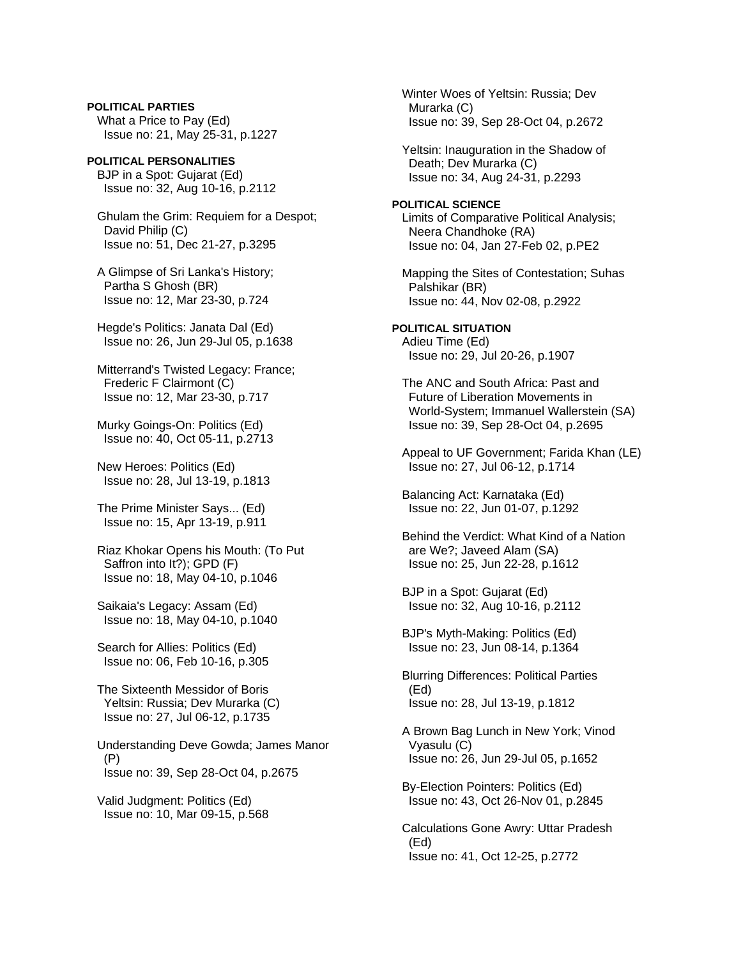**POLITICAL PARTIES**  What a Price to Pay (Ed) Issue no: 21, May 25-31, p.1227

**POLITICAL PERSONALITIES**  BJP in a Spot: Gujarat (Ed) Issue no: 32, Aug 10-16, p.2112

 Ghulam the Grim: Requiem for a Despot; David Philip (C) Issue no: 51, Dec 21-27, p.3295

 A Glimpse of Sri Lanka's History; Partha S Ghosh (BR) Issue no: 12, Mar 23-30, p.724

 Hegde's Politics: Janata Dal (Ed) Issue no: 26, Jun 29-Jul 05, p.1638

 Mitterrand's Twisted Legacy: France; Frederic F Clairmont (C) Issue no: 12, Mar 23-30, p.717

 Murky Goings-On: Politics (Ed) Issue no: 40, Oct 05-11, p.2713

 New Heroes: Politics (Ed) Issue no: 28, Jul 13-19, p.1813

 The Prime Minister Says... (Ed) Issue no: 15, Apr 13-19, p.911

 Riaz Khokar Opens his Mouth: (To Put Saffron into It?); GPD (F) Issue no: 18, May 04-10, p.1046

 Saikaia's Legacy: Assam (Ed) Issue no: 18, May 04-10, p.1040

 Search for Allies: Politics (Ed) Issue no: 06, Feb 10-16, p.305

 The Sixteenth Messidor of Boris Yeltsin: Russia; Dev Murarka (C) Issue no: 27, Jul 06-12, p.1735

 Understanding Deve Gowda; James Manor (P) Issue no: 39, Sep 28-Oct 04, p.2675

 Valid Judgment: Politics (Ed) Issue no: 10, Mar 09-15, p.568  Winter Woes of Yeltsin: Russia; Dev Murarka (C) Issue no: 39, Sep 28-Oct 04, p.2672

 Yeltsin: Inauguration in the Shadow of Death; Dev Murarka (C) Issue no: 34, Aug 24-31, p.2293

**POLITICAL SCIENCE**  Limits of Comparative Political Analysis; Neera Chandhoke (RA) Issue no: 04, Jan 27-Feb 02, p.PE2

 Mapping the Sites of Contestation; Suhas Palshikar (BR) Issue no: 44, Nov 02-08, p.2922

**POLITICAL SITUATION**  Adieu Time (Ed) Issue no: 29, Jul 20-26, p.1907

 The ANC and South Africa: Past and Future of Liberation Movements in World-System; Immanuel Wallerstein (SA) Issue no: 39, Sep 28-Oct 04, p.2695

 Appeal to UF Government; Farida Khan (LE) Issue no: 27, Jul 06-12, p.1714

 Balancing Act: Karnataka (Ed) Issue no: 22, Jun 01-07, p.1292

 Behind the Verdict: What Kind of a Nation are We?; Javeed Alam (SA) Issue no: 25, Jun 22-28, p.1612

 BJP in a Spot: Gujarat (Ed) Issue no: 32, Aug 10-16, p.2112

 BJP's Myth-Making: Politics (Ed) Issue no: 23, Jun 08-14, p.1364

 Blurring Differences: Political Parties (Ed) Issue no: 28, Jul 13-19, p.1812

 A Brown Bag Lunch in New York; Vinod Vyasulu (C) Issue no: 26, Jun 29-Jul 05, p.1652

 By-Election Pointers: Politics (Ed) Issue no: 43, Oct 26-Nov 01, p.2845

 Calculations Gone Awry: Uttar Pradesh (Ed) Issue no: 41, Oct 12-25, p.2772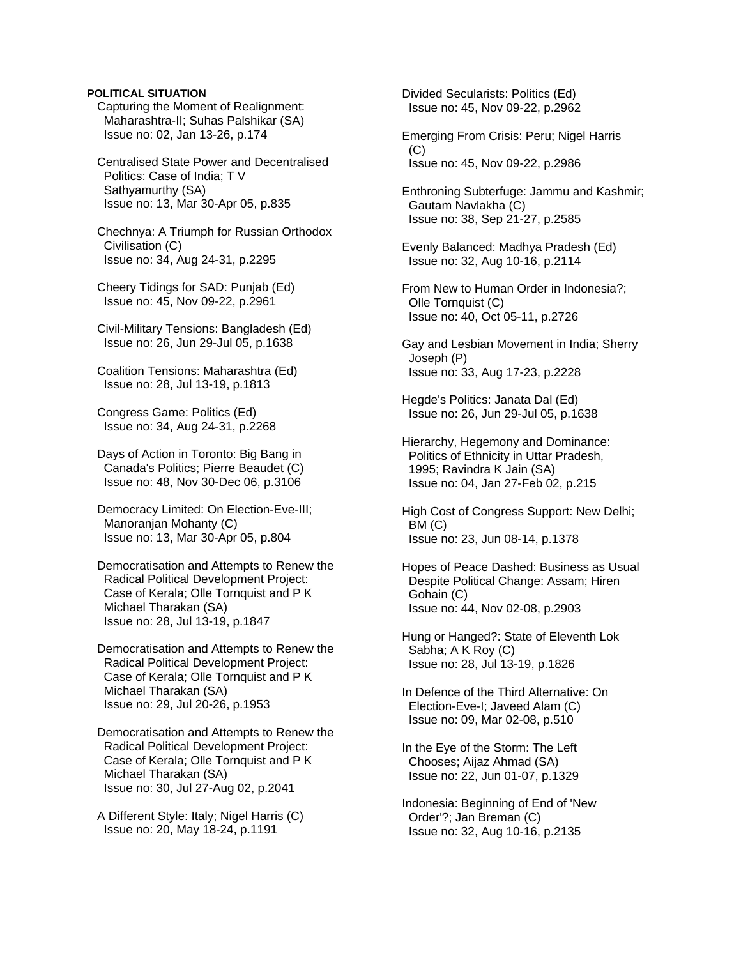## **POLITICAL SITUATION**

 Capturing the Moment of Realignment: Maharashtra-II; Suhas Palshikar (SA) Issue no: 02, Jan 13-26, p.174

 Centralised State Power and Decentralised Politics: Case of India; T V Sathyamurthy (SA) Issue no: 13, Mar 30-Apr 05, p.835

 Chechnya: A Triumph for Russian Orthodox Civilisation (C) Issue no: 34, Aug 24-31, p.2295

 Cheery Tidings for SAD: Punjab (Ed) Issue no: 45, Nov 09-22, p.2961

 Civil-Military Tensions: Bangladesh (Ed) Issue no: 26, Jun 29-Jul 05, p.1638

 Coalition Tensions: Maharashtra (Ed) Issue no: 28, Jul 13-19, p.1813

 Congress Game: Politics (Ed) Issue no: 34, Aug 24-31, p.2268

 Days of Action in Toronto: Big Bang in Canada's Politics; Pierre Beaudet (C) Issue no: 48, Nov 30-Dec 06, p.3106

 Democracy Limited: On Election-Eve-III; Manoranjan Mohanty (C) Issue no: 13, Mar 30-Apr 05, p.804

 Democratisation and Attempts to Renew the Radical Political Development Project: Case of Kerala; Olle Tornquist and P K Michael Tharakan (SA) Issue no: 28, Jul 13-19, p.1847

 Democratisation and Attempts to Renew the Radical Political Development Project: Case of Kerala; Olle Tornquist and P K Michael Tharakan (SA) Issue no: 29, Jul 20-26, p.1953

 Democratisation and Attempts to Renew the Radical Political Development Project: Case of Kerala; Olle Tornquist and P K Michael Tharakan (SA) Issue no: 30, Jul 27-Aug 02, p.2041

 A Different Style: Italy; Nigel Harris (C) Issue no: 20, May 18-24, p.1191

 Divided Secularists: Politics (Ed) Issue no: 45, Nov 09-22, p.2962

 Emerging From Crisis: Peru; Nigel Harris (C) Issue no: 45, Nov 09-22, p.2986

 Enthroning Subterfuge: Jammu and Kashmir; Gautam Navlakha (C) Issue no: 38, Sep 21-27, p.2585

 Evenly Balanced: Madhya Pradesh (Ed) Issue no: 32, Aug 10-16, p.2114

 From New to Human Order in Indonesia?; Olle Tornquist (C) Issue no: 40, Oct 05-11, p.2726

 Gay and Lesbian Movement in India; Sherry Joseph (P) Issue no: 33, Aug 17-23, p.2228

 Hegde's Politics: Janata Dal (Ed) Issue no: 26, Jun 29-Jul 05, p.1638

 Hierarchy, Hegemony and Dominance: Politics of Ethnicity in Uttar Pradesh, 1995; Ravindra K Jain (SA) Issue no: 04, Jan 27-Feb 02, p.215

 High Cost of Congress Support: New Delhi; BM (C) Issue no: 23, Jun 08-14, p.1378

 Hopes of Peace Dashed: Business as Usual Despite Political Change: Assam; Hiren Gohain (C) Issue no: 44, Nov 02-08, p.2903

 Hung or Hanged?: State of Eleventh Lok Sabha; A K Roy (C) Issue no: 28, Jul 13-19, p.1826

 In Defence of the Third Alternative: On Election-Eve-I; Javeed Alam (C) Issue no: 09, Mar 02-08, p.510

 In the Eye of the Storm: The Left Chooses; Aijaz Ahmad (SA) Issue no: 22, Jun 01-07, p.1329

 Indonesia: Beginning of End of 'New Order'?; Jan Breman (C) Issue no: 32, Aug 10-16, p.2135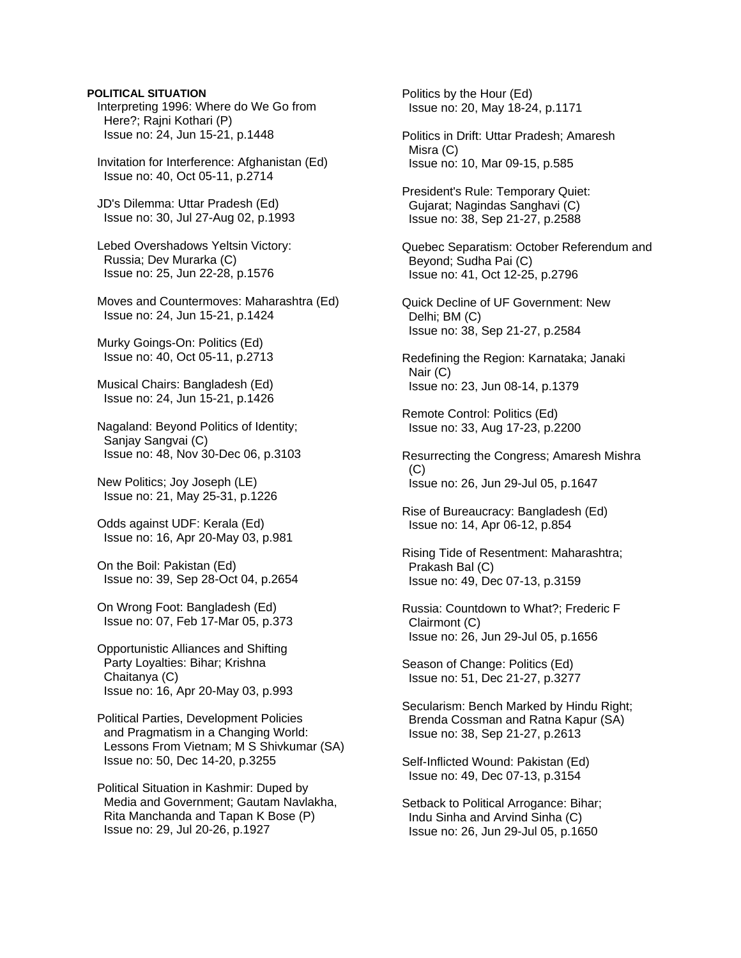### **POLITICAL SITUATION**

 Interpreting 1996: Where do We Go from Here?; Rajni Kothari (P) Issue no: 24, Jun 15-21, p.1448

 Invitation for Interference: Afghanistan (Ed) Issue no: 40, Oct 05-11, p.2714

 JD's Dilemma: Uttar Pradesh (Ed) Issue no: 30, Jul 27-Aug 02, p.1993

 Lebed Overshadows Yeltsin Victory: Russia; Dev Murarka (C) Issue no: 25, Jun 22-28, p.1576

 Moves and Countermoves: Maharashtra (Ed) Issue no: 24, Jun 15-21, p.1424

 Murky Goings-On: Politics (Ed) Issue no: 40, Oct 05-11, p.2713

 Musical Chairs: Bangladesh (Ed) Issue no: 24, Jun 15-21, p.1426

 Nagaland: Beyond Politics of Identity; Sanjay Sangvai (C) Issue no: 48, Nov 30-Dec 06, p.3103

 New Politics; Joy Joseph (LE) Issue no: 21, May 25-31, p.1226

 Odds against UDF: Kerala (Ed) Issue no: 16, Apr 20-May 03, p.981

 On the Boil: Pakistan (Ed) Issue no: 39, Sep 28-Oct 04, p.2654

 On Wrong Foot: Bangladesh (Ed) Issue no: 07, Feb 17-Mar 05, p.373

 Opportunistic Alliances and Shifting Party Loyalties: Bihar; Krishna Chaitanya (C) Issue no: 16, Apr 20-May 03, p.993

 Political Parties, Development Policies and Pragmatism in a Changing World: Lessons From Vietnam; M S Shivkumar (SA) Issue no: 50, Dec 14-20, p.3255

 Political Situation in Kashmir: Duped by Media and Government; Gautam Navlakha, Rita Manchanda and Tapan K Bose (P) Issue no: 29, Jul 20-26, p.1927

 Politics by the Hour (Ed) Issue no: 20, May 18-24, p.1171

 Politics in Drift: Uttar Pradesh; Amaresh Misra (C) Issue no: 10, Mar 09-15, p.585

 President's Rule: Temporary Quiet: Gujarat; Nagindas Sanghavi (C) Issue no: 38, Sep 21-27, p.2588

 Quebec Separatism: October Referendum and Beyond; Sudha Pai (C) Issue no: 41, Oct 12-25, p.2796

 Quick Decline of UF Government: New Delhi; BM (C) Issue no: 38, Sep 21-27, p.2584

 Redefining the Region: Karnataka; Janaki Nair (C) Issue no: 23, Jun 08-14, p.1379

 Remote Control: Politics (Ed) Issue no: 33, Aug 17-23, p.2200

 Resurrecting the Congress; Amaresh Mishra  $(C)$ Issue no: 26, Jun 29-Jul 05, p.1647

 Rise of Bureaucracy: Bangladesh (Ed) Issue no: 14, Apr 06-12, p.854

 Rising Tide of Resentment: Maharashtra; Prakash Bal (C) Issue no: 49, Dec 07-13, p.3159

 Russia: Countdown to What?; Frederic F Clairmont (C) Issue no: 26, Jun 29-Jul 05, p.1656

 Season of Change: Politics (Ed) Issue no: 51, Dec 21-27, p.3277

 Secularism: Bench Marked by Hindu Right; Brenda Cossman and Ratna Kapur (SA) Issue no: 38, Sep 21-27, p.2613

 Self-Inflicted Wound: Pakistan (Ed) Issue no: 49, Dec 07-13, p.3154

 Setback to Political Arrogance: Bihar; Indu Sinha and Arvind Sinha (C) Issue no: 26, Jun 29-Jul 05, p.1650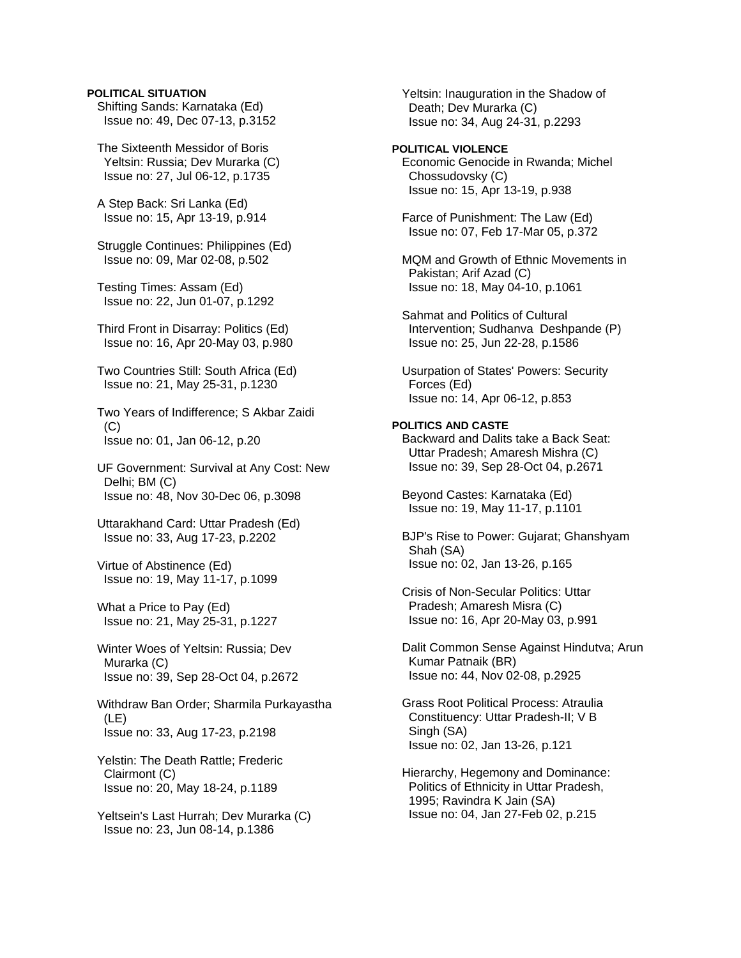## **POLITICAL SITUATION**

 Shifting Sands: Karnataka (Ed) Issue no: 49, Dec 07-13, p.3152

 The Sixteenth Messidor of Boris Yeltsin: Russia; Dev Murarka (C) Issue no: 27, Jul 06-12, p.1735

 A Step Back: Sri Lanka (Ed) Issue no: 15, Apr 13-19, p.914

 Struggle Continues: Philippines (Ed) Issue no: 09, Mar 02-08, p.502

 Testing Times: Assam (Ed) Issue no: 22, Jun 01-07, p.1292

 Third Front in Disarray: Politics (Ed) Issue no: 16, Apr 20-May 03, p.980

 Two Countries Still: South Africa (Ed) Issue no: 21, May 25-31, p.1230

 Two Years of Indifference; S Akbar Zaidi (C) Issue no: 01, Jan 06-12, p.20

 UF Government: Survival at Any Cost: New Delhi; BM (C) Issue no: 48, Nov 30-Dec 06, p.3098

 Uttarakhand Card: Uttar Pradesh (Ed) Issue no: 33, Aug 17-23, p.2202

 Virtue of Abstinence (Ed) Issue no: 19, May 11-17, p.1099

 What a Price to Pay (Ed) Issue no: 21, May 25-31, p.1227

 Winter Woes of Yeltsin: Russia; Dev Murarka (C) Issue no: 39, Sep 28-Oct 04, p.2672

 Withdraw Ban Order; Sharmila Purkayastha (LE) Issue no: 33, Aug 17-23, p.2198

 Yelstin: The Death Rattle; Frederic Clairmont (C) Issue no: 20, May 18-24, p.1189

 Yeltsein's Last Hurrah; Dev Murarka (C) Issue no: 23, Jun 08-14, p.1386

 Yeltsin: Inauguration in the Shadow of Death; Dev Murarka (C) Issue no: 34, Aug 24-31, p.2293

# **POLITICAL VIOLENCE**

 Economic Genocide in Rwanda; Michel Chossudovsky (C) Issue no: 15, Apr 13-19, p.938

 Farce of Punishment: The Law (Ed) Issue no: 07, Feb 17-Mar 05, p.372

 MQM and Growth of Ethnic Movements in Pakistan; Arif Azad (C) Issue no: 18, May 04-10, p.1061

 Sahmat and Politics of Cultural Intervention; Sudhanva Deshpande (P) Issue no: 25, Jun 22-28, p.1586

 Usurpation of States' Powers: Security Forces (Ed) Issue no: 14, Apr 06-12, p.853

# **POLITICS AND CASTE**

 Backward and Dalits take a Back Seat: Uttar Pradesh; Amaresh Mishra (C) Issue no: 39, Sep 28-Oct 04, p.2671

 Beyond Castes: Karnataka (Ed) Issue no: 19, May 11-17, p.1101

 BJP's Rise to Power: Gujarat; Ghanshyam Shah (SA) Issue no: 02, Jan 13-26, p.165

 Crisis of Non-Secular Politics: Uttar Pradesh; Amaresh Misra (C) Issue no: 16, Apr 20-May 03, p.991

 Dalit Common Sense Against Hindutva; Arun Kumar Patnaik (BR) Issue no: 44, Nov 02-08, p.2925

 Grass Root Political Process: Atraulia Constituency: Uttar Pradesh-II; V B Singh (SA) Issue no: 02, Jan 13-26, p.121

 Hierarchy, Hegemony and Dominance: Politics of Ethnicity in Uttar Pradesh, 1995; Ravindra K Jain (SA) Issue no: 04, Jan 27-Feb 02, p.215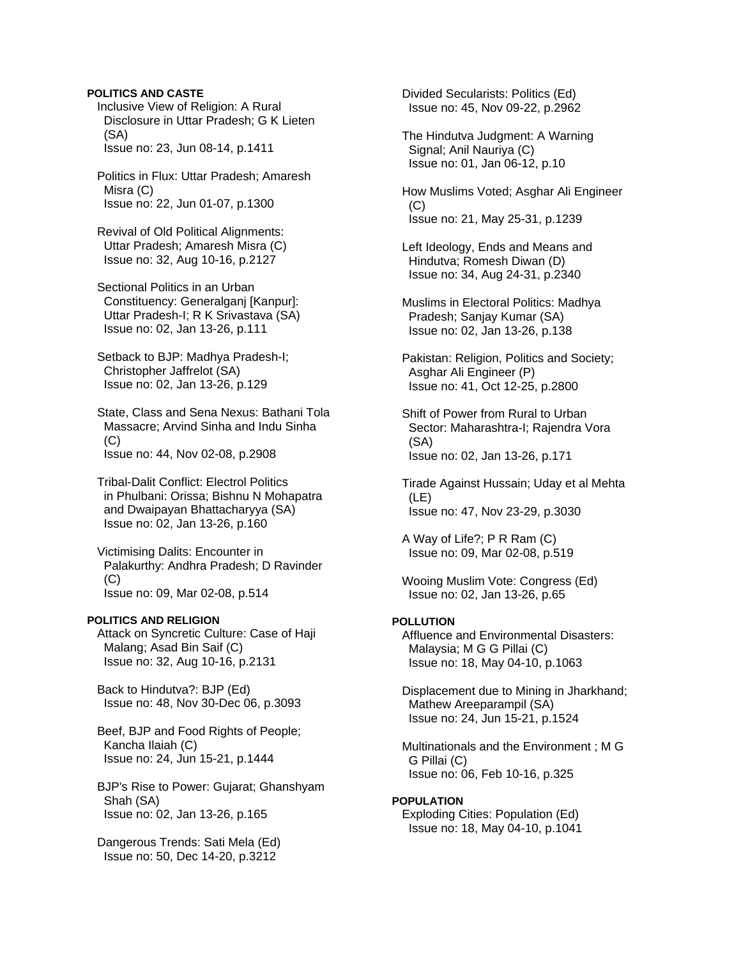## **POLITICS AND CASTE**

 Inclusive View of Religion: A Rural Disclosure in Uttar Pradesh; G K Lieten (SA) Issue no: 23, Jun 08-14, p.1411

 Politics in Flux: Uttar Pradesh; Amaresh Misra (C) Issue no: 22, Jun 01-07, p.1300

 Revival of Old Political Alignments: Uttar Pradesh; Amaresh Misra (C) Issue no: 32, Aug 10-16, p.2127

 Sectional Politics in an Urban Constituency: Generalganj [Kanpur]: Uttar Pradesh-I; R K Srivastava (SA) Issue no: 02, Jan 13-26, p.111

 Setback to BJP: Madhya Pradesh-I; Christopher Jaffrelot (SA) Issue no: 02, Jan 13-26, p.129

 State, Class and Sena Nexus: Bathani Tola Massacre; Arvind Sinha and Indu Sinha  $(C)$ Issue no: 44, Nov 02-08, p.2908

 Tribal-Dalit Conflict: Electrol Politics in Phulbani: Orissa; Bishnu N Mohapatra and Dwaipayan Bhattacharyya (SA) Issue no: 02, Jan 13-26, p.160

 Victimising Dalits: Encounter in Palakurthy: Andhra Pradesh; D Ravinder (C) Issue no: 09, Mar 02-08, p.514

#### **POLITICS AND RELIGION**

 Attack on Syncretic Culture: Case of Haji Malang; Asad Bin Saif (C) Issue no: 32, Aug 10-16, p.2131

 Back to Hindutva?: BJP (Ed) Issue no: 48, Nov 30-Dec 06, p.3093

 Beef, BJP and Food Rights of People; Kancha Ilaiah (C) Issue no: 24, Jun 15-21, p.1444

 BJP's Rise to Power: Gujarat; Ghanshyam Shah (SA) Issue no: 02, Jan 13-26, p.165

 Dangerous Trends: Sati Mela (Ed) Issue no: 50, Dec 14-20, p.3212

 Divided Secularists: Politics (Ed) Issue no: 45, Nov 09-22, p.2962

 The Hindutva Judgment: A Warning Signal; Anil Nauriya (C) Issue no: 01, Jan 06-12, p.10

 How Muslims Voted; Asghar Ali Engineer  $(C)$ Issue no: 21, May 25-31, p.1239

 Left Ideology, Ends and Means and Hindutva; Romesh Diwan (D) Issue no: 34, Aug 24-31, p.2340

 Muslims in Electoral Politics: Madhya Pradesh; Sanjay Kumar (SA) Issue no: 02, Jan 13-26, p.138

 Pakistan: Religion, Politics and Society; Asghar Ali Engineer (P) Issue no: 41, Oct 12-25, p.2800

 Shift of Power from Rural to Urban Sector: Maharashtra-I; Rajendra Vora (SA) Issue no: 02, Jan 13-26, p.171

 Tirade Against Hussain; Uday et al Mehta (LE) Issue no: 47, Nov 23-29, p.3030

 A Way of Life?; P R Ram (C) Issue no: 09, Mar 02-08, p.519

 Wooing Muslim Vote: Congress (Ed) Issue no: 02, Jan 13-26, p.65

# **POLLUTION**

 Affluence and Environmental Disasters: Malaysia; M G G Pillai (C) Issue no: 18, May 04-10, p.1063

 Displacement due to Mining in Jharkhand; Mathew Areeparampil (SA) Issue no: 24, Jun 15-21, p.1524

 Multinationals and the Environment ; M G G Pillai (C) Issue no: 06, Feb 10-16, p.325

# **POPULATION**

 Exploding Cities: Population (Ed) Issue no: 18, May 04-10, p.1041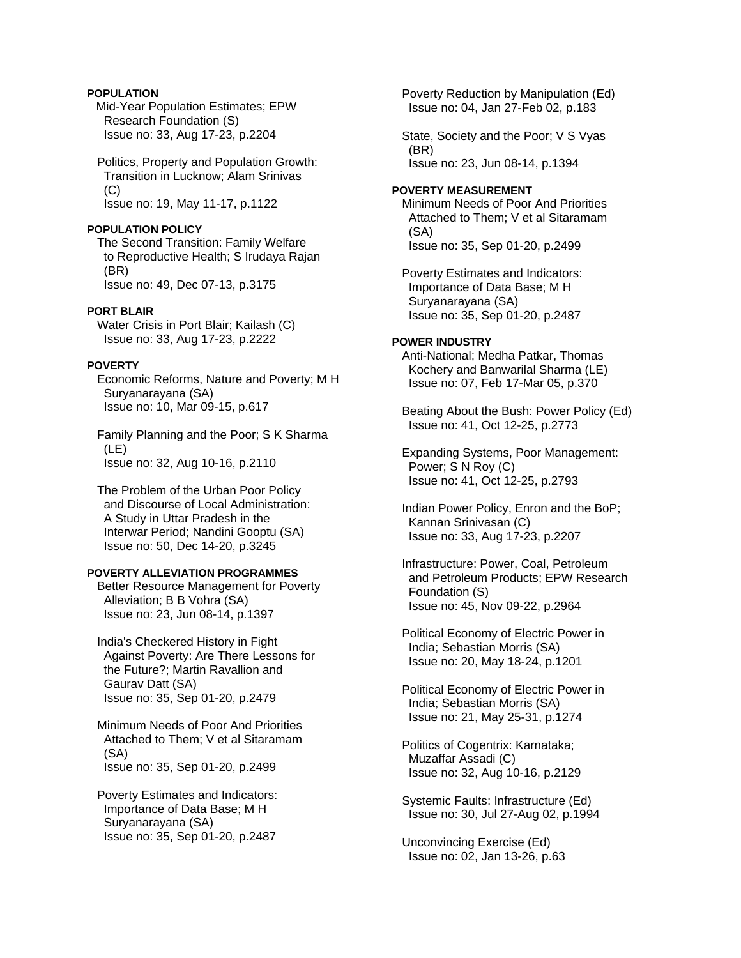# **POPULATION**

Mid-Year Population Estimates; EPW Research Foundation (S) Issue no: 33, Aug 17-23, p.2204

 Politics, Property and Population Growth: Transition in Lucknow; Alam Srinivas (C) Issue no: 19, May 11-17, p.1122

#### **POPULATION POLICY**

 The Second Transition: Family Welfare to Reproductive Health; S Irudaya Rajan (BR) Issue no: 49, Dec 07-13, p.3175

### **PORT BLAIR**

 Water Crisis in Port Blair; Kailash (C) Issue no: 33, Aug 17-23, p.2222

# **POVERTY**

 Economic Reforms, Nature and Poverty; M H Suryanarayana (SA) Issue no: 10, Mar 09-15, p.617

 Family Planning and the Poor; S K Sharma (LE) Issue no: 32, Aug 10-16, p.2110

 The Problem of the Urban Poor Policy and Discourse of Local Administration: A Study in Uttar Pradesh in the Interwar Period; Nandini Gooptu (SA) Issue no: 50, Dec 14-20, p.3245

# **POVERTY ALLEVIATION PROGRAMMES**

 Better Resource Management for Poverty Alleviation; B B Vohra (SA) Issue no: 23, Jun 08-14, p.1397

 India's Checkered History in Fight Against Poverty: Are There Lessons for the Future?; Martin Ravallion and Gaurav Datt (SA) Issue no: 35, Sep 01-20, p.2479

 Minimum Needs of Poor And Priorities Attached to Them; V et al Sitaramam (SA) Issue no: 35, Sep 01-20, p.2499

 Poverty Estimates and Indicators: Importance of Data Base; M H Suryanarayana (SA) Issue no: 35, Sep 01-20, p.2487

 Poverty Reduction by Manipulation (Ed) Issue no: 04, Jan 27-Feb 02, p.183

 State, Society and the Poor; V S Vyas (BR) Issue no: 23, Jun 08-14, p.1394

### **POVERTY MEASUREMENT**

 Minimum Needs of Poor And Priorities Attached to Them; V et al Sitaramam (SA) Issue no: 35, Sep 01-20, p.2499

 Poverty Estimates and Indicators: Importance of Data Base; M H Suryanarayana (SA) Issue no: 35, Sep 01-20, p.2487

#### **POWER INDUSTRY**

 Anti-National; Medha Patkar, Thomas Kochery and Banwarilal Sharma (LE) Issue no: 07, Feb 17-Mar 05, p.370

 Beating About the Bush: Power Policy (Ed) Issue no: 41, Oct 12-25, p.2773

 Expanding Systems, Poor Management: Power; S N Roy (C) Issue no: 41, Oct 12-25, p.2793

 Indian Power Policy, Enron and the BoP; Kannan Srinivasan (C) Issue no: 33, Aug 17-23, p.2207

 Infrastructure: Power, Coal, Petroleum and Petroleum Products; EPW Research Foundation (S) Issue no: 45, Nov 09-22, p.2964

 Political Economy of Electric Power in India; Sebastian Morris (SA) Issue no: 20, May 18-24, p.1201

 Political Economy of Electric Power in India; Sebastian Morris (SA) Issue no: 21, May 25-31, p.1274

 Politics of Cogentrix: Karnataka; Muzaffar Assadi (C) Issue no: 32, Aug 10-16, p.2129

 Systemic Faults: Infrastructure (Ed) Issue no: 30, Jul 27-Aug 02, p.1994

 Unconvincing Exercise (Ed) Issue no: 02, Jan 13-26, p.63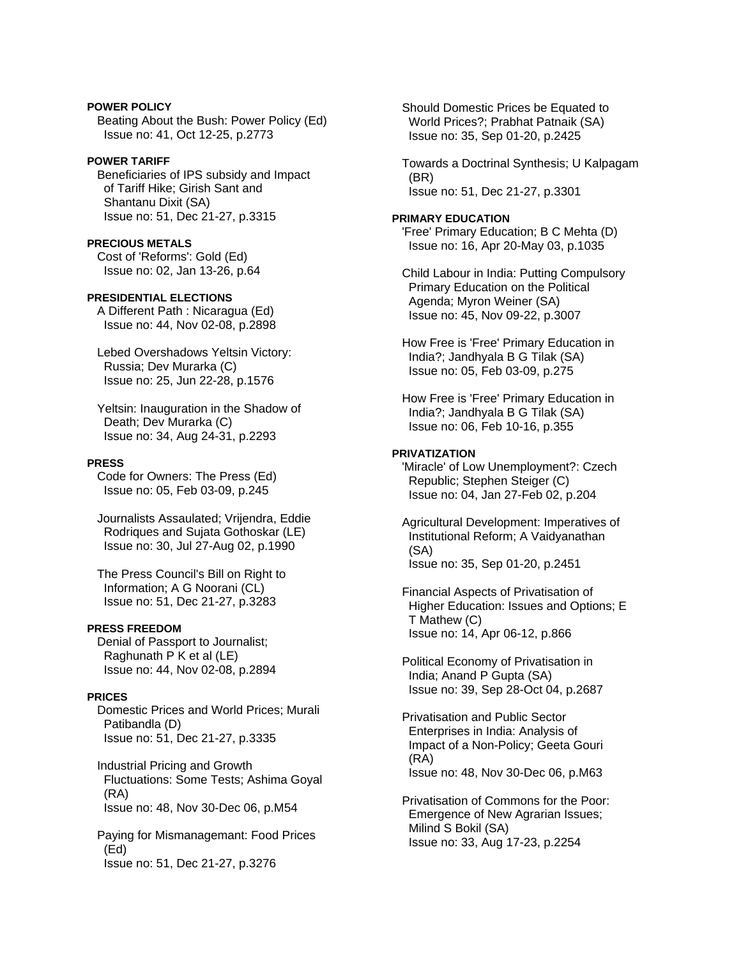**POWER POLICY**  Beating About the Bush: Power Policy (Ed) Issue no: 41, Oct 12-25, p.2773

### **POWER TARIFF**

 Beneficiaries of IPS subsidy and Impact of Tariff Hike; Girish Sant and Shantanu Dixit (SA) Issue no: 51, Dec 21-27, p.3315

# **PRECIOUS METALS**

 Cost of 'Reforms': Gold (Ed) Issue no: 02, Jan 13-26, p.64

### **PRESIDENTIAL ELECTIONS**

 A Different Path : Nicaragua (Ed) Issue no: 44, Nov 02-08, p.2898

 Lebed Overshadows Yeltsin Victory: Russia; Dev Murarka (C) Issue no: 25, Jun 22-28, p.1576

 Yeltsin: Inauguration in the Shadow of Death; Dev Murarka (C) Issue no: 34, Aug 24-31, p.2293

#### **PRESS**

 Code for Owners: The Press (Ed) Issue no: 05, Feb 03-09, p.245

 Journalists Assaulated; Vrijendra, Eddie Rodriques and Sujata Gothoskar (LE) Issue no: 30, Jul 27-Aug 02, p.1990

 The Press Council's Bill on Right to Information; A G Noorani (CL) Issue no: 51, Dec 21-27, p.3283

# **PRESS FREEDOM**

 Denial of Passport to Journalist; Raghunath P K et al (LE) Issue no: 44, Nov 02-08, p.2894

### **PRICES**

 Domestic Prices and World Prices; Murali Patibandla (D) Issue no: 51, Dec 21-27, p.3335

 Industrial Pricing and Growth Fluctuations: Some Tests; Ashima Goyal (RA) Issue no: 48, Nov 30-Dec 06, p.M54

 Paying for Mismanagemant: Food Prices (Ed) Issue no: 51, Dec 21-27, p.3276

 Should Domestic Prices be Equated to World Prices?; Prabhat Patnaik (SA) Issue no: 35, Sep 01-20, p.2425

 Towards a Doctrinal Synthesis; U Kalpagam (BR) Issue no: 51, Dec 21-27, p.3301

## **PRIMARY EDUCATION**

 'Free' Primary Education; B C Mehta (D) Issue no: 16, Apr 20-May 03, p.1035

 Child Labour in India: Putting Compulsory Primary Education on the Political Agenda; Myron Weiner (SA) Issue no: 45, Nov 09-22, p.3007

 How Free is 'Free' Primary Education in India?; Jandhyala B G Tilak (SA) Issue no: 05, Feb 03-09, p.275

 How Free is 'Free' Primary Education in India?; Jandhyala B G Tilak (SA) Issue no: 06, Feb 10-16, p.355

## **PRIVATIZATION**

 'Miracle' of Low Unemployment?: Czech Republic; Stephen Steiger (C) Issue no: 04, Jan 27-Feb 02, p.204

 Agricultural Development: Imperatives of Institutional Reform; A Vaidyanathan (SA) Issue no: 35, Sep 01-20, p.2451

 Financial Aspects of Privatisation of Higher Education: Issues and Options; E T Mathew (C) Issue no: 14, Apr 06-12, p.866

 Political Economy of Privatisation in India; Anand P Gupta (SA) Issue no: 39, Sep 28-Oct 04, p.2687

 Privatisation and Public Sector Enterprises in India: Analysis of Impact of a Non-Policy; Geeta Gouri (RA) Issue no: 48, Nov 30-Dec 06, p.M63

 Privatisation of Commons for the Poor: Emergence of New Agrarian Issues; Milind S Bokil (SA) Issue no: 33, Aug 17-23, p.2254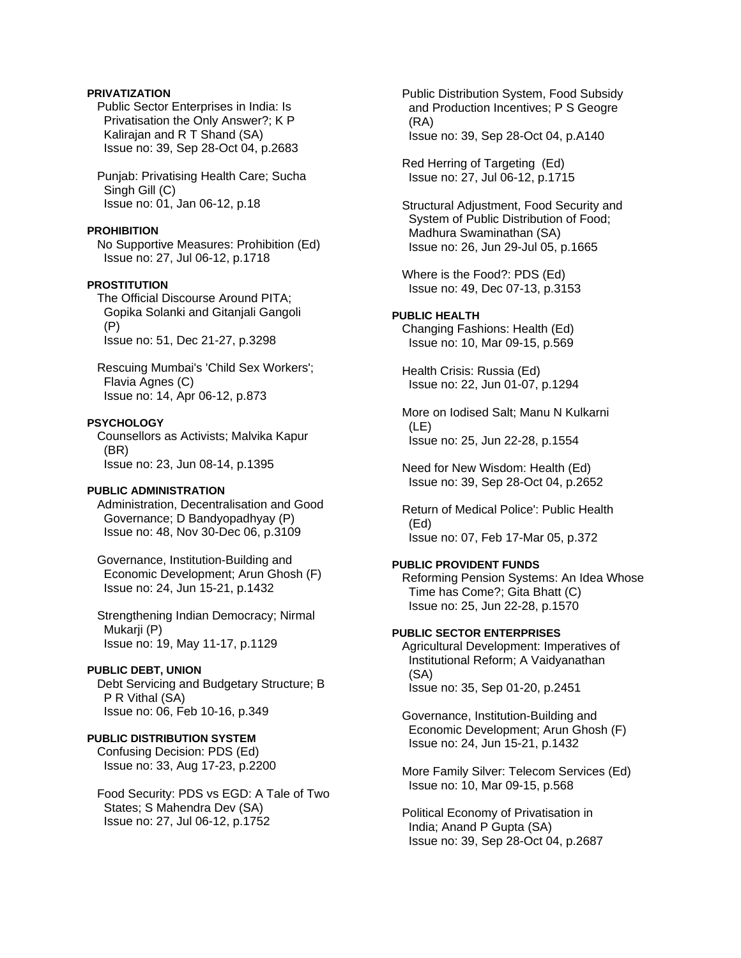# **PRIVATIZATION**

 Public Sector Enterprises in India: Is Privatisation the Only Answer?; K P Kalirajan and R T Shand (SA) Issue no: 39, Sep 28-Oct 04, p.2683

 Punjab: Privatising Health Care; Sucha Singh Gill (C) Issue no: 01, Jan 06-12, p.18

#### **PROHIBITION**

 No Supportive Measures: Prohibition (Ed) Issue no: 27, Jul 06-12, p.1718

## **PROSTITUTION**

 The Official Discourse Around PITA; Gopika Solanki and Gitanjali Gangoli (P) Issue no: 51, Dec 21-27, p.3298

 Rescuing Mumbai's 'Child Sex Workers'; Flavia Agnes (C) Issue no: 14, Apr 06-12, p.873

#### **PSYCHOLOGY**

 Counsellors as Activists; Malvika Kapur (BR) Issue no: 23, Jun 08-14, p.1395

### **PUBLIC ADMINISTRATION**

 Administration, Decentralisation and Good Governance; D Bandyopadhyay (P) Issue no: 48, Nov 30-Dec 06, p.3109

 Governance, Institution-Building and Economic Development; Arun Ghosh (F) Issue no: 24, Jun 15-21, p.1432

 Strengthening Indian Democracy; Nirmal Mukarji (P) Issue no: 19, May 11-17, p.1129

### **PUBLIC DEBT, UNION**

 Debt Servicing and Budgetary Structure; B P R Vithal (SA) Issue no: 06, Feb 10-16, p.349

# **PUBLIC DISTRIBUTION SYSTEM**

 Confusing Decision: PDS (Ed) Issue no: 33, Aug 17-23, p.2200

 Food Security: PDS vs EGD: A Tale of Two States; S Mahendra Dev (SA) Issue no: 27, Jul 06-12, p.1752

 Public Distribution System, Food Subsidy and Production Incentives; P S Geogre (RA) Issue no: 39, Sep 28-Oct 04, p.A140

 Red Herring of Targeting (Ed) Issue no: 27, Jul 06-12, p.1715

 Structural Adjustment, Food Security and System of Public Distribution of Food; Madhura Swaminathan (SA) Issue no: 26, Jun 29-Jul 05, p.1665

 Where is the Food?: PDS (Ed) Issue no: 49, Dec 07-13, p.3153

#### **PUBLIC HEALTH**

 Changing Fashions: Health (Ed) Issue no: 10, Mar 09-15, p.569

 Health Crisis: Russia (Ed) Issue no: 22, Jun 01-07, p.1294

 More on Iodised Salt; Manu N Kulkarni (LE) Issue no: 25, Jun 22-28, p.1554

 Need for New Wisdom: Health (Ed) Issue no: 39, Sep 28-Oct 04, p.2652

 Return of Medical Police': Public Health (Ed) Issue no: 07, Feb 17-Mar 05, p.372

# **PUBLIC PROVIDENT FUNDS**

 Reforming Pension Systems: An Idea Whose Time has Come?; Gita Bhatt (C) Issue no: 25, Jun 22-28, p.1570

## **PUBLIC SECTOR ENTERPRISES**

 Agricultural Development: Imperatives of Institutional Reform; A Vaidyanathan (SA) Issue no: 35, Sep 01-20, p.2451

 Governance, Institution-Building and Economic Development; Arun Ghosh (F) Issue no: 24, Jun 15-21, p.1432

 More Family Silver: Telecom Services (Ed) Issue no: 10, Mar 09-15, p.568

 Political Economy of Privatisation in India; Anand P Gupta (SA) Issue no: 39, Sep 28-Oct 04, p.2687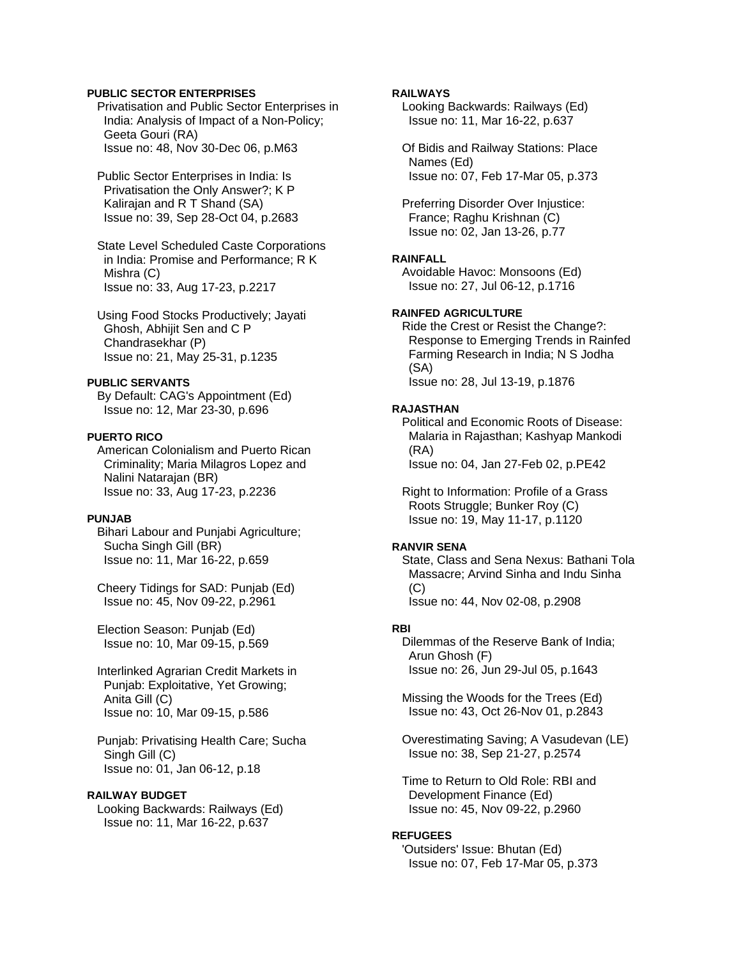## **PUBLIC SECTOR ENTERPRISES**

 Privatisation and Public Sector Enterprises in India: Analysis of Impact of a Non-Policy; Geeta Gouri (RA) Issue no: 48, Nov 30-Dec 06, p.M63

 Public Sector Enterprises in India: Is Privatisation the Only Answer?; K P Kalirajan and R T Shand (SA) Issue no: 39, Sep 28-Oct 04, p.2683

 State Level Scheduled Caste Corporations in India: Promise and Performance; R K Mishra (C) Issue no: 33, Aug 17-23, p.2217

 Using Food Stocks Productively; Jayati Ghosh, Abhijit Sen and C P Chandrasekhar (P) Issue no: 21, May 25-31, p.1235

#### **PUBLIC SERVANTS**

 By Default: CAG's Appointment (Ed) Issue no: 12, Mar 23-30, p.696

#### **PUERTO RICO**

 American Colonialism and Puerto Rican Criminality; Maria Milagros Lopez and Nalini Natarajan (BR) Issue no: 33, Aug 17-23, p.2236

# **PUNJAB**

 Bihari Labour and Punjabi Agriculture; Sucha Singh Gill (BR) Issue no: 11, Mar 16-22, p.659

 Cheery Tidings for SAD: Punjab (Ed) Issue no: 45, Nov 09-22, p.2961

 Election Season: Punjab (Ed) Issue no: 10, Mar 09-15, p.569

 Interlinked Agrarian Credit Markets in Punjab: Exploitative, Yet Growing; Anita Gill (C) Issue no: 10, Mar 09-15, p.586

 Punjab: Privatising Health Care; Sucha Singh Gill (C) Issue no: 01, Jan 06-12, p.18

#### **RAILWAY BUDGET**

 Looking Backwards: Railways (Ed) Issue no: 11, Mar 16-22, p.637

## **RAILWAYS**

 Looking Backwards: Railways (Ed) Issue no: 11, Mar 16-22, p.637

 Of Bidis and Railway Stations: Place Names (Ed) Issue no: 07, Feb 17-Mar 05, p.373

 Preferring Disorder Over Injustice: France; Raghu Krishnan (C) Issue no: 02, Jan 13-26, p.77

## **RAINFALL**

 Avoidable Havoc: Monsoons (Ed) Issue no: 27, Jul 06-12, p.1716

# **RAINFED AGRICULTURE**

 Ride the Crest or Resist the Change?: Response to Emerging Trends in Rainfed Farming Research in India; N S Jodha (SA) Issue no: 28, Jul 13-19, p.1876

#### **RAJASTHAN**

 Political and Economic Roots of Disease: Malaria in Rajasthan; Kashyap Mankodi (RA) Issue no: 04, Jan 27-Feb 02, p.PE42

 Right to Information: Profile of a Grass Roots Struggle; Bunker Roy (C) Issue no: 19, May 11-17, p.1120

# **RANVIR SENA**

 State, Class and Sena Nexus: Bathani Tola Massacre; Arvind Sinha and Indu Sinha (C) Issue no: 44, Nov 02-08, p.2908

#### **RBI**

 Dilemmas of the Reserve Bank of India; Arun Ghosh (F) Issue no: 26, Jun 29-Jul 05, p.1643

 Missing the Woods for the Trees (Ed) Issue no: 43, Oct 26-Nov 01, p.2843

 Overestimating Saving; A Vasudevan (LE) Issue no: 38, Sep 21-27, p.2574

 Time to Return to Old Role: RBI and Development Finance (Ed) Issue no: 45, Nov 09-22, p.2960

### **REFUGEES**

 'Outsiders' Issue: Bhutan (Ed) Issue no: 07, Feb 17-Mar 05, p.373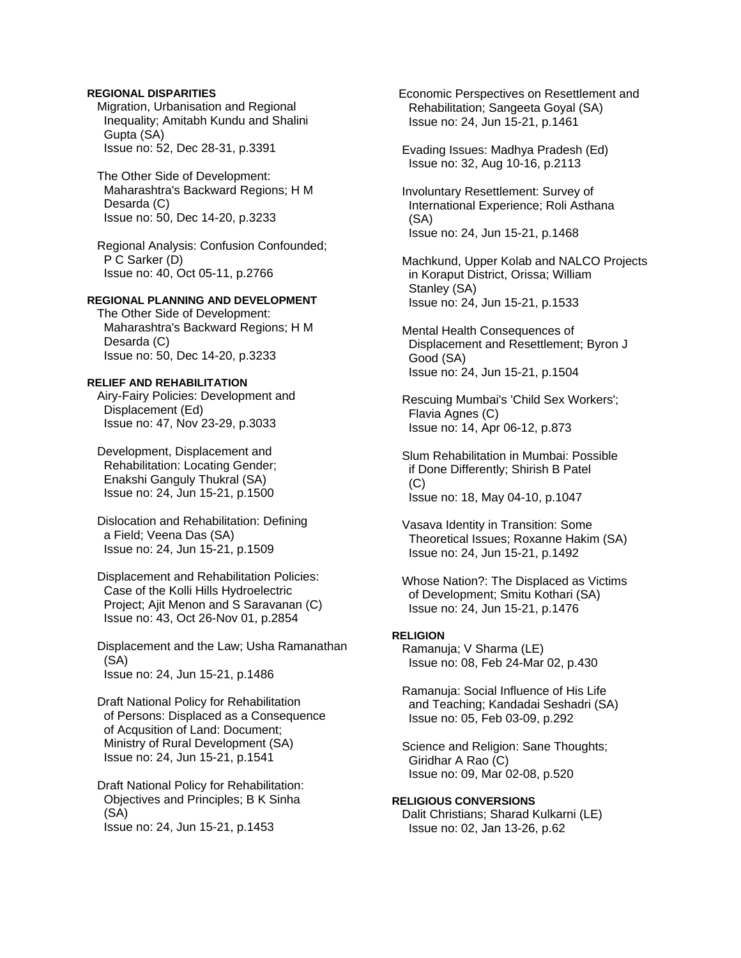## **REGIONAL DISPARITIES**

 Migration, Urbanisation and Regional Inequality; Amitabh Kundu and Shalini Gupta (SA) Issue no: 52, Dec 28-31, p.3391

 The Other Side of Development: Maharashtra's Backward Regions; H M Desarda (C) Issue no: 50, Dec 14-20, p.3233

 Regional Analysis: Confusion Confounded; P C Sarker (D) Issue no: 40, Oct 05-11, p.2766

# **REGIONAL PLANNING AND DEVELOPMENT**

 The Other Side of Development: Maharashtra's Backward Regions; H M Desarda (C) Issue no: 50, Dec 14-20, p.3233

#### **RELIEF AND REHABILITATION**

 Airy-Fairy Policies: Development and Displacement (Ed) Issue no: 47, Nov 23-29, p.3033

 Development, Displacement and Rehabilitation: Locating Gender; Enakshi Ganguly Thukral (SA) Issue no: 24, Jun 15-21, p.1500

 Dislocation and Rehabilitation: Defining a Field; Veena Das (SA) Issue no: 24, Jun 15-21, p.1509

 Displacement and Rehabilitation Policies: Case of the Kolli Hills Hydroelectric Project; Ajit Menon and S Saravanan (C) Issue no: 43, Oct 26-Nov 01, p.2854

 Displacement and the Law; Usha Ramanathan (SA) Issue no: 24, Jun 15-21, p.1486

 Draft National Policy for Rehabilitation of Persons: Displaced as a Consequence of Acqusition of Land: Document; Ministry of Rural Development (SA) Issue no: 24, Jun 15-21, p.1541

 Draft National Policy for Rehabilitation: Objectives and Principles; B K Sinha (SA)

Issue no: 24, Jun 15-21, p.1453

 Economic Perspectives on Resettlement and Rehabilitation; Sangeeta Goyal (SA) Issue no: 24, Jun 15-21, p.1461

 Evading Issues: Madhya Pradesh (Ed) Issue no: 32, Aug 10-16, p.2113

 Involuntary Resettlement: Survey of International Experience; Roli Asthana (SA) Issue no: 24, Jun 15-21, p.1468

 Machkund, Upper Kolab and NALCO Projects in Koraput District, Orissa; William Stanley (SA) Issue no: 24, Jun 15-21, p.1533

 Mental Health Consequences of Displacement and Resettlement; Byron J Good (SA) Issue no: 24, Jun 15-21, p.1504

 Rescuing Mumbai's 'Child Sex Workers'; Flavia Agnes (C) Issue no: 14, Apr 06-12, p.873

 Slum Rehabilitation in Mumbai: Possible if Done Differently; Shirish B Patel (C) Issue no: 18, May 04-10, p.1047

 Vasava Identity in Transition: Some Theoretical Issues; Roxanne Hakim (SA) Issue no: 24, Jun 15-21, p.1492

 Whose Nation?: The Displaced as Victims of Development; Smitu Kothari (SA) Issue no: 24, Jun 15-21, p.1476

#### **RELIGION**

 Ramanuja; V Sharma (LE) Issue no: 08, Feb 24-Mar 02, p.430

 Ramanuja: Social Influence of His Life and Teaching; Kandadai Seshadri (SA) Issue no: 05, Feb 03-09, p.292

 Science and Religion: Sane Thoughts; Giridhar A Rao (C) Issue no: 09, Mar 02-08, p.520

**RELIGIOUS CONVERSIONS**  Dalit Christians; Sharad Kulkarni (LE) Issue no: 02, Jan 13-26, p.62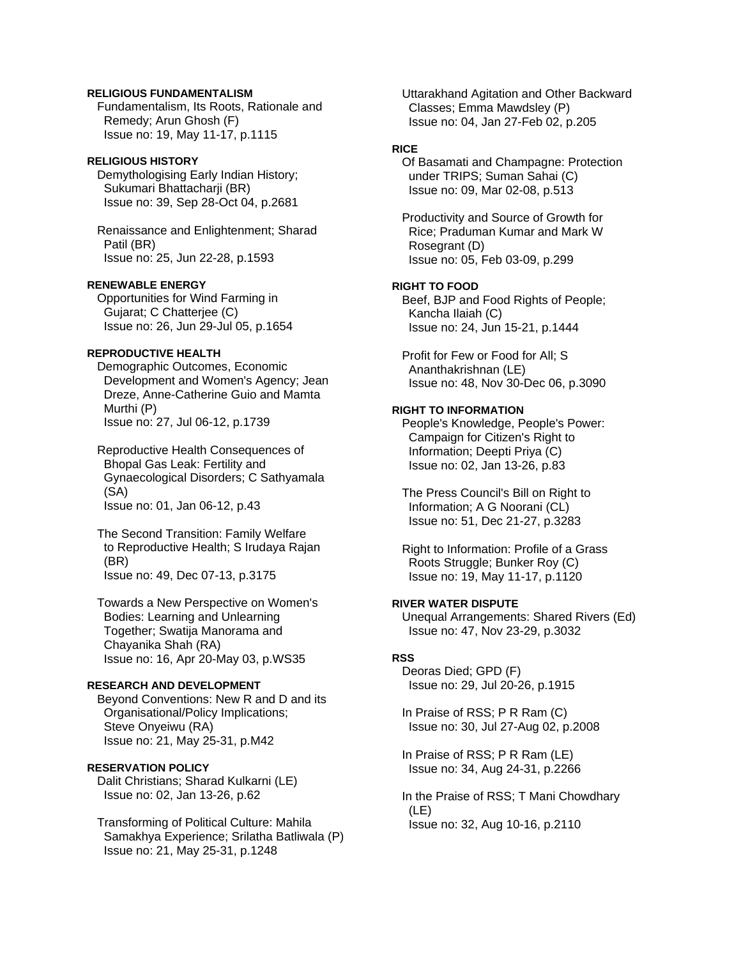## **RELIGIOUS FUNDAMENTALISM**

 Fundamentalism, Its Roots, Rationale and Remedy; Arun Ghosh (F) Issue no: 19, May 11-17, p.1115

# **RELIGIOUS HISTORY**

 Demythologising Early Indian History; Sukumari Bhattacharji (BR) Issue no: 39, Sep 28-Oct 04, p.2681

 Renaissance and Enlightenment; Sharad Patil (BR) Issue no: 25, Jun 22-28, p.1593

# **RENEWABLE ENERGY**

 Opportunities for Wind Farming in Gujarat; C Chatterjee (C) Issue no: 26, Jun 29-Jul 05, p.1654

# **REPRODUCTIVE HEALTH**

 Demographic Outcomes, Economic Development and Women's Agency; Jean Dreze, Anne-Catherine Guio and Mamta Murthi (P) Issue no: 27, Jul 06-12, p.1739

 Reproductive Health Consequences of Bhopal Gas Leak: Fertility and Gynaecological Disorders; C Sathyamala (SA) Issue no: 01, Jan 06-12, p.43

 The Second Transition: Family Welfare to Reproductive Health; S Irudaya Rajan (BR) Issue no: 49, Dec 07-13, p.3175

 Towards a New Perspective on Women's Bodies: Learning and Unlearning Together; Swatija Manorama and Chayanika Shah (RA) Issue no: 16, Apr 20-May 03, p.WS35

# **RESEARCH AND DEVELOPMENT**

Beyond Conventions: New R and D and its Organisational/Policy Implications; Steve Onyeiwu (RA) Issue no: 21, May 25-31, p.M42

# **RESERVATION POLICY**

 Dalit Christians; Sharad Kulkarni (LE) Issue no: 02, Jan 13-26, p.62

 Transforming of Political Culture: Mahila Samakhya Experience; Srilatha Batliwala (P) Issue no: 21, May 25-31, p.1248

 Uttarakhand Agitation and Other Backward Classes; Emma Mawdsley (P) Issue no: 04, Jan 27-Feb 02, p.205

# **RICE**

 Of Basamati and Champagne: Protection under TRIPS; Suman Sahai (C) Issue no: 09, Mar 02-08, p.513

 Productivity and Source of Growth for Rice; Praduman Kumar and Mark W Rosegrant (D) Issue no: 05, Feb 03-09, p.299

## **RIGHT TO FOOD**

 Beef, BJP and Food Rights of People; Kancha Ilaiah (C) Issue no: 24, Jun 15-21, p.1444

 Profit for Few or Food for All; S Ananthakrishnan (LE) Issue no: 48, Nov 30-Dec 06, p.3090

### **RIGHT TO INFORMATION**

 People's Knowledge, People's Power: Campaign for Citizen's Right to Information; Deepti Priya (C) Issue no: 02, Jan 13-26, p.83

 The Press Council's Bill on Right to Information; A G Noorani (CL) Issue no: 51, Dec 21-27, p.3283

 Right to Information: Profile of a Grass Roots Struggle; Bunker Roy (C) Issue no: 19, May 11-17, p.1120

# **RIVER WATER DISPUTE**

 Unequal Arrangements: Shared Rivers (Ed) Issue no: 47, Nov 23-29, p.3032

# **RSS**

 Deoras Died; GPD (F) Issue no: 29, Jul 20-26, p.1915

 In Praise of RSS; P R Ram (C) Issue no: 30, Jul 27-Aug 02, p.2008

 In Praise of RSS; P R Ram (LE) Issue no: 34, Aug 24-31, p.2266

 In the Praise of RSS; T Mani Chowdhary (LE) Issue no: 32, Aug 10-16, p.2110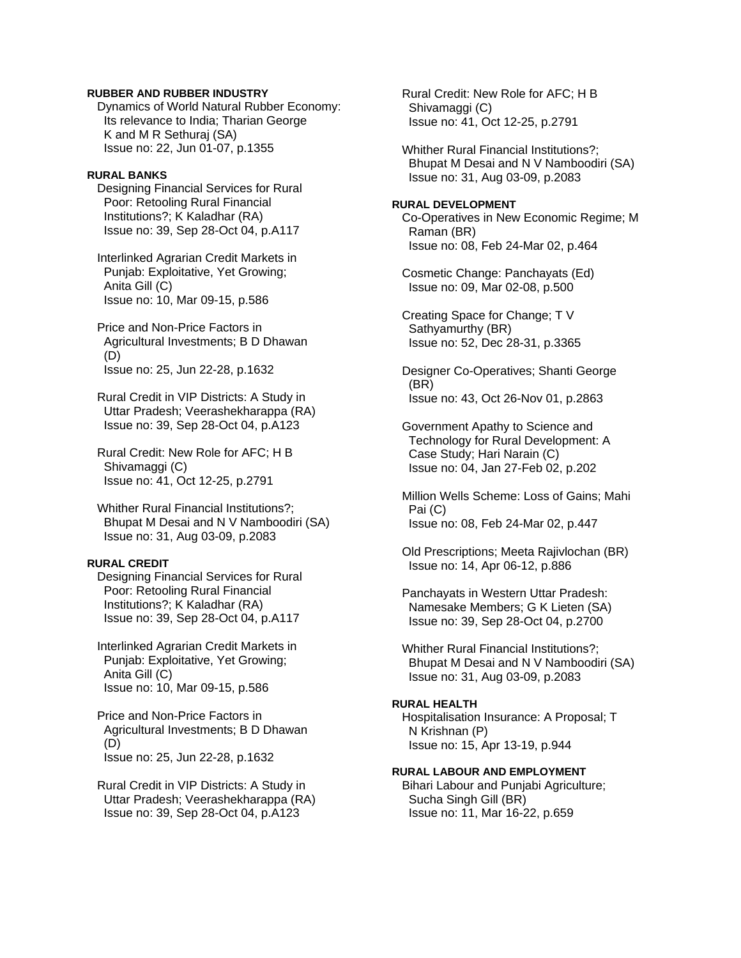## **RUBBER AND RUBBER INDUSTRY**

 Dynamics of World Natural Rubber Economy: Its relevance to India; Tharian George K and M R Sethuraj (SA) Issue no: 22, Jun 01-07, p.1355

#### **RURAL BANKS**

 Designing Financial Services for Rural Poor: Retooling Rural Financial Institutions?; K Kaladhar (RA) Issue no: 39, Sep 28-Oct 04, p.A117

 Interlinked Agrarian Credit Markets in Punjab: Exploitative, Yet Growing; Anita Gill (C) Issue no: 10, Mar 09-15, p.586

 Price and Non-Price Factors in Agricultural Investments; B D Dhawan (D) Issue no: 25, Jun 22-28, p.1632

 Rural Credit in VIP Districts: A Study in Uttar Pradesh; Veerashekharappa (RA) Issue no: 39, Sep 28-Oct 04, p.A123

 Rural Credit: New Role for AFC; H B Shivamaggi (C) Issue no: 41, Oct 12-25, p.2791

 Whither Rural Financial Institutions?; Bhupat M Desai and N V Namboodiri (SA) Issue no: 31, Aug 03-09, p.2083

#### **RURAL CREDIT**

 Designing Financial Services for Rural Poor: Retooling Rural Financial Institutions?; K Kaladhar (RA) Issue no: 39, Sep 28-Oct 04, p.A117

 Interlinked Agrarian Credit Markets in Punjab: Exploitative, Yet Growing; Anita Gill (C) Issue no: 10, Mar 09-15, p.586

 Price and Non-Price Factors in Agricultural Investments; B D Dhawan (D) Issue no: 25, Jun 22-28, p.1632

 Rural Credit in VIP Districts: A Study in Uttar Pradesh; Veerashekharappa (RA) Issue no: 39, Sep 28-Oct 04, p.A123

 Rural Credit: New Role for AFC; H B Shivamaggi (C) Issue no: 41, Oct 12-25, p.2791

 Whither Rural Financial Institutions?; Bhupat M Desai and N V Namboodiri (SA) Issue no: 31, Aug 03-09, p.2083

### **RURAL DEVELOPMENT**  Co-Operatives in New Economic Regime; M

 Raman (BR) Issue no: 08, Feb 24-Mar 02, p.464

 Cosmetic Change: Panchayats (Ed) Issue no: 09, Mar 02-08, p.500

 Creating Space for Change; T V Sathyamurthy (BR) Issue no: 52, Dec 28-31, p.3365

 Designer Co-Operatives; Shanti George (BR) Issue no: 43, Oct 26-Nov 01, p.2863

 Government Apathy to Science and Technology for Rural Development: A Case Study; Hari Narain (C) Issue no: 04, Jan 27-Feb 02, p.202

 Million Wells Scheme: Loss of Gains; Mahi Pai (C) Issue no: 08, Feb 24-Mar 02, p.447

 Old Prescriptions; Meeta Rajivlochan (BR) Issue no: 14, Apr 06-12, p.886

 Panchayats in Western Uttar Pradesh: Namesake Members; G K Lieten (SA) Issue no: 39, Sep 28-Oct 04, p.2700

 Whither Rural Financial Institutions?; Bhupat M Desai and N V Namboodiri (SA) Issue no: 31, Aug 03-09, p.2083

# **RURAL HEALTH**

 Hospitalisation Insurance: A Proposal; T N Krishnan (P) Issue no: 15, Apr 13-19, p.944

# **RURAL LABOUR AND EMPLOYMENT**

 Bihari Labour and Punjabi Agriculture; Sucha Singh Gill (BR) Issue no: 11, Mar 16-22, p.659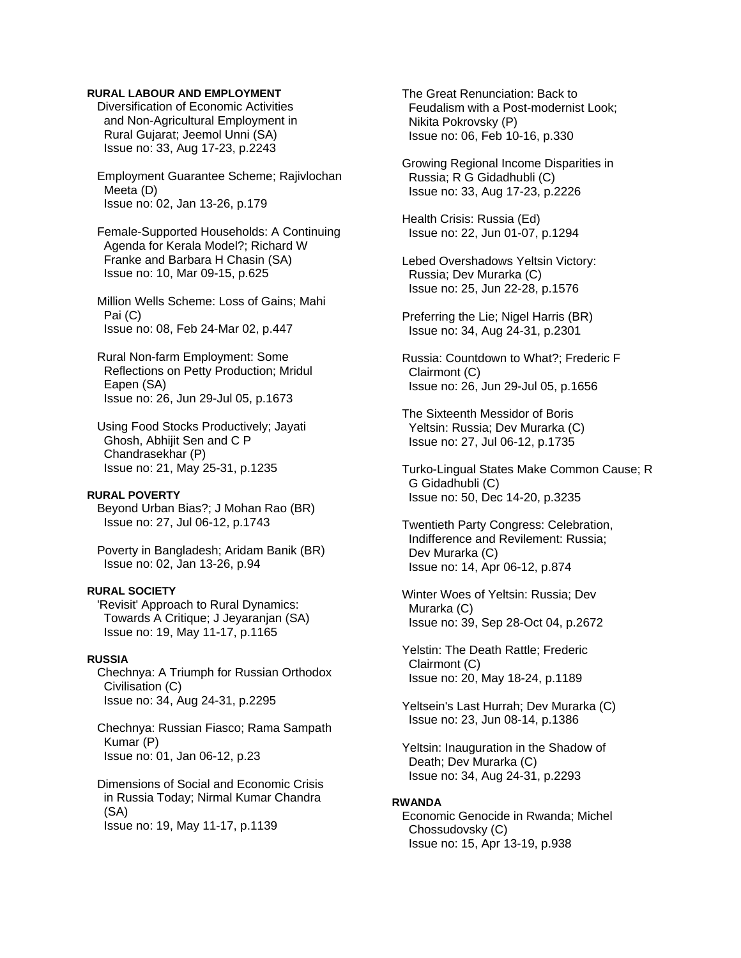### **RURAL LABOUR AND EMPLOYMENT**

 Diversification of Economic Activities and Non-Agricultural Employment in Rural Gujarat; Jeemol Unni (SA) Issue no: 33, Aug 17-23, p.2243

 Employment Guarantee Scheme; Rajivlochan Meeta (D) Issue no: 02, Jan 13-26, p.179

 Female-Supported Households: A Continuing Agenda for Kerala Model?; Richard W Franke and Barbara H Chasin (SA) Issue no: 10, Mar 09-15, p.625

 Million Wells Scheme: Loss of Gains; Mahi Pai (C) Issue no: 08, Feb 24-Mar 02, p.447

 Rural Non-farm Employment: Some Reflections on Petty Production; Mridul Eapen (SA) Issue no: 26, Jun 29-Jul 05, p.1673

 Using Food Stocks Productively; Jayati Ghosh, Abhijit Sen and C P Chandrasekhar (P) Issue no: 21, May 25-31, p.1235

#### **RURAL POVERTY**

 Beyond Urban Bias?; J Mohan Rao (BR) Issue no: 27, Jul 06-12, p.1743

 Poverty in Bangladesh; Aridam Banik (BR) Issue no: 02, Jan 13-26, p.94

## **RURAL SOCIETY**

 'Revisit' Approach to Rural Dynamics: Towards A Critique; J Jeyaranjan (SA) Issue no: 19, May 11-17, p.1165

# **RUSSIA**

 Chechnya: A Triumph for Russian Orthodox Civilisation (C) Issue no: 34, Aug 24-31, p.2295

 Chechnya: Russian Fiasco; Rama Sampath Kumar (P) Issue no: 01, Jan 06-12, p.23

 Dimensions of Social and Economic Crisis in Russia Today; Nirmal Kumar Chandra (SA) Issue no: 19, May 11-17, p.1139

 The Great Renunciation: Back to Feudalism with a Post-modernist Look; Nikita Pokrovsky (P) Issue no: 06, Feb 10-16, p.330

 Growing Regional Income Disparities in Russia; R G Gidadhubli (C) Issue no: 33, Aug 17-23, p.2226

 Health Crisis: Russia (Ed) Issue no: 22, Jun 01-07, p.1294

 Lebed Overshadows Yeltsin Victory: Russia; Dev Murarka (C) Issue no: 25, Jun 22-28, p.1576

 Preferring the Lie; Nigel Harris (BR) Issue no: 34, Aug 24-31, p.2301

 Russia: Countdown to What?; Frederic F Clairmont (C) Issue no: 26, Jun 29-Jul 05, p.1656

 The Sixteenth Messidor of Boris Yeltsin: Russia; Dev Murarka (C) Issue no: 27, Jul 06-12, p.1735

 Turko-Lingual States Make Common Cause; R G Gidadhubli (C) Issue no: 50, Dec 14-20, p.3235

 Twentieth Party Congress: Celebration, Indifference and Revilement: Russia; Dev Murarka (C) Issue no: 14, Apr 06-12, p.874

 Winter Woes of Yeltsin: Russia; Dev Murarka (C) Issue no: 39, Sep 28-Oct 04, p.2672

 Yelstin: The Death Rattle; Frederic Clairmont (C) Issue no: 20, May 18-24, p.1189

 Yeltsein's Last Hurrah; Dev Murarka (C) Issue no: 23, Jun 08-14, p.1386

 Yeltsin: Inauguration in the Shadow of Death; Dev Murarka (C) Issue no: 34, Aug 24-31, p.2293

#### **RWANDA**

 Economic Genocide in Rwanda; Michel Chossudovsky (C) Issue no: 15, Apr 13-19, p.938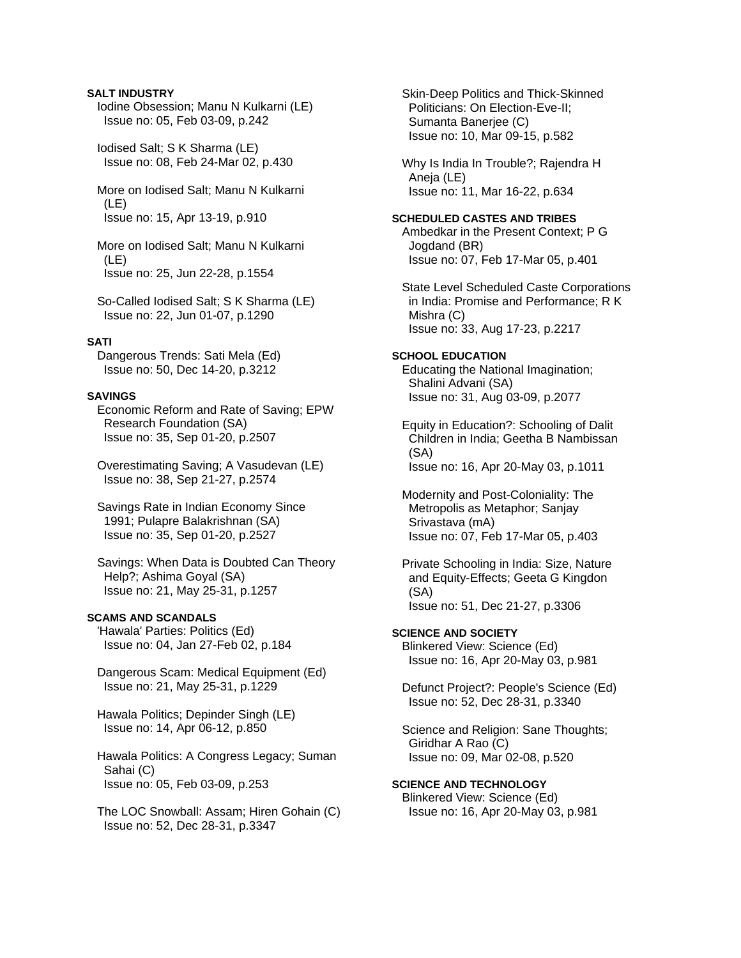### **SALT INDUSTRY**

 Iodine Obsession; Manu N Kulkarni (LE) Issue no: 05, Feb 03-09, p.242

 Iodised Salt; S K Sharma (LE) Issue no: 08, Feb 24-Mar 02, p.430

 More on Iodised Salt; Manu N Kulkarni (LE) Issue no: 15, Apr 13-19, p.910

 More on Iodised Salt; Manu N Kulkarni (LE) Issue no: 25, Jun 22-28, p.1554

 So-Called Iodised Salt; S K Sharma (LE) Issue no: 22, Jun 01-07, p.1290

#### **SATI**

 Dangerous Trends: Sati Mela (Ed) Issue no: 50, Dec 14-20, p.3212

# **SAVINGS**

 Economic Reform and Rate of Saving; EPW Research Foundation (SA) Issue no: 35, Sep 01-20, p.2507

 Overestimating Saving; A Vasudevan (LE) Issue no: 38, Sep 21-27, p.2574

 Savings Rate in Indian Economy Since 1991; Pulapre Balakrishnan (SA) Issue no: 35, Sep 01-20, p.2527

 Savings: When Data is Doubted Can Theory Help?; Ashima Goyal (SA) Issue no: 21, May 25-31, p.1257

# **SCAMS AND SCANDALS**

 'Hawala' Parties: Politics (Ed) Issue no: 04, Jan 27-Feb 02, p.184

 Dangerous Scam: Medical Equipment (Ed) Issue no: 21, May 25-31, p.1229

 Hawala Politics; Depinder Singh (LE) Issue no: 14, Apr 06-12, p.850

 Hawala Politics: A Congress Legacy; Suman Sahai (C) Issue no: 05, Feb 03-09, p.253

 The LOC Snowball: Assam; Hiren Gohain (C) Issue no: 52, Dec 28-31, p.3347

 Skin-Deep Politics and Thick-Skinned Politicians: On Election-Eve-II; Sumanta Banerjee (C) Issue no: 10, Mar 09-15, p.582

 Why Is India In Trouble?; Rajendra H Aneja (LE) Issue no: 11, Mar 16-22, p.634

#### **SCHEDULED CASTES AND TRIBES**

 Ambedkar in the Present Context; P G Jogdand (BR) Issue no: 07, Feb 17-Mar 05, p.401

 State Level Scheduled Caste Corporations in India: Promise and Performance; R K Mishra (C) Issue no: 33, Aug 17-23, p.2217

# **SCHOOL EDUCATION**

 Educating the National Imagination; Shalini Advani (SA) Issue no: 31, Aug 03-09, p.2077

 Equity in Education?: Schooling of Dalit Children in India; Geetha B Nambissan (SA) Issue no: 16, Apr 20-May 03, p.1011

 Modernity and Post-Coloniality: The Metropolis as Metaphor; Sanjay Srivastava (mA) Issue no: 07, Feb 17-Mar 05, p.403

 Private Schooling in India: Size, Nature and Equity-Effects; Geeta G Kingdon (SA) Issue no: 51, Dec 21-27, p.3306

**SCIENCE AND SOCIETY**  Blinkered View: Science (Ed) Issue no: 16, Apr 20-May 03, p.981

 Defunct Project?: People's Science (Ed) Issue no: 52, Dec 28-31, p.3340

 Science and Religion: Sane Thoughts; Giridhar A Rao (C) Issue no: 09, Mar 02-08, p.520

**SCIENCE AND TECHNOLOGY**  Blinkered View: Science (Ed) Issue no: 16, Apr 20-May 03, p.981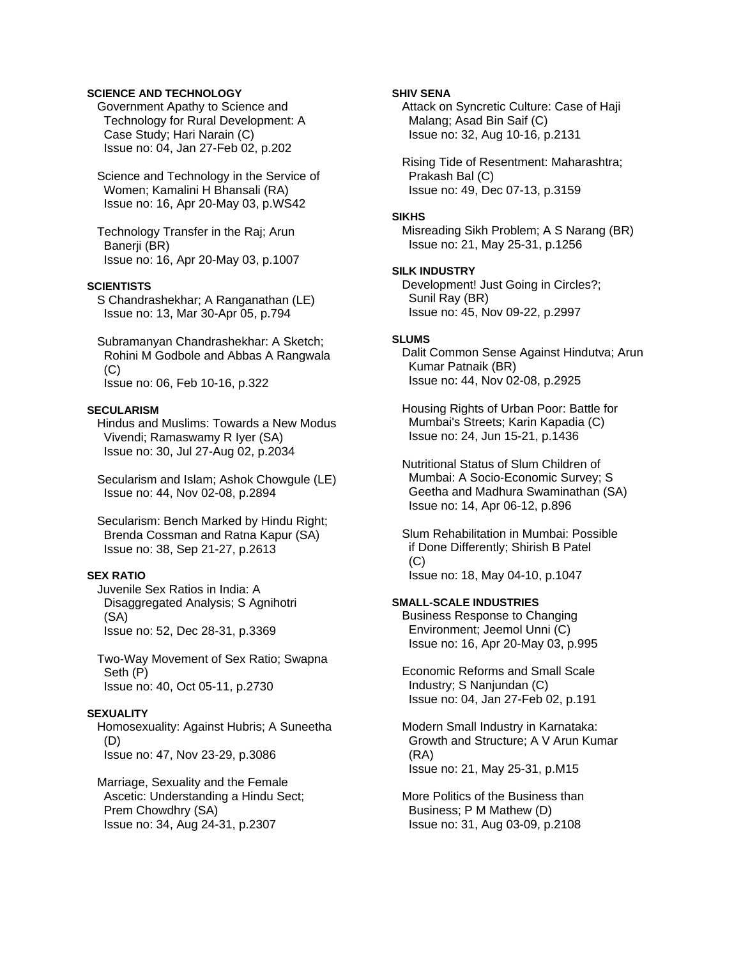# **SCIENCE AND TECHNOLOGY**

 Government Apathy to Science and Technology for Rural Development: A Case Study; Hari Narain (C) Issue no: 04, Jan 27-Feb 02, p.202

 Science and Technology in the Service of Women; Kamalini H Bhansali (RA) Issue no: 16, Apr 20-May 03, p.WS42

 Technology Transfer in the Raj; Arun Banerii (BR) Issue no: 16, Apr 20-May 03, p.1007

## **SCIENTISTS**

 S Chandrashekhar; A Ranganathan (LE) Issue no: 13, Mar 30-Apr 05, p.794

 Subramanyan Chandrashekhar: A Sketch; Rohini M Godbole and Abbas A Rangwala (C) Issue no: 06, Feb 10-16, p.322

#### **SECULARISM**

 Hindus and Muslims: Towards a New Modus Vivendi; Ramaswamy R Iyer (SA) Issue no: 30, Jul 27-Aug 02, p.2034

 Secularism and Islam; Ashok Chowgule (LE) Issue no: 44, Nov 02-08, p.2894

 Secularism: Bench Marked by Hindu Right; Brenda Cossman and Ratna Kapur (SA) Issue no: 38, Sep 21-27, p.2613

### **SEX RATIO**

 Juvenile Sex Ratios in India: A Disaggregated Analysis; S Agnihotri (SA) Issue no: 52, Dec 28-31, p.3369

 Two-Way Movement of Sex Ratio; Swapna Seth (P) Issue no: 40, Oct 05-11, p.2730

# **SEXUALITY**

 Homosexuality: Against Hubris; A Suneetha (D) Issue no: 47, Nov 23-29, p.3086

 Marriage, Sexuality and the Female Ascetic: Understanding a Hindu Sect; Prem Chowdhry (SA) Issue no: 34, Aug 24-31, p.2307

### **SHIV SENA**

 Attack on Syncretic Culture: Case of Haji Malang; Asad Bin Saif (C) Issue no: 32, Aug 10-16, p.2131

 Rising Tide of Resentment: Maharashtra; Prakash Bal (C) Issue no: 49, Dec 07-13, p.3159

#### **SIKHS**

 Misreading Sikh Problem; A S Narang (BR) Issue no: 21, May 25-31, p.1256

#### **SILK INDUSTRY**

 Development! Just Going in Circles?; Sunil Ray (BR) Issue no: 45, Nov 09-22, p.2997

# **SLUMS**

 Dalit Common Sense Against Hindutva; Arun Kumar Patnaik (BR) Issue no: 44, Nov 02-08, p.2925

 Housing Rights of Urban Poor: Battle for Mumbai's Streets; Karin Kapadia (C) Issue no: 24, Jun 15-21, p.1436

 Nutritional Status of Slum Children of Mumbai: A Socio-Economic Survey; S Geetha and Madhura Swaminathan (SA) Issue no: 14, Apr 06-12, p.896

 Slum Rehabilitation in Mumbai: Possible if Done Differently; Shirish B Patel  $(C)$ Issue no: 18, May 04-10, p.1047

## **SMALL-SCALE INDUSTRIES**

 Business Response to Changing Environment; Jeemol Unni (C) Issue no: 16, Apr 20-May 03, p.995

 Economic Reforms and Small Scale Industry; S Nanjundan (C) Issue no: 04, Jan 27-Feb 02, p.191

 Modern Small Industry in Karnataka: Growth and Structure; A V Arun Kumar (RA) Issue no: 21, May 25-31, p.M15

 More Politics of the Business than Business; P M Mathew (D) Issue no: 31, Aug 03-09, p.2108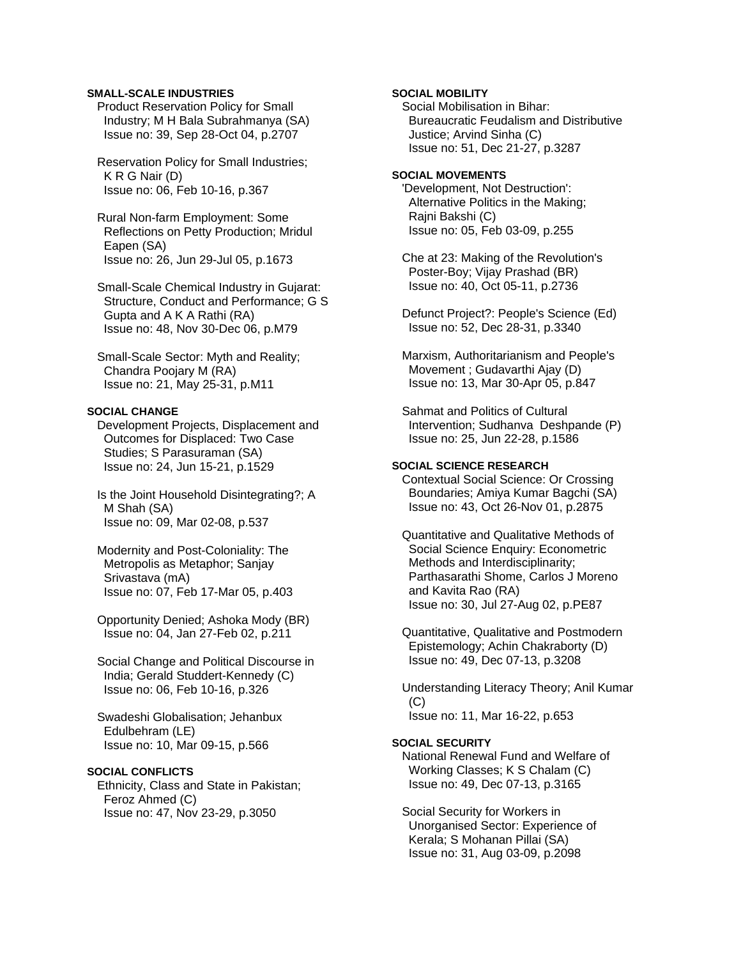## **SMALL-SCALE INDUSTRIES**

 Product Reservation Policy for Small Industry; M H Bala Subrahmanya (SA) Issue no: 39, Sep 28-Oct 04, p.2707

 Reservation Policy for Small Industries; K R G Nair (D) Issue no: 06, Feb 10-16, p.367

 Rural Non-farm Employment: Some Reflections on Petty Production; Mridul Eapen (SA) Issue no: 26, Jun 29-Jul 05, p.1673

 Small-Scale Chemical Industry in Gujarat: Structure, Conduct and Performance; G S Gupta and A K A Rathi (RA) Issue no: 48, Nov 30-Dec 06, p.M79

 Small-Scale Sector: Myth and Reality; Chandra Poojary M (RA) Issue no: 21, May 25-31, p.M11

#### **SOCIAL CHANGE**

 Development Projects, Displacement and Outcomes for Displaced: Two Case Studies; S Parasuraman (SA) Issue no: 24, Jun 15-21, p.1529

 Is the Joint Household Disintegrating?; A M Shah (SA) Issue no: 09, Mar 02-08, p.537

- Modernity and Post-Coloniality: The Metropolis as Metaphor; Sanjay Srivastava (mA) Issue no: 07, Feb 17-Mar 05, p.403
- Opportunity Denied; Ashoka Mody (BR) Issue no: 04, Jan 27-Feb 02, p.211

 Social Change and Political Discourse in India; Gerald Studdert-Kennedy (C) Issue no: 06, Feb 10-16, p.326

 Swadeshi Globalisation; Jehanbux Edulbehram (LE) Issue no: 10, Mar 09-15, p.566

# **SOCIAL CONFLICTS**

 Ethnicity, Class and State in Pakistan; Feroz Ahmed (C) Issue no: 47, Nov 23-29, p.3050

## **SOCIAL MOBILITY**

 Social Mobilisation in Bihar: Bureaucratic Feudalism and Distributive Justice; Arvind Sinha (C) Issue no: 51, Dec 21-27, p.3287

#### **SOCIAL MOVEMENTS**

 'Development, Not Destruction': Alternative Politics in the Making; Rajni Bakshi (C) Issue no: 05, Feb 03-09, p.255

 Che at 23: Making of the Revolution's Poster-Boy; Vijay Prashad (BR) Issue no: 40, Oct 05-11, p.2736

 Defunct Project?: People's Science (Ed) Issue no: 52, Dec 28-31, p.3340

 Marxism, Authoritarianism and People's Movement ; Gudavarthi Ajay (D) Issue no: 13, Mar 30-Apr 05, p.847

 Sahmat and Politics of Cultural Intervention; Sudhanva Deshpande (P) Issue no: 25, Jun 22-28, p.1586

## **SOCIAL SCIENCE RESEARCH**

 Contextual Social Science: Or Crossing Boundaries; Amiya Kumar Bagchi (SA) Issue no: 43, Oct 26-Nov 01, p.2875

 Quantitative and Qualitative Methods of Social Science Enquiry: Econometric Methods and Interdisciplinarity; Parthasarathi Shome, Carlos J Moreno and Kavita Rao (RA) Issue no: 30, Jul 27-Aug 02, p.PE87

 Quantitative, Qualitative and Postmodern Epistemology; Achin Chakraborty (D) Issue no: 49, Dec 07-13, p.3208

 Understanding Literacy Theory; Anil Kumar (C) Issue no: 11, Mar 16-22, p.653

#### **SOCIAL SECURITY**

 National Renewal Fund and Welfare of Working Classes; K S Chalam (C) Issue no: 49, Dec 07-13, p.3165

 Social Security for Workers in Unorganised Sector: Experience of Kerala; S Mohanan Pillai (SA) Issue no: 31, Aug 03-09, p.2098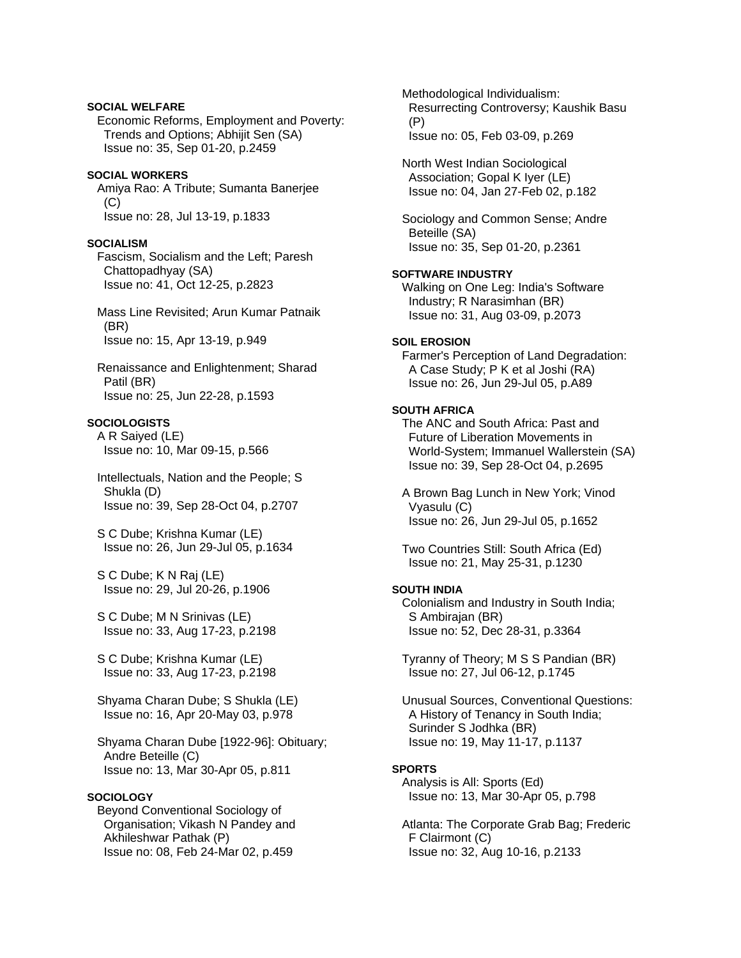# **SOCIAL WELFARE**

 Economic Reforms, Employment and Poverty: Trends and Options; Abhijit Sen (SA) Issue no: 35, Sep 01-20, p.2459

### **SOCIAL WORKERS**

 Amiya Rao: A Tribute; Sumanta Banerjee (C) Issue no: 28, Jul 13-19, p.1833

# **SOCIALISM**

 Fascism, Socialism and the Left; Paresh Chattopadhyay (SA) Issue no: 41, Oct 12-25, p.2823

 Mass Line Revisited; Arun Kumar Patnaik (BR) Issue no: 15, Apr 13-19, p.949

 Renaissance and Enlightenment; Sharad Patil (BR) Issue no: 25, Jun 22-28, p.1593

#### **SOCIOLOGISTS**

 A R Saiyed (LE) Issue no: 10, Mar 09-15, p.566

 Intellectuals, Nation and the People; S Shukla (D) Issue no: 39, Sep 28-Oct 04, p.2707

 S C Dube; Krishna Kumar (LE) Issue no: 26, Jun 29-Jul 05, p.1634

 S C Dube; K N Raj (LE) Issue no: 29, Jul 20-26, p.1906

 S C Dube; M N Srinivas (LE) Issue no: 33, Aug 17-23, p.2198

 S C Dube; Krishna Kumar (LE) Issue no: 33, Aug 17-23, p.2198

 Shyama Charan Dube; S Shukla (LE) Issue no: 16, Apr 20-May 03, p.978

 Shyama Charan Dube [1922-96]: Obituary; Andre Beteille (C) Issue no: 13, Mar 30-Apr 05, p.811

## **SOCIOLOGY**

 Beyond Conventional Sociology of Organisation; Vikash N Pandey and Akhileshwar Pathak (P) Issue no: 08, Feb 24-Mar 02, p.459

 Methodological Individualism: Resurrecting Controversy; Kaushik Basu (P) Issue no: 05, Feb 03-09, p.269

 North West Indian Sociological Association; Gopal K Iyer (LE) Issue no: 04, Jan 27-Feb 02, p.182

 Sociology and Common Sense; Andre Beteille (SA) Issue no: 35, Sep 01-20, p.2361

### **SOFTWARE INDUSTRY**

 Walking on One Leg: India's Software Industry; R Narasimhan (BR) Issue no: 31, Aug 03-09, p.2073

# **SOIL EROSION**

 Farmer's Perception of Land Degradation: A Case Study; P K et al Joshi (RA) Issue no: 26, Jun 29-Jul 05, p.A89

#### **SOUTH AFRICA**

 The ANC and South Africa: Past and Future of Liberation Movements in World-System; Immanuel Wallerstein (SA) Issue no: 39, Sep 28-Oct 04, p.2695

 A Brown Bag Lunch in New York; Vinod Vyasulu (C) Issue no: 26, Jun 29-Jul 05, p.1652

 Two Countries Still: South Africa (Ed) Issue no: 21, May 25-31, p.1230

#### **SOUTH INDIA**

 Colonialism and Industry in South India; S Ambirajan (BR) Issue no: 52, Dec 28-31, p.3364

 Tyranny of Theory; M S S Pandian (BR) Issue no: 27, Jul 06-12, p.1745

 Unusual Sources, Conventional Questions: A History of Tenancy in South India; Surinder S Jodhka (BR) Issue no: 19, May 11-17, p.1137

### **SPORTS**

 Analysis is All: Sports (Ed) Issue no: 13, Mar 30-Apr 05, p.798

 Atlanta: The Corporate Grab Bag; Frederic F Clairmont (C) Issue no: 32, Aug 10-16, p.2133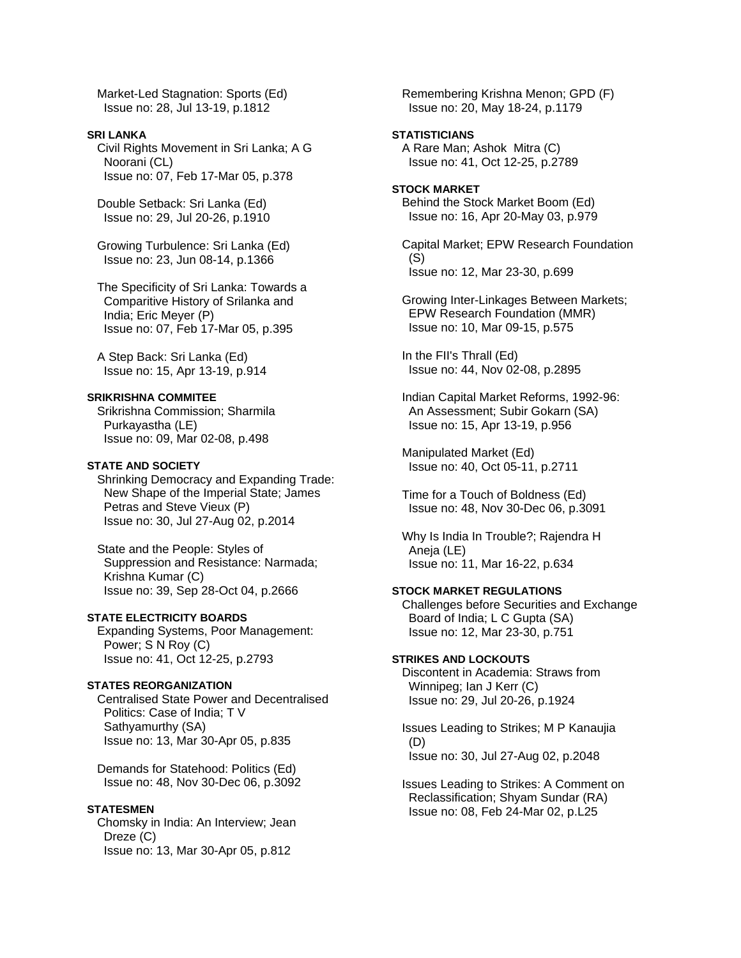Market-Led Stagnation: Sports (Ed) Issue no: 28, Jul 13-19, p.1812

#### **SRI LANKA**

 Civil Rights Movement in Sri Lanka; A G Noorani (CL) Issue no: 07, Feb 17-Mar 05, p.378

 Double Setback: Sri Lanka (Ed) Issue no: 29, Jul 20-26, p.1910

 Growing Turbulence: Sri Lanka (Ed) Issue no: 23, Jun 08-14, p.1366

 The Specificity of Sri Lanka: Towards a Comparitive History of Srilanka and India; Eric Meyer (P) Issue no: 07, Feb 17-Mar 05, p.395

 A Step Back: Sri Lanka (Ed) Issue no: 15, Apr 13-19, p.914

# **SRIKRISHNA COMMITEE**

 Srikrishna Commission; Sharmila Purkayastha (LE) Issue no: 09, Mar 02-08, p.498

# **STATE AND SOCIETY**

 Shrinking Democracy and Expanding Trade: New Shape of the Imperial State; James Petras and Steve Vieux (P) Issue no: 30, Jul 27-Aug 02, p.2014

 State and the People: Styles of Suppression and Resistance: Narmada; Krishna Kumar (C) Issue no: 39, Sep 28-Oct 04, p.2666

## **STATE ELECTRICITY BOARDS**

 Expanding Systems, Poor Management: Power; S N Roy (C) Issue no: 41, Oct 12-25, p.2793

# **STATES REORGANIZATION**

 Centralised State Power and Decentralised Politics: Case of India; T V Sathyamurthy (SA) Issue no: 13, Mar 30-Apr 05, p.835

 Demands for Statehood: Politics (Ed) Issue no: 48, Nov 30-Dec 06, p.3092

#### **STATESMEN**

 Chomsky in India: An Interview; Jean Dreze (C) Issue no: 13, Mar 30-Apr 05, p.812

 Remembering Krishna Menon; GPD (F) Issue no: 20, May 18-24, p.1179

# **STATISTICIANS**

 A Rare Man; Ashok Mitra (C) Issue no: 41, Oct 12-25, p.2789

#### **STOCK MARKET**

 Behind the Stock Market Boom (Ed) Issue no: 16, Apr 20-May 03, p.979

 Capital Market; EPW Research Foundation (S) Issue no: 12, Mar 23-30, p.699

 Growing Inter-Linkages Between Markets; EPW Research Foundation (MMR) Issue no: 10, Mar 09-15, p.575

 In the FII's Thrall (Ed) Issue no: 44, Nov 02-08, p.2895

 Indian Capital Market Reforms, 1992-96: An Assessment; Subir Gokarn (SA) Issue no: 15, Apr 13-19, p.956

 Manipulated Market (Ed) Issue no: 40, Oct 05-11, p.2711

 Time for a Touch of Boldness (Ed) Issue no: 48, Nov 30-Dec 06, p.3091

 Why Is India In Trouble?; Rajendra H Aneja (LE) Issue no: 11, Mar 16-22, p.634

## **STOCK MARKET REGULATIONS**

 Challenges before Securities and Exchange Board of India; L C Gupta (SA) Issue no: 12, Mar 23-30, p.751

#### **STRIKES AND LOCKOUTS**

 Discontent in Academia: Straws from Winnipeg; Ian J Kerr (C) Issue no: 29, Jul 20-26, p.1924

 Issues Leading to Strikes; M P Kanaujia (D) Issue no: 30, Jul 27-Aug 02, p.2048

 Issues Leading to Strikes: A Comment on Reclassification; Shyam Sundar (RA) Issue no: 08, Feb 24-Mar 02, p.L25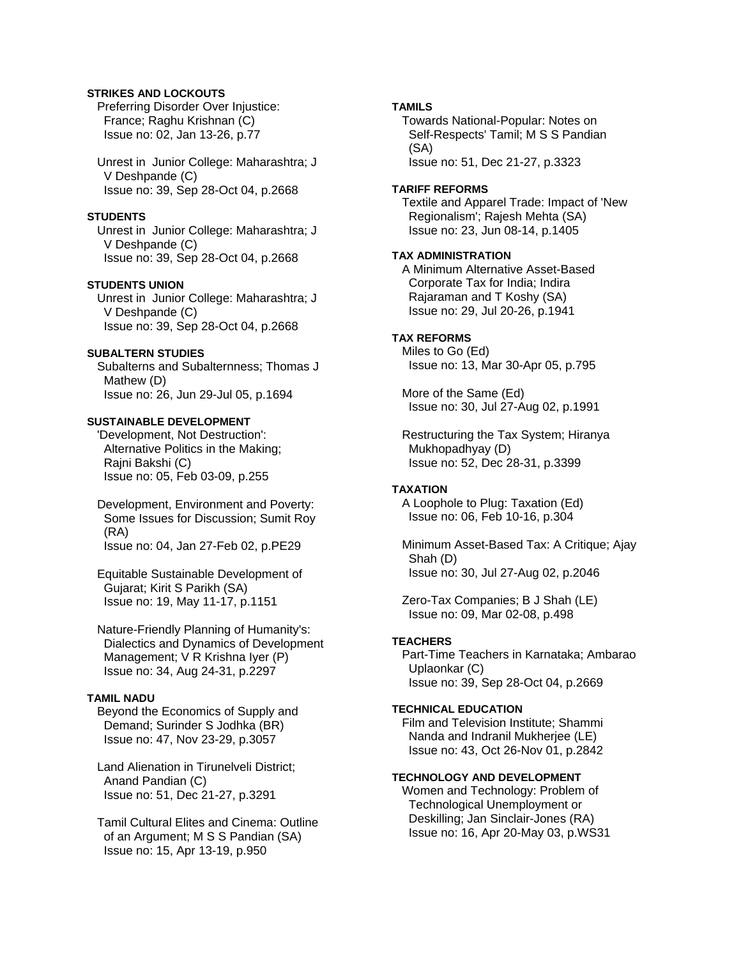# **STRIKES AND LOCKOUTS**

 Preferring Disorder Over Injustice: France; Raghu Krishnan (C) Issue no: 02, Jan 13-26, p.77

 Unrest in Junior College: Maharashtra; J V Deshpande (C) Issue no: 39, Sep 28-Oct 04, p.2668

#### **STUDENTS**

 Unrest in Junior College: Maharashtra; J V Deshpande (C) Issue no: 39, Sep 28-Oct 04, p.2668

# **STUDENTS UNION**

 Unrest in Junior College: Maharashtra; J V Deshpande (C) Issue no: 39, Sep 28-Oct 04, p.2668

# **SUBALTERN STUDIES**

 Subalterns and Subalternness; Thomas J Mathew (D) Issue no: 26, Jun 29-Jul 05, p.1694

#### **SUSTAINABLE DEVELOPMENT**

 'Development, Not Destruction': Alternative Politics in the Making; Rajni Bakshi (C) Issue no: 05, Feb 03-09, p.255

 Development, Environment and Poverty: Some Issues for Discussion; Sumit Roy (RA) Issue no: 04, Jan 27-Feb 02, p.PE29

 Equitable Sustainable Development of Gujarat; Kirit S Parikh (SA) Issue no: 19, May 11-17, p.1151

 Nature-Friendly Planning of Humanity's: Dialectics and Dynamics of Development Management; V R Krishna Iyer (P) Issue no: 34, Aug 24-31, p.2297

# **TAMIL NADU**

 Beyond the Economics of Supply and Demand; Surinder S Jodhka (BR) Issue no: 47, Nov 23-29, p.3057

 Land Alienation in Tirunelveli District; Anand Pandian (C) Issue no: 51, Dec 21-27, p.3291

 Tamil Cultural Elites and Cinema: Outline of an Argument; M S S Pandian (SA) Issue no: 15, Apr 13-19, p.950

### **TAMILS**

 Towards National-Popular: Notes on Self-Respects' Tamil; M S S Pandian (SA) Issue no: 51, Dec 21-27, p.3323

# **TARIFF REFORMS**

 Textile and Apparel Trade: Impact of 'New Regionalism'; Rajesh Mehta (SA) Issue no: 23, Jun 08-14, p.1405

#### **TAX ADMINISTRATION**

 A Minimum Alternative Asset-Based Corporate Tax for India; Indira Rajaraman and T Koshy (SA) Issue no: 29, Jul 20-26, p.1941

#### **TAX REFORMS**

 Miles to Go (Ed) Issue no: 13, Mar 30-Apr 05, p.795

 More of the Same (Ed) Issue no: 30, Jul 27-Aug 02, p.1991

 Restructuring the Tax System; Hiranya Mukhopadhyay (D) Issue no: 52, Dec 28-31, p.3399

### **TAXATION**

 A Loophole to Plug: Taxation (Ed) Issue no: 06, Feb 10-16, p.304

 Minimum Asset-Based Tax: A Critique; Ajay Shah (D) Issue no: 30, Jul 27-Aug 02, p.2046

 Zero-Tax Companies; B J Shah (LE) Issue no: 09, Mar 02-08, p.498

### **TEACHERS**

 Part-Time Teachers in Karnataka; Ambarao Uplaonkar (C) Issue no: 39, Sep 28-Oct 04, p.2669

#### **TECHNICAL EDUCATION**

 Film and Television Institute; Shammi Nanda and Indranil Mukherjee (LE) Issue no: 43, Oct 26-Nov 01, p.2842

# **TECHNOLOGY AND DEVELOPMENT**

 Women and Technology: Problem of Technological Unemployment or Deskilling; Jan Sinclair-Jones (RA) Issue no: 16, Apr 20-May 03, p.WS31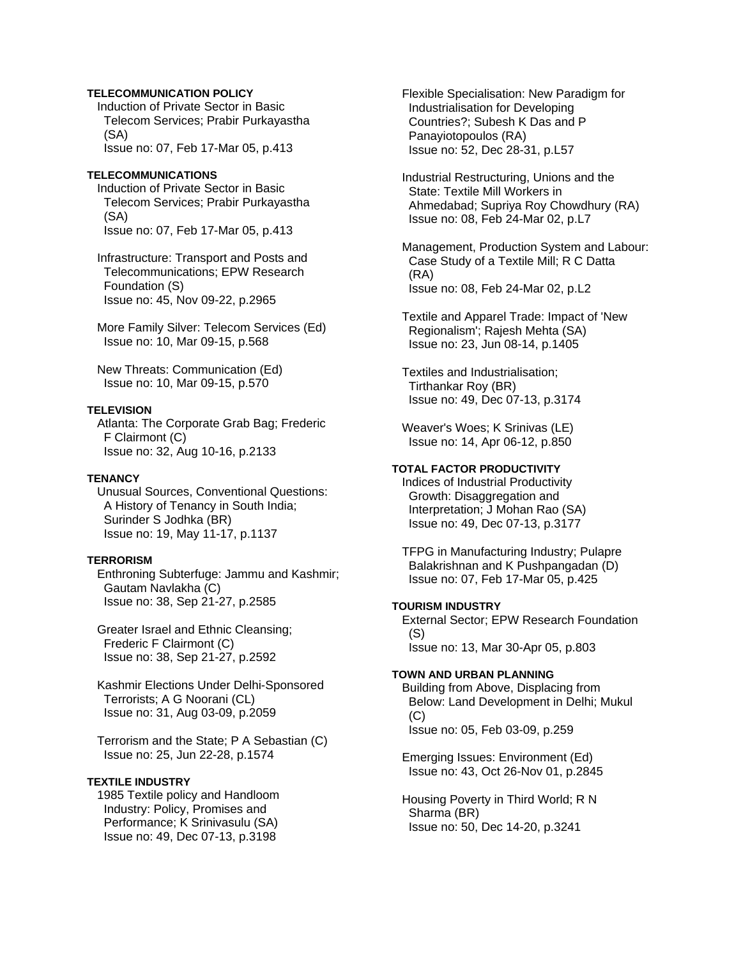# **TELECOMMUNICATION POLICY**

 Induction of Private Sector in Basic Telecom Services; Prabir Purkayastha (SA) Issue no: 07, Feb 17-Mar 05, p.413

#### **TELECOMMUNICATIONS**

 Induction of Private Sector in Basic Telecom Services; Prabir Purkayastha (SA) Issue no: 07, Feb 17-Mar 05, p.413

 Infrastructure: Transport and Posts and Telecommunications; EPW Research Foundation (S) Issue no: 45, Nov 09-22, p.2965

 More Family Silver: Telecom Services (Ed) Issue no: 10, Mar 09-15, p.568

 New Threats: Communication (Ed) Issue no: 10, Mar 09-15, p.570

#### **TELEVISION**

 Atlanta: The Corporate Grab Bag; Frederic F Clairmont (C) Issue no: 32, Aug 10-16, p.2133

# **TENANCY**

 Unusual Sources, Conventional Questions: A History of Tenancy in South India; Surinder S Jodhka (BR) Issue no: 19, May 11-17, p.1137

### **TERRORISM**

 Enthroning Subterfuge: Jammu and Kashmir; Gautam Navlakha (C) Issue no: 38, Sep 21-27, p.2585

 Greater Israel and Ethnic Cleansing; Frederic F Clairmont (C) Issue no: 38, Sep 21-27, p.2592

 Kashmir Elections Under Delhi-Sponsored Terrorists; A G Noorani (CL) Issue no: 31, Aug 03-09, p.2059

 Terrorism and the State; P A Sebastian (C) Issue no: 25, Jun 22-28, p.1574

#### **TEXTILE INDUSTRY**

 1985 Textile policy and Handloom Industry: Policy, Promises and Performance; K Srinivasulu (SA) Issue no: 49, Dec 07-13, p.3198

 Flexible Specialisation: New Paradigm for Industrialisation for Developing Countries?; Subesh K Das and P Panayiotopoulos (RA) Issue no: 52, Dec 28-31, p.L57

 Industrial Restructuring, Unions and the State: Textile Mill Workers in Ahmedabad; Supriya Roy Chowdhury (RA) Issue no: 08, Feb 24-Mar 02, p.L7

 Management, Production System and Labour: Case Study of a Textile Mill; R C Datta (RA) Issue no: 08, Feb 24-Mar 02, p.L2

 Textile and Apparel Trade: Impact of 'New Regionalism'; Rajesh Mehta (SA) Issue no: 23, Jun 08-14, p.1405

 Textiles and Industrialisation; Tirthankar Roy (BR) Issue no: 49, Dec 07-13, p.3174

 Weaver's Woes; K Srinivas (LE) Issue no: 14, Apr 06-12, p.850

# **TOTAL FACTOR PRODUCTIVITY**

 Indices of Industrial Productivity Growth: Disaggregation and Interpretation; J Mohan Rao (SA) Issue no: 49, Dec 07-13, p.3177

 TFPG in Manufacturing Industry; Pulapre Balakrishnan and K Pushpangadan (D) Issue no: 07, Feb 17-Mar 05, p.425

# **TOURISM INDUSTRY**

 External Sector; EPW Research Foundation (S) Issue no: 13, Mar 30-Apr 05, p.803

# **TOWN AND URBAN PLANNING**

 Building from Above, Displacing from Below: Land Development in Delhi; Mukul (C) Issue no: 05, Feb 03-09, p.259

 Emerging Issues: Environment (Ed) Issue no: 43, Oct 26-Nov 01, p.2845

 Housing Poverty in Third World; R N Sharma (BR) Issue no: 50, Dec 14-20, p.3241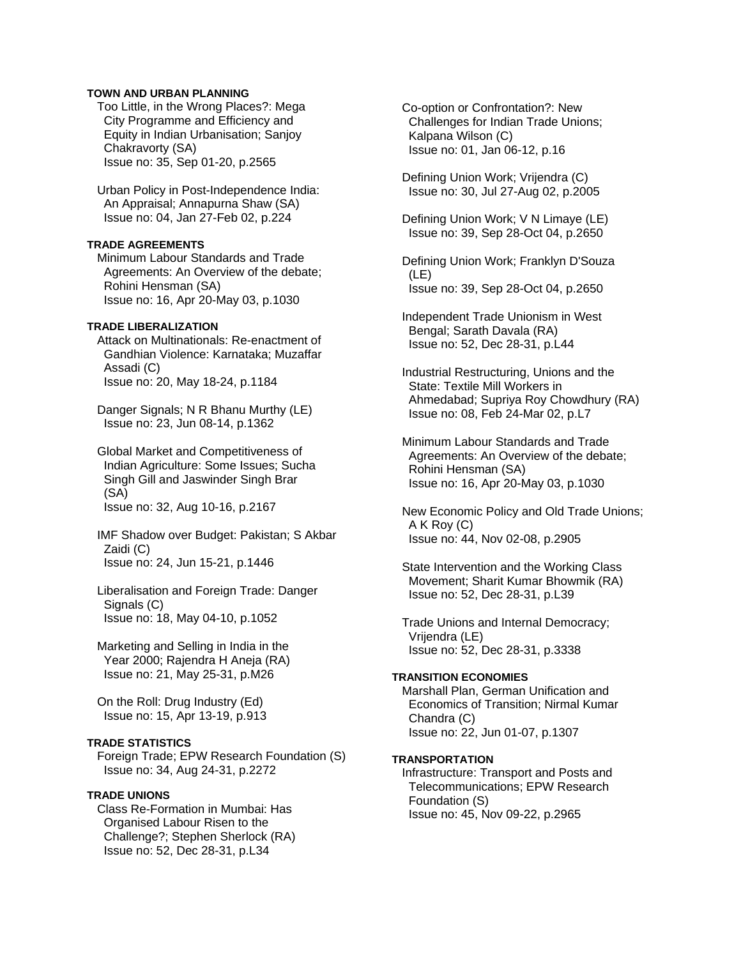## **TOWN AND URBAN PLANNING**

 Too Little, in the Wrong Places?: Mega City Programme and Efficiency and Equity in Indian Urbanisation; Sanjoy Chakravorty (SA) Issue no: 35, Sep 01-20, p.2565

 Urban Policy in Post-Independence India: An Appraisal; Annapurna Shaw (SA) Issue no: 04, Jan 27-Feb 02, p.224

# **TRADE AGREEMENTS**

 Minimum Labour Standards and Trade Agreements: An Overview of the debate; Rohini Hensman (SA) Issue no: 16, Apr 20-May 03, p.1030

# **TRADE LIBERALIZATION**

 Attack on Multinationals: Re-enactment of Gandhian Violence: Karnataka; Muzaffar Assadi (C) Issue no: 20, May 18-24, p.1184

 Danger Signals; N R Bhanu Murthy (LE) Issue no: 23, Jun 08-14, p.1362

 Global Market and Competitiveness of Indian Agriculture: Some Issues; Sucha Singh Gill and Jaswinder Singh Brar (SA)

Issue no: 32, Aug 10-16, p.2167

 IMF Shadow over Budget: Pakistan; S Akbar Zaidi (C) Issue no: 24, Jun 15-21, p.1446

 Liberalisation and Foreign Trade: Danger Signals (C) Issue no: 18, May 04-10, p.1052

 Marketing and Selling in India in the Year 2000; Rajendra H Aneja (RA) Issue no: 21, May 25-31, p.M26

 On the Roll: Drug Industry (Ed) Issue no: 15, Apr 13-19, p.913

### **TRADE STATISTICS**

 Foreign Trade; EPW Research Foundation (S) Issue no: 34, Aug 24-31, p.2272

#### **TRADE UNIONS**

 Class Re-Formation in Mumbai: Has Organised Labour Risen to the Challenge?; Stephen Sherlock (RA) Issue no: 52, Dec 28-31, p.L34

 Co-option or Confrontation?: New Challenges for Indian Trade Unions; Kalpana Wilson (C) Issue no: 01, Jan 06-12, p.16

 Defining Union Work; Vrijendra (C) Issue no: 30, Jul 27-Aug 02, p.2005

 Defining Union Work; V N Limaye (LE) Issue no: 39, Sep 28-Oct 04, p.2650

 Defining Union Work; Franklyn D'Souza (LE) Issue no: 39, Sep 28-Oct 04, p.2650

 Independent Trade Unionism in West Bengal; Sarath Davala (RA) Issue no: 52, Dec 28-31, p.L44

 Industrial Restructuring, Unions and the State: Textile Mill Workers in Ahmedabad; Supriya Roy Chowdhury (RA) Issue no: 08, Feb 24-Mar 02, p.L7

 Minimum Labour Standards and Trade Agreements: An Overview of the debate; Rohini Hensman (SA) Issue no: 16, Apr 20-May 03, p.1030

 New Economic Policy and Old Trade Unions; A K Roy (C) Issue no: 44, Nov 02-08, p.2905

 State Intervention and the Working Class Movement; Sharit Kumar Bhowmik (RA) Issue no: 52, Dec 28-31, p.L39

 Trade Unions and Internal Democracy; Vrijendra (LE) Issue no: 52, Dec 28-31, p.3338

#### **TRANSITION ECONOMIES**

 Marshall Plan, German Unification and Economics of Transition; Nirmal Kumar Chandra (C) Issue no: 22, Jun 01-07, p.1307

# **TRANSPORTATION**

 Infrastructure: Transport and Posts and Telecommunications; EPW Research Foundation (S) Issue no: 45, Nov 09-22, p.2965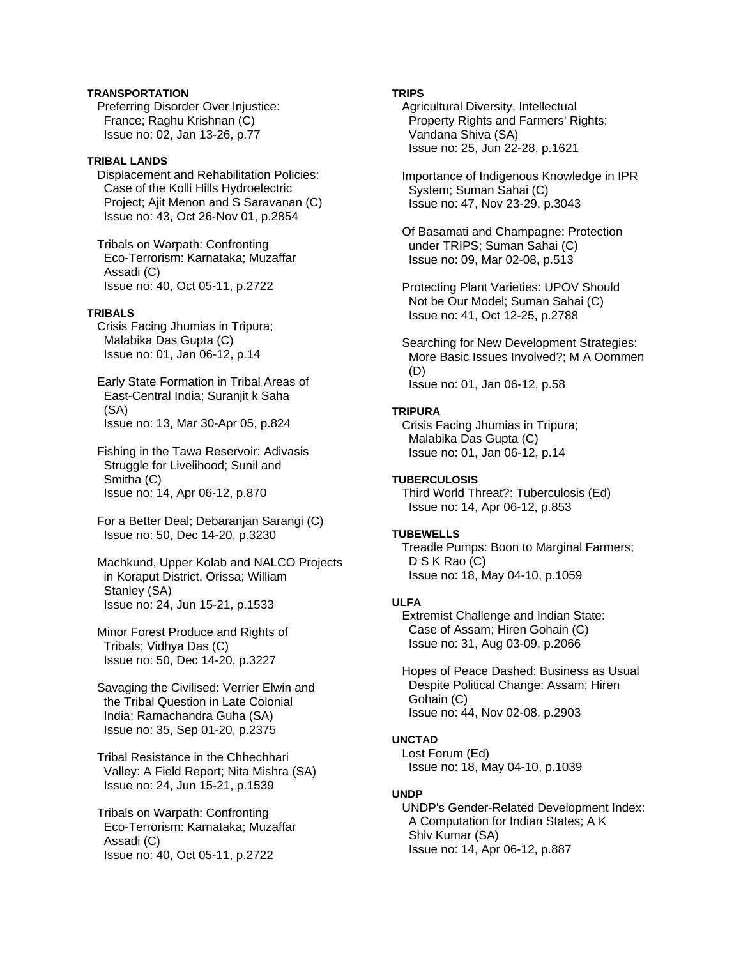# **TRANSPORTATION**

 Preferring Disorder Over Injustice: France; Raghu Krishnan (C) Issue no: 02, Jan 13-26, p.77

## **TRIBAL LANDS**

 Displacement and Rehabilitation Policies: Case of the Kolli Hills Hydroelectric Project; Ajit Menon and S Saravanan (C) Issue no: 43, Oct 26-Nov 01, p.2854

 Tribals on Warpath: Confronting Eco-Terrorism: Karnataka; Muzaffar Assadi (C) Issue no: 40, Oct 05-11, p.2722

## **TRIBALS**

 Crisis Facing Jhumias in Tripura; Malabika Das Gupta (C) Issue no: 01, Jan 06-12, p.14

 Early State Formation in Tribal Areas of East-Central India; Suranjit k Saha (SA) Issue no: 13, Mar 30-Apr 05, p.824

 Fishing in the Tawa Reservoir: Adivasis Struggle for Livelihood; Sunil and Smitha (C) Issue no: 14, Apr 06-12, p.870

 For a Better Deal; Debaranjan Sarangi (C) Issue no: 50, Dec 14-20, p.3230

 Machkund, Upper Kolab and NALCO Projects in Koraput District, Orissa; William Stanley (SA) Issue no: 24, Jun 15-21, p.1533

 Minor Forest Produce and Rights of Tribals; Vidhya Das (C) Issue no: 50, Dec 14-20, p.3227

 Savaging the Civilised: Verrier Elwin and the Tribal Question in Late Colonial India; Ramachandra Guha (SA) Issue no: 35, Sep 01-20, p.2375

 Tribal Resistance in the Chhechhari Valley: A Field Report; Nita Mishra (SA) Issue no: 24, Jun 15-21, p.1539

 Tribals on Warpath: Confronting Eco-Terrorism: Karnataka; Muzaffar Assadi (C) Issue no: 40, Oct 05-11, p.2722

# **TRIPS**

 Agricultural Diversity, Intellectual Property Rights and Farmers' Rights; Vandana Shiva (SA) Issue no: 25, Jun 22-28, p.1621

 Importance of Indigenous Knowledge in IPR System; Suman Sahai (C) Issue no: 47, Nov 23-29, p.3043

 Of Basamati and Champagne: Protection under TRIPS; Suman Sahai (C) Issue no: 09, Mar 02-08, p.513

 Protecting Plant Varieties: UPOV Should Not be Our Model; Suman Sahai (C) Issue no: 41, Oct 12-25, p.2788

 Searching for New Development Strategies: More Basic Issues Involved?; M A Oommen (D) Issue no: 01, Jan 06-12, p.58

## **TRIPURA**

 Crisis Facing Jhumias in Tripura; Malabika Das Gupta (C) Issue no: 01, Jan 06-12, p.14

# **TUBERCULOSIS**

 Third World Threat?: Tuberculosis (Ed) Issue no: 14, Apr 06-12, p.853

# **TUBEWELLS**

 Treadle Pumps: Boon to Marginal Farmers; D S K Rao (C) Issue no: 18, May 04-10, p.1059

# **ULFA**

 Extremist Challenge and Indian State: Case of Assam; Hiren Gohain (C) Issue no: 31, Aug 03-09, p.2066

 Hopes of Peace Dashed: Business as Usual Despite Political Change: Assam; Hiren Gohain (C) Issue no: 44, Nov 02-08, p.2903

# **UNCTAD**

 Lost Forum (Ed) Issue no: 18, May 04-10, p.1039

### **UNDP**

 UNDP's Gender-Related Development Index: A Computation for Indian States; A K Shiv Kumar (SA) Issue no: 14, Apr 06-12, p.887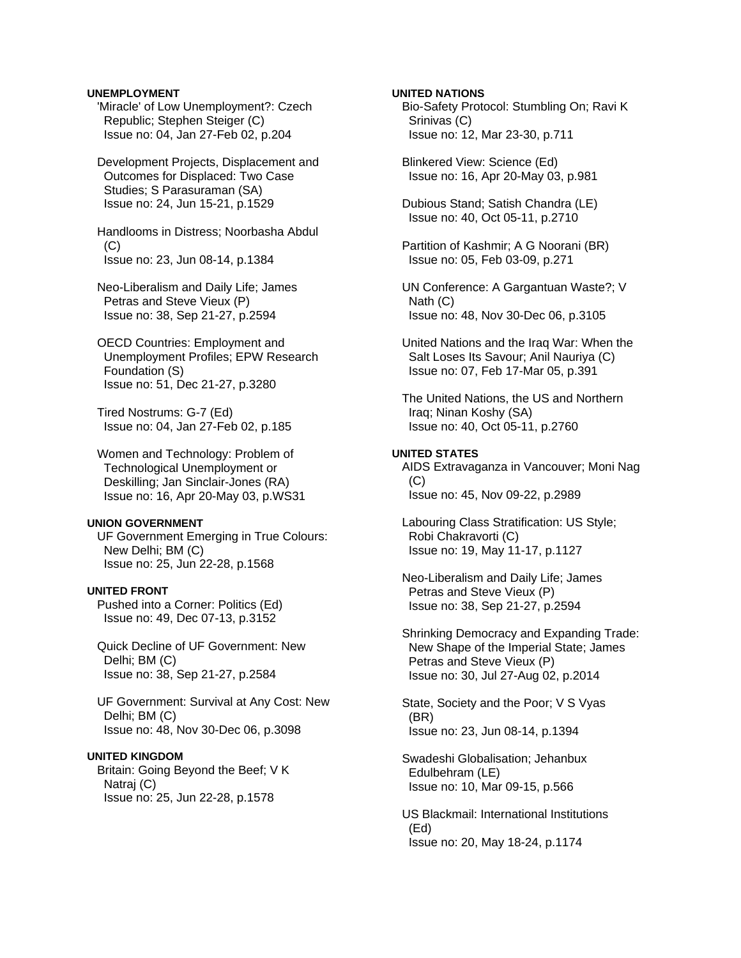### **UNEMPLOYMENT**

 'Miracle' of Low Unemployment?: Czech Republic; Stephen Steiger (C) Issue no: 04, Jan 27-Feb 02, p.204

 Development Projects, Displacement and Outcomes for Displaced: Two Case Studies; S Parasuraman (SA) Issue no: 24, Jun 15-21, p.1529

 Handlooms in Distress; Noorbasha Abdul  $(C)$ Issue no: 23, Jun 08-14, p.1384

 Neo-Liberalism and Daily Life; James Petras and Steve Vieux (P) Issue no: 38, Sep 21-27, p.2594

 OECD Countries: Employment and Unemployment Profiles; EPW Research Foundation (S) Issue no: 51, Dec 21-27, p.3280

 Tired Nostrums: G-7 (Ed) Issue no: 04, Jan 27-Feb 02, p.185

 Women and Technology: Problem of Technological Unemployment or Deskilling; Jan Sinclair-Jones (RA) Issue no: 16, Apr 20-May 03, p.WS31

#### **UNION GOVERNMENT**

 UF Government Emerging in True Colours: New Delhi; BM (C) Issue no: 25, Jun 22-28, p.1568

## **UNITED FRONT**

 Pushed into a Corner: Politics (Ed) Issue no: 49, Dec 07-13, p.3152

 Quick Decline of UF Government: New Delhi; BM (C) Issue no: 38, Sep 21-27, p.2584

 UF Government: Survival at Any Cost: New Delhi; BM (C) Issue no: 48, Nov 30-Dec 06, p.3098

### **UNITED KINGDOM**

 Britain: Going Beyond the Beef; V K Natraj (C) Issue no: 25, Jun 22-28, p.1578

# **UNITED NATIONS**

 Bio-Safety Protocol: Stumbling On; Ravi K Srinivas (C) Issue no: 12, Mar 23-30, p.711

 Blinkered View: Science (Ed) Issue no: 16, Apr 20-May 03, p.981

 Dubious Stand; Satish Chandra (LE) Issue no: 40, Oct 05-11, p.2710

 Partition of Kashmir; A G Noorani (BR) Issue no: 05, Feb 03-09, p.271

 UN Conference: A Gargantuan Waste?; V Nath (C) Issue no: 48, Nov 30-Dec 06, p.3105

 United Nations and the Iraq War: When the Salt Loses Its Savour; Anil Nauriya (C) Issue no: 07, Feb 17-Mar 05, p.391

 The United Nations, the US and Northern Iraq; Ninan Koshy (SA) Issue no: 40, Oct 05-11, p.2760

#### **UNITED STATES**

 AIDS Extravaganza in Vancouver; Moni Nag  $(C)$ Issue no: 45, Nov 09-22, p.2989

 Labouring Class Stratification: US Style; Robi Chakravorti (C) Issue no: 19, May 11-17, p.1127

 Neo-Liberalism and Daily Life; James Petras and Steve Vieux (P) Issue no: 38, Sep 21-27, p.2594

 Shrinking Democracy and Expanding Trade: New Shape of the Imperial State; James Petras and Steve Vieux (P) Issue no: 30, Jul 27-Aug 02, p.2014

 State, Society and the Poor; V S Vyas (BR) Issue no: 23, Jun 08-14, p.1394

 Swadeshi Globalisation; Jehanbux Edulbehram (LE) Issue no: 10, Mar 09-15, p.566

 US Blackmail: International Institutions (Ed) Issue no: 20, May 18-24, p.1174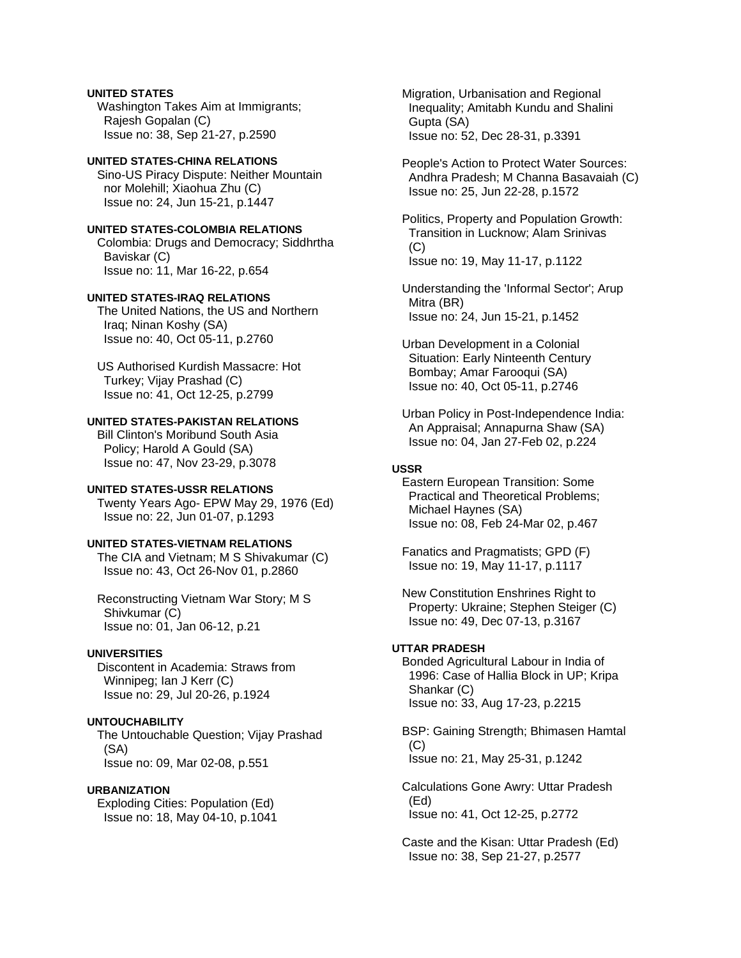# **UNITED STATES**

 Washington Takes Aim at Immigrants; Rajesh Gopalan (C) Issue no: 38, Sep 21-27, p.2590

## **UNITED STATES-CHINA RELATIONS**

 Sino-US Piracy Dispute: Neither Mountain nor Molehill; Xiaohua Zhu (C) Issue no: 24, Jun 15-21, p.1447

# **UNITED STATES-COLOMBIA RELATIONS**  Colombia: Drugs and Democracy; Siddhrtha Baviskar (C)

Issue no: 11, Mar 16-22, p.654

## **UNITED STATES-IRAQ RELATIONS**

 The United Nations, the US and Northern Iraq; Ninan Koshy (SA) Issue no: 40, Oct 05-11, p.2760

 US Authorised Kurdish Massacre: Hot Turkey; Vijay Prashad (C) Issue no: 41, Oct 12-25, p.2799

# **UNITED STATES-PAKISTAN RELATIONS**

 Bill Clinton's Moribund South Asia Policy; Harold A Gould (SA) Issue no: 47, Nov 23-29, p.3078

### **UNITED STATES-USSR RELATIONS**

 Twenty Years Ago- EPW May 29, 1976 (Ed) Issue no: 22, Jun 01-07, p.1293

# **UNITED STATES-VIETNAM RELATIONS**

 The CIA and Vietnam; M S Shivakumar (C) Issue no: 43, Oct 26-Nov 01, p.2860

 Reconstructing Vietnam War Story; M S Shivkumar (C) Issue no: 01, Jan 06-12, p.21

# **UNIVERSITIES**

 Discontent in Academia: Straws from Winnipeg; Ian J Kerr (C) Issue no: 29, Jul 20-26, p.1924

### **UNTOUCHABILITY**

 The Untouchable Question; Vijay Prashad (SA) Issue no: 09, Mar 02-08, p.551

#### **URBANIZATION**

 Exploding Cities: Population (Ed) Issue no: 18, May 04-10, p.1041  Migration, Urbanisation and Regional Inequality; Amitabh Kundu and Shalini Gupta (SA) Issue no: 52, Dec 28-31, p.3391

 People's Action to Protect Water Sources: Andhra Pradesh; M Channa Basavaiah (C) Issue no: 25, Jun 22-28, p.1572

 Politics, Property and Population Growth: Transition in Lucknow; Alam Srinivas  $(C)$ Issue no: 19, May 11-17, p.1122

 Understanding the 'Informal Sector'; Arup Mitra (BR) Issue no: 24, Jun 15-21, p.1452

 Urban Development in a Colonial Situation: Early Ninteenth Century Bombay; Amar Farooqui (SA) Issue no: 40, Oct 05-11, p.2746

 Urban Policy in Post-Independence India: An Appraisal; Annapurna Shaw (SA) Issue no: 04, Jan 27-Feb 02, p.224

# **USSR**

 Eastern European Transition: Some Practical and Theoretical Problems; Michael Haynes (SA) Issue no: 08, Feb 24-Mar 02, p.467

 Fanatics and Pragmatists; GPD (F) Issue no: 19, May 11-17, p.1117

 New Constitution Enshrines Right to Property: Ukraine; Stephen Steiger (C) Issue no: 49, Dec 07-13, p.3167

### **UTTAR PRADESH**

 Bonded Agricultural Labour in India of 1996: Case of Hallia Block in UP; Kripa Shankar (C) Issue no: 33, Aug 17-23, p.2215

 BSP: Gaining Strength; Bhimasen Hamtal  $(C)$ Issue no: 21, May 25-31, p.1242

 Calculations Gone Awry: Uttar Pradesh (Ed) Issue no: 41, Oct 12-25, p.2772

 Caste and the Kisan: Uttar Pradesh (Ed) Issue no: 38, Sep 21-27, p.2577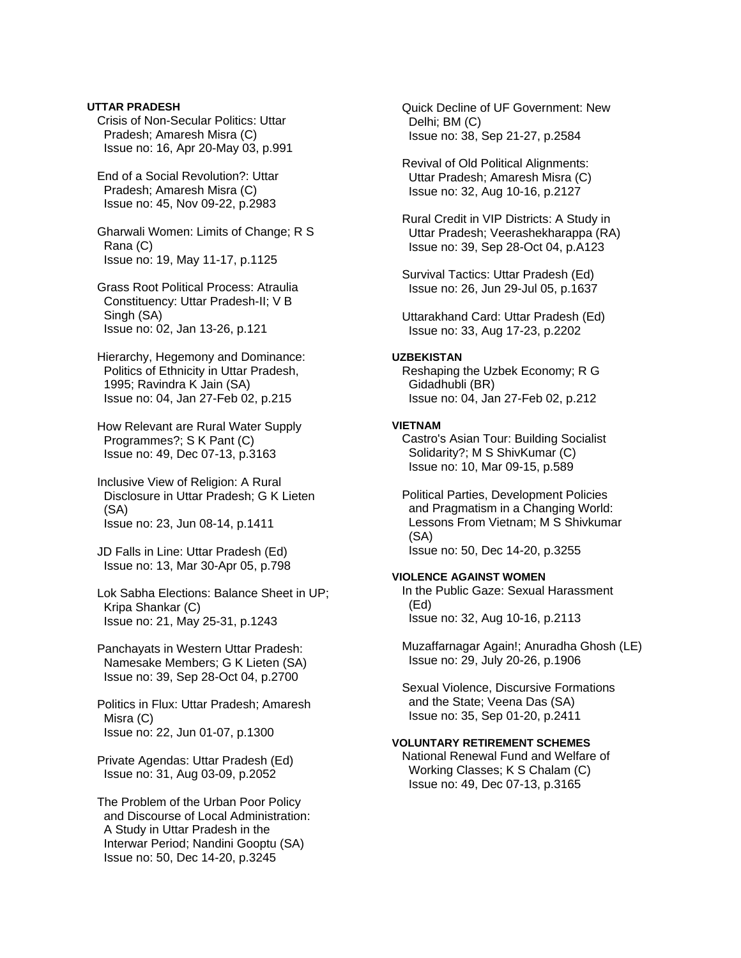**UTTAR PRADESH**  Crisis of Non-Secular Politics: Uttar Pradesh; Amaresh Misra (C) Issue no: 16, Apr 20-May 03, p.991

 End of a Social Revolution?: Uttar Pradesh; Amaresh Misra (C) Issue no: 45, Nov 09-22, p.2983

 Gharwali Women: Limits of Change; R S Rana (C) Issue no: 19, May 11-17, p.1125

 Grass Root Political Process: Atraulia Constituency: Uttar Pradesh-II; V B Singh (SA) Issue no: 02, Jan 13-26, p.121

 Hierarchy, Hegemony and Dominance: Politics of Ethnicity in Uttar Pradesh, 1995; Ravindra K Jain (SA) Issue no: 04, Jan 27-Feb 02, p.215

 How Relevant are Rural Water Supply Programmes?; S K Pant (C) Issue no: 49, Dec 07-13, p.3163

 Inclusive View of Religion: A Rural Disclosure in Uttar Pradesh; G K Lieten (SA) Issue no: 23, Jun 08-14, p.1411

 JD Falls in Line: Uttar Pradesh (Ed) Issue no: 13, Mar 30-Apr 05, p.798

 Lok Sabha Elections: Balance Sheet in UP; Kripa Shankar (C) Issue no: 21, May 25-31, p.1243

 Panchayats in Western Uttar Pradesh: Namesake Members; G K Lieten (SA) Issue no: 39, Sep 28-Oct 04, p.2700

 Politics in Flux: Uttar Pradesh; Amaresh Misra (C) Issue no: 22, Jun 01-07, p.1300

 Private Agendas: Uttar Pradesh (Ed) Issue no: 31, Aug 03-09, p.2052

 The Problem of the Urban Poor Policy and Discourse of Local Administration: A Study in Uttar Pradesh in the Interwar Period; Nandini Gooptu (SA) Issue no: 50, Dec 14-20, p.3245

 Quick Decline of UF Government: New Delhi; BM (C) Issue no: 38, Sep 21-27, p.2584

 Revival of Old Political Alignments: Uttar Pradesh; Amaresh Misra (C) Issue no: 32, Aug 10-16, p.2127

 Rural Credit in VIP Districts: A Study in Uttar Pradesh; Veerashekharappa (RA) Issue no: 39, Sep 28-Oct 04, p.A123

 Survival Tactics: Uttar Pradesh (Ed) Issue no: 26, Jun 29-Jul 05, p.1637

 Uttarakhand Card: Uttar Pradesh (Ed) Issue no: 33, Aug 17-23, p.2202

#### **UZBEKISTAN**

 Reshaping the Uzbek Economy; R G Gidadhubli (BR) Issue no: 04, Jan 27-Feb 02, p.212

## **VIETNAM**

 Castro's Asian Tour: Building Socialist Solidarity?; M S ShivKumar (C) Issue no: 10, Mar 09-15, p.589

 Political Parties, Development Policies and Pragmatism in a Changing World: Lessons From Vietnam; M S Shivkumar (SA) Issue no: 50, Dec 14-20, p.3255

#### **VIOLENCE AGAINST WOMEN**

 In the Public Gaze: Sexual Harassment (Ed) Issue no: 32, Aug 10-16, p.2113

 Muzaffarnagar Again!; Anuradha Ghosh (LE) Issue no: 29, July 20-26, p.1906

 Sexual Violence, Discursive Formations and the State; Veena Das (SA) Issue no: 35, Sep 01-20, p.2411

### **VOLUNTARY RETIREMENT SCHEMES**

 National Renewal Fund and Welfare of Working Classes; K S Chalam (C) Issue no: 49, Dec 07-13, p.3165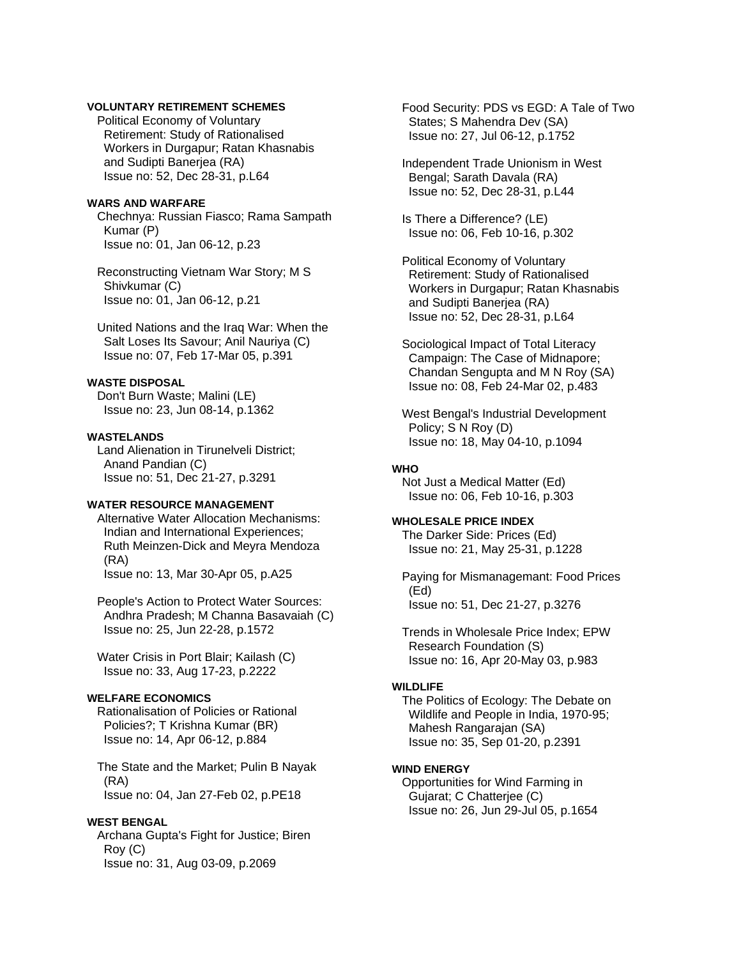# **VOLUNTARY RETIREMENT SCHEMES**

 Political Economy of Voluntary Retirement: Study of Rationalised Workers in Durgapur; Ratan Khasnabis and Sudipti Banerjea (RA) Issue no: 52, Dec 28-31, p.L64

#### **WARS AND WARFARE**

 Chechnya: Russian Fiasco; Rama Sampath Kumar (P) Issue no: 01, Jan 06-12, p.23

 Reconstructing Vietnam War Story; M S Shivkumar (C) Issue no: 01, Jan 06-12, p.21

 United Nations and the Iraq War: When the Salt Loses Its Savour; Anil Nauriya (C) Issue no: 07, Feb 17-Mar 05, p.391

#### **WASTE DISPOSAL**

 Don't Burn Waste; Malini (LE) Issue no: 23, Jun 08-14, p.1362

#### **WASTELANDS**

 Land Alienation in Tirunelveli District; Anand Pandian (C) Issue no: 51, Dec 21-27, p.3291

### **WATER RESOURCE MANAGEMENT**

 Alternative Water Allocation Mechanisms: Indian and International Experiences; Ruth Meinzen-Dick and Meyra Mendoza (RA) Issue no: 13, Mar 30-Apr 05, p.A25

 People's Action to Protect Water Sources: Andhra Pradesh; M Channa Basavaiah (C) Issue no: 25, Jun 22-28, p.1572

 Water Crisis in Port Blair; Kailash (C) Issue no: 33, Aug 17-23, p.2222

# **WELFARE ECONOMICS**

 Rationalisation of Policies or Rational Policies?; T Krishna Kumar (BR) Issue no: 14, Apr 06-12, p.884

 The State and the Market; Pulin B Nayak (RA) Issue no: 04, Jan 27-Feb 02, p.PE18

### **WEST BENGAL**

 Archana Gupta's Fight for Justice; Biren Roy (C) Issue no: 31, Aug 03-09, p.2069

 Food Security: PDS vs EGD: A Tale of Two States; S Mahendra Dev (SA) Issue no: 27, Jul 06-12, p.1752

 Independent Trade Unionism in West Bengal; Sarath Davala (RA) Issue no: 52, Dec 28-31, p.L44

 Is There a Difference? (LE) Issue no: 06, Feb 10-16, p.302

 Political Economy of Voluntary Retirement: Study of Rationalised Workers in Durgapur; Ratan Khasnabis and Sudipti Banerjea (RA) Issue no: 52, Dec 28-31, p.L64

 Sociological Impact of Total Literacy Campaign: The Case of Midnapore; Chandan Sengupta and M N Roy (SA) Issue no: 08, Feb 24-Mar 02, p.483

 West Bengal's Industrial Development Policy; S N Roy (D) Issue no: 18, May 04-10, p.1094

# **WHO**

 Not Just a Medical Matter (Ed) Issue no: 06, Feb 10-16, p.303

# **WHOLESALE PRICE INDEX**

 The Darker Side: Prices (Ed) Issue no: 21, May 25-31, p.1228

 Paying for Mismanagemant: Food Prices (Ed) Issue no: 51, Dec 21-27, p.3276

 Trends in Wholesale Price Index; EPW Research Foundation (S) Issue no: 16, Apr 20-May 03, p.983

#### **WILDLIFE**

 The Politics of Ecology: The Debate on Wildlife and People in India, 1970-95; Mahesh Rangarajan (SA) Issue no: 35, Sep 01-20, p.2391

## **WIND ENERGY**

 Opportunities for Wind Farming in Gujarat; C Chatterjee (C) Issue no: 26, Jun 29-Jul 05, p.1654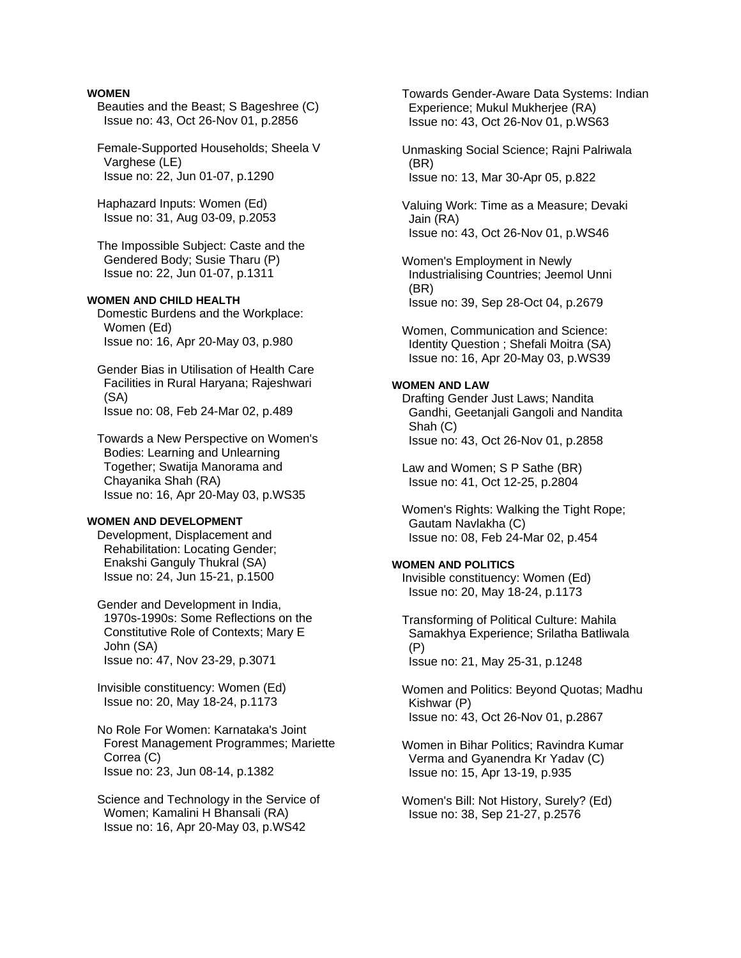### **WOMEN**

 Beauties and the Beast; S Bageshree (C) Issue no: 43, Oct 26-Nov 01, p.2856

 Female-Supported Households; Sheela V Varghese (LE) Issue no: 22, Jun 01-07, p.1290

 Haphazard Inputs: Women (Ed) Issue no: 31, Aug 03-09, p.2053

 The Impossible Subject: Caste and the Gendered Body; Susie Tharu (P) Issue no: 22, Jun 01-07, p.1311

## **WOMEN AND CHILD HEALTH**

 Domestic Burdens and the Workplace: Women (Ed) Issue no: 16, Apr 20-May 03, p.980

 Gender Bias in Utilisation of Health Care Facilities in Rural Haryana; Rajeshwari (SA) Issue no: 08, Feb 24-Mar 02, p.489

 Towards a New Perspective on Women's Bodies: Learning and Unlearning Together; Swatija Manorama and Chayanika Shah (RA) Issue no: 16, Apr 20-May 03, p.WS35

#### **WOMEN AND DEVELOPMENT**

 Development, Displacement and Rehabilitation: Locating Gender; Enakshi Ganguly Thukral (SA) Issue no: 24, Jun 15-21, p.1500

 Gender and Development in India, 1970s-1990s: Some Reflections on the Constitutive Role of Contexts; Mary E John (SA) Issue no: 47, Nov 23-29, p.3071

 Invisible constituency: Women (Ed) Issue no: 20, May 18-24, p.1173

 No Role For Women: Karnataka's Joint Forest Management Programmes; Mariette Correa (C) Issue no: 23, Jun 08-14, p.1382

 Science and Technology in the Service of Women; Kamalini H Bhansali (RA) Issue no: 16, Apr 20-May 03, p.WS42

 Towards Gender-Aware Data Systems: Indian Experience; Mukul Mukherjee (RA) Issue no: 43, Oct 26-Nov 01, p.WS63

 Unmasking Social Science; Rajni Palriwala (BR) Issue no: 13, Mar 30-Apr 05, p.822

 Valuing Work: Time as a Measure; Devaki Jain (RA) Issue no: 43, Oct 26-Nov 01, p.WS46

 Women's Employment in Newly Industrialising Countries; Jeemol Unni (BR) Issue no: 39, Sep 28-Oct 04, p.2679

 Women, Communication and Science: Identity Question ; Shefali Moitra (SA) Issue no: 16, Apr 20-May 03, p.WS39

### **WOMEN AND LAW**

 Drafting Gender Just Laws; Nandita Gandhi, Geetanjali Gangoli and Nandita Shah (C) Issue no: 43, Oct 26-Nov 01, p.2858

 Law and Women; S P Sathe (BR) Issue no: 41, Oct 12-25, p.2804

 Women's Rights: Walking the Tight Rope; Gautam Navlakha (C) Issue no: 08, Feb 24-Mar 02, p.454

# **WOMEN AND POLITICS**

 Invisible constituency: Women (Ed) Issue no: 20, May 18-24, p.1173

 Transforming of Political Culture: Mahila Samakhya Experience; Srilatha Batliwala (P) Issue no: 21, May 25-31, p.1248

 Women and Politics: Beyond Quotas; Madhu Kishwar (P) Issue no: 43, Oct 26-Nov 01, p.2867

 Women in Bihar Politics; Ravindra Kumar Verma and Gyanendra Kr Yadav (C) Issue no: 15, Apr 13-19, p.935

 Women's Bill: Not History, Surely? (Ed) Issue no: 38, Sep 21-27, p.2576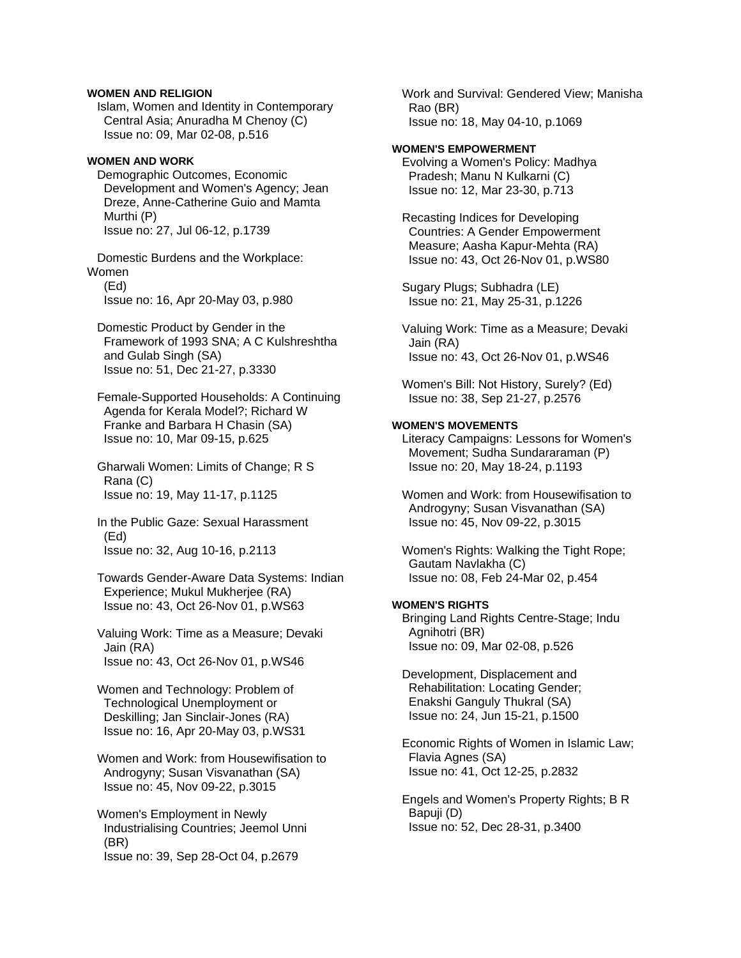## **WOMEN AND RELIGION**

 Islam, Women and Identity in Contemporary Central Asia; Anuradha M Chenoy (C) Issue no: 09, Mar 02-08, p.516

### **WOMEN AND WORK**

 Demographic Outcomes, Economic Development and Women's Agency; Jean Dreze, Anne-Catherine Guio and Mamta Murthi (P) Issue no: 27, Jul 06-12, p.1739

 Domestic Burdens and the Workplace: Women (Ed)

Issue no: 16, Apr 20-May 03, p.980

 Domestic Product by Gender in the Framework of 1993 SNA; A C Kulshreshtha and Gulab Singh (SA) Issue no: 51, Dec 21-27, p.3330

 Female-Supported Households: A Continuing Agenda for Kerala Model?; Richard W Franke and Barbara H Chasin (SA) Issue no: 10, Mar 09-15, p.625

 Gharwali Women: Limits of Change; R S Rana (C) Issue no: 19, May 11-17, p.1125

 In the Public Gaze: Sexual Harassment (Ed) Issue no: 32, Aug 10-16, p.2113

 Towards Gender-Aware Data Systems: Indian Experience; Mukul Mukherjee (RA) Issue no: 43, Oct 26-Nov 01, p.WS63

 Valuing Work: Time as a Measure; Devaki Jain (RA) Issue no: 43, Oct 26-Nov 01, p.WS46

 Women and Technology: Problem of Technological Unemployment or Deskilling; Jan Sinclair-Jones (RA) Issue no: 16, Apr 20-May 03, p.WS31

 Women and Work: from Housewifisation to Androgyny; Susan Visvanathan (SA) Issue no: 45, Nov 09-22, p.3015

 Women's Employment in Newly Industrialising Countries; Jeemol Unni (BR) Issue no: 39, Sep 28-Oct 04, p.2679

 Work and Survival: Gendered View; Manisha Rao (BR) Issue no: 18, May 04-10, p.1069

# **WOMEN'S EMPOWERMENT**

 Evolving a Women's Policy: Madhya Pradesh; Manu N Kulkarni (C) Issue no: 12, Mar 23-30, p.713

 Recasting Indices for Developing Countries: A Gender Empowerment Measure; Aasha Kapur-Mehta (RA) Issue no: 43, Oct 26-Nov 01, p.WS80

 Sugary Plugs; Subhadra (LE) Issue no: 21, May 25-31, p.1226

 Valuing Work: Time as a Measure; Devaki Jain (RA) Issue no: 43, Oct 26-Nov 01, p.WS46

 Women's Bill: Not History, Surely? (Ed) Issue no: 38, Sep 21-27, p.2576

# **WOMEN'S MOVEMENTS**

 Literacy Campaigns: Lessons for Women's Movement; Sudha Sundararaman (P) Issue no: 20, May 18-24, p.1193

 Women and Work: from Housewifisation to Androgyny; Susan Visvanathan (SA) Issue no: 45, Nov 09-22, p.3015

 Women's Rights: Walking the Tight Rope; Gautam Navlakha (C) Issue no: 08, Feb 24-Mar 02, p.454

## **WOMEN'S RIGHTS**

 Bringing Land Rights Centre-Stage; Indu Agnihotri (BR) Issue no: 09, Mar 02-08, p.526

 Development, Displacement and Rehabilitation: Locating Gender; Enakshi Ganguly Thukral (SA) Issue no: 24, Jun 15-21, p.1500

 Economic Rights of Women in Islamic Law; Flavia Agnes (SA) Issue no: 41, Oct 12-25, p.2832

 Engels and Women's Property Rights; B R Bapuji (D) Issue no: 52, Dec 28-31, p.3400